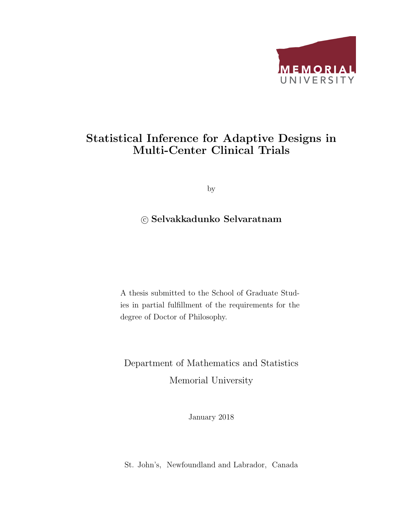

### Statistical Inference for Adaptive Designs in Multi-Center Clinical Trials

by

#### c Selvakkadunko Selvaratnam

A thesis submitted to the School of Graduate Studies in partial fulfillment of the requirements for the degree of Doctor of Philosophy.

### Department of Mathematics and Statistics Memorial University

January 2018

St. John's, Newfoundland and Labrador, Canada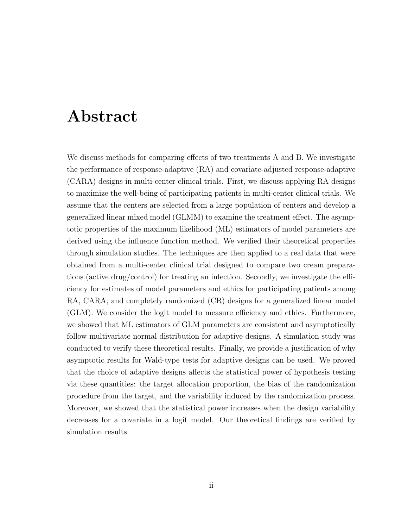### Abstract

We discuss methods for comparing effects of two treatments A and B. We investigate the performance of response-adaptive (RA) and covariate-adjusted response-adaptive (CARA) designs in multi-center clinical trials. First, we discuss applying RA designs to maximize the well-being of participating patients in multi-center clinical trials. We assume that the centers are selected from a large population of centers and develop a generalized linear mixed model (GLMM) to examine the treatment effect. The asymptotic properties of the maximum likelihood (ML) estimators of model parameters are derived using the influence function method. We verified their theoretical properties through simulation studies. The techniques are then applied to a real data that were obtained from a multi-center clinical trial designed to compare two cream preparations (active drug/control) for treating an infection. Secondly, we investigate the efficiency for estimates of model parameters and ethics for participating patients among RA, CARA, and completely randomized (CR) designs for a generalized linear model (GLM). We consider the logit model to measure efficiency and ethics. Furthermore, we showed that ML estimators of GLM parameters are consistent and asymptotically follow multivariate normal distribution for adaptive designs. A simulation study was conducted to verify these theoretical results. Finally, we provide a justification of why asymptotic results for Wald-type tests for adaptive designs can be used. We proved that the choice of adaptive designs affects the statistical power of hypothesis testing via these quantities: the target allocation proportion, the bias of the randomization procedure from the target, and the variability induced by the randomization process. Moreover, we showed that the statistical power increases when the design variability decreases for a covariate in a logit model. Our theoretical findings are verified by simulation results.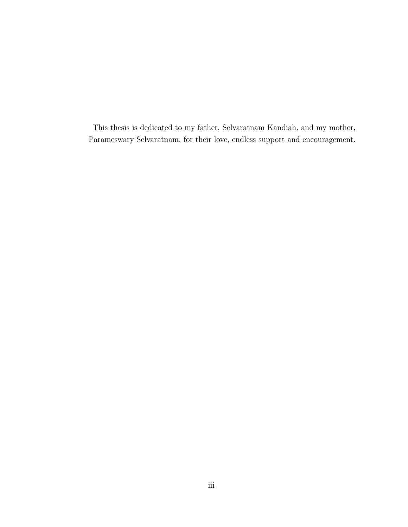This thesis is dedicated to my father, Selvaratnam Kandiah, and my mother, Parameswary Selvaratnam, for their love, endless support and encouragement.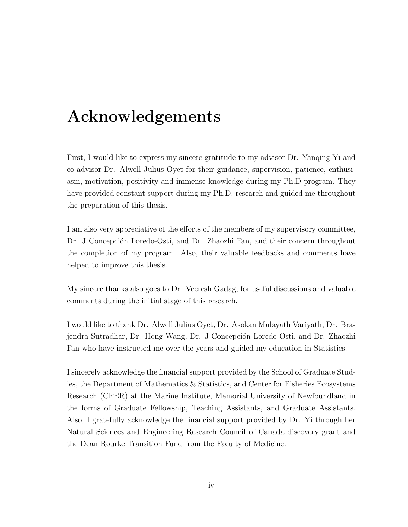## Acknowledgements

First, I would like to express my sincere gratitude to my advisor Dr. Yanqing Yi and co-advisor Dr. Alwell Julius Oyet for their guidance, supervision, patience, enthusiasm, motivation, positivity and immense knowledge during my Ph.D program. They have provided constant support during my Ph.D. research and guided me throughout the preparation of this thesis.

I am also very appreciative of the efforts of the members of my supervisory committee, Dr. J Concepción Loredo-Osti, and Dr. Zhaozhi Fan, and their concern throughout the completion of my program. Also, their valuable feedbacks and comments have helped to improve this thesis.

My sincere thanks also goes to Dr. Veeresh Gadag, for useful discussions and valuable comments during the initial stage of this research.

I would like to thank Dr. Alwell Julius Oyet, Dr. Asokan Mulayath Variyath, Dr. Brajendra Sutradhar, Dr. Hong Wang, Dr. J Concepción Loredo-Osti, and Dr. Zhaozhi Fan who have instructed me over the years and guided my education in Statistics.

I sincerely acknowledge the financial support provided by the School of Graduate Studies, the Department of Mathematics & Statistics, and Center for Fisheries Ecosystems Research (CFER) at the Marine Institute, Memorial University of Newfoundland in the forms of Graduate Fellowship, Teaching Assistants, and Graduate Assistants. Also, I gratefully acknowledge the financial support provided by Dr. Yi through her Natural Sciences and Engineering Research Council of Canada discovery grant and the Dean Rourke Transition Fund from the Faculty of Medicine.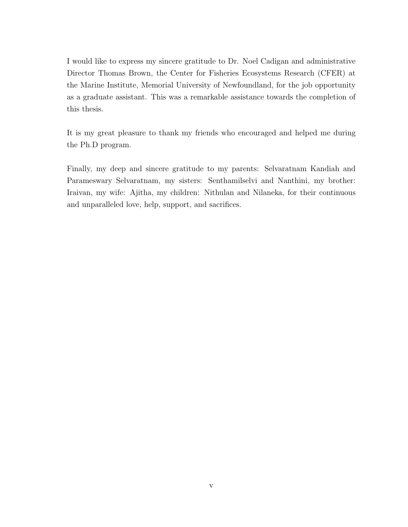I would like to express my sincere gratitude to Dr. Noel Cadigan and administrative Director Thomas Brown, the Center for Fisheries Ecosystems Research (CFER) at the Marine Institute, Memorial University of Newfoundland, for the job opportunity as a graduate assistant. This was a remarkable assistance towards the completion of this thesis.

It is my great pleasure to thank my friends who encouraged and helped me during the Ph.D program.

Finally, my deep and sincere gratitude to my parents: Selvaratnam Kandiah and Parameswary Selvaratnam, my sisters: Senthamilselvi and Nanthini, my brother: Iraivan, my wife: Ajitha, my children: Nithulan and Nilaneka, for their continuous and unparalleled love, help, support, and sacrifices.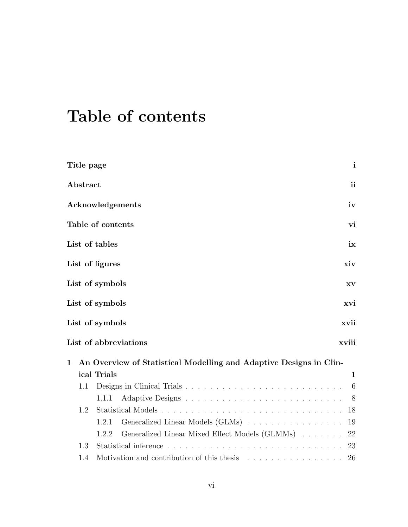## Table of contents

|              | Title page |                                                                                           | $\mathbf{i}$ |
|--------------|------------|-------------------------------------------------------------------------------------------|--------------|
|              | Abstract   |                                                                                           | ii           |
|              |            | Acknowledgements                                                                          | iv           |
|              |            | Table of contents                                                                         | vi           |
|              |            | List of tables                                                                            | ix           |
|              |            | List of figures                                                                           | xiv          |
|              |            | List of symbols                                                                           | XV           |
|              |            | List of symbols                                                                           | xvi          |
|              |            | List of symbols                                                                           | xvii         |
|              |            | List of abbreviations                                                                     | xviii        |
| $\mathbf{1}$ |            | An Overview of Statistical Modelling and Adaptive Designs in Clin-                        |              |
|              |            | ical Trials                                                                               | $\mathbf 1$  |
|              | 1.1        |                                                                                           | 6            |
|              |            | 1.1.1                                                                                     | 8            |
|              | 1.2        | Statistical Models                                                                        | 18           |
|              |            | Generalized Linear Models (GLMs)<br>1.2.1                                                 | 19           |
|              |            | Generalized Linear Mixed Effect Models (GLMMs) 22<br>1.2.2                                |              |
|              | 1.3        |                                                                                           | 23           |
|              | 1.4        | Motivation and contribution of this thesis $\ldots \ldots \ldots \ldots \ldots \ldots$ 26 |              |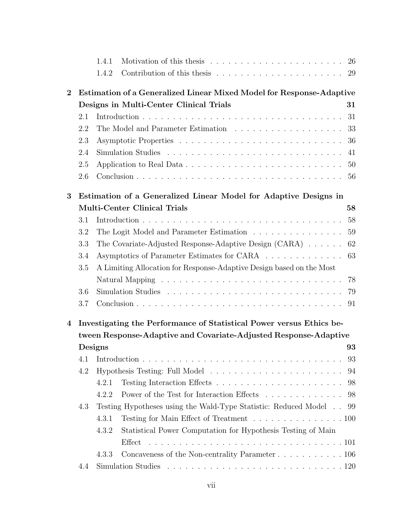|                |     | 1.4.1   | Motivation of this thesis $\ldots \ldots \ldots \ldots \ldots \ldots \ldots \ldots 26$           |    |
|----------------|-----|---------|--------------------------------------------------------------------------------------------------|----|
|                |     | 1.4.2   | Contribution of this thesis $\ldots \ldots \ldots \ldots \ldots \ldots \ldots 29$                |    |
| $\overline{2}$ |     |         | Estimation of a Generalized Linear Mixed Model for Response-Adaptive                             |    |
|                |     |         | Designs in Multi-Center Clinical Trials                                                          | 31 |
|                | 2.1 |         |                                                                                                  | 31 |
|                | 2.2 |         |                                                                                                  | 33 |
|                | 2.3 |         |                                                                                                  | 36 |
|                | 2.4 |         |                                                                                                  | 41 |
|                | 2.5 |         |                                                                                                  | 50 |
|                | 2.6 |         |                                                                                                  | 56 |
| 3              |     |         | Estimation of a Generalized Linear Model for Adaptive Designs in                                 |    |
|                |     |         | <b>Multi-Center Clinical Trials</b>                                                              | 58 |
|                | 3.1 |         |                                                                                                  | 58 |
|                | 3.2 |         | The Logit Model and Parameter Estimation                                                         | 59 |
|                | 3.3 |         | The Covariate-Adjusted Response-Adaptive Design (CARA)                                           | 62 |
|                | 3.4 |         | Asymptotics of Parameter Estimates for CARA                                                      | 63 |
|                | 3.5 |         | A Limiting Allocation for Response-Adaptive Design based on the Most                             |    |
|                |     |         |                                                                                                  | 78 |
|                | 3.6 |         |                                                                                                  | 79 |
|                | 3.7 |         |                                                                                                  | 91 |
| $\overline{4}$ |     |         | Investigating the Performance of Statistical Power versus Ethics be-                             |    |
|                |     |         | tween Response-Adaptive and Covariate-Adjusted Response-Adaptive                                 |    |
|                |     | Designs |                                                                                                  | 93 |
|                | 4.1 |         |                                                                                                  | 93 |
|                | 4.2 |         |                                                                                                  | 94 |
|                |     | 4.2.1   |                                                                                                  | 98 |
|                |     | 4.2.2   | Power of the Test for Interaction Effects                                                        | 98 |
|                | 4.3 |         | Testing Hypotheses using the Wald-Type Statistic: Reduced Model                                  | 99 |
|                |     | 4.3.1   | Testing for Main Effect of Treatment 100                                                         |    |
|                |     | 4.3.2   | Statistical Power Computation for Hypothesis Testing of Main                                     |    |
|                |     |         |                                                                                                  |    |
|                |     | 4.3.3   | Concaveness of the Non-centrality Parameter 106                                                  |    |
|                | 4.4 |         | Simulation Studies $\dots \dots \dots \dots \dots \dots \dots \dots \dots \dots \dots \dots 120$ |    |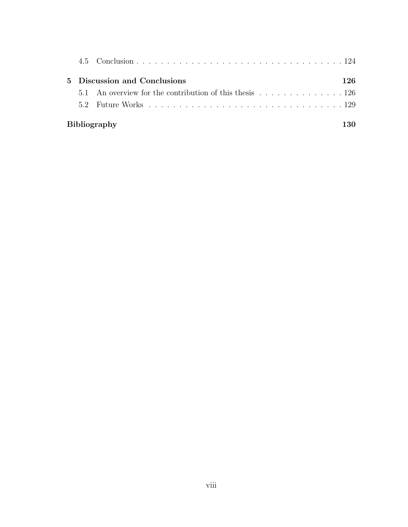|  | 5 Discussion and Conclusions | 126 |
|--|------------------------------|-----|
|  |                              |     |
|  |                              |     |
|  | <b>Bibliography</b>          |     |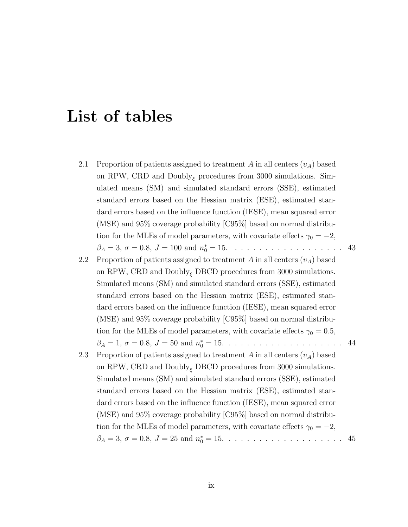### List of tables

- 2.1 Proportion of patients assigned to treatment A in all centers  $(v_A)$  based on RPW, CRD and  $\text{Doubly}_{\xi}$  procedures from 3000 simulations. Simulated means (SM) and simulated standard errors (SSE), estimated standard errors based on the Hessian matrix (ESE), estimated standard errors based on the influence function (IESE), mean squared error (MSE) and 95% coverage probability [C95%] based on normal distribution for the MLEs of model parameters, with covariate effects  $\gamma_0 = -2$ , β<sup>A</sup> = 3, σ = 0.8, J = 100 and n ∗ <sup>0</sup> = 15. . . . . . . . . . . . . . . . . . . 43
- 2.2 Proportion of patients assigned to treatment A in all centers  $(v_A)$  based on RPW, CRD and  $\text{Doubly}_{\xi}$  DBCD procedures from 3000 simulations. Simulated means (SM) and simulated standard errors (SSE), estimated standard errors based on the Hessian matrix (ESE), estimated standard errors based on the influence function (IESE), mean squared error (MSE) and 95% coverage probability [C95%] based on normal distribution for the MLEs of model parameters, with covariate effects  $\gamma_0 = 0.5$ , β<sup>A</sup> = 1, σ = 0.8, J = 50 and n ∗ <sup>0</sup> = 15. . . . . . . . . . . . . . . . . . . . 44
- 2.3 Proportion of patients assigned to treatment A in all centers  $(v_A)$  based on RPW, CRD and  $\text{Doubly}_{\xi}$  DBCD procedures from 3000 simulations. Simulated means (SM) and simulated standard errors (SSE), estimated standard errors based on the Hessian matrix (ESE), estimated standard errors based on the influence function (IESE), mean squared error (MSE) and 95% coverage probability [C95%] based on normal distribution for the MLEs of model parameters, with covariate effects  $\gamma_0 = -2$ , β<sup>A</sup> = 3, σ = 0.8, J = 25 and n ∗ <sup>0</sup> = 15. . . . . . . . . . . . . . . . . . . . 45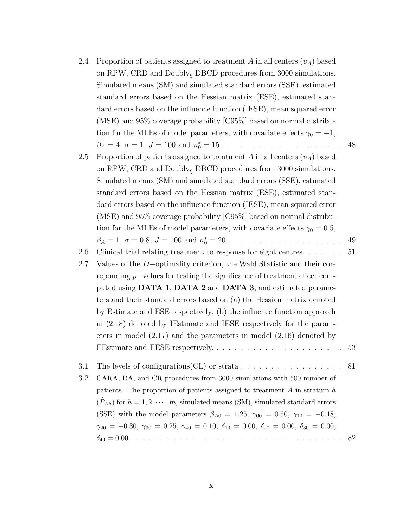| 2.4 | Proportion of patients assigned to treatment A in all centers $(v_A)$ based                                                          |    |
|-----|--------------------------------------------------------------------------------------------------------------------------------------|----|
|     | on RPW, CRD and $\text{Doubly}_{\xi}$ DBCD procedures from 3000 simulations.                                                         |    |
|     | Simulated means (SM) and simulated standard errors (SSE), estimated                                                                  |    |
|     | standard errors based on the Hessian matrix (ESE), estimated stan-                                                                   |    |
|     | dard errors based on the influence function (IESE), mean squared error                                                               |    |
|     | (MSE) and $95\%$ coverage probability [C $95\%$ ] based on normal distribu-                                                          |    |
|     | tion for the MLEs of model parameters, with covariate effects $\gamma_0 = -1$ ,                                                      |    |
|     | $\beta_A = 4, \sigma = 1, J = 100 \text{ and } n_0^* = 15. \dots \dots \dots \dots \dots \dots \dots \dots$                          | 48 |
| 2.5 | Proportion of patients assigned to treatment A in all centers $(v_A)$ based                                                          |    |
|     | on RPW, CRD and $\text{Doubly}_{\xi}$ DBCD procedures from 3000 simulations.                                                         |    |
|     | Simulated means (SM) and simulated standard errors (SSE), estimated                                                                  |    |
|     | standard errors based on the Hessian matrix (ESE), estimated stan-                                                                   |    |
|     | dard errors based on the influence function (IESE), mean squared error                                                               |    |
|     | (MSE) and 95% coverage probability [C95%] based on normal distribu-                                                                  |    |
|     | tion for the MLEs of model parameters, with covariate effects $\gamma_0 = 0.5$ ,                                                     |    |
|     | $\beta_A = 1, \sigma = 0.8, J = 100 \text{ and } n_0^* = 20. \dots \dots \dots \dots \dots \dots \dots \dots$                        | 49 |
| 2.6 | Clinical trial relating treatment to response for eight centres. $\dots \dots$                                                       | 51 |
| 2.7 | Values of the $D$ -optimality criterion, the Wald Statistic and their cor-                                                           |    |
|     | reponding $p$ -values for testing the significance of treatment effect com-                                                          |    |
|     | puted using <b>DATA 1, DATA 2</b> and <b>DATA 3</b> , and estimated parame-                                                          |    |
|     | ters and their standard errors based on (a) the Hessian matrix denoted                                                               |    |
|     | by Estimate and ESE respectively; (b) the influence function approach                                                                |    |
|     | in $(2.18)$ denoted by IEstimate and IESE respectively for the param-                                                                |    |
|     | eters in model $(2.17)$ and the parameters in model $(2.16)$ denoted by                                                              |    |
|     | FEstimate and FESE respectively                                                                                                      | 53 |
| 3.1 |                                                                                                                                      | 81 |
| 3.2 | CARA, RA, and CR procedures from 3000 simulations with 500 number of                                                                 |    |
|     | patients. The proportion of patients assigned to treatment $A$ in stratum $h$                                                        |    |
|     | $(P_{Ah})$ for $h = 1, 2, \dots, m$ , simulated means (SM), simulated standard errors                                                |    |
|     | (SSE) with the model parameters $\beta_{A0} = 1.25, \gamma_{00} = 0.50, \gamma_{10} = -0.18,$                                        |    |
|     | $\gamma_{20} = -0.30, \ \gamma_{30} = 0.25, \ \gamma_{40} = 0.10, \ \delta_{10} = 0.00, \ \delta_{20} = 0.00, \ \delta_{30} = 0.00,$ |    |
|     |                                                                                                                                      | 82 |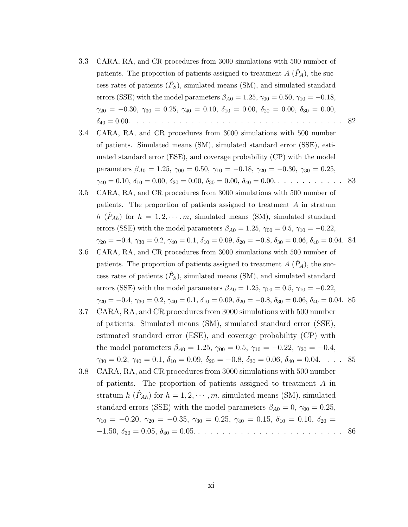- 3.3 CARA, RA, and CR procedures from 3000 simulations with 500 number of patients. The proportion of patients assigned to treatment  $A(\hat{P}_A)$ , the success rates of patients  $(\hat{P}_S)$ , simulated means (SM), and simulated standard errors (SSE) with the model parameters  $\beta_{A0} = 1.25, \gamma_{00} = 0.50, \gamma_{10} = -0.18,$  $\gamma_{20} = -0.30, \ \gamma_{30} = 0.25, \ \gamma_{40} = 0.10, \ \delta_{10} = 0.00, \ \delta_{20} = 0.00, \ \delta_{30} = 0.00,$ δ<sup>40</sup> = 0.00. . . . . . . . . . . . . . . . . . . . . . . . . . . . . . . . . . . 82
- 3.4 CARA, RA, and CR procedures from 3000 simulations with 500 number of patients. Simulated means (SM), simulated standard error (SSE), estimated standard error (ESE), and coverage probability (CP) with the model parameters  $\beta_{A0} = 1.25$ ,  $\gamma_{00} = 0.50$ ,  $\gamma_{10} = -0.18$ ,  $\gamma_{20} = -0.30$ ,  $\gamma_{30} = 0.25$ ,  $\gamma_{40} = 0.10, \delta_{10} = 0.00, \delta_{20} = 0.00, \delta_{30} = 0.00, \delta_{40} = 0.00, \ldots \ldots \ldots \ldots$  83
- 3.5 CARA, RA, and CR procedures from 3000 simulations with 500 number of patients. The proportion of patients assigned to treatment A in stratum h  $(\hat{P}_{Ah})$  for  $h = 1, 2, \dots, m$ , simulated means (SM), simulated standard errors (SSE) with the model parameters  $\beta_{A0} = 1.25$ ,  $\gamma_{00} = 0.5$ ,  $\gamma_{10} = -0.22$ ,  $\gamma_{20} = -0.4, \gamma_{30} = 0.2, \gamma_{40} = 0.1, \delta_{10} = 0.09, \delta_{20} = -0.8, \delta_{30} = 0.06, \delta_{40} = 0.04.$  84
- 3.6 CARA, RA, and CR procedures from 3000 simulations with 500 number of patients. The proportion of patients assigned to treatment  $A(P_A)$ , the success rates of patients  $(\hat{P}_S)$ , simulated means (SM), and simulated standard errors (SSE) with the model parameters  $\beta_{A0} = 1.25$ ,  $\gamma_{00} = 0.5$ ,  $\gamma_{10} = -0.22$ ,  $\gamma_{20} = -0.4, \gamma_{30} = 0.2, \gamma_{40} = 0.1, \delta_{10} = 0.09, \delta_{20} = -0.8, \delta_{30} = 0.06, \delta_{40} = 0.04.$  85
- 3.7 CARA, RA, and CR procedures from 3000 simulations with 500 number of patients. Simulated means (SM), simulated standard error (SSE), estimated standard error (ESE), and coverage probability (CP) with the model parameters  $\beta_{A0} = 1.25$ ,  $\gamma_{00} = 0.5$ ,  $\gamma_{10} = -0.22$ ,  $\gamma_{20} = -0.4$ ,  $\gamma_{30} = 0.2, \, \gamma_{40} = 0.1, \, \delta_{10} = 0.09, \, \delta_{20} = -0.8, \, \delta_{30} = 0.06, \, \delta_{40} = 0.04. \quad . \quad . \quad 85$
- 3.8 CARA, RA, and CR procedures from 3000 simulations with 500 number of patients. The proportion of patients assigned to treatment A in stratum  $h\ (\hat{P}_{Ah})$  for  $h=1,2,\cdots,m$ , simulated means (SM), simulated standard errors (SSE) with the model parameters  $\beta_{A0} = 0$ ,  $\gamma_{00} = 0.25$ ,  $\gamma_{10} = -0.20, \ \gamma_{20} = -0.35, \ \gamma_{30} = 0.25, \ \gamma_{40} = 0.15, \ \delta_{10} = 0.10, \ \delta_{20} =$ −1.50, δ<sup>30</sup> = 0.05, δ<sup>40</sup> = 0.05. . . . . . . . . . . . . . . . . . . . . . . . . 86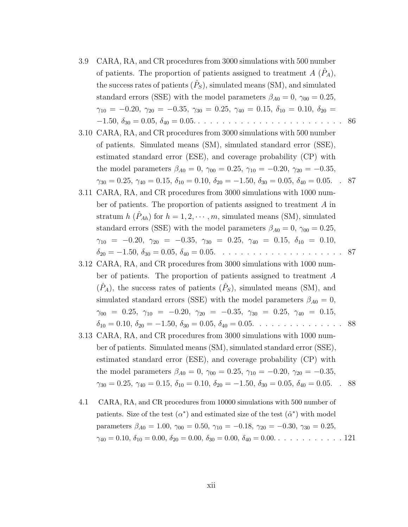- 3.9 CARA, RA, and CR procedures from 3000 simulations with 500 number of patients. The proportion of patients assigned to treatment  $A(\hat{P}_A)$ , the success rates of patients  $(\hat{P}_S)$ , simulated means (SM), and simulated standard errors (SSE) with the model parameters  $\beta_{A0} = 0$ ,  $\gamma_{00} = 0.25$ ,  $\gamma_{10} = -0.20, \ \gamma_{20} = -0.35, \ \gamma_{30} = 0.25, \ \gamma_{40} = 0.15, \ \delta_{10} = 0.10, \ \delta_{20} =$ −1.50, δ<sup>30</sup> = 0.05, δ<sup>40</sup> = 0.05. . . . . . . . . . . . . . . . . . . . . . . . . 86
- 3.10 CARA, RA, and CR procedures from 3000 simulations with 500 number of patients. Simulated means (SM), simulated standard error (SSE), estimated standard error (ESE), and coverage probability (CP) with the model parameters  $\beta_{A0} = 0$ ,  $\gamma_{00} = 0.25$ ,  $\gamma_{10} = -0.20$ ,  $\gamma_{20} = -0.35$ ,  $\gamma_{30} = 0.25, \, \gamma_{40} = 0.15, \, \delta_{10} = 0.10, \, \delta_{20} = -1.50, \, \delta_{30} = 0.05, \, \delta_{40} = 0.05.$  . 87
- 3.11 CARA, RA, and CR procedures from 3000 simulations with 1000 number of patients. The proportion of patients assigned to treatment A in stratum  $h\ (\hat{P}_{Ah})$  for  $h=1,2,\cdots,m$ , simulated means (SM), simulated standard errors (SSE) with the model parameters  $\beta_{A0} = 0$ ,  $\gamma_{00} = 0.25$ ,  $\gamma_{10} = -0.20, \ \gamma_{20} = -0.35, \ \gamma_{30} = 0.25, \ \gamma_{40} = 0.15, \ \delta_{10} = 0.10,$ δ<sup>20</sup> = −1.50, δ<sup>30</sup> = 0.05, δ<sup>40</sup> = 0.05. . . . . . . . . . . . . . . . . . . . . 87
- 3.12 CARA, RA, and CR procedures from 3000 simulations with 1000 number of patients. The proportion of patients assigned to treatment A  $(\hat{P}_A)$ , the success rates of patients  $(\hat{P}_S)$ , simulated means (SM), and simulated standard errors (SSE) with the model parameters  $\beta_{A0} = 0$ ,  $\gamma_{00}$  = 0.25,  $\gamma_{10}$  = -0.20,  $\gamma_{20}$  = -0.35,  $\gamma_{30}$  = 0.25,  $\gamma_{40}$  = 0.15,  $\delta_{10} = 0.10, \delta_{20} = -1.50, \delta_{30} = 0.05, \delta_{40} = 0.05. \ldots \ldots \ldots \ldots \ldots \ldots \ldots \$
- 3.13 CARA, RA, and CR procedures from 3000 simulations with 1000 number of patients. Simulated means (SM), simulated standard error (SSE), estimated standard error (ESE), and coverage probability (CP) with the model parameters  $\beta_{A0} = 0$ ,  $\gamma_{00} = 0.25$ ,  $\gamma_{10} = -0.20$ ,  $\gamma_{20} = -0.35$ ,  $\gamma_{30} = 0.25, \, \gamma_{40} = 0.15, \, \delta_{10} = 0.10, \, \delta_{20} = -1.50, \, \delta_{30} = 0.05, \, \delta_{40} = 0.05.$  . 88
- 4.1 CARA, RA, and CR procedures from 10000 simulations with 500 number of patients. Size of the test  $(\alpha^*)$  and estimated size of the test  $(\hat{\alpha}^*)$  with model parameters  $\beta_{A0} = 1.00, \gamma_{00} = 0.50, \gamma_{10} = -0.18, \gamma_{20} = -0.30, \gamma_{30} = 0.25,$  $\gamma_{40} = 0.10, \delta_{10} = 0.00, \delta_{20} = 0.00, \delta_{30} = 0.00, \delta_{40} = 0.00 \ldots \ldots \ldots \ldots \ldots 121$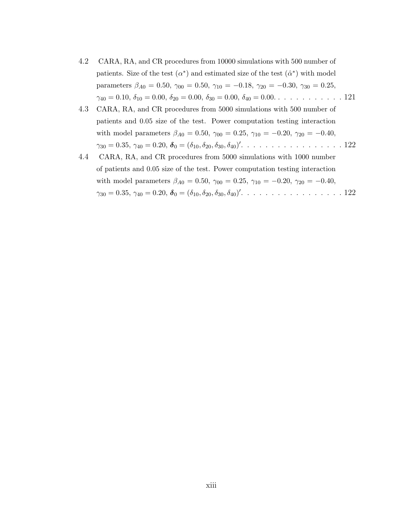- 4.2 CARA, RA, and CR procedures from 10000 simulations with 500 number of patients. Size of the test  $(\alpha^*)$  and estimated size of the test  $(\hat{\alpha}^*)$  with model parameters  $\beta_{A0} = 0.50, \gamma_{00} = 0.50, \gamma_{10} = -0.18, \gamma_{20} = -0.30, \gamma_{30} = 0.25,$  $\gamma_{40} = 0.10, \delta_{10} = 0.00, \delta_{20} = 0.00, \delta_{30} = 0.00, \delta_{40} = 0.00, \ldots \ldots \ldots \ldots$  121
- 4.3 CARA, RA, and CR procedures from 5000 simulations with 500 number of patients and 0.05 size of the test. Power computation testing interaction with model parameters  $\beta_{A0} = 0.50$ ,  $\gamma_{00} = 0.25$ ,  $\gamma_{10} = -0.20$ ,  $\gamma_{20} = -0.40$ ,  $\gamma_{30} = 0.35, \, \gamma_{40} = 0.20, \, \boldsymbol{\delta}_0 = (\delta_{10}, \delta_{20}, \delta_{30}, \delta_{40})'. \, \ldots \, \ldots \, \ldots \, \ldots \, \ldots \, \ldots \, \ldots \, 122$
- 4.4 CARA, RA, and CR procedures from 5000 simulations with 1000 number of patients and 0.05 size of the test. Power computation testing interaction with model parameters  $\beta_{A0} = 0.50$ ,  $\gamma_{00} = 0.25$ ,  $\gamma_{10} = -0.20$ ,  $\gamma_{20} = -0.40$ ,  $\gamma_{30} = 0.35, \, \gamma_{40} = 0.20, \, \boldsymbol{\delta}_0 = (\delta_{10}, \delta_{20}, \delta_{30}, \delta_{40})'. \, \ldots \, \ldots \, \ldots \, \ldots \, \ldots \, \ldots \, \ldots \, 122$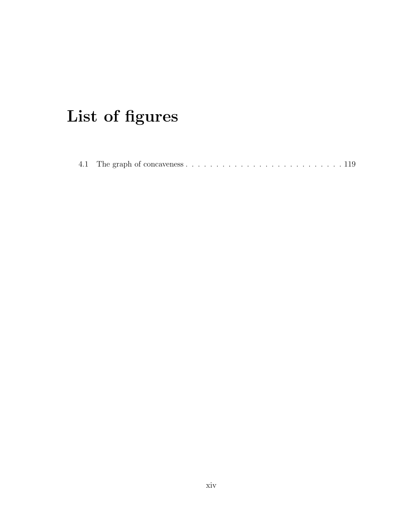## List of figures

|--|--|--|--|--|--|--|--|--|--|--|--|--|--|--|--|--|--|--|--|--|--|--|--|--|--|--|--|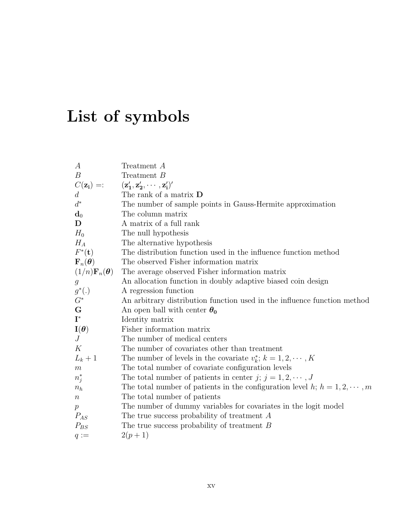## List of symbols

| $\boldsymbol{A}$                         | Treatment A                                                                     |
|------------------------------------------|---------------------------------------------------------------------------------|
| $\boldsymbol{B}$                         | Treatment B                                                                     |
| $C(\mathbf{z_i}) =$ :                    | $(\mathbf{z}'_1, \mathbf{z}'_2, \cdots, \mathbf{z}'_i)'$                        |
| $d_{\mathcal{A}}$                        | The rank of a matrix <b>D</b>                                                   |
| $d^*$                                    | The number of sample points in Gauss-Hermite approximation                      |
| $\mathbf{d}_0$                           | The column matrix                                                               |
| D                                        | A matrix of a full rank                                                         |
| $H_0$                                    | The null hypothesis                                                             |
| $H_A$                                    | The alternative hypothesis                                                      |
| $F^*(t)$                                 | The distribution function used in the influence function method                 |
| ${\bf F}_n({\boldsymbol \theta})$        | The observed Fisher information matrix                                          |
| $(1/n)\mathbf{F}_n(\boldsymbol{\theta})$ | The average observed Fisher information matrix                                  |
| $\boldsymbol{g}$                         | An allocation function in doubly adaptive biased coin design                    |
| $g^*(.)$                                 | A regression function                                                           |
| $G^\ast$                                 | An arbitrary distribution function used in the influence function method        |
| ${\bf G}$                                | An open ball with center $\theta_0$                                             |
| $\mathbf{I}^*$                           | Identity matrix                                                                 |
| $\mathbf{I}(\boldsymbol{\theta})$        | Fisher information matrix                                                       |
| J                                        | The number of medical centers                                                   |
| K                                        | The number of covariates other than treatment                                   |
| $L_k+1$                                  | The number of levels in the covariate $v_k^*$ ; $k = 1, 2, \dots, K$            |
| $\boldsymbol{m}$                         | The total number of covariate configuration levels                              |
| $n_j^*$                                  | The total number of patients in center $j$ ; $j = 1, 2, \dots, J$               |
| $n_h$                                    | The total number of patients in the configuration level $h; h = 1, 2, \dots, m$ |
| $\,n$                                    | The total number of patients                                                    |
| p                                        | The number of dummy variables for covariates in the logit model                 |
| $P_{AS}$                                 | The true success probability of treatment $A$                                   |
| $P_{BS}$                                 | The true success probability of treatment $B$                                   |
| $q :=$                                   | $2(p+1)$                                                                        |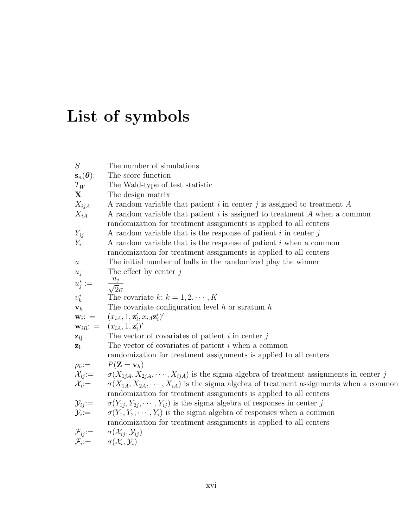## List of symbols

| S                                     | The number of simulations                                                                                                                                                                                                                                                                                                                                                                            |
|---------------------------------------|------------------------------------------------------------------------------------------------------------------------------------------------------------------------------------------------------------------------------------------------------------------------------------------------------------------------------------------------------------------------------------------------------|
| $\mathbf{s}_n(\boldsymbol{\theta})$ : | The score function                                                                                                                                                                                                                                                                                                                                                                                   |
| $T_W$                                 | The Wald-type of test statistic                                                                                                                                                                                                                                                                                                                                                                      |
| X                                     | The design matrix                                                                                                                                                                                                                                                                                                                                                                                    |
| $X_{ijA}$                             | A random variable that patient i in center j is assigned to treatment $A$                                                                                                                                                                                                                                                                                                                            |
| $X_{iA}$                              | A random variable that patient $i$ is assigned to treatment $A$ when a common                                                                                                                                                                                                                                                                                                                        |
|                                       | randomization for treatment assignments is applied to all centers                                                                                                                                                                                                                                                                                                                                    |
| $Y_{ij}$                              | A random variable that is the response of patient $i$ in center $j$                                                                                                                                                                                                                                                                                                                                  |
| $Y_i$                                 | A random variable that is the response of patient i when a common                                                                                                                                                                                                                                                                                                                                    |
|                                       | randomization for treatment assignments is applied to all centers                                                                                                                                                                                                                                                                                                                                    |
| $\boldsymbol{u}$                      | The initial number of balls in the randomized play the winner                                                                                                                                                                                                                                                                                                                                        |
| $u_j$                                 | The effect by center $j$                                                                                                                                                                                                                                                                                                                                                                             |
| $u_j^* :=$                            | $\frac{u_j}{\sqrt{2}\sigma}$                                                                                                                                                                                                                                                                                                                                                                         |
|                                       |                                                                                                                                                                                                                                                                                                                                                                                                      |
| $v_k^*$                               | The covariate k; $k = 1, 2, \cdots, K$                                                                                                                                                                                                                                                                                                                                                               |
| $\mathbf{v}_h$                        | The covariate configuration level $h$ or stratum $h$                                                                                                                                                                                                                                                                                                                                                 |
|                                       | ${\bf w}_i: = (x_{iA}, 1, {\bf z}'_i, x_{iA}{\bf z}'_i)'$                                                                                                                                                                                                                                                                                                                                            |
|                                       | ${\bf w}_{iR}$ : = $(x_{iA}, 1, {\bf z}'_i)'$                                                                                                                                                                                                                                                                                                                                                        |
| $z_{ij}$                              | The vector of covariates of patient $i$ in center $j$                                                                                                                                                                                                                                                                                                                                                |
| $z_i$                                 | The vector of covariates of patient $i$ when a common                                                                                                                                                                                                                                                                                                                                                |
|                                       | randomization for treatment assignments is applied to all centers                                                                                                                                                                                                                                                                                                                                    |
|                                       |                                                                                                                                                                                                                                                                                                                                                                                                      |
|                                       |                                                                                                                                                                                                                                                                                                                                                                                                      |
|                                       | $\rho_h := P(\mathbf{Z} = \mathbf{v}_h)$<br>$\mathcal{X}_{ij} := \sigma(X_{1jA}, X_{2jA}, \cdots, X_{ijA})$ is the sigma algebra of treatment assignments in center j<br>$\mathcal{X}_i := \sigma(X_{1A}, X_{2A}, \cdots, X_{iA})$ is the sigma algebra of treatment assignments when a comm<br>$\sigma(X_{1A}, X_{2A}, \cdots, X_{iA})$ is the sigma algebra of treatment assignments when a common |
|                                       | randomization for treatment assignments is applied to all centers                                                                                                                                                                                                                                                                                                                                    |
|                                       | $\sigma(Y_{1j}, Y_{2j}, \cdots, Y_{ij})$ is the sigma algebra of responses in center j                                                                                                                                                                                                                                                                                                               |
|                                       | $\sigma(Y_1, Y_2, \cdots, Y_i)$ is the sigma algebra of responses when a common                                                                                                                                                                                                                                                                                                                      |
|                                       | randomization for treatment assignments is applied to all centers                                                                                                                                                                                                                                                                                                                                    |
|                                       |                                                                                                                                                                                                                                                                                                                                                                                                      |
|                                       | $\mathcal{Y}_{ij} := \begin{array}{c} \sigma(Y_{1j}, Y_{2j}, \ \sigma(Y_1, Y_2, \cdots) \ \sigma(Y_1, Y_2, \cdots) \ \sigma(X_{ij}, Y_{ij}) \ \mathcal{F}_i := \sigma(\mathcal{X}_i, Y_i) \end{array}$                                                                                                                                                                                               |
|                                       |                                                                                                                                                                                                                                                                                                                                                                                                      |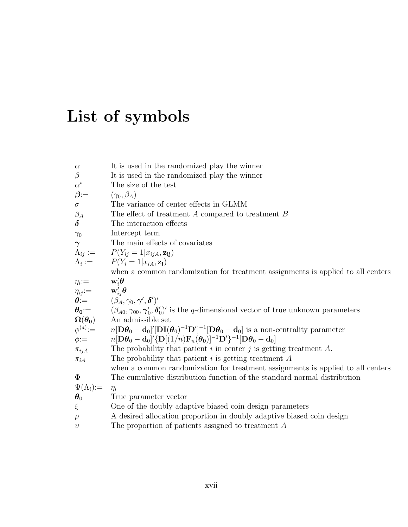## List of symbols

| $\alpha$                        | It is used in the randomized play the winner                                                                                                                                                                                                                |
|---------------------------------|-------------------------------------------------------------------------------------------------------------------------------------------------------------------------------------------------------------------------------------------------------------|
| $\beta$                         | It is used in the randomized play the winner                                                                                                                                                                                                                |
| $\alpha^*$                      | The size of the test                                                                                                                                                                                                                                        |
| $\beta$ :=                      | $(\gamma_0,\beta_A)$                                                                                                                                                                                                                                        |
| $\sigma$                        | The variance of center effects in GLMM                                                                                                                                                                                                                      |
| $\beta_A$                       | The effect of treatment $A$ compared to treatment $B$                                                                                                                                                                                                       |
| $\delta$                        | The interaction effects                                                                                                                                                                                                                                     |
| $\gamma_0$                      | Intercept term                                                                                                                                                                                                                                              |
| $\boldsymbol{\gamma}$           | The main effects of covariates                                                                                                                                                                                                                              |
| $\Lambda_{ij}:=$                | $P(Y_{ij}=1 x_{ijA}, \mathbf{z_{ij}})$                                                                                                                                                                                                                      |
| $\Lambda_i :=$                  | $P(Y_i = 1   x_{iA}, \mathbf{z_i})$                                                                                                                                                                                                                         |
|                                 | when a common randomization for treatment assignments is applied to all centers                                                                                                                                                                             |
| $\eta_i$ :=                     | $\mathbf{w}'_i\boldsymbol{\theta}$                                                                                                                                                                                                                          |
|                                 | $\theta := \begin{cases} \n\mathbf{w}'_{ij} \theta \\ \theta := (\beta_A, \gamma_0, \gamma', \delta')' \\ \theta_0 := (\beta_{A0}, \gamma_{00}, \gamma'_0, \delta'_0)' \text{ is the } q\text{-dimensional vector of true unknown parameters}\n\end{cases}$ |
|                                 |                                                                                                                                                                                                                                                             |
|                                 |                                                                                                                                                                                                                                                             |
| $\Omega(\boldsymbol{\theta_0})$ | An admissible set                                                                                                                                                                                                                                           |
| $\phi^{(a)}:=$                  | $n[\mathbf{D}\boldsymbol{\theta}_0-\mathbf{d}_0]'[\mathbf{D}\mathbf{I}(\boldsymbol{\theta}_0)^{-1}\mathbf{D}']^{-1}[\mathbf{D}\boldsymbol{\theta}_0-\mathbf{d}_0]$ is a non-centrality parameter                                                            |
| $\phi$ :=                       | $n[\mathbf{D}\boldsymbol{\theta}_0-\mathbf{d}_0]'{\{\mathbf{D}[(1/n)\mathbf{F}_n(\boldsymbol{\theta}_0)]^{-1}\mathbf{D}'\}}^{-1}[\mathbf{D}\boldsymbol{\theta}_0-\mathbf{d}_0]$                                                                             |
| $\pi_{ijA}$                     | The probability that patient $i$ in center $j$ is getting treatment $A$ .                                                                                                                                                                                   |
| $\pi_{iA}$                      | The probability that patient $i$ is getting treatment $A$                                                                                                                                                                                                   |
|                                 | when a common randomization for treatment assignments is applied to all centers                                                                                                                                                                             |
| $\Phi$                          | The cumulative distribution function of the standard normal distribution                                                                                                                                                                                    |
| $\Psi(\Lambda_i) :=$            | $\eta_i$                                                                                                                                                                                                                                                    |
| $\theta_0$                      | True parameter vector                                                                                                                                                                                                                                       |
| $\xi$                           | One of the doubly adaptive biased coin design parameters                                                                                                                                                                                                    |
| $\rho$                          | A desired allocation proportion in doubly adaptive biased coin design                                                                                                                                                                                       |
| $\upsilon$                      | The proportion of patients assigned to treatment $A$                                                                                                                                                                                                        |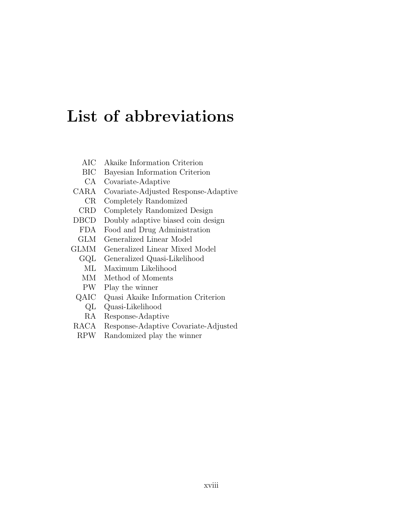## List of abbreviations

- AIC Akaike Information Criterion
- BIC Bayesian Information Criterion
- CA Covariate-Adaptive
- CARA Covariate-Adjusted Response-Adaptive
	- CR Completely Randomized
- CRD Completely Randomized Design
- DBCD Doubly adaptive biased coin design
	- FDA Food and Drug Administration
- GLM Generalized Linear Model
- GLMM Generalized Linear Mixed Model
	- GQL Generalized Quasi-Likelihood
		- ML Maximum Likelihood
		- MM Method of Moments
	- PW Play the winner
	- QAIC Quasi Akaike Information Criterion
		- QL Quasi-Likelihood
		- RA Response-Adaptive
- RACA Response-Adaptive Covariate-Adjusted
- RPW Randomized play the winner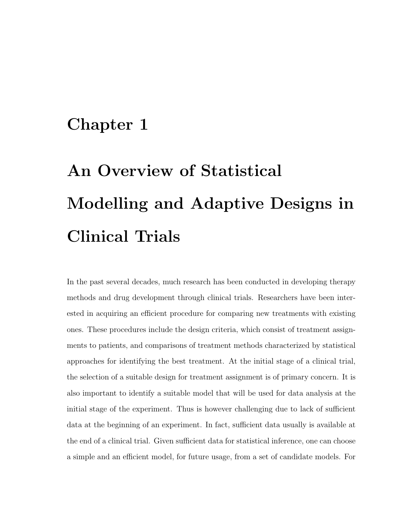### Chapter 1

# An Overview of Statistical Modelling and Adaptive Designs in Clinical Trials

In the past several decades, much research has been conducted in developing therapy methods and drug development through clinical trials. Researchers have been interested in acquiring an efficient procedure for comparing new treatments with existing ones. These procedures include the design criteria, which consist of treatment assignments to patients, and comparisons of treatment methods characterized by statistical approaches for identifying the best treatment. At the initial stage of a clinical trial, the selection of a suitable design for treatment assignment is of primary concern. It is also important to identify a suitable model that will be used for data analysis at the initial stage of the experiment. Thus is however challenging due to lack of sufficient data at the beginning of an experiment. In fact, sufficient data usually is available at the end of a clinical trial. Given sufficient data for statistical inference, one can choose a simple and an efficient model, for future usage, from a set of candidate models. For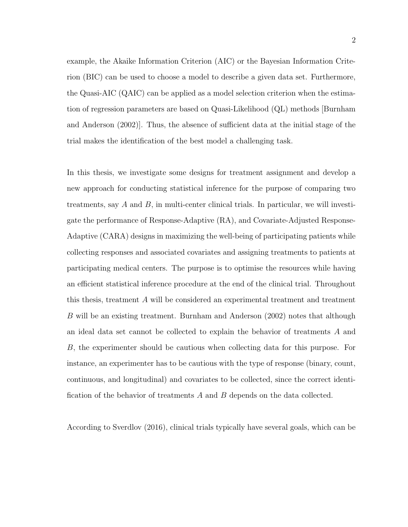example, the Akaike Information Criterion (AIC) or the Bayesian Information Criterion (BIC) can be used to choose a model to describe a given data set. Furthermore, the Quasi-AIC (QAIC) can be applied as a model selection criterion when the estimation of regression parameters are based on Quasi-Likelihood (QL) methods [Burnham and Anderson (2002)]. Thus, the absence of sufficient data at the initial stage of the trial makes the identification of the best model a challenging task.

In this thesis, we investigate some designs for treatment assignment and develop a new approach for conducting statistical inference for the purpose of comparing two treatments, say  $A$  and  $B$ , in multi-center clinical trials. In particular, we will investigate the performance of Response-Adaptive (RA), and Covariate-Adjusted Response-Adaptive (CARA) designs in maximizing the well-being of participating patients while collecting responses and associated covariates and assigning treatments to patients at participating medical centers. The purpose is to optimise the resources while having an efficient statistical inference procedure at the end of the clinical trial. Throughout this thesis, treatment A will be considered an experimental treatment and treatment B will be an existing treatment. Burnham and Anderson (2002) notes that although an ideal data set cannot be collected to explain the behavior of treatments A and B, the experimenter should be cautious when collecting data for this purpose. For instance, an experimenter has to be cautious with the type of response (binary, count, continuous, and longitudinal) and covariates to be collected, since the correct identification of the behavior of treatments A and B depends on the data collected.

According to Sverdlov (2016), clinical trials typically have several goals, which can be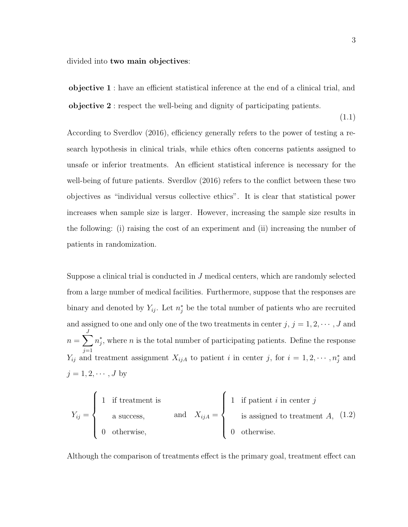divided into two main objectives:

objective 1 : have an efficient statistical inference at the end of a clinical trial, and objective 2 : respect the well-being and dignity of participating patients.

(1.1)

According to Sverdlov (2016), efficiency generally refers to the power of testing a research hypothesis in clinical trials, while ethics often concerns patients assigned to unsafe or inferior treatments. An efficient statistical inference is necessary for the well-being of future patients. Sverdlov (2016) refers to the conflict between these two objectives as "individual versus collective ethics". It is clear that statistical power increases when sample size is larger. However, increasing the sample size results in the following: (i) raising the cost of an experiment and (ii) increasing the number of patients in randomization.

Suppose a clinical trial is conducted in  $J$  medical centers, which are randomly selected from a large number of medical facilities. Furthermore, suppose that the responses are binary and denoted by  $Y_{ij}$ . Let  $n_j^*$  be the total number of patients who are recruited and assigned to one and only one of the two treatments in center  $j, j = 1, 2, \cdots, J$  and  $n=\sum$ J  $j=1$  $n_j^*$ , where n is the total number of participating patients. Define the response  $Y_{ij}$  and treatment assignment  $X_{ijA}$  to patient i in center j, for  $i = 1, 2, \cdots, n_j^*$  and  $j = 1, 2, \cdots, J$  by

$$
Y_{ij} = \begin{cases} 1 & \text{if treatment is} \\ a \text{ success,} \\ 0 & \text{otherwise,} \end{cases} \quad \text{and} \quad X_{ijA} = \begin{cases} 1 & \text{if patient } i \text{ in center } j \\ \text{is assigned to treatment } A, (1.2) \\ 0 & \text{otherwise.} \end{cases}
$$

Although the comparison of treatments effect is the primary goal, treatment effect can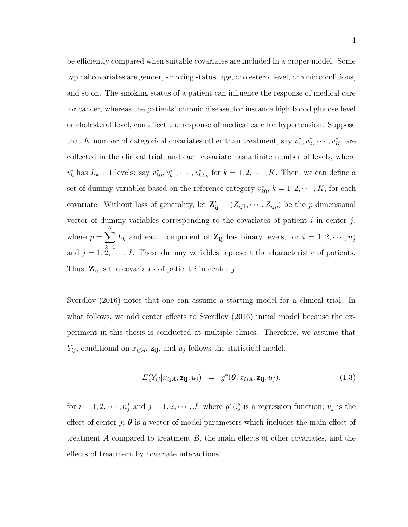be efficiently compared when suitable covariates are included in a proper model. Some typical covariates are gender, smoking status, age, cholesterol level, chronic conditions, and so on. The smoking status of a patient can influence the response of medical care for cancer, whereas the patients' chronic disease, for instance high blood glucose level or cholesterol level, can affect the response of medical care for hypertension. Suppose that K number of categorical covariates other than treatment, say  $v_1^*, v_2^*, \cdots, v_K^*$ , are collected in the clinical trial, and each covariate has a finite number of levels, where  $v_k^*$  has  $L_k + 1$  levels: say  $v_{k0}^*, v_{k1}^*, \cdots, v_{kL_k}^*$  for  $k = 1, 2, \cdots, K$ . Then, we can define a set of dummy variables based on the reference category  $v_{k0}^*$ ,  $k = 1, 2, \dots, K$ , for each covariate. Without loss of generality, let  $\mathbf{Z'_{ij}} = (Z_{ij1}, \cdots, Z_{ijp})$  be the p dimensional vector of dummy variables corresponding to the covariates of patient  $i$  in center  $j$ , where  $p = \sum$ K  $_{k=1}$  $L_k$  and each component of  $\mathbf{Z_{ij}}$  has binary levels, for  $i = 1, 2, \cdots, n_j^*$ and  $j = 1, 2, \dots, J$ . These dummy variables represent the characteristic of patients. Thus,  $\mathbf{Z}_{ij}$  is the covariates of patient i in center j.

Sverdlov (2016) notes that one can assume a starting model for a clinical trial. In what follows, we add center effects to Sverdlov (2016) initial model because the experiment in this thesis is conducted at multiple clinics. Therefore, we assume that  $Y_{ij}$ , conditional on  $x_{ijA}$ ,  $z_{ij}$ , and  $u_j$  follows the statistical model,

$$
E(Y_{ij}|x_{ijA}, \mathbf{z_{ij}}, u_j) = g^*(\boldsymbol{\theta}, x_{ijA}, \mathbf{z_{ij}}, u_j), \qquad (1.3)
$$

for  $i = 1, 2, \dots, n_j^*$  and  $j = 1, 2, \dots, J$ , where  $g^*(.)$  is a regression function;  $u_j$  is the effect of center j;  $\theta$  is a vector of model parameters which includes the main effect of treatment A compared to treatment B, the main effects of other covariates, and the effects of treatment by covariate interactions.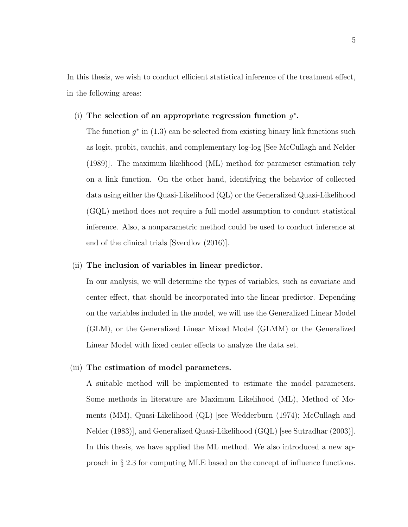In this thesis, we wish to conduct efficient statistical inference of the treatment effect, in the following areas:

#### (i) The selection of an appropriate regression function  $g^*$ .

The function  $g^*$  in (1.3) can be selected from existing binary link functions such as logit, probit, cauchit, and complementary log-log [See McCullagh and Nelder (1989)]. The maximum likelihood (ML) method for parameter estimation rely on a link function. On the other hand, identifying the behavior of collected data using either the Quasi-Likelihood (QL) or the Generalized Quasi-Likelihood (GQL) method does not require a full model assumption to conduct statistical inference. Also, a nonparametric method could be used to conduct inference at end of the clinical trials [Sverdlov (2016)].

#### (ii) The inclusion of variables in linear predictor.

In our analysis, we will determine the types of variables, such as covariate and center effect, that should be incorporated into the linear predictor. Depending on the variables included in the model, we will use the Generalized Linear Model (GLM), or the Generalized Linear Mixed Model (GLMM) or the Generalized Linear Model with fixed center effects to analyze the data set.

#### (iii) The estimation of model parameters.

A suitable method will be implemented to estimate the model parameters. Some methods in literature are Maximum Likelihood (ML), Method of Moments (MM), Quasi-Likelihood (QL) [see Wedderburn (1974); McCullagh and Nelder (1983)], and Generalized Quasi-Likelihood (GQL) [see Sutradhar (2003)]. In this thesis, we have applied the ML method. We also introduced a new approach in § 2.3 for computing MLE based on the concept of influence functions.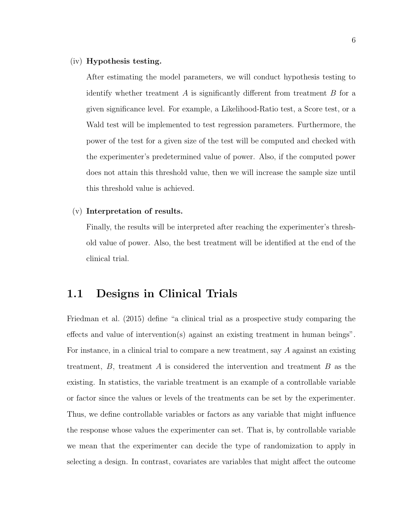#### (iv) Hypothesis testing.

After estimating the model parameters, we will conduct hypothesis testing to identify whether treatment  $A$  is significantly different from treatment  $B$  for a given significance level. For example, a Likelihood-Ratio test, a Score test, or a Wald test will be implemented to test regression parameters. Furthermore, the power of the test for a given size of the test will be computed and checked with the experimenter's predetermined value of power. Also, if the computed power does not attain this threshold value, then we will increase the sample size until this threshold value is achieved.

#### (v) Interpretation of results.

Finally, the results will be interpreted after reaching the experimenter's threshold value of power. Also, the best treatment will be identified at the end of the clinical trial.

#### 1.1 Designs in Clinical Trials

Friedman et al. (2015) define "a clinical trial as a prospective study comparing the effects and value of intervention(s) against an existing treatment in human beings". For instance, in a clinical trial to compare a new treatment, say A against an existing treatment,  $B$ , treatment  $A$  is considered the intervention and treatment  $B$  as the existing. In statistics, the variable treatment is an example of a controllable variable or factor since the values or levels of the treatments can be set by the experimenter. Thus, we define controllable variables or factors as any variable that might influence the response whose values the experimenter can set. That is, by controllable variable we mean that the experimenter can decide the type of randomization to apply in selecting a design. In contrast, covariates are variables that might affect the outcome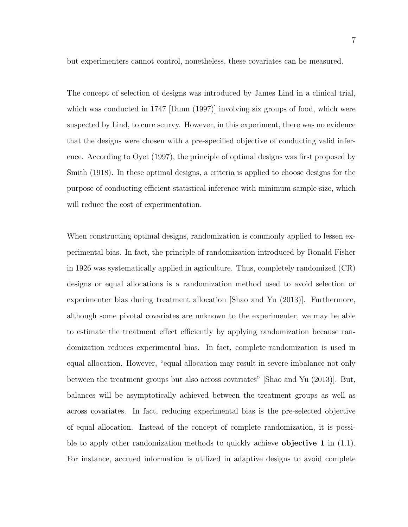but experimenters cannot control, nonetheless, these covariates can be measured.

The concept of selection of designs was introduced by James Lind in a clinical trial, which was conducted in 1747 [Dunn (1997)] involving six groups of food, which were suspected by Lind, to cure scurvy. However, in this experiment, there was no evidence that the designs were chosen with a pre-specified objective of conducting valid inference. According to Oyet (1997), the principle of optimal designs was first proposed by Smith (1918). In these optimal designs, a criteria is applied to choose designs for the purpose of conducting efficient statistical inference with minimum sample size, which will reduce the cost of experimentation.

When constructing optimal designs, randomization is commonly applied to lessen experimental bias. In fact, the principle of randomization introduced by Ronald Fisher in 1926 was systematically applied in agriculture. Thus, completely randomized (CR) designs or equal allocations is a randomization method used to avoid selection or experimenter bias during treatment allocation [Shao and Yu (2013)]. Furthermore, although some pivotal covariates are unknown to the experimenter, we may be able to estimate the treatment effect efficiently by applying randomization because randomization reduces experimental bias. In fact, complete randomization is used in equal allocation. However, "equal allocation may result in severe imbalance not only between the treatment groups but also across covariates" [Shao and Yu (2013)]. But, balances will be asymptotically achieved between the treatment groups as well as across covariates. In fact, reducing experimental bias is the pre-selected objective of equal allocation. Instead of the concept of complete randomization, it is possible to apply other randomization methods to quickly achieve **objective 1** in  $(1.1)$ . For instance, accrued information is utilized in adaptive designs to avoid complete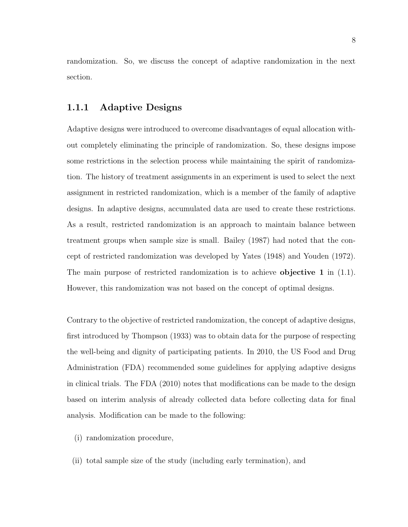randomization. So, we discuss the concept of adaptive randomization in the next section.

#### 1.1.1 Adaptive Designs

Adaptive designs were introduced to overcome disadvantages of equal allocation without completely eliminating the principle of randomization. So, these designs impose some restrictions in the selection process while maintaining the spirit of randomization. The history of treatment assignments in an experiment is used to select the next assignment in restricted randomization, which is a member of the family of adaptive designs. In adaptive designs, accumulated data are used to create these restrictions. As a result, restricted randomization is an approach to maintain balance between treatment groups when sample size is small. Bailey (1987) had noted that the concept of restricted randomization was developed by Yates (1948) and Youden (1972). The main purpose of restricted randomization is to achieve **objective 1** in  $(1.1)$ . However, this randomization was not based on the concept of optimal designs.

Contrary to the objective of restricted randomization, the concept of adaptive designs, first introduced by Thompson (1933) was to obtain data for the purpose of respecting the well-being and dignity of participating patients. In 2010, the US Food and Drug Administration (FDA) recommended some guidelines for applying adaptive designs in clinical trials. The FDA (2010) notes that modifications can be made to the design based on interim analysis of already collected data before collecting data for final analysis. Modification can be made to the following:

- (i) randomization procedure,
- (ii) total sample size of the study (including early termination), and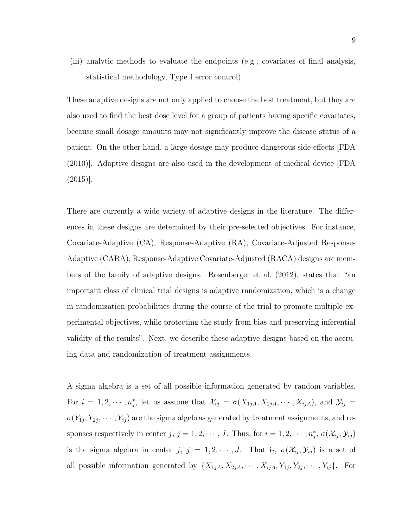(iii) analytic methods to evaluate the endpoints (e.g., covariates of final analysis, statistical methodology, Type I error control).

These adaptive designs are not only applied to choose the best treatment, but they are also used to find the best dose level for a group of patients having specific covariates, because small dosage amounts may not significantly improve the disease status of a patient. On the other hand, a large dosage may produce dangerous side effects [FDA (2010)]. Adaptive designs are also used in the development of medical device [FDA (2015)].

There are currently a wide variety of adaptive designs in the literature. The differences in these designs are determined by their pre-selected objectives. For instance, Covariate-Adaptive (CA), Response-Adaptive (RA), Covariate-Adjusted Response-Adaptive (CARA), Response-Adaptive Covariate-Adjusted (RACA) designs are members of the family of adaptive designs. Rosenberger et al. (2012), states that "an important class of clinical trial designs is adaptive randomization, which is a change in randomization probabilities during the course of the trial to promote multiple experimental objectives, while protecting the study from bias and preserving inferential validity of the results". Next, we describe these adaptive designs based on the accruing data and randomization of treatment assignments.

A sigma algebra is a set of all possible information generated by random variables. For  $i = 1, 2, \cdots, n_j^*$ , let us assume that  $\mathcal{X}_{ij} = \sigma(X_{1jA}, X_{2jA}, \cdots, X_{ijA})$ , and  $\mathcal{Y}_{ij} =$  $\sigma(Y_{1j}, Y_{2j}, \cdots, Y_{ij})$  are the sigma algebras generated by treatment assignments, and responses respectively in center  $j, j = 1, 2, \dots, J$ . Thus, for  $i = 1, 2, \dots, n_j^*, \sigma(\mathcal{X}_{ij}, \mathcal{Y}_{ij})$ is the sigma algebra in center j,  $j = 1, 2, \dots, J$ . That is,  $\sigma(\mathcal{X}_{ij}, \mathcal{Y}_{ij})$  is a set of all possible information generated by  $\{X_{1jA}, X_{2jA}, \cdots, X_{ijA}, Y_{1j}, Y_{2j}, \cdots, Y_{ij}\}.$  For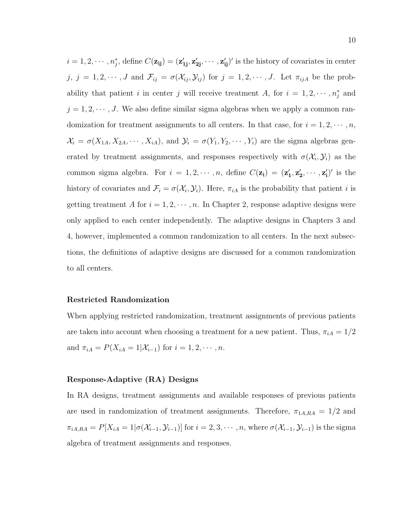$i = 1, 2, \cdots, n_j^*$ , define  $C(\mathbf{z_{ij}}) = (\mathbf{z_{1j}'}', \mathbf{z_{2j}'}', \cdots, \mathbf{z_{ij}'}')'$  is the history of covariates in center j,  $j = 1, 2, \dots, J$  and  $\mathcal{F}_{ij} = \sigma(\mathcal{X}_{ij}, \mathcal{Y}_{ij})$  for  $j = 1, 2, \dots, J$ . Let  $\pi_{ijA}$  be the probability that patient i in center j will receive treatment A, for  $i = 1, 2, \cdots, n_j^*$  and  $j = 1, 2, \dots, J$ . We also define similar sigma algebras when we apply a common randomization for treatment assignments to all centers. In that case, for  $i = 1, 2, \dots, n$ ,  $\mathcal{X}_i = \sigma(X_{1A}, X_{2A}, \cdots, X_{iA}),$  and  $\mathcal{Y}_i = \sigma(Y_1, Y_2, \cdots, Y_i)$  are the sigma algebras generated by treatment assignments, and responses respectively with  $\sigma(\mathcal{X}_i, \mathcal{Y}_i)$  as the common sigma algebra. For  $i = 1, 2, \dots, n$ , define  $C(\mathbf{z_i}) = (\mathbf{z'_1}, \mathbf{z'_2}, \dots, \mathbf{z'_i})'$  is the history of covariates and  $\mathcal{F}_i = \sigma(\mathcal{X}_i, \mathcal{Y}_i)$ . Here,  $\pi_{iA}$  is the probability that patient *i* is getting treatment A for  $i = 1, 2, \dots, n$ . In Chapter 2, response adaptive designs were only applied to each center independently. The adaptive designs in Chapters 3 and 4, however, implemented a common randomization to all centers. In the next subsections, the definitions of adaptive designs are discussed for a common randomization to all centers.

#### Restricted Randomization

When applying restricted randomization, treatment assignments of previous patients are taken into account when choosing a treatment for a new patient. Thus,  $\pi_{iA} = 1/2$ and  $\pi_{iA} = P(X_{iA} = 1 | X_{i-1})$  for  $i = 1, 2, \cdots, n$ .

#### Response-Adaptive (RA) Designs

In RA designs, treatment assignments and available responses of previous patients are used in randomization of treatment assignments. Therefore,  $\pi_{1A,RA} = 1/2$  and  $\pi_{iA,RA} = P[X_{iA} = 1 | \sigma(\mathcal{X}_{i-1}, \mathcal{Y}_{i-1})]$  for  $i = 2, 3, \cdots, n$ , where  $\sigma(\mathcal{X}_{i-1}, \mathcal{Y}_{i-1})$  is the sigma algebra of treatment assignments and responses.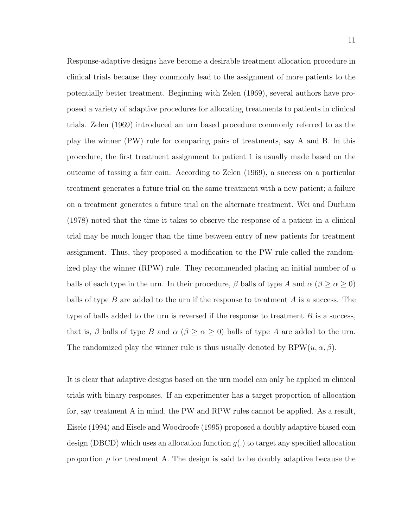Response-adaptive designs have become a desirable treatment allocation procedure in clinical trials because they commonly lead to the assignment of more patients to the potentially better treatment. Beginning with Zelen (1969), several authors have proposed a variety of adaptive procedures for allocating treatments to patients in clinical trials. Zelen (1969) introduced an urn based procedure commonly referred to as the play the winner (PW) rule for comparing pairs of treatments, say A and B. In this procedure, the first treatment assignment to patient 1 is usually made based on the outcome of tossing a fair coin. According to Zelen (1969), a success on a particular treatment generates a future trial on the same treatment with a new patient; a failure on a treatment generates a future trial on the alternate treatment. Wei and Durham (1978) noted that the time it takes to observe the response of a patient in a clinical trial may be much longer than the time between entry of new patients for treatment assignment. Thus, they proposed a modification to the PW rule called the randomized play the winner  $(RPW)$  rule. They recommended placing an initial number of u balls of each type in the urn. In their procedure,  $\beta$  balls of type A and  $\alpha$  ( $\beta \ge \alpha \ge 0$ ) balls of type  $B$  are added to the urn if the response to treatment  $A$  is a success. The type of balls added to the urn is reversed if the response to treatment  $B$  is a success, that is,  $\beta$  balls of type B and  $\alpha$  ( $\beta \ge \alpha \ge 0$ ) balls of type A are added to the urn. The randomized play the winner rule is thus usually denoted by  $RPW(u, \alpha, \beta)$ .

It is clear that adaptive designs based on the urn model can only be applied in clinical trials with binary responses. If an experimenter has a target proportion of allocation for, say treatment A in mind, the PW and RPW rules cannot be applied. As a result, Eisele (1994) and Eisele and Woodroofe (1995) proposed a doubly adaptive biased coin design (DBCD) which uses an allocation function  $g(.)$  to target any specified allocation proportion  $\rho$  for treatment A. The design is said to be doubly adaptive because the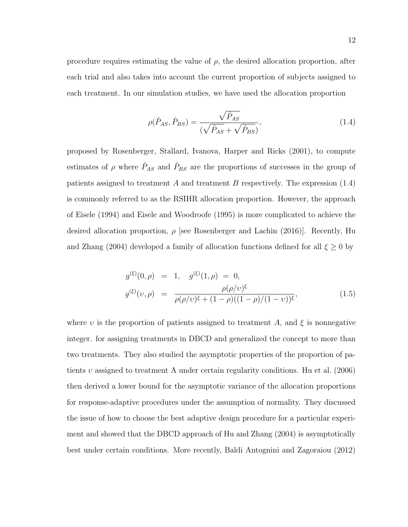procedure requires estimating the value of  $\rho$ , the desired allocation proportion, after each trial and also takes into account the current proportion of subjects assigned to each treatment. In our simulation studies, we have used the allocation proportion

$$
\rho(\hat{P}_{AS}, \hat{P}_{BS}) = \frac{\sqrt{\hat{P}_{AS}}}{(\sqrt{\hat{P}_{AS}} + \sqrt{\hat{P}_{BS}})},\tag{1.4}
$$

proposed by Rosenberger, Stallard, Ivanova, Harper and Ricks (2001), to compute estimates of  $\rho$  where  $\hat{P}_{AS}$  and  $\hat{P}_{BS}$  are the proportions of successes in the group of patients assigned to treatment A and treatment B respectively. The expression  $(1.4)$ is commonly referred to as the RSIHR allocation proportion. However, the approach of Eisele (1994) and Eisele and Woodroofe (1995) is more complicated to achieve the desired allocation proportion,  $\rho$  [see Rosenberger and Lachin (2016)]. Recently, Hu and Zhang (2004) developed a family of allocation functions defined for all  $\xi \ge 0$  by

$$
g^{(\xi)}(0,\rho) = 1, \quad g^{(\xi)}(1,\rho) = 0,
$$
  

$$
g^{(\xi)}(\nu,\rho) = \frac{\rho(\rho/\nu)^{\xi}}{\rho(\rho/\nu)^{\xi} + (1-\rho)((1-\rho)/(1-\nu))^{\xi}},
$$
(1.5)

where v is the proportion of patients assigned to treatment A, and  $\xi$  is nonnegative integer. for assigning treatments in DBCD and generalized the concept to more than two treatments. They also studied the asymptotic properties of the proportion of patients v assigned to treatment A under certain regularity conditions. Hu et al.  $(2006)$ then derived a lower bound for the asymptotic variance of the allocation proportions for response-adaptive procedures under the assumption of normality. They discussed the issue of how to choose the best adaptive design procedure for a particular experiment and showed that the DBCD approach of Hu and Zhang (2004) is asymptotically best under certain conditions. More recently, Baldi Antognini and Zagoraiou (2012)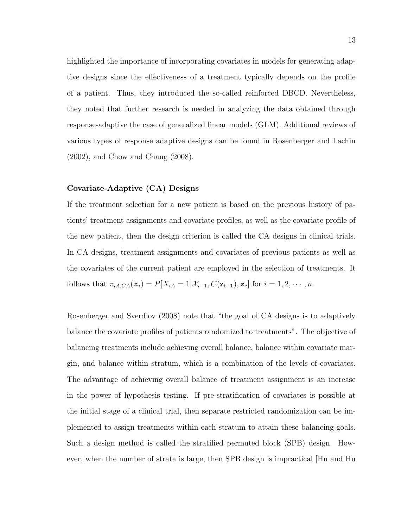highlighted the importance of incorporating covariates in models for generating adaptive designs since the effectiveness of a treatment typically depends on the profile of a patient. Thus, they introduced the so-called reinforced DBCD. Nevertheless, they noted that further research is needed in analyzing the data obtained through response-adaptive the case of generalized linear models (GLM). Additional reviews of various types of response adaptive designs can be found in Rosenberger and Lachin (2002), and Chow and Chang (2008).

#### Covariate-Adaptive (CA) Designs

If the treatment selection for a new patient is based on the previous history of patients' treatment assignments and covariate profiles, as well as the covariate profile of the new patient, then the design criterion is called the CA designs in clinical trials. In CA designs, treatment assignments and covariates of previous patients as well as the covariates of the current patient are employed in the selection of treatments. It follows that  $\pi_{iA,CA}(z_i) = P[X_{iA} = 1 | X_{i-1}, C(\mathbf{z_{i-1}}), z_i]$  for  $i = 1, 2, \cdots, n$ .

Rosenberger and Sverdlov (2008) note that "the goal of CA designs is to adaptively balance the covariate profiles of patients randomized to treatments". The objective of balancing treatments include achieving overall balance, balance within covariate margin, and balance within stratum, which is a combination of the levels of covariates. The advantage of achieving overall balance of treatment assignment is an increase in the power of hypothesis testing. If pre-stratification of covariates is possible at the initial stage of a clinical trial, then separate restricted randomization can be implemented to assign treatments within each stratum to attain these balancing goals. Such a design method is called the stratified permuted block (SPB) design. However, when the number of strata is large, then SPB design is impractical [Hu and Hu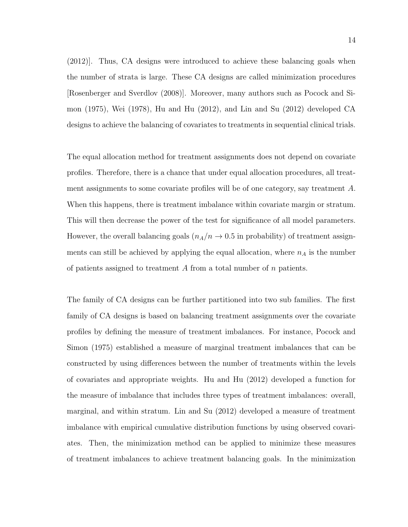(2012)]. Thus, CA designs were introduced to achieve these balancing goals when the number of strata is large. These CA designs are called minimization procedures [Rosenberger and Sverdlov (2008)]. Moreover, many authors such as Pocock and Simon (1975), Wei (1978), Hu and Hu (2012), and Lin and Su (2012) developed CA designs to achieve the balancing of covariates to treatments in sequential clinical trials.

The equal allocation method for treatment assignments does not depend on covariate profiles. Therefore, there is a chance that under equal allocation procedures, all treatment assignments to some covariate profiles will be of one category, say treatment A. When this happens, there is treatment imbalance within covariate margin or stratum. This will then decrease the power of the test for significance of all model parameters. However, the overall balancing goals  $(n_A/n \rightarrow 0.5$  in probability) of treatment assignments can still be achieved by applying the equal allocation, where  $n_A$  is the number of patients assigned to treatment  $A$  from a total number of  $n$  patients.

The family of CA designs can be further partitioned into two sub families. The first family of CA designs is based on balancing treatment assignments over the covariate profiles by defining the measure of treatment imbalances. For instance, Pocock and Simon (1975) established a measure of marginal treatment imbalances that can be constructed by using differences between the number of treatments within the levels of covariates and appropriate weights. Hu and Hu (2012) developed a function for the measure of imbalance that includes three types of treatment imbalances: overall, marginal, and within stratum. Lin and Su (2012) developed a measure of treatment imbalance with empirical cumulative distribution functions by using observed covariates. Then, the minimization method can be applied to minimize these measures of treatment imbalances to achieve treatment balancing goals. In the minimization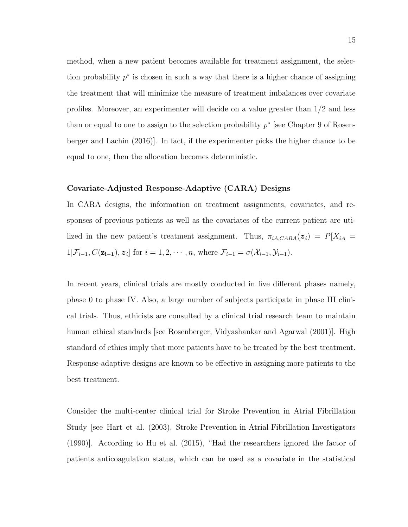method, when a new patient becomes available for treatment assignment, the selection probability  $p^*$  is chosen in such a way that there is a higher chance of assigning the treatment that will minimize the measure of treatment imbalances over covariate profiles. Moreover, an experimenter will decide on a value greater than 1/2 and less than or equal to one to assign to the selection probability  $p^*$  [see Chapter 9 of Rosenberger and Lachin (2016)]. In fact, if the experimenter picks the higher chance to be equal to one, then the allocation becomes deterministic.

#### Covariate-Adjusted Response-Adaptive (CARA) Designs

In CARA designs, the information on treatment assignments, covariates, and responses of previous patients as well as the covariates of the current patient are utilized in the new patient's treatment assignment. Thus,  $\pi_{iA,CARA}(z_i) = P[X_{iA} =$  $1|\mathcal{F}_{i-1}, C(\mathbf{z_{i-1}}), \mathbf{z}_i]$  for  $i = 1, 2, \cdots, n$ , where  $\mathcal{F}_{i-1} = \sigma(\mathcal{X}_{i-1}, \mathcal{Y}_{i-1})$ .

In recent years, clinical trials are mostly conducted in five different phases namely, phase 0 to phase IV. Also, a large number of subjects participate in phase III clinical trials. Thus, ethicists are consulted by a clinical trial research team to maintain human ethical standards [see Rosenberger, Vidyashankar and Agarwal (2001)]. High standard of ethics imply that more patients have to be treated by the best treatment. Response-adaptive designs are known to be effective in assigning more patients to the best treatment.

Consider the multi-center clinical trial for Stroke Prevention in Atrial Fibrillation Study [see Hart et al. (2003), Stroke Prevention in Atrial Fibrillation Investigators (1990)]. According to Hu et al. (2015), "Had the researchers ignored the factor of patients anticoagulation status, which can be used as a covariate in the statistical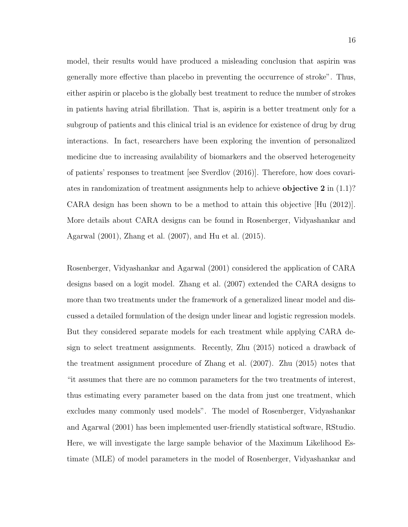model, their results would have produced a misleading conclusion that aspirin was generally more effective than placebo in preventing the occurrence of stroke". Thus, either aspirin or placebo is the globally best treatment to reduce the number of strokes in patients having atrial fibrillation. That is, aspirin is a better treatment only for a subgroup of patients and this clinical trial is an evidence for existence of drug by drug interactions. In fact, researchers have been exploring the invention of personalized medicine due to increasing availability of biomarkers and the observed heterogeneity of patients' responses to treatment [see Sverdlov (2016)]. Therefore, how does covariates in randomization of treatment assignments help to achieve **objective 2** in  $(1.1)$ ? CARA design has been shown to be a method to attain this objective [Hu (2012)]. More details about CARA designs can be found in Rosenberger, Vidyashankar and Agarwal (2001), Zhang et al. (2007), and Hu et al. (2015).

Rosenberger, Vidyashankar and Agarwal (2001) considered the application of CARA designs based on a logit model. Zhang et al. (2007) extended the CARA designs to more than two treatments under the framework of a generalized linear model and discussed a detailed formulation of the design under linear and logistic regression models. But they considered separate models for each treatment while applying CARA design to select treatment assignments. Recently, Zhu (2015) noticed a drawback of the treatment assignment procedure of Zhang et al. (2007). Zhu (2015) notes that "it assumes that there are no common parameters for the two treatments of interest, thus estimating every parameter based on the data from just one treatment, which excludes many commonly used models". The model of Rosenberger, Vidyashankar and Agarwal (2001) has been implemented user-friendly statistical software, RStudio. Here, we will investigate the large sample behavior of the Maximum Likelihood Estimate (MLE) of model parameters in the model of Rosenberger, Vidyashankar and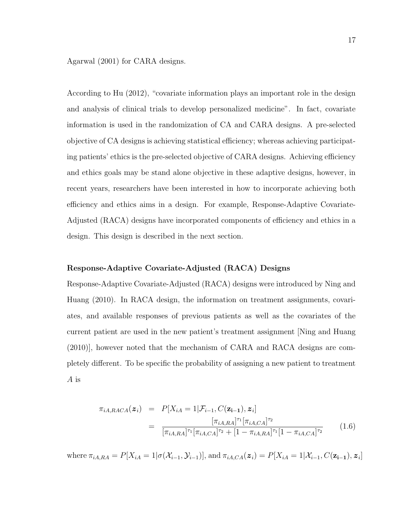Agarwal (2001) for CARA designs.

According to Hu (2012), "covariate information plays an important role in the design and analysis of clinical trials to develop personalized medicine". In fact, covariate information is used in the randomization of CA and CARA designs. A pre-selected objective of CA designs is achieving statistical efficiency; whereas achieving participating patients' ethics is the pre-selected objective of CARA designs. Achieving efficiency and ethics goals may be stand alone objective in these adaptive designs, however, in recent years, researchers have been interested in how to incorporate achieving both efficiency and ethics aims in a design. For example, Response-Adaptive Covariate-Adjusted (RACA) designs have incorporated components of efficiency and ethics in a design. This design is described in the next section.

#### Response-Adaptive Covariate-Adjusted (RACA) Designs

Response-Adaptive Covariate-Adjusted (RACA) designs were introduced by Ning and Huang (2010). In RACA design, the information on treatment assignments, covariates, and available responses of previous patients as well as the covariates of the current patient are used in the new patient's treatment assignment [Ning and Huang (2010)], however noted that the mechanism of CARA and RACA designs are completely different. To be specific the probability of assigning a new patient to treatment A is

$$
\pi_{iA, RACA}(\mathbf{z}_i) = P[X_{iA} = 1 | \mathcal{F}_{i-1}, C(\mathbf{z}_{i-1}), \mathbf{z}_i]
$$
\n
$$
= \frac{[\pi_{iA, RA}]^{\tau_1} [\pi_{iA, CA}]^{\tau_2}}{[\pi_{iA, RA}]^{\tau_1} [\pi_{iA, CA}]^{\tau_2} + [1 - \pi_{iA, RA}]^{\tau_1} [1 - \pi_{iA, CA}]^{\tau_2}}
$$
(1.6)

where  $\pi_{iA,RA} = P[X_{iA} = 1 | \sigma(X_{i-1}, \mathcal{Y}_{i-1})],$  and  $\pi_{iA,CA}(z_i) = P[X_{iA} = 1 | \mathcal{X}_{i-1}, C(z_{i-1}), z_i]$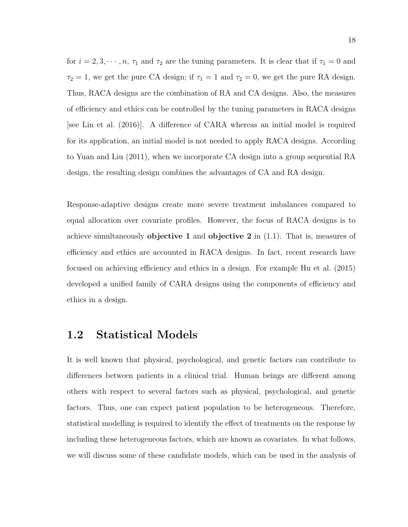for  $i = 2, 3, \dots, n, \tau_1$  and  $\tau_2$  are the tuning parameters. It is clear that if  $\tau_1 = 0$  and  $\tau_2 = 1$ , we get the pure CA design; if  $\tau_1 = 1$  and  $\tau_2 = 0$ , we get the pure RA design. Thus, RACA designs are the combination of RA and CA designs. Also, the measures of efficiency and ethics can be controlled by the tuning parameters in RACA designs [see Lin et al. (2016)]. A difference of CARA whereas an initial model is required for its application, an initial model is not needed to apply RACA designs. According to Yuan and Liu (2011), when we incorporate CA design into a group sequential RA design, the resulting design combines the advantages of CA and RA design.

Response-adaptive designs create more severe treatment imbalances compared to equal allocation over covariate profiles. However, the focus of RACA designs is to achieve simultaneously **objective 1** and **objective 2** in  $(1.1)$ . That is, measures of efficiency and ethics are accounted in RACA designs. In fact, recent research have focused on achieving efficiency and ethics in a design. For example Hu et al. (2015) developed a unified family of CARA designs using the components of efficiency and ethics in a design.

#### 1.2 Statistical Models

It is well known that physical, psychological, and genetic factors can contribute to differences between patients in a clinical trial. Human beings are different among others with respect to several factors such as physical, psychological, and genetic factors. Thus, one can expect patient population to be heterogeneous. Therefore, statistical modelling is required to identify the effect of treatments on the response by including these heterogeneous factors, which are known as covariates. In what follows, we will discuss some of these candidate models, which can be used in the analysis of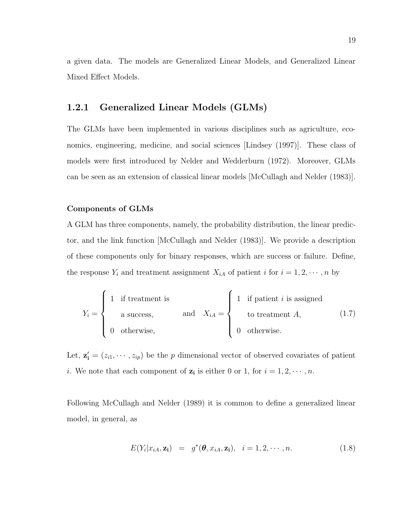a given data. The models are Generalized Linear Models, and Generalized Linear Mixed Effect Models.

#### 1.2.1 Generalized Linear Models (GLMs)

The GLMs have been implemented in various disciplines such as agriculture, economics, engineering, medicine, and social sciences [Lindsey (1997)]. These class of models were first introduced by Nelder and Wedderburn (1972). Moreover, GLMs can be seen as an extension of classical linear models [McCullagh and Nelder (1983)].

#### Components of GLMs

A GLM has three components, namely, the probability distribution, the linear predictor, and the link function [McCullagh and Nelder (1983)]. We provide a description of these components only for binary responses, which are success or failure. Define, the response  $Y_i$  and treatment assignment  $X_{iA}$  of patient i for  $i = 1, 2, \dots, n$  by

$$
Y_i = \begin{cases} 1 & \text{if treatment is} \\ & \text{a success,} \\ & 0 & \text{otherwise,} \end{cases} \quad \text{and} \quad X_{iA} = \begin{cases} 1 & \text{if patient } i \text{ is assigned} \\ & \text{to treatment } A, \\ & 0 & \text{otherwise.} \end{cases} \tag{1.7}
$$

Let,  $z'_i = (z_{i1}, \dots, z_{ip})$  be the p dimensional vector of observed covariates of patient *i*. We note that each component of  $z_i$  is either 0 or 1, for  $i = 1, 2, \dots, n$ .

Following McCullagh and Nelder (1989) it is common to define a generalized linear model, in general, as

$$
E(Y_i|x_{iA}, \mathbf{z_i}) = g^*(\boldsymbol{\theta}, x_{iA}, \mathbf{z_i}), \quad i = 1, 2, \cdots, n. \tag{1.8}
$$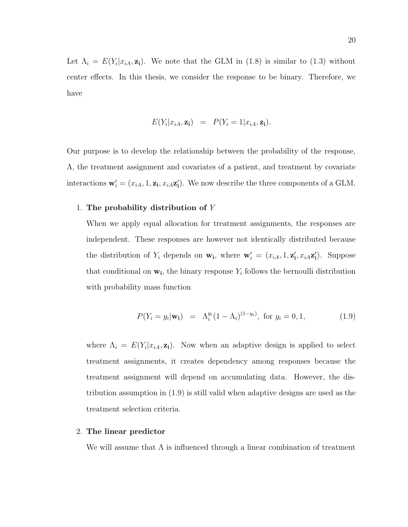Let  $\Lambda_i = E(Y_i | x_{iA}, \mathbf{z_i}).$  We note that the GLM in (1.8) is similar to (1.3) without center effects. In this thesis, we consider the response to be binary. Therefore, we have

$$
E(Y_i|x_{iA}, \mathbf{z_i}) = P(Y_i = 1|x_{iA}, \mathbf{z_i}).
$$

Our purpose is to develop the relationship between the probability of the response, Λ, the treatment assignment and covariates of a patient, and treatment by covariate interactions  $\mathbf{w}'_i = (x_{iA}, 1, \mathbf{z_i}, x_{iA}\mathbf{z}'_i)$ . We now describe the three components of a GLM.

#### 1. The probability distribution of Y

When we apply equal allocation for treatment assignments, the responses are independent. These responses are however not identically distributed because the distribution of  $Y_i$  depends on  $\mathbf{w}_i$ , where  $\mathbf{w}'_i = (x_{iA}, 1, \mathbf{z}'_i, x_{iA}\mathbf{z}'_i)$ . Suppose that conditional on  $w_i$ , the binary response  $Y_i$  follows the bernoulli distribution with probability mass function

$$
P(Y_i = y_i | \mathbf{w_i}) = \Lambda_i^{y_i} (1 - \Lambda_i)^{(1 - y_i)}, \text{ for } y_i = 0, 1,
$$
 (1.9)

where  $\Lambda_i = E(Y_i | x_{iA}, \mathbf{z}_i)$ . Now when an adaptive design is applied to select treatment assignments, it creates dependency among responses because the treatment assignment will depend on accumulating data. However, the distribution assumption in (1.9) is still valid when adaptive designs are used as the treatment selection criteria.

#### 2. The linear predictor

We will assume that  $\Lambda$  is influenced through a linear combination of treatment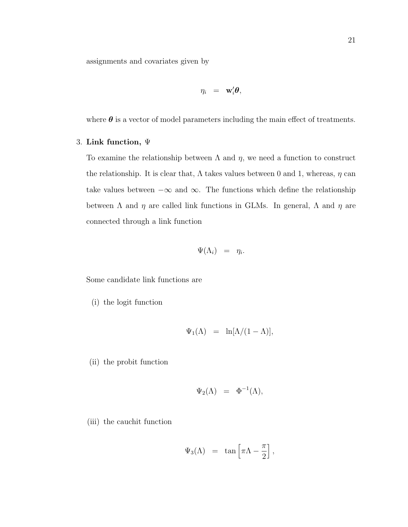assignments and covariates given by

$$
\eta_i = \mathbf{w}_i' \boldsymbol{\theta},
$$

where  $\theta$  is a vector of model parameters including the main effect of treatments.

#### 3. Link function, Ψ

To examine the relationship between  $\Lambda$  and  $\eta$ , we need a function to construct the relationship. It is clear that,  $\Lambda$  takes values between 0 and 1, whereas,  $\eta$  can take values between  $-\infty$  and  $\infty$ . The functions which define the relationship between  $\Lambda$  and  $\eta$  are called link functions in GLMs. In general,  $\Lambda$  and  $\eta$  are connected through a link function

$$
\Psi(\Lambda_i) \;\; = \;\; \eta_i.
$$

Some candidate link functions are

(i) the logit function

$$
\Psi_1(\Lambda) = \ln[\Lambda/(1-\Lambda)],
$$

(ii) the probit function

$$
\Psi_2(\Lambda) = \Phi^{-1}(\Lambda),
$$

(iii) the cauchit function

$$
\Psi_3(\Lambda) \ = \ \tan \left[ \pi \Lambda - \frac{\pi}{2} \right],
$$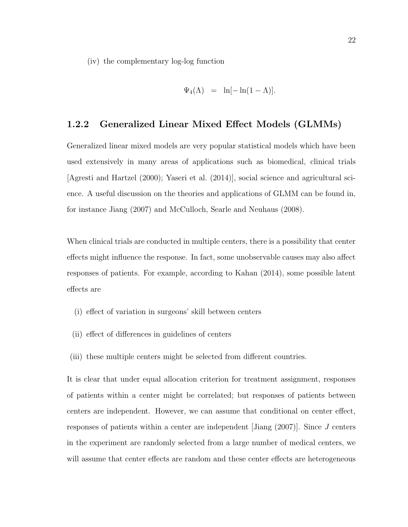(iv) the complementary log-log function

$$
\Psi_4(\Lambda) = \ln[-\ln(1-\Lambda)].
$$

#### 1.2.2 Generalized Linear Mixed Effect Models (GLMMs)

Generalized linear mixed models are very popular statistical models which have been used extensively in many areas of applications such as biomedical, clinical trials [Agresti and Hartzel (2000); Yaseri et al. (2014)], social science and agricultural science. A useful discussion on the theories and applications of GLMM can be found in, for instance Jiang (2007) and McCulloch, Searle and Neuhaus (2008).

When clinical trials are conducted in multiple centers, there is a possibility that center effects might influence the response. In fact, some unobservable causes may also affect responses of patients. For example, according to Kahan (2014), some possible latent effects are

- (i) effect of variation in surgeons' skill between centers
- (ii) effect of differences in guidelines of centers
- (iii) these multiple centers might be selected from different countries.

It is clear that under equal allocation criterion for treatment assignment, responses of patients within a center might be correlated; but responses of patients between centers are independent. However, we can assume that conditional on center effect, responses of patients within a center are independent [Jiang (2007)]. Since J centers in the experiment are randomly selected from a large number of medical centers, we will assume that center effects are random and these center effects are heterogeneous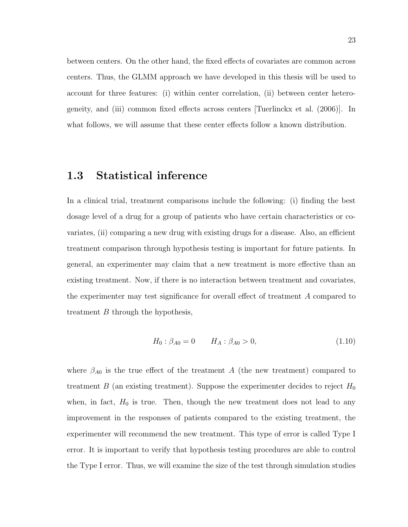between centers. On the other hand, the fixed effects of covariates are common across centers. Thus, the GLMM approach we have developed in this thesis will be used to account for three features: (i) within center correlation, (ii) between center heterogeneity, and (iii) common fixed effects across centers [Tuerlinckx et al. (2006)]. In what follows, we will assume that these center effects follow a known distribution.

## 1.3 Statistical inference

In a clinical trial, treatment comparisons include the following: (i) finding the best dosage level of a drug for a group of patients who have certain characteristics or covariates, (ii) comparing a new drug with existing drugs for a disease. Also, an efficient treatment comparison through hypothesis testing is important for future patients. In general, an experimenter may claim that a new treatment is more effective than an existing treatment. Now, if there is no interaction between treatment and covariates, the experimenter may test significance for overall effect of treatment A compared to treatment  $B$  through the hypothesis,

$$
H_0: \beta_{A0} = 0 \qquad H_A: \beta_{A0} > 0,\tag{1.10}
$$

where  $\beta_{A0}$  is the true effect of the treatment A (the new treatment) compared to treatment B (an existing treatment). Suppose the experimenter decides to reject  $H_0$ when, in fact,  $H_0$  is true. Then, though the new treatment does not lead to any improvement in the responses of patients compared to the existing treatment, the experimenter will recommend the new treatment. This type of error is called Type I error. It is important to verify that hypothesis testing procedures are able to control the Type I error. Thus, we will examine the size of the test through simulation studies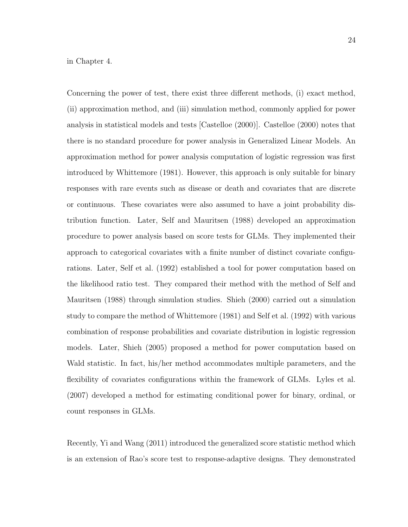in Chapter 4.

Concerning the power of test, there exist three different methods, (i) exact method, (ii) approximation method, and (iii) simulation method, commonly applied for power analysis in statistical models and tests [Castelloe (2000)]. Castelloe (2000) notes that there is no standard procedure for power analysis in Generalized Linear Models. An approximation method for power analysis computation of logistic regression was first introduced by Whittemore (1981). However, this approach is only suitable for binary responses with rare events such as disease or death and covariates that are discrete or continuous. These covariates were also assumed to have a joint probability distribution function. Later, Self and Mauritsen (1988) developed an approximation procedure to power analysis based on score tests for GLMs. They implemented their approach to categorical covariates with a finite number of distinct covariate configurations. Later, Self et al. (1992) established a tool for power computation based on the likelihood ratio test. They compared their method with the method of Self and Mauritsen (1988) through simulation studies. Shieh (2000) carried out a simulation study to compare the method of Whittemore (1981) and Self et al. (1992) with various combination of response probabilities and covariate distribution in logistic regression models. Later, Shieh (2005) proposed a method for power computation based on Wald statistic. In fact, his/her method accommodates multiple parameters, and the flexibility of covariates configurations within the framework of GLMs. Lyles et al. (2007) developed a method for estimating conditional power for binary, ordinal, or count responses in GLMs.

Recently, Yi and Wang (2011) introduced the generalized score statistic method which is an extension of Rao's score test to response-adaptive designs. They demonstrated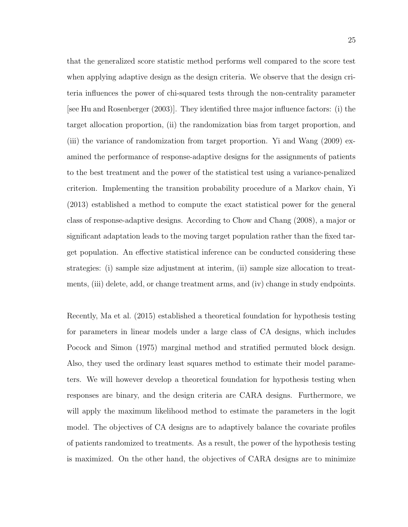that the generalized score statistic method performs well compared to the score test when applying adaptive design as the design criteria. We observe that the design criteria influences the power of chi-squared tests through the non-centrality parameter [see Hu and Rosenberger (2003)]. They identified three major influence factors: (i) the target allocation proportion, (ii) the randomization bias from target proportion, and (iii) the variance of randomization from target proportion. Yi and Wang (2009) examined the performance of response-adaptive designs for the assignments of patients to the best treatment and the power of the statistical test using a variance-penalized criterion. Implementing the transition probability procedure of a Markov chain, Yi (2013) established a method to compute the exact statistical power for the general class of response-adaptive designs. According to Chow and Chang (2008), a major or significant adaptation leads to the moving target population rather than the fixed target population. An effective statistical inference can be conducted considering these strategies: (i) sample size adjustment at interim, (ii) sample size allocation to treatments, (iii) delete, add, or change treatment arms, and (iv) change in study endpoints.

Recently, Ma et al. (2015) established a theoretical foundation for hypothesis testing for parameters in linear models under a large class of CA designs, which includes Pocock and Simon (1975) marginal method and stratified permuted block design. Also, they used the ordinary least squares method to estimate their model parameters. We will however develop a theoretical foundation for hypothesis testing when responses are binary, and the design criteria are CARA designs. Furthermore, we will apply the maximum likelihood method to estimate the parameters in the logit model. The objectives of CA designs are to adaptively balance the covariate profiles of patients randomized to treatments. As a result, the power of the hypothesis testing is maximized. On the other hand, the objectives of CARA designs are to minimize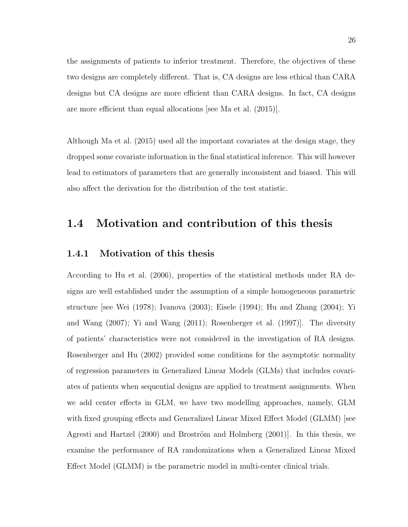the assignments of patients to inferior treatment. Therefore, the objectives of these two designs are completely different. That is, CA designs are less ethical than CARA designs but CA designs are more efficient than CARA designs. In fact, CA designs are more efficient than equal allocations [see Ma et al. (2015)].

Although Ma et al. (2015) used all the important covariates at the design stage, they dropped some covariate information in the final statistical inference. This will however lead to estimators of parameters that are generally inconsistent and biased. This will also affect the derivation for the distribution of the test statistic.

## 1.4 Motivation and contribution of this thesis

#### 1.4.1 Motivation of this thesis

According to Hu et al. (2006), properties of the statistical methods under RA designs are well established under the assumption of a simple homogeneous parametric structure [see Wei (1978); Ivanova (2003); Eisele (1994); Hu and Zhang (2004); Yi and Wang (2007); Yi and Wang (2011); Rosenberger et al. (1997)]. The diversity of patients' characteristics were not considered in the investigation of RA designs. Rosenberger and Hu (2002) provided some conditions for the asymptotic normality of regression parameters in Generalized Linear Models (GLMs) that includes covariates of patients when sequential designs are applied to treatment assignments. When we add center effects in GLM, we have two modelling approaches, namely, GLM with fixed grouping effects and Generalized Linear Mixed Effect Model (GLMM) [see Agresti and Hartzel  $(2000)$  and Broström and Holmberg  $(2001)$ . In this thesis, we examine the performance of RA randomizations when a Generalized Linear Mixed Effect Model (GLMM) is the parametric model in multi-center clinical trials.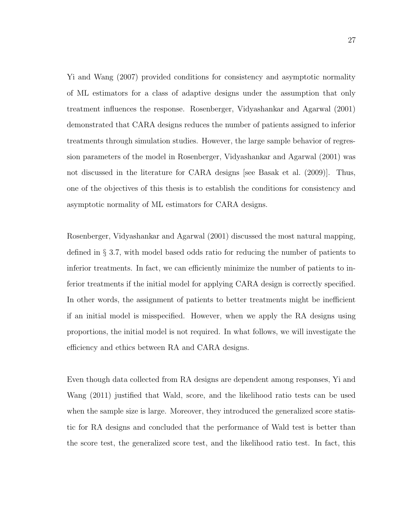Yi and Wang (2007) provided conditions for consistency and asymptotic normality of ML estimators for a class of adaptive designs under the assumption that only treatment influences the response. Rosenberger, Vidyashankar and Agarwal (2001) demonstrated that CARA designs reduces the number of patients assigned to inferior treatments through simulation studies. However, the large sample behavior of regression parameters of the model in Rosenberger, Vidyashankar and Agarwal (2001) was not discussed in the literature for CARA designs [see Basak et al. (2009)]. Thus, one of the objectives of this thesis is to establish the conditions for consistency and asymptotic normality of ML estimators for CARA designs.

Rosenberger, Vidyashankar and Agarwal (2001) discussed the most natural mapping, defined in § 3.7, with model based odds ratio for reducing the number of patients to inferior treatments. In fact, we can efficiently minimize the number of patients to inferior treatments if the initial model for applying CARA design is correctly specified. In other words, the assignment of patients to better treatments might be inefficient if an initial model is misspecified. However, when we apply the RA designs using proportions, the initial model is not required. In what follows, we will investigate the efficiency and ethics between RA and CARA designs.

Even though data collected from RA designs are dependent among responses, Yi and Wang (2011) justified that Wald, score, and the likelihood ratio tests can be used when the sample size is large. Moreover, they introduced the generalized score statistic for RA designs and concluded that the performance of Wald test is better than the score test, the generalized score test, and the likelihood ratio test. In fact, this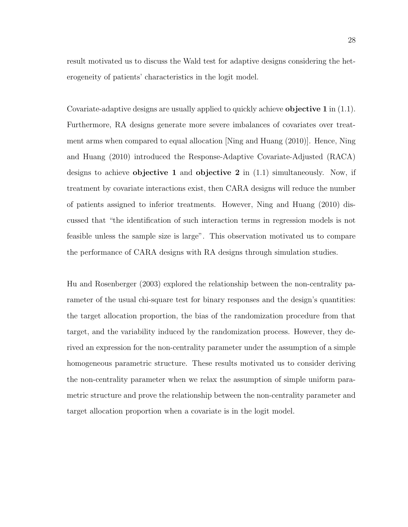result motivated us to discuss the Wald test for adaptive designs considering the heterogeneity of patients' characteristics in the logit model.

Covariate-adaptive designs are usually applied to quickly achieve objective 1 in (1.1). Furthermore, RA designs generate more severe imbalances of covariates over treatment arms when compared to equal allocation [Ning and Huang (2010)]. Hence, Ning and Huang (2010) introduced the Response-Adaptive Covariate-Adjusted (RACA) designs to achieve objective 1 and objective 2 in  $(1.1)$  simultaneously. Now, if treatment by covariate interactions exist, then CARA designs will reduce the number of patients assigned to inferior treatments. However, Ning and Huang (2010) discussed that "the identification of such interaction terms in regression models is not feasible unless the sample size is large". This observation motivated us to compare the performance of CARA designs with RA designs through simulation studies.

Hu and Rosenberger (2003) explored the relationship between the non-centrality parameter of the usual chi-square test for binary responses and the design's quantities: the target allocation proportion, the bias of the randomization procedure from that target, and the variability induced by the randomization process. However, they derived an expression for the non-centrality parameter under the assumption of a simple homogeneous parametric structure. These results motivated us to consider deriving the non-centrality parameter when we relax the assumption of simple uniform parametric structure and prove the relationship between the non-centrality parameter and target allocation proportion when a covariate is in the logit model.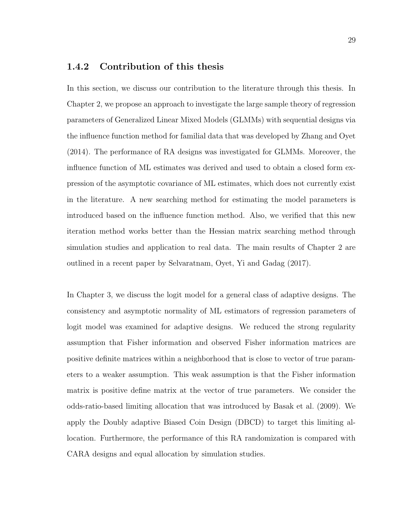#### 1.4.2 Contribution of this thesis

In this section, we discuss our contribution to the literature through this thesis. In Chapter 2, we propose an approach to investigate the large sample theory of regression parameters of Generalized Linear Mixed Models (GLMMs) with sequential designs via the influence function method for familial data that was developed by Zhang and Oyet (2014). The performance of RA designs was investigated for GLMMs. Moreover, the influence function of ML estimates was derived and used to obtain a closed form expression of the asymptotic covariance of ML estimates, which does not currently exist in the literature. A new searching method for estimating the model parameters is introduced based on the influence function method. Also, we verified that this new iteration method works better than the Hessian matrix searching method through simulation studies and application to real data. The main results of Chapter 2 are outlined in a recent paper by Selvaratnam, Oyet, Yi and Gadag (2017).

In Chapter 3, we discuss the logit model for a general class of adaptive designs. The consistency and asymptotic normality of ML estimators of regression parameters of logit model was examined for adaptive designs. We reduced the strong regularity assumption that Fisher information and observed Fisher information matrices are positive definite matrices within a neighborhood that is close to vector of true parameters to a weaker assumption. This weak assumption is that the Fisher information matrix is positive define matrix at the vector of true parameters. We consider the odds-ratio-based limiting allocation that was introduced by Basak et al. (2009). We apply the Doubly adaptive Biased Coin Design (DBCD) to target this limiting allocation. Furthermore, the performance of this RA randomization is compared with CARA designs and equal allocation by simulation studies.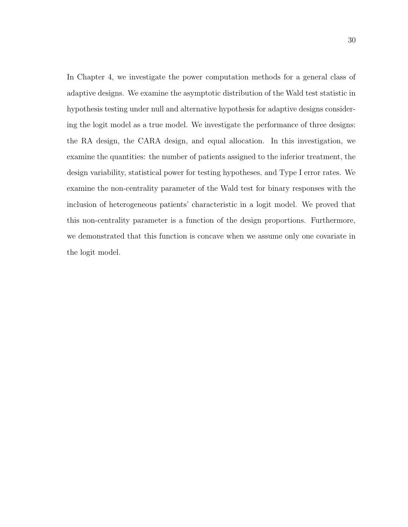In Chapter 4, we investigate the power computation methods for a general class of adaptive designs. We examine the asymptotic distribution of the Wald test statistic in hypothesis testing under null and alternative hypothesis for adaptive designs considering the logit model as a true model. We investigate the performance of three designs: the RA design, the CARA design, and equal allocation. In this investigation, we examine the quantities: the number of patients assigned to the inferior treatment, the design variability, statistical power for testing hypotheses, and Type I error rates. We examine the non-centrality parameter of the Wald test for binary responses with the inclusion of heterogeneous patients' characteristic in a logit model. We proved that this non-centrality parameter is a function of the design proportions. Furthermore, we demonstrated that this function is concave when we assume only one covariate in the logit model.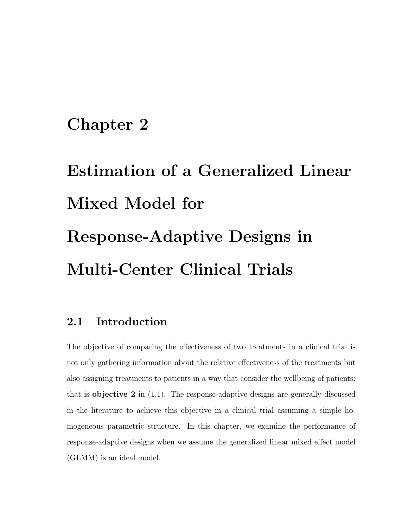# Chapter 2

# Estimation of a Generalized Linear Mixed Model for Response-Adaptive Designs in Multi-Center Clinical Trials

# 2.1 Introduction

The objective of comparing the effectiveness of two treatments in a clinical trial is not only gathering information about the relative effectiveness of the treatments but also assigning treatments to patients in a way that consider the wellbeing of patients; that is **objective 2** in  $(1.1)$ . The response-adaptive designs are generally discussed in the literature to achieve this objective in a clinical trial assuming a simple homogeneous parametric structure. In this chapter, we examine the performance of response-adaptive designs when we assume the generalized linear mixed effect model (GLMM) is an ideal model.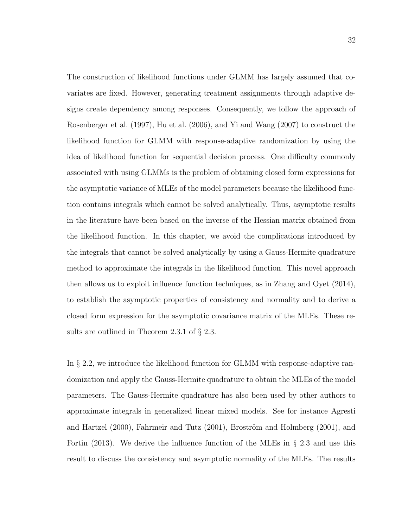The construction of likelihood functions under GLMM has largely assumed that covariates are fixed. However, generating treatment assignments through adaptive designs create dependency among responses. Consequently, we follow the approach of Rosenberger et al. (1997), Hu et al. (2006), and Yi and Wang (2007) to construct the likelihood function for GLMM with response-adaptive randomization by using the idea of likelihood function for sequential decision process. One difficulty commonly associated with using GLMMs is the problem of obtaining closed form expressions for the asymptotic variance of MLEs of the model parameters because the likelihood function contains integrals which cannot be solved analytically. Thus, asymptotic results in the literature have been based on the inverse of the Hessian matrix obtained from the likelihood function. In this chapter, we avoid the complications introduced by the integrals that cannot be solved analytically by using a Gauss-Hermite quadrature method to approximate the integrals in the likelihood function. This novel approach then allows us to exploit influence function techniques, as in Zhang and Oyet (2014), to establish the asymptotic properties of consistency and normality and to derive a closed form expression for the asymptotic covariance matrix of the MLEs. These results are outlined in Theorem 2.3.1 of § 2.3.

In § 2.2, we introduce the likelihood function for GLMM with response-adaptive randomization and apply the Gauss-Hermite quadrature to obtain the MLEs of the model parameters. The Gauss-Hermite quadrature has also been used by other authors to approximate integrals in generalized linear mixed models. See for instance Agresti and Hartzel  $(2000)$ , Fahrmeir and Tutz  $(2001)$ , Broström and Holmberg  $(2001)$ , and Fortin (2013). We derive the influence function of the MLEs in  $\S 2.3$  and use this result to discuss the consistency and asymptotic normality of the MLEs. The results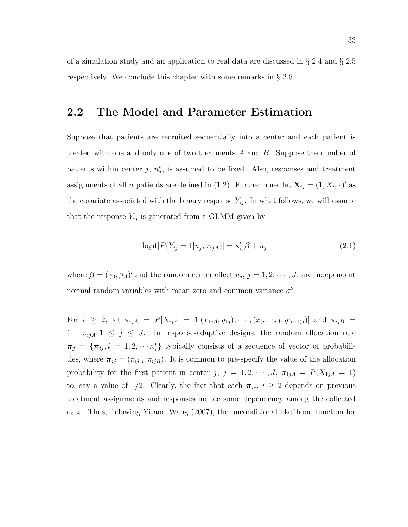of a simulation study and an application to real data are discussed in § 2.4 and § 2.5 respectively. We conclude this chapter with some remarks in § 2.6.

# 2.2 The Model and Parameter Estimation

Suppose that patients are recruited sequentially into a center and each patient is treated with one and only one of two treatments A and B. Suppose the number of patients within center  $j, n_j^*$ , is assumed to be fixed. Also, responses and treatment assignments of all *n* patients are defined in (1.2). Furthermore, let  $\mathbf{X}_{ij} = (1, X_{ijA})'$  as the covariate associated with the binary response  $Y_{ij}$ . In what follows, we will assume that the response  $Y_{ij}$  is generated from a GLMM given by

$$
logit[P(Y_{ij} = 1|u_j, x_{ijA})] = \mathbf{x}'_{ij}\boldsymbol{\beta} + u_j
$$
\n(2.1)

where  $\boldsymbol{\beta} = (\gamma_0, \beta_A)'$  and the random center effect  $u_j$ ,  $j = 1, 2, \dots, J$ , are independent normal random variables with mean zero and common variance  $\sigma^2$ .

For  $i \geq 2$ , let  $\pi_{ijA} = P[X_{ijA} = 1 | (x_{1jA}, y_{1j}), \cdots, (x_{(i-1)jA}, y_{(i-1)j})]$  and  $\pi_{ijB} =$  $1 - \pi_{ijA}, 1 \leq j \leq J$ . In response-adaptive designs, the random allocation rule  $\pi_j = {\pi_{ij}, i = 1, 2, \cdots n_j^*}$  typically consists of a sequence of vector of probabilities, where  $\pi_{ij} = (\pi_{ijA}, \pi_{ijB})$ . It is common to pre-specify the value of the allocation probability for the first patient in center j,  $j = 1, 2, \dots, J$ ,  $\pi_{1jA} = P(X_{1jA} = 1)$ to, say a value of 1/2. Clearly, the fact that each  $\pi_{ij}$ ,  $i \geq 2$  depends on previous treatment assignments and responses induce some dependency among the collected data. Thus, following Yi and Wang (2007), the unconditional likelihood function for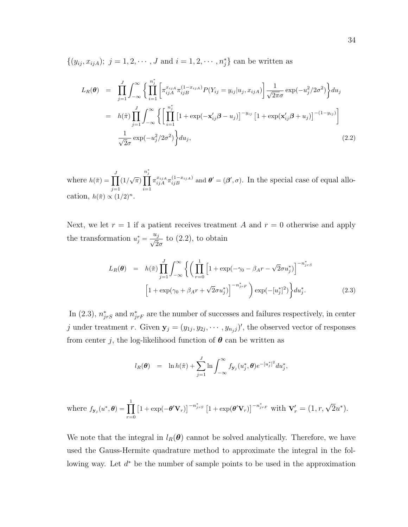$\{(y_{ij}, x_{ijA}); j = 1, 2, \cdots, J \text{ and } i = 1, 2, \cdots, n_j^*\}$  can be written as

$$
L_R(\theta) = \prod_{j=1}^J \int_{-\infty}^{\infty} \left\{ \prod_{i=1}^{n_j^*} \left[ \pi_{ijA}^{x_{ijA}} \pi_{ijB}^{(1-x_{ijA})} P(Y_{ij} = y_{ij}|u_j, x_{ijA}) \right] \frac{1}{\sqrt{2\pi}\sigma} \exp(-u_j^2/2\sigma^2) \right\} du_j
$$
  
\n
$$
= h(\tilde{\pi}) \prod_{j=1}^J \int_{-\infty}^{\infty} \left\{ \left[ \prod_{i=1}^{n_j^*} \left[ 1 + \exp(-\mathbf{x}'_{ij}\beta - u_j) \right]^{-y_{ij}} \left[ 1 + \exp(\mathbf{x}'_{ij}\beta + u_j) \right]^{-(1-y_{ij})} \right] \frac{1}{\sqrt{2\sigma}} \exp(-u_j^2/2\sigma^2) \right\} du_j,
$$
\n(2.2)

where  $h(\tilde{\pi}) = \prod^J$  $j=1$  $(1/\sqrt{\pi})$  $\prod^{n_j^*}$  $i=1$  $\pi_{ijA}^{x_{ijA}} \pi_{ijB}^{(1-x_{ijA})}$  and  $\theta' = (\beta', \sigma)$ . In the special case of equal allocation,  $h(\tilde{\pi}) \propto (1/2)^n$ .

Next, we let  $r = 1$  if a patient receives treatment A and  $r = 0$  otherwise and apply the transformation  $u_j^* = \frac{u_j}{\sqrt{2}}$  $\frac{q_j}{2\sigma}$  to  $(2.2)$ , to obtain

$$
L_R(\theta) = h(\tilde{\pi}) \prod_{j=1}^J \int_{-\infty}^{\infty} \left\{ \left( \prod_{r=0}^1 \left[ 1 + \exp(-\gamma_0 - \beta_A r - \sqrt{2} \sigma u_j^*) \right]^{-n_{jrs}^*} \right) \right\} d\nu_j^*.
$$
\n
$$
\left[ 1 + \exp(\gamma_0 + \beta_A r + \sqrt{2} \sigma u_j^*) \right]^{-n_{jrs}^*} \exp(-[u_j^*]^2) \right\} du_j^*.
$$
\n(2.3)

In (2.3),  $n_{jrs}^*$  and  $n_{jr}^*$  are the number of successes and failures respectively, in center j under treatment r. Given  $y_j = (y_{1j}, y_{2j}, \dots, y_{n_jj})'$ , the observed vector of responses from center j, the log-likelihood function of  $\theta$  can be written as

$$
l_R(\theta) = \ln h(\tilde{\pi}) + \sum_{j=1}^J \ln \int_{-\infty}^{\infty} f_{\mathbf{y}_j}(u_j^*, \theta) e^{-[u_j^*]^2} du_j^*,
$$

where 
$$
f_{\mathbf{y}_j}(u^*, \boldsymbol{\theta}) = \prod_{r=0}^1 \left[1 + \exp(-\boldsymbol{\theta}' \mathbf{V}_r)\right]^{-n_{jrs}^*} \left[1 + \exp(\boldsymbol{\theta}' \mathbf{V}_r)\right]^{-n_{jrf}^*}
$$
 with  $\mathbf{V}_r' = (1, r, \sqrt{2} u^*).$ 

We note that the integral in  $l_R(\theta)$  cannot be solved analytically. Therefore, we have used the Gauss-Hermite quadrature method to approximate the integral in the following way. Let  $d^*$  be the number of sample points to be used in the approximation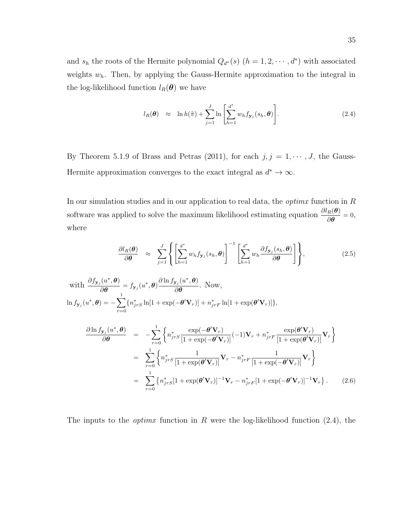and  $s_h$  the roots of the Hermite polynomial  $Q_{d^*}(s)$   $(h = 1, 2, \dots, d^*)$  with associated weights  $w_h$ . Then, by applying the Gauss-Hermite approximation to the integral in the log-likelihood function  $l_R(\boldsymbol{\theta})$  we have

$$
l_R(\boldsymbol{\theta}) \approx \ln h(\tilde{\pi}) + \sum_{j=1}^J \ln \left[ \sum_{h=1}^{d^*} w_h f_{\mathbf{y}_j}(s_h, \boldsymbol{\theta}) \right]. \tag{2.4}
$$

By Theorem 5.1.9 of Brass and Petras (2011), for each  $j, j = 1, \dots, J$ , the Gauss-Hermite approximation converges to the exact integral as  $d^* \to \infty$ .

In our simulation studies and in our application to real data, the *optima* function in  $R$ software was applied to solve the maximum likelihood estimating equation  $\frac{\partial l_R(\theta)}{\partial \theta} = 0$ , where

$$
\frac{\partial l_R(\boldsymbol{\theta})}{\partial \boldsymbol{\theta}} \approx \sum_{j=1}^J \left\{ \left[ \sum_{h=1}^{d^*} w_h f_{\mathbf{y}_j}(s_h, \boldsymbol{\theta}) \right]^{-1} \left[ \sum_{h=1}^{d^*} w_h \frac{\partial f_{\mathbf{y}_j}(s_h, \boldsymbol{\theta})}{\partial \boldsymbol{\theta}} \right] \right\},
$$
\n(2.5)

with 
$$
\frac{\partial f_{\mathbf{y}_j}(u^*, \boldsymbol{\theta})}{\partial \boldsymbol{\theta}} = f_{\mathbf{y}_j}(u^*, \boldsymbol{\theta}) \frac{\partial \ln f_{\mathbf{y}_j}(u^*, \boldsymbol{\theta})}{\partial \boldsymbol{\theta}}. Now,\n\ln f_{\mathbf{y}_j}(u^*, \boldsymbol{\theta}) = -\sum_{r=0}^1 \{n_{jrs}^* \ln[1 + \exp(-\boldsymbol{\theta}' \mathbf{V}_r)] + n_{jrf}^* \ln[1 + \exp(\boldsymbol{\theta}' \mathbf{V}_r)]\},
$$

$$
\frac{\partial \ln f_{\mathbf{y}_j}(u^*, \boldsymbol{\theta})}{\partial \boldsymbol{\theta}} = -\sum_{r=0}^1 \left\{ n_{jrs}^* \frac{\exp(-\boldsymbol{\theta}' \mathbf{V}_r)}{[1 + \exp(-\boldsymbol{\theta}' \mathbf{V}_r)]} (-1) \mathbf{V}_r + n_{jr}^* \frac{\exp(\boldsymbol{\theta}' \mathbf{V}_r)}{[1 + \exp(\boldsymbol{\theta}' \mathbf{V}_r)]} \mathbf{V}_r \right\}
$$
\n
$$
= \sum_{r=0}^1 \left\{ n_{jrs}^* \frac{1}{[1 + \exp(\boldsymbol{\theta}' \mathbf{V}_r)]} \mathbf{V}_r - n_{jr}^* \frac{1}{[1 + \exp(-\boldsymbol{\theta}' \mathbf{V}_r)]} \mathbf{V}_r \right\}
$$
\n
$$
= \sum_{r=0}^1 \left\{ n_{jrs}^* [1 + \exp(\boldsymbol{\theta}' \mathbf{V}_r)]^{-1} \mathbf{V}_r - n_{jr}^* [1 + \exp(-\boldsymbol{\theta}' \mathbf{V}_r)]^{-1} \mathbf{V}_r \right\}. \tag{2.6}
$$

The inputs to the *optimx* function in R were the log-likelihood function  $(2.4)$ , the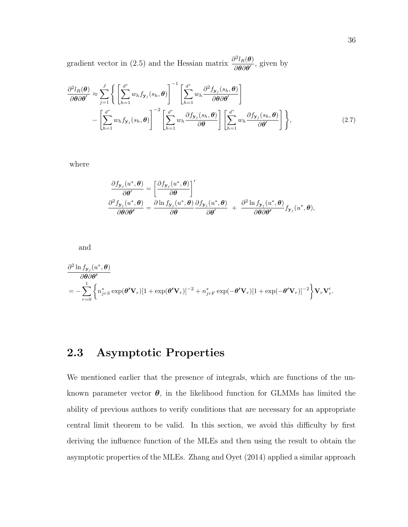gradient vector in (2.5) and the Hessian matrix  $\frac{\partial^2 l_R(\theta)}{\partial \theta \partial \theta'}$  $\frac{\partial^{\prime} \ell R(\mathbf{U})}{\partial \mathbf{\theta} \partial \mathbf{\theta'}}$ , given by

$$
\frac{\partial^2 l_R(\boldsymbol{\theta})}{\partial \boldsymbol{\theta} \partial \boldsymbol{\theta}'} \approx \sum_{j=1}^J \left\{ \left[ \sum_{h=1}^{d^*} w_h f_{\mathbf{y}_j}(s_h, \boldsymbol{\theta}) \right]^{-1} \left[ \sum_{h=1}^{d^*} w_h \frac{\partial^2 f_{\mathbf{y}_j}(s_h, \boldsymbol{\theta})}{\partial \boldsymbol{\theta} \partial \boldsymbol{\theta}'} \right] - \left[ \sum_{h=1}^{d^*} w_h f_{\mathbf{y}_j}(s_h, \boldsymbol{\theta}) \right]^{-2} \left[ \sum_{h=1}^{d^*} w_h \frac{\partial f_{\mathbf{y}_j}(s_h, \boldsymbol{\theta})}{\partial \boldsymbol{\theta}} \right] \left[ \sum_{h=1}^{d^*} w_h \frac{\partial f_{\mathbf{y}_j}(s_h, \boldsymbol{\theta})}{\partial \boldsymbol{\theta}'} \right] \right\},
$$
\n(2.7)

where

$$
\frac{\partial f_{\mathbf{y}_j}(u^*, \boldsymbol{\theta})}{\partial \boldsymbol{\theta}'} = \left[\frac{\partial f_{\mathbf{y}_j}(u^*, \boldsymbol{\theta})}{\partial \boldsymbol{\theta}}\right]'
$$
\n
$$
\frac{\partial^2 f_{\mathbf{y}_j}(u^*, \boldsymbol{\theta})}{\partial \boldsymbol{\theta} \partial \boldsymbol{\theta}'} = \frac{\partial \ln f_{\mathbf{y}_j}(u^*, \boldsymbol{\theta})}{\partial \boldsymbol{\theta}} \frac{\partial f_{\mathbf{y}_j}(u^*, \boldsymbol{\theta})}{\partial \boldsymbol{\theta}'} + \frac{\partial^2 \ln f_{\mathbf{y}_j}(u^*, \boldsymbol{\theta})}{\partial \boldsymbol{\theta} \partial \boldsymbol{\theta}'} f_{\mathbf{y}_j}(u^*, \boldsymbol{\theta}),
$$

and

$$
\frac{\partial^2 \ln f_{\mathbf{y}_j}(u^*, \boldsymbol{\theta})}{\partial \boldsymbol{\theta} \partial \boldsymbol{\theta'}} = -\sum_{r=0}^1 \left\{ n_{jrS}^* \exp(\boldsymbol{\theta'} \mathbf{V}_r) [1 + \exp(\boldsymbol{\theta'} \mathbf{V}_r)]^{-2} + n_{jrF}^* \exp(-\boldsymbol{\theta'} \mathbf{V}_r) [1 + \exp(-\boldsymbol{\theta'} \mathbf{V}_r)]^{-2} \right\} \mathbf{V}_r \mathbf{V}_r'.
$$

# 2.3 Asymptotic Properties

We mentioned earlier that the presence of integrals, which are functions of the unknown parameter vector  $\theta$ , in the likelihood function for GLMMs has limited the ability of previous authors to verify conditions that are necessary for an appropriate central limit theorem to be valid. In this section, we avoid this difficulty by first deriving the influence function of the MLEs and then using the result to obtain the asymptotic properties of the MLEs. Zhang and Oyet (2014) applied a similar approach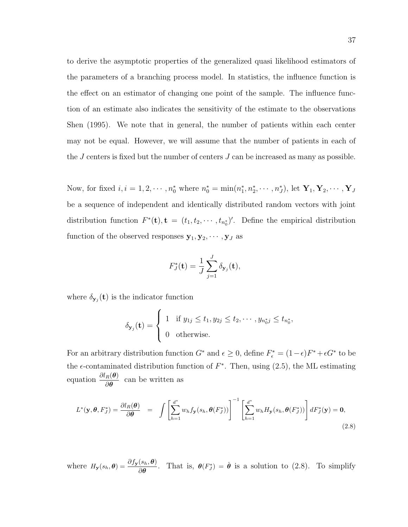to derive the asymptotic properties of the generalized quasi likelihood estimators of the parameters of a branching process model. In statistics, the influence function is the effect on an estimator of changing one point of the sample. The influence function of an estimate also indicates the sensitivity of the estimate to the observations Shen (1995). We note that in general, the number of patients within each center may not be equal. However, we will assume that the number of patients in each of the J centers is fixed but the number of centers J can be increased as many as possible.

Now, for fixed  $i, i = 1, 2, \cdots, n_0^*$  where  $n_0^* = \min(n_1^*, n_2^*, \cdots, n_J^*)$ , let  $\mathbf{Y}_1, \mathbf{Y}_2, \cdots, \mathbf{Y}_J$ be a sequence of independent and identically distributed random vectors with joint distribution function  $F^*(t)$ ,  $t = (t_1, t_2, \dots, t_{n_0})'$ . Define the empirical distribution function of the observed responses  $y_1, y_2, \dots, y_J$  as

$$
F_J^*(\mathbf{t}) = \frac{1}{J} \sum_{j=1}^J \delta_{\mathbf{y}_j}(\mathbf{t}),
$$

where  $\delta_{\mathbf{y}_j}(\mathbf{t})$  is the indicator function

$$
\delta_{\mathbf{y}_j}(\mathbf{t}) = \begin{cases} 1 & \text{if } y_{1j} \leq t_1, y_{2j} \leq t_2, \cdots, y_{n_0^*j} \leq t_{n_0^*}, \\ 0 & \text{otherwise.} \end{cases}
$$

For an arbitrary distribution function  $G^*$  and  $\epsilon \geq 0$ , define  $F_{\epsilon}^* = (1 - \epsilon)F^* + \epsilon G^*$  to be the  $\epsilon$ -contaminated distribution function of  $F^*$ . Then, using (2.5), the ML estimating equation  $\frac{\partial l_R(\boldsymbol{\theta})}{\partial \boldsymbol{\theta}}$  can be written as

$$
L^*(\mathbf{y}, \theta, F_J^*) = \frac{\partial l_R(\theta)}{\partial \theta} = \int \left[ \sum_{h=1}^{d^*} w_h f_\mathbf{y}(s_h, \theta(F_J^*)) \right]^{-1} \left[ \sum_{h=1}^{d^*} w_h H_\mathbf{y}(s_h, \theta(F_J^*)) \right] dF_J^*(\mathbf{y}) = \mathbf{0},\tag{2.8}
$$

where  $H_{\mathbf{y}}(s_h, \theta) = \frac{\partial f_{\mathbf{y}}(s_h, \theta)}{\partial \theta}$ . That is,  $\theta(F_{J}^{*}) = \hat{\theta}$  is a solution to (2.8). To simplify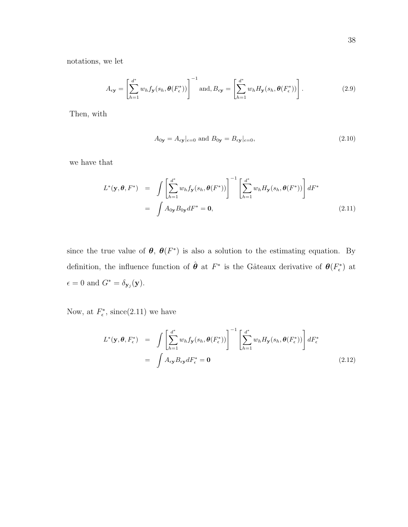notations, we let

$$
A_{\epsilon \mathbf{y}} = \left[ \sum_{h=1}^{d^*} w_h f_{\mathbf{y}}(s_h, \theta(F_{\epsilon}^*)) \right]^{-1} \text{ and, } B_{\epsilon \mathbf{y}} = \left[ \sum_{h=1}^{d^*} w_h H_{\mathbf{y}}(s_h, \theta(F_{\epsilon}^*)) \right]. \tag{2.9}
$$

Then, with

$$
A_{0y} = A_{\epsilon y}|_{\epsilon=0} \text{ and } B_{0y} = B_{\epsilon y}|_{\epsilon=0},\tag{2.10}
$$

we have that

$$
L^*(\mathbf{y}, \theta, F^*) = \int \left[ \sum_{h=1}^{d^*} w_h f_\mathbf{y}(s_h, \theta(F^*)) \right]^{-1} \left[ \sum_{h=1}^{d^*} w_h H_\mathbf{y}(s_h, \theta(F^*)) \right] dF^*
$$
  
= 
$$
\int A_{0\mathbf{y}} B_{0\mathbf{y}} dF^* = \mathbf{0}, \qquad (2.11)
$$

since the true value of  $\theta$ ,  $\theta(F^*)$  is also a solution to the estimating equation. By definition, the influence function of  $\hat{\theta}$  at  $F^*$  is the Gâteaux derivative of  $\theta(F_{\epsilon}^*)$  at  $\epsilon = 0$  and  $G^* = \delta_{\mathbf{y}_j}(\mathbf{y}).$ 

Now, at  $F_{\epsilon}^*$ , since(2.11) we have

$$
L^*(\mathbf{y}, \theta, F_{\epsilon}^*) = \int \left[ \sum_{h=1}^{d^*} w_h f_{\mathbf{y}}(s_h, \theta(F_{\epsilon}^*)) \right]^{-1} \left[ \sum_{h=1}^{d^*} w_h H_{\mathbf{y}}(s_h, \theta(F_{\epsilon}^*)) \right] dF_{\epsilon}^*
$$
  

$$
= \int A_{\epsilon \mathbf{y}} B_{\epsilon \mathbf{y}} dF_{\epsilon}^* = \mathbf{0}
$$
(2.12)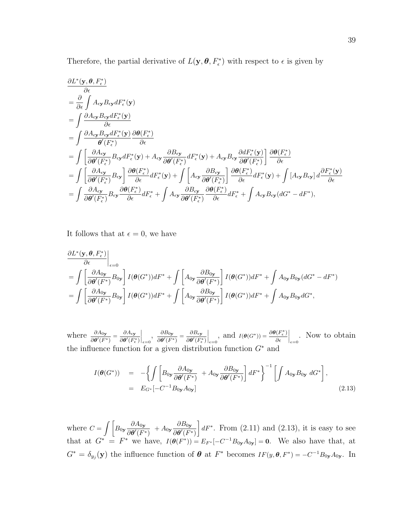Therefore, the partial derivative of  $L(\mathbf{y}, \theta, F_{\epsilon}^*)$  with respect to  $\epsilon$  is given by

$$
\frac{\partial L^*(\mathbf{y}, \theta, F_{\epsilon}^*)}{\partial \epsilon} \n= \frac{\partial}{\partial \epsilon} \int A_{\epsilon \mathbf{y}} B_{\epsilon \mathbf{y}} dF_{\epsilon}^*(\mathbf{y}) \n= \int \frac{\partial A_{\epsilon \mathbf{y}} B_{\epsilon \mathbf{y}} dF_{\epsilon}^*(\mathbf{y})}{\partial \epsilon} \n= \int \frac{\partial A_{\epsilon \mathbf{y}} B_{\epsilon \mathbf{y}} dF_{\epsilon}^*(\mathbf{y})}{\theta'(F_{\epsilon}^*)} \frac{\partial \theta(F_{\epsilon}^*)}{\partial \epsilon} \n= \int \left[ \frac{\partial A_{\epsilon \mathbf{y}} B_{\epsilon \mathbf{y}} dF_{\epsilon}^*(\mathbf{y}) + A_{\epsilon \mathbf{y}} \frac{\partial B_{\epsilon \mathbf{y}}}{\partial \theta'(F_{\epsilon}^*)} dF_{\epsilon}^*(\mathbf{y}) + A_{\epsilon \mathbf{y}} B_{\epsilon \mathbf{y}} \frac{\partial dF_{\epsilon}^*(\mathbf{y})}{\partial \theta'(F_{\epsilon}^*)} \right] \frac{\partial \theta(F_{\epsilon}^*)}{\partial \epsilon} \n= \int \left[ \frac{\partial A_{\epsilon \mathbf{y}}}{\partial \theta'(F_{\epsilon}^*)} B_{\epsilon \mathbf{y}} \right] \frac{\partial \theta(F_{\epsilon}^*)}{\partial \epsilon} dF_{\epsilon}^*(\mathbf{y}) + \int \left[ A_{\epsilon \mathbf{y}} \frac{\partial B_{\epsilon \mathbf{y}}}{\partial \theta'(F_{\epsilon}^*)} \right] \frac{\partial \theta(F_{\epsilon}^*)}{\partial \epsilon} dF_{\epsilon}^*(\mathbf{y}) + \int \left[ A_{\epsilon \mathbf{y}} B_{\epsilon \mathbf{y}} \right] d\frac{\partial F_{\epsilon}^*(\mathbf{y})}{\partial \epsilon} \n= \int \frac{\partial A_{\epsilon \mathbf{y}}}{\partial \theta'(F_{\epsilon}^*)} B_{\epsilon \mathbf{y}} \frac{\partial \theta(F_{\epsilon}^*)}{\partial \epsilon} dF_{\epsilon}^* + \int A_{\epsilon \mathbf{y}} \frac{\partial B_{\epsilon \mathbf{y}}}{\partial \theta'(F_{\epsilon}^*)} dF_{\epsilon}^* + \int A_{\epsilon \mathbf{y}} B_{\epsilon \mathbf{y}} (dG^* - dF^*),
$$

It follows that at  $\epsilon = 0$ , we have

$$
\frac{\partial L^*(\mathbf{y}, \theta, F_{\epsilon}^*)}{\partial \epsilon}\Big|_{\epsilon=0}
$$
\n
$$
= \int \left[\frac{\partial A_{0\mathbf{y}}}{\partial \theta'(F^*)} B_{0\mathbf{y}}\right] I(\theta(G^*))dF^* + \int \left[A_{0\mathbf{y}} \frac{\partial B_{0\mathbf{y}}}{\partial \theta'(F^*)}\right] I(\theta(G^*))dF^* + \int A_{0\mathbf{y}} B_{0\mathbf{y}}(dG^* - dF^*)
$$
\n
$$
= \int \left[\frac{\partial A_{0\mathbf{y}}}{\partial \theta'(F^*)} B_{0\mathbf{y}}\right] I(\theta(G^*))dF^* + \int \left[A_{0\mathbf{y}} \frac{\partial B_{0\mathbf{y}}}{\partial \theta'(F^*)}\right] I(\theta(G^*))dF^* + \int A_{0\mathbf{y}} B_{0\mathbf{y}}dG^*,
$$

where  $\frac{\partial A_{0y}}{\partial \theta'(F^*)} = \frac{\partial A_{\epsilon y}}{\partial \theta'(F_{\epsilon}^*)}$  $\overline{\partial \boldsymbol{\theta}^\prime(F_\epsilon^*)}$  $\bigg|_{\epsilon=0},\,\, \frac{\partial B_{0\mathbf{y}}}{\partial \boldsymbol{\theta}^{\prime}(F^{\ast}% )}$  $\frac{\partial B_{0\textbf y}}{\partial \boldsymbol\theta'(F^*)} = \frac{\partial B_{\epsilon\textbf y}}{\partial \boldsymbol\theta'(F^*_\epsilon)}$  $\overline{\partial \boldsymbol{\theta}^{\prime}(F_{\epsilon}^{\ast})}$  $\Big|_{\epsilon=0}$ , and  $I(\theta(G^*)) = \frac{\partial \theta(F_{\epsilon}^*)}{\partial \epsilon}$ ∂  $\Big|_{\epsilon=0}$ . Now to obtain the influence function for a given distribution function  $G^*$  and

$$
I(\boldsymbol{\theta}(G^*)) = -\left\{ \int \left[ B_{0\mathbf{y}} \frac{\partial A_{0\mathbf{y}}}{\partial \boldsymbol{\theta}'(F^*)} + A_{0\mathbf{y}} \frac{\partial B_{0\mathbf{y}}}{\partial \boldsymbol{\theta}'(F^*)} \right] dF^* \right\}^{-1} \left[ \int A_{0\mathbf{y}} B_{0\mathbf{y}} dG^* \right],
$$
  
=  $E_{G^*}[-C^{-1}B_{0\mathbf{y}}A_{0\mathbf{y}}]$  (2.13)

where  $C = \int \left[ B_{0y} \frac{\partial A_{0y}}{\partial q' \sqrt{D}} \right]$  $\frac{\partial A_{0\textbf{y}}}{\partial \boldsymbol{\theta}'(F^*)} \ + A_{0\textbf{y}} \frac{\partial B_{0\textbf{y}}}{\partial \boldsymbol{\theta}'(F^*)}$  $\overline{\partial \boldsymbol{\theta}^\prime(F^*)}$  $\Big] dF^*$ . From  $(2.11)$  and  $(2.13)$ , it is easy to see that at  $G^* = F^*$  we have,  $I(\theta(F^*)) = E_{F^*}[-C^{-1}B_{0y}A_{0y}] = 0$ . We also have that, at  $G^* = \delta_{y_j}(\mathbf{y})$  the influence function of  $\boldsymbol{\theta}$  at  $F^*$  becomes  $IF(y, \boldsymbol{\theta}, F^*) = -C^{-1}B_{0y}A_{0y}$ . In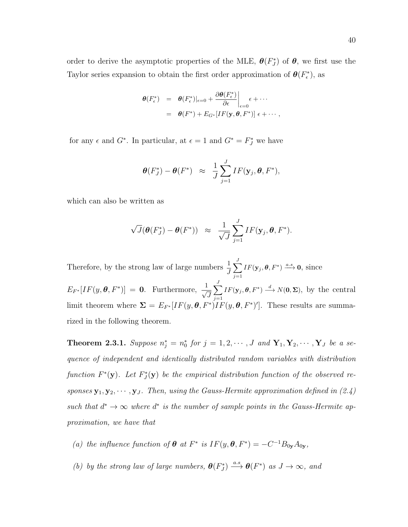Taylor series expansion to obtain the first order approximation of  $\theta(F_{\epsilon}^*)$ , as

$$
\begin{array}{rcl}\n\boldsymbol{\theta}(F_{\epsilon}^*) & = & \boldsymbol{\theta}(F_{\epsilon}^*)|_{\epsilon=0} + \left. \frac{\partial \boldsymbol{\theta}(F_{\epsilon}^*)}{\partial \epsilon} \right|_{\epsilon=0} \epsilon + \cdots \\
& = & \boldsymbol{\theta}(F^*) + E_{G^*}[IF(\mathbf{y}, \boldsymbol{\theta}, F^*)] \epsilon + \cdots,\n\end{array}
$$

for any  $\epsilon$  and  $G^*$ . In particular, at  $\epsilon = 1$  and  $G^* = F_J^*$  we have

$$
\boldsymbol{\theta}(F_J^*) - \boldsymbol{\theta}(F^*) \;\; \approx \;\; \frac{1}{J} \sum_{j=1}^J IF(\mathbf{y}_j, \boldsymbol{\theta}, F^*),
$$

which can also be written as

$$
\sqrt{J}(\boldsymbol{\theta}(F_j^*) - \boldsymbol{\theta}(F^*)) \;\; \approx \;\; \frac{1}{\sqrt{J}} \sum_{j=1}^J IF(\mathbf{y}_j, \boldsymbol{\theta}, F^*).
$$

Therefore, by the strong law of large numbers  $\frac{1}{J}$  $\sum$  $j=1$  $IF(\mathbf{y}_j, \boldsymbol{\theta}, F^*) \stackrel{a.s.}{\longrightarrow} \mathbf{0}, \text{ since }$  $E_{F^*}[IF(y, \boldsymbol{\theta}, F^*)] = \mathbf{0}$ . Furthermore,  $\frac{1}{\sqrt{2}}$ J  $\sum$  $j=1$  $IF(\mathbf{y}_j, \boldsymbol{\theta}, F^*) \stackrel{d}{\longrightarrow} N(\mathbf{0}, \boldsymbol{\Sigma}),$  by the central limit theorem where  $\Sigma = E_{F^*}[IF(y, \theta, F^*)IF(y, \theta, F^*)']$ . These results are summarized in the following theorem.

**Theorem 2.3.1.** Suppose  $n_j^* = n_0^*$  for  $j = 1, 2, \cdots, J$  and  $\mathbf{Y}_1, \mathbf{Y}_2, \cdots, \mathbf{Y}_J$  be a sequence of independent and identically distributed random variables with distribution function  $F^*(y)$ . Let  $F_J^*(y)$  be the empirical distribution function of the observed responses  $\mathbf{y}_1, \mathbf{y}_2, \cdots, \mathbf{y}_J$ . Then, using the Gauss-Hermite approximation defined in (2.4) such that  $d^* \to \infty$  where  $d^*$  is the number of sample points in the Gauss-Hermite approximation, we have that

- (a) the influence function of  $\theta$  at  $F^*$  is  $IF(y, \theta, F^*) = -C^{-1}B_{0y}A_{0y}$ ,
- (b) by the strong law of large numbers,  $\theta(F_j^*) \xrightarrow{a.s} \theta(F^*)$  as  $J \to \infty$ , and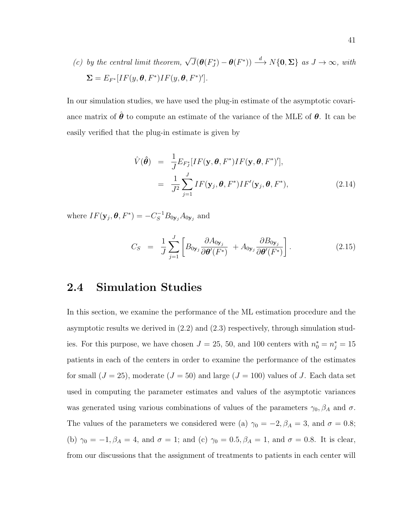(c) by the central limit theorem,  $\sqrt{J}(\theta(F_J^*) - \theta(F^*)) \stackrel{d}{\longrightarrow} N\{\mathbf{0}, \Sigma\}$  as  $J \to \infty$ , with  $\Sigma = E_{F^*}[IF(y, \theta, F^*)IF(y, \theta, F^*)'].$ 

In our simulation studies, we have used the plug-in estimate of the asymptotic covariance matrix of  $\theta$  to compute an estimate of the variance of the MLE of  $\theta$ . It can be easily verified that the plug-in estimate is given by

$$
\hat{V}(\hat{\boldsymbol{\theta}}) = \frac{1}{J} E_{F_J^*}[IF(\mathbf{y}, \boldsymbol{\theta}, F^*) IF(\mathbf{y}, \boldsymbol{\theta}, F^*)'],
$$
\n
$$
= \frac{1}{J^2} \sum_{j=1}^{J} IF(\mathbf{y}_j, \boldsymbol{\theta}, F^*) IF'(\mathbf{y}_j, \boldsymbol{\theta}, F^*),
$$
\n(2.14)

where  $IF(\mathbf{y}_j, \boldsymbol{\theta}, F^*) = -C_S^{-1}B_{0\mathbf{y}_j}A_{0\mathbf{y}_j}$  and

$$
C_S = \frac{1}{J} \sum_{j=1}^{J} \left[ B_{0\mathbf{y}_j} \frac{\partial A_{0\mathbf{y}_j}}{\partial \boldsymbol{\theta}'(F^*)} + A_{0\mathbf{y}_j} \frac{\partial B_{0\mathbf{y}_j}}{\partial \boldsymbol{\theta}'(F^*)} \right]. \tag{2.15}
$$

# 2.4 Simulation Studies

In this section, we examine the performance of the ML estimation procedure and the asymptotic results we derived in (2.2) and (2.3) respectively, through simulation studies. For this purpose, we have chosen  $J = 25, 50,$  and 100 centers with  $n_0^* = n_j^* = 15$ patients in each of the centers in order to examine the performance of the estimates for small  $(J = 25)$ , moderate  $(J = 50)$  and large  $(J = 100)$  values of J. Each data set used in computing the parameter estimates and values of the asymptotic variances was generated using various combinations of values of the parameters  $\gamma_0$ ,  $\beta_A$  and  $\sigma$ . The values of the parameters we considered were (a)  $\gamma_0 = -2$ ,  $\beta_A = 3$ , and  $\sigma = 0.8$ ; (b)  $\gamma_0 = -1, \beta_A = 4$ , and  $\sigma = 1$ ; and (c)  $\gamma_0 = 0.5, \beta_A = 1$ , and  $\sigma = 0.8$ . It is clear, from our discussions that the assignment of treatments to patients in each center will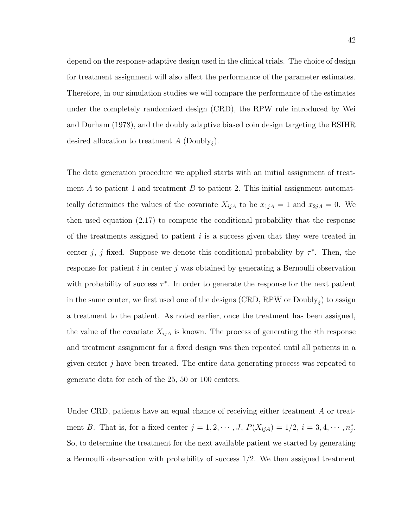depend on the response-adaptive design used in the clinical trials. The choice of design for treatment assignment will also affect the performance of the parameter estimates. Therefore, in our simulation studies we will compare the performance of the estimates under the completely randomized design (CRD), the RPW rule introduced by Wei and Durham (1978), and the doubly adaptive biased coin design targeting the RSIHR desired allocation to treatment  $A$  (Doubly<sub> $\xi$ </sub>).

The data generation procedure we applied starts with an initial assignment of treatment  $A$  to patient 1 and treatment  $B$  to patient 2. This initial assignment automatically determines the values of the covariate  $X_{ijA}$  to be  $x_{1jA} = 1$  and  $x_{2jA} = 0$ . We then used equation (2.17) to compute the conditional probability that the response of the treatments assigned to patient  $i$  is a success given that they were treated in center j, j fixed. Suppose we denote this conditional probability by  $\tau^*$ . Then, the response for patient i in center j was obtained by generating a Bernoulli observation with probability of success  $\tau^*$ . In order to generate the response for the next patient in the same center, we first used one of the designs (CRD, RPW or  $\text{Doubly}_{\xi}$ ) to assign a treatment to the patient. As noted earlier, once the treatment has been assigned, the value of the covariate  $X_{ijA}$  is known. The process of generating the *i*th response and treatment assignment for a fixed design was then repeated until all patients in a given center j have been treated. The entire data generating process was repeated to generate data for each of the 25, 50 or 100 centers.

Under CRD, patients have an equal chance of receiving either treatment A or treatment B. That is, for a fixed center  $j = 1, 2, \dots, J$ ,  $P(X_{ijA}) = 1/2$ ,  $i = 3, 4, \dots, n_j^*$ . So, to determine the treatment for the next available patient we started by generating a Bernoulli observation with probability of success  $1/2$ . We then assigned treatment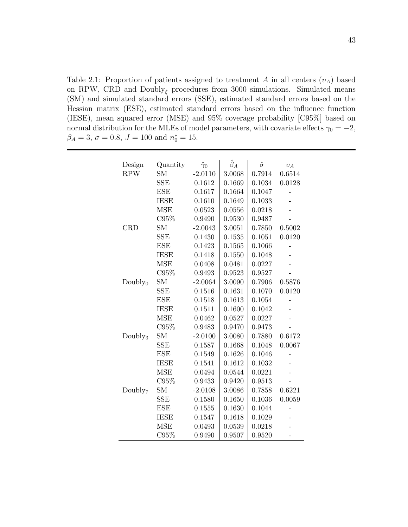Table 2.1: Proportion of patients assigned to treatment A in all centers  $(v_A)$  based on RPW, CRD and  $\text{Doubly}_{\xi}$  procedures from 3000 simulations. Simulated means (SM) and simulated standard errors (SSE), estimated standard errors based on the Hessian matrix (ESE), estimated standard errors based on the influence function (IESE), mean squared error (MSE) and 95% coverage probability [C95%] based on normal distribution for the MLEs of model parameters, with covariate effects  $\gamma_0 = -2$ ,  $\beta_A = 3, \sigma = 0.8, J = 100 \text{ and } n_0^* = 15.$ 

| Design              | Quantity    | $\hat{\gamma}_0$ | $\hat{\beta}_A$ | $\hat{\sigma}$ | $v_A$  |
|---------------------|-------------|------------------|-----------------|----------------|--------|
| <b>RPW</b>          | <b>SM</b>   | $-2.0110$        | 3.0068          | 0.7914         | 0.6514 |
|                     | <b>SSE</b>  | 0.1612           | 0.1669          | 0.1034         | 0.0128 |
|                     | <b>ESE</b>  | 0.1617           | 0.1664          | 0.1047         |        |
|                     | <b>IESE</b> | 0.1610           | 0.1649          | 0.1033         |        |
|                     | <b>MSE</b>  | 0.0523           | 0.0556          | 0.0218         |        |
|                     | C95%        | 0.9490           | 0.9530          | 0.9487         |        |
| <b>CRD</b>          | SM          | $-2.0043$        | 3.0051          | 0.7850         | 0.5002 |
|                     | <b>SSE</b>  | 0.1430           | 0.1535          | 0.1051         | 0.0120 |
|                     | <b>ESE</b>  | 0.1423           | 0.1565          | 0.1066         |        |
|                     | <b>IESE</b> | 0.1418           | 0.1550          | 0.1048         |        |
|                     | <b>MSE</b>  | 0.0408           | 0.0481          | 0.0227         |        |
|                     | C95%        | 0.9493           | 0.9523          | 0.9527         |        |
| Doubly <sub>0</sub> | ${\rm SM}$  | $-2.0064$        | 3.0090          | 0.7906         | 0.5876 |
|                     | <b>SSE</b>  | 0.1516           | 0.1631          | 0.1070         | 0.0120 |
|                     | <b>ESE</b>  | 0.1518           | 0.1613          | 0.1054         |        |
|                     | <b>IESE</b> | 0.1511           | 0.1600          | 0.1042         |        |
|                     | <b>MSE</b>  | 0.0462           | 0.0527          | 0.0227         |        |
|                     | C95%        | 0.9483           | 0.9470          | 0.9473         |        |
| Doubly <sub>3</sub> | <b>SM</b>   | $-2.0100$        | 3.0080          | 0.7880         | 0.6172 |
|                     | <b>SSE</b>  | 0.1587           | 0.1668          | 0.1048         | 0.0067 |
|                     | <b>ESE</b>  | 0.1549           | 0.1626          | 0.1046         |        |
|                     | <b>IESE</b> | 0.1541           | 0.1612          | 0.1032         |        |
|                     | <b>MSE</b>  | 0.0494           | 0.0544          | 0.0221         |        |
|                     | C95%        | 0.9433           | 0.9420          | 0.9513         |        |
| Doubly <sub>7</sub> | <b>SM</b>   | $-2.0108$        | 3.0086          | 0.7858         | 0.6221 |
|                     | <b>SSE</b>  | 0.1580           | 0.1650          | 0.1036         | 0.0059 |
|                     | <b>ESE</b>  | 0.1555           | 0.1630          | 0.1044         |        |
|                     | <b>IESE</b> | 0.1547           | 0.1618          | 0.1029         |        |
|                     | <b>MSE</b>  | 0.0493           | 0.0539          | 0.0218         |        |
|                     | C95%        | 0.9490           | 0.9507          | 0.9520         |        |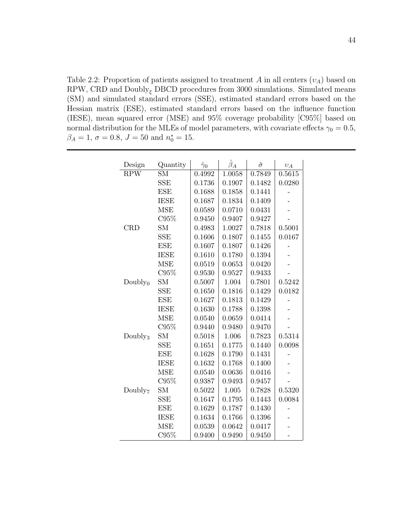Table 2.2: Proportion of patients assigned to treatment A in all centers  $(v_A)$  based on RPW, CRD and  $\text{Doubley}_{\xi}$  DBCD procedures from 3000 simulations. Simulated means (SM) and simulated standard errors (SSE), estimated standard errors based on the Hessian matrix (ESE), estimated standard errors based on the influence function (IESE), mean squared error (MSE) and 95% coverage probability [C95%] based on normal distribution for the MLEs of model parameters, with covariate effects  $\gamma_0 = 0.5$ ,  $\beta_A = 1, \sigma = 0.8, J = 50 \text{ and } n_0^* = 15.$ 

| Design              | Quantity    | $\hat{\gamma}_0$ | $\hat{\beta}_A$ | $\hat{\sigma}$ | $v_A$  |
|---------------------|-------------|------------------|-----------------|----------------|--------|
| <b>RPW</b>          | <b>SM</b>   | 0.4992           | 1.0058          | 0.7849         | 0.5615 |
|                     | <b>SSE</b>  | 0.1736           | 0.1907          | 0.1482         | 0.0280 |
|                     | <b>ESE</b>  | 0.1688           | 0.1858          | 0.1441         |        |
|                     | <b>IESE</b> | 0.1687           | 0.1834          | 0.1409         |        |
|                     | <b>MSE</b>  | 0.0589           | 0.0710          | 0.0431         |        |
|                     | C95%        | 0.9450           | 0.9407          | 0.9427         |        |
| <b>CRD</b>          | <b>SM</b>   | 0.4983           | 1.0027          | 0.7818         | 0.5001 |
|                     | SSE         | 0.1606           | 0.1807          | 0.1455         | 0.0167 |
|                     | <b>ESE</b>  | 0.1607           | 0.1807          | 0.1426         |        |
|                     | <b>IESE</b> | 0.1610           | 0.1780          | 0.1394         |        |
|                     | <b>MSE</b>  | 0.0519           | 0.0653          | 0.0420         |        |
|                     | C95%        | 0.9530           | 0.9527          | 0.9433         |        |
| Doubly <sub>0</sub> | <b>SM</b>   | 0.5007           | 1.004           | 0.7801         | 0.5242 |
|                     | <b>SSE</b>  | 0.1650           | 0.1816          | 0.1429         | 0.0182 |
|                     | <b>ESE</b>  | 0.1627           | 0.1813          | 0.1429         |        |
|                     | <b>IESE</b> | 0.1630           | 0.1788          | 0.1398         |        |
|                     | <b>MSE</b>  | 0.0540           | 0.0659          | 0.0414         |        |
|                     | C95%        | 0.9440           | 0.9480          | 0.9470         |        |
| Doubly <sub>3</sub> | <b>SM</b>   | 0.5018           | 1.006           | 0.7823         | 0.5314 |
|                     | <b>SSE</b>  | 0.1651           | 0.1775          | 0.1440         | 0.0098 |
|                     | <b>ESE</b>  | 0.1628           | 0.1790          | 0.1431         |        |
|                     | <b>IESE</b> | 0.1632           | 0.1768          | 0.1400         |        |
|                     | <b>MSE</b>  | 0.0540           | 0.0636          | 0.0416         |        |
|                     | C95%        | 0.9387           | 0.9493          | 0.9457         |        |
| Doubly <sub>7</sub> | SМ          | 0.5022           | 1.005           | 0.7828         | 0.5320 |
|                     | <b>SSE</b>  | 0.1647           | 0.1795          | 0.1443         | 0.0084 |
|                     | <b>ESE</b>  | 0.1629           | 0.1787          | 0.1430         |        |
|                     | <b>IESE</b> | 0.1634           | 0.1766          | 0.1396         |        |
|                     | <b>MSE</b>  | 0.0539           | 0.0642          | 0.0417         |        |
|                     | C95%        | 0.9400           | 0.9490          | 0.9450         |        |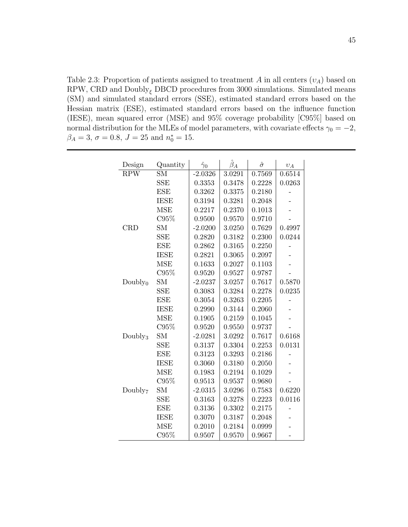Table 2.3: Proportion of patients assigned to treatment A in all centers  $(v_A)$  based on RPW, CRD and  $\text{Doubley}_{\xi}$  DBCD procedures from 3000 simulations. Simulated means (SM) and simulated standard errors (SSE), estimated standard errors based on the Hessian matrix (ESE), estimated standard errors based on the influence function (IESE), mean squared error (MSE) and 95% coverage probability [C95%] based on normal distribution for the MLEs of model parameters, with covariate effects  $\gamma_0 = -2$ ,  $\beta_A = 3, \sigma = 0.8, J = 25 \text{ and } n_0^* = 15.$ 

| Design              | Quantity    | $\hat{\gamma}_0$ | $\hat{\beta}_A$ | $\hat{\sigma}$ | $v_A$  |
|---------------------|-------------|------------------|-----------------|----------------|--------|
| <b>RPW</b>          | <b>SM</b>   | $-2.0326$        | 3.0291          | 0.7569         | 0.6514 |
|                     | <b>SSE</b>  | 0.3353           | 0.3478          | 0.2228         | 0.0263 |
|                     | <b>ESE</b>  | 0.3262           | 0.3375          | 0.2180         |        |
|                     | <b>IESE</b> | 0.3194           | 0.3281          | 0.2048         |        |
|                     | <b>MSE</b>  | 0.2217           | 0.2370          | 0.1013         |        |
|                     | C95%        | 0.9500           | 0.9570          | 0.9710         |        |
| <b>CRD</b>          | <b>SM</b>   | $-2.0200$        | 3.0250          | 0.7629         | 0.4997 |
|                     | <b>SSE</b>  | 0.2820           | 0.3182          | 0.2300         | 0.0244 |
|                     | <b>ESE</b>  | 0.2862           | 0.3165          | 0.2250         |        |
|                     | <b>IESE</b> | 0.2821           | 0.3065          | 0.2097         |        |
|                     | <b>MSE</b>  | 0.1633           | 0.2027          | 0.1103         |        |
|                     | C95%        | 0.9520           | 0.9527          | 0.9787         |        |
| Doubly <sub>0</sub> | <b>SM</b>   | $-2.0237$        | 3.0257          | 0.7617         | 0.5870 |
|                     | <b>SSE</b>  | 0.3083           | 0.3284          | 0.2278         | 0.0235 |
|                     | <b>ESE</b>  | 0.3054           | 0.3263          | 0.2205         |        |
|                     | <b>IESE</b> | 0.2990           | 0.3144          | 0.2060         |        |
|                     | <b>MSE</b>  | 0.1905           | 0.2159          | 0.1045         |        |
|                     | C95%        | 0.9520           | 0.9550          | 0.9737         |        |
| Doubly <sub>3</sub> | <b>SM</b>   | $-2.0281$        | 3.0292          | 0.7617         | 0.6168 |
|                     | <b>SSE</b>  | 0.3137           | 0.3304          | 0.2253         | 0.0131 |
|                     | <b>ESE</b>  | 0.3123           | 0.3293          | 0.2186         |        |
|                     | <b>IESE</b> | 0.3060           | 0.3180          | 0.2050         |        |
|                     | <b>MSE</b>  | 0.1983           | 0.2194          | 0.1029         |        |
|                     | C95%        | 0.9513           | 0.9537          | 0.9680         |        |
| Doubly <sub>7</sub> | <b>SM</b>   | $-2.0315$        | 3.0296          | 0.7583         | 0.6220 |
|                     | <b>SSE</b>  | 0.3163           | 0.3278          | 0.2223         | 0.0116 |
|                     | <b>ESE</b>  | 0.3136           | 0.3302          | 0.2175         |        |
|                     | <b>IESE</b> | 0.3070           | 0.3187          | 0.2048         |        |
|                     | <b>MSE</b>  | 0.2010           | 0.2184          | 0.0999         |        |
|                     | C95%        | 0.9507           | 0.9570          | 0.9667         |        |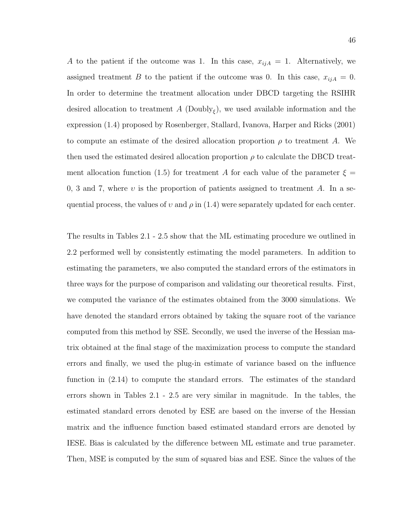A to the patient if the outcome was 1. In this case,  $x_{ijA} = 1$ . Alternatively, we assigned treatment B to the patient if the outcome was 0. In this case,  $x_{ijA} = 0$ . In order to determine the treatment allocation under DBCD targeting the RSIHR desired allocation to treatment  $A$  (Doubly<sub> $\xi$ </sub>), we used available information and the expression (1.4) proposed by Rosenberger, Stallard, Ivanova, Harper and Ricks (2001) to compute an estimate of the desired allocation proportion  $\rho$  to treatment A. We then used the estimated desired allocation proportion  $\rho$  to calculate the DBCD treatment allocation function (1.5) for treatment A for each value of the parameter  $\xi =$ 0, 3 and 7, where v is the proportion of patients assigned to treatment A. In a sequential process, the values of v and  $\rho$  in (1.4) were separately updated for each center.

The results in Tables 2.1 - 2.5 show that the ML estimating procedure we outlined in 2.2 performed well by consistently estimating the model parameters. In addition to estimating the parameters, we also computed the standard errors of the estimators in three ways for the purpose of comparison and validating our theoretical results. First, we computed the variance of the estimates obtained from the 3000 simulations. We have denoted the standard errors obtained by taking the square root of the variance computed from this method by SSE. Secondly, we used the inverse of the Hessian matrix obtained at the final stage of the maximization process to compute the standard errors and finally, we used the plug-in estimate of variance based on the influence function in (2.14) to compute the standard errors. The estimates of the standard errors shown in Tables 2.1 - 2.5 are very similar in magnitude. In the tables, the estimated standard errors denoted by ESE are based on the inverse of the Hessian matrix and the influence function based estimated standard errors are denoted by IESE. Bias is calculated by the difference between ML estimate and true parameter. Then, MSE is computed by the sum of squared bias and ESE. Since the values of the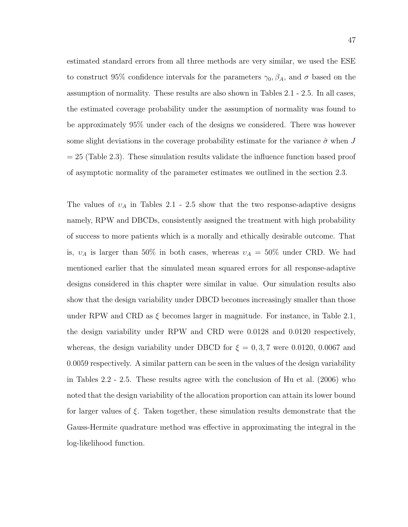estimated standard errors from all three methods are very similar, we used the ESE to construct 95% confidence intervals for the parameters  $\gamma_0$ ,  $\beta_A$ , and  $\sigma$  based on the assumption of normality. These results are also shown in Tables 2.1 - 2.5. In all cases, the estimated coverage probability under the assumption of normality was found to be approximately 95% under each of the designs we considered. There was however some slight deviations in the coverage probability estimate for the variance  $\hat{\sigma}$  when J  $= 25$  (Table 2.3). These simulation results validate the influence function based proof of asymptotic normality of the parameter estimates we outlined in the section 2.3.

The values of  $v_A$  in Tables 2.1 - 2.5 show that the two response-adaptive designs namely, RPW and DBCDs, consistently assigned the treatment with high probability of success to more patients which is a morally and ethically desirable outcome. That is,  $v_A$  is larger than 50% in both cases, whereas  $v_A = 50\%$  under CRD. We had mentioned earlier that the simulated mean squared errors for all response-adaptive designs considered in this chapter were similar in value. Our simulation results also show that the design variability under DBCD becomes increasingly smaller than those under RPW and CRD as  $\xi$  becomes larger in magnitude. For instance, in Table 2.1, the design variability under RPW and CRD were 0.0128 and 0.0120 respectively, whereas, the design variability under DBCD for  $\xi = 0, 3, 7$  were 0.0120, 0.0067 and 0.0059 respectively. A similar pattern can be seen in the values of the design variability in Tables 2.2 - 2.5. These results agree with the conclusion of Hu et al. (2006) who noted that the design variability of the allocation proportion can attain its lower bound for larger values of ξ. Taken together, these simulation results demonstrate that the Gauss-Hermite quadrature method was effective in approximating the integral in the log-likelihood function.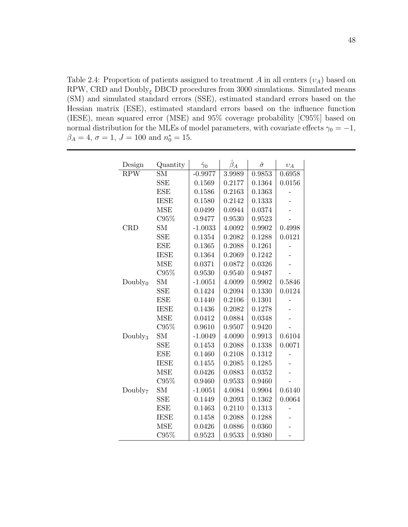Table 2.4: Proportion of patients assigned to treatment A in all centers  $(v_A)$  based on RPW, CRD and  $\text{Doubley}_{\xi}$  DBCD procedures from 3000 simulations. Simulated means (SM) and simulated standard errors (SSE), estimated standard errors based on the Hessian matrix (ESE), estimated standard errors based on the influence function (IESE), mean squared error (MSE) and 95% coverage probability [C95%] based on normal distribution for the MLEs of model parameters, with covariate effects  $\gamma_0 = -1$ ,  $\beta_A = 4, \sigma = 1, J = 100 \text{ and } n_0^* = 15.$ 

| Design              | Quantity    | $\hat{\gamma}_0$ | $\hat{\beta}_A$ | $\hat{\sigma}$ | $v_A$  |
|---------------------|-------------|------------------|-----------------|----------------|--------|
| <b>RPW</b>          | <b>SM</b>   | $-0.9977$        | 3.9989          | 0.9853         | 0.6958 |
|                     | <b>SSE</b>  | 0.1569           | 0.2177          | 0.1364         | 0.0156 |
|                     | <b>ESE</b>  | 0.1586           | 0.2163          | 0.1363         |        |
|                     | <b>IESE</b> | 0.1580           | 0.2142          | 0.1333         |        |
|                     | <b>MSE</b>  | 0.0499           | 0.0944          | 0.0374         |        |
|                     | C95%        | 0.9477           | 0.9530          | 0.9523         |        |
| <b>CRD</b>          | <b>SM</b>   | $-1.0033$        | 4.0092          | 0.9902         | 0.4998 |
|                     | <b>SSE</b>  | 0.1354           | 0.2082          | 0.1288         | 0.0121 |
|                     | <b>ESE</b>  | 0.1365           | 0.2088          | 0.1261         |        |
|                     | <b>IESE</b> | 0.1364           | 0.2069          | 0.1242         |        |
|                     | <b>MSE</b>  | 0.0371           | 0.0872          | 0.0326         |        |
|                     | C95%        | 0.9530           | 0.9540          | 0.9487         |        |
| Doubly <sub>0</sub> | <b>SM</b>   | $-1.0051$        | 4.0099          | 0.9902         | 0.5846 |
|                     | <b>SSE</b>  | 0.1424           | 0.2094          | 0.1330         | 0.0124 |
|                     | <b>ESE</b>  | 0.1440           | 0.2106          | 0.1301         |        |
|                     | <b>IESE</b> | 0.1436           | 0.2082          | 0.1278         |        |
|                     | <b>MSE</b>  | 0.0412           | 0.0884          | 0.0348         |        |
|                     | C95%        | 0.9610           | 0.9507          | 0.9420         |        |
| Doubly <sub>3</sub> | <b>SM</b>   | $-1.0049$        | 4.0090          | 0.9913         | 0.6104 |
|                     | <b>SSE</b>  | 0.1453           | 0.2088          | 0.1338         | 0.0071 |
|                     | <b>ESE</b>  | 0.1460           | 0.2108          | 0.1312         |        |
|                     | <b>IESE</b> | 0.1455           | 0.2085          | 0.1285         |        |
|                     | <b>MSE</b>  | 0.0426           | 0.0883          | 0.0352         |        |
|                     | C95%        | 0.9460           | 0.9533          | 0.9460         |        |
| Doubly <sub>7</sub> | <b>SM</b>   | $-1.0051$        | 4.0084          | 0.9904         | 0.6140 |
|                     | <b>SSE</b>  | 0.1449           | 0.2093          | 0.1362         | 0.0064 |
|                     | <b>ESE</b>  | 0.1463           | 0.2110          | 0.1313         |        |
|                     | <b>IESE</b> | 0.1458           | 0.2088          | 0.1288         |        |
|                     | <b>MSE</b>  | 0.0426           | 0.0886          | 0.0360         |        |
|                     | C95%        | 0.9523           | 0.9533          | 0.9380         |        |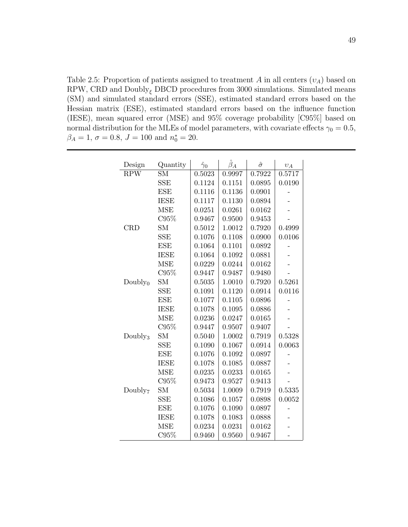Table 2.5: Proportion of patients assigned to treatment A in all centers  $(v_A)$  based on RPW, CRD and  $\text{Doubley}_{\xi}$  DBCD procedures from 3000 simulations. Simulated means (SM) and simulated standard errors (SSE), estimated standard errors based on the Hessian matrix (ESE), estimated standard errors based on the influence function (IESE), mean squared error (MSE) and 95% coverage probability [C95%] based on normal distribution for the MLEs of model parameters, with covariate effects  $\gamma_0 = 0.5$ ,  $\beta_A = 1, \sigma = 0.8, J = 100 \text{ and } n_0^* = 20.$ 

| Design              | Quantity    | $\hat{\gamma}_0$ | $\hat{\beta}_A$ | $\hat{\sigma}$ | $v_A$  |
|---------------------|-------------|------------------|-----------------|----------------|--------|
| <b>RPW</b>          | <b>SM</b>   | 0.5023           | 0.9997          | 0.7922         | 0.5717 |
|                     | <b>SSE</b>  | 0.1124           | 0.1151          | 0.0895         | 0.0190 |
|                     | <b>ESE</b>  | 0.1116           | 0.1136          | 0.0901         |        |
|                     | <b>IESE</b> | 0.1117           | 0.1130          | 0.0894         |        |
|                     | <b>MSE</b>  | 0.0251           | 0.0261          | 0.0162         |        |
|                     | C95%        | 0.9467           | 0.9500          | 0.9453         |        |
| <b>CRD</b>          | <b>SM</b>   | 0.5012           | 1.0012          | 0.7920         | 0.4999 |
|                     | <b>SSE</b>  | 0.1076           | 0.1108          | 0.0900         | 0.0106 |
|                     | <b>ESE</b>  | 0.1064           | 0.1101          | 0.0892         |        |
|                     | <b>IESE</b> | 0.1064           | 0.1092          | 0.0881         |        |
|                     | <b>MSE</b>  | 0.0229           | 0.0244          | 0.0162         |        |
|                     | C95%        | 0.9447           | 0.9487          | 0.9480         |        |
| Doubly <sub>0</sub> | <b>SM</b>   | 0.5035           | 1.0010          | 0.7920         | 0.5261 |
|                     | <b>SSE</b>  | 0.1091           | 0.1120          | 0.0914         | 0.0116 |
|                     | <b>ESE</b>  | 0.1077           | 0.1105          | 0.0896         |        |
|                     | <b>IESE</b> | 0.1078           | 0.1095          | 0.0886         |        |
|                     | <b>MSE</b>  | 0.0236           | 0.0247          | 0.0165         |        |
|                     | C95%        | 0.9447           | 0.9507          | 0.9407         |        |
| Doubly <sub>3</sub> | <b>SM</b>   | 0.5040           | 1.0002          | 0.7919         | 0.5328 |
|                     | SSE         | 0.1090           | 0.1067          | 0.0914         | 0.0063 |
|                     | <b>ESE</b>  | 0.1076           | 0.1092          | 0.0897         |        |
|                     | <b>IESE</b> | 0.1078           | 0.1085          | 0.0887         |        |
|                     | <b>MSE</b>  | 0.0235           | 0.0233          | 0.0165         |        |
|                     | C95%        | 0.9473           | 0.9527          | 0.9413         |        |
| Doubly <sub>7</sub> | <b>SM</b>   | 0.5034           | 1.0009          | 0.7919         | 0.5335 |
|                     | <b>SSE</b>  | 0.1086           | 0.1057          | 0.0898         | 0.0052 |
|                     | <b>ESE</b>  | 0.1076           | 0.1090          | 0.0897         |        |
|                     | <b>IESE</b> | 0.1078           | 0.1083          | 0.0888         |        |
|                     | <b>MSE</b>  | 0.0234           | 0.0231          | 0.0162         |        |
|                     | C95%        | 0.9460           | 0.9560          | 0.9467         |        |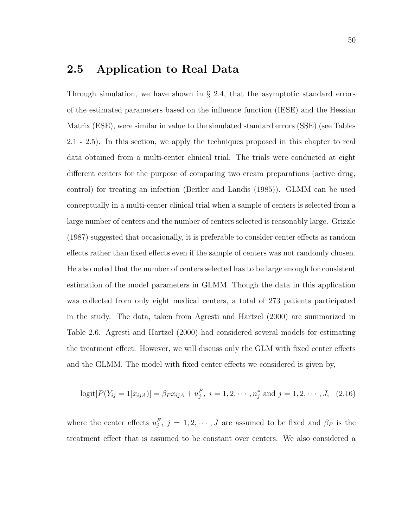# 2.5 Application to Real Data

Through simulation, we have shown in § 2.4, that the asymptotic standard errors of the estimated parameters based on the influence function (IESE) and the Hessian Matrix (ESE), were similar in value to the simulated standard errors (SSE) (see Tables 2.1 - 2.5). In this section, we apply the techniques proposed in this chapter to real data obtained from a multi-center clinical trial. The trials were conducted at eight different centers for the purpose of comparing two cream preparations (active drug, control) for treating an infection (Beitler and Landis (1985)). GLMM can be used conceptually in a multi-center clinical trial when a sample of centers is selected from a large number of centers and the number of centers selected is reasonably large. Grizzle (1987) suggested that occasionally, it is preferable to consider center effects as random effects rather than fixed effects even if the sample of centers was not randomly chosen. He also noted that the number of centers selected has to be large enough for consistent estimation of the model parameters in GLMM. Though the data in this application was collected from only eight medical centers, a total of 273 patients participated in the study. The data, taken from Agresti and Hartzel (2000) are summarized in Table 2.6. Agresti and Hartzel (2000) had considered several models for estimating the treatment effect. However, we will discuss only the GLM with fixed center effects and the GLMM. The model with fixed center effects we considered is given by,

$$
logit[P(Y_{ij} = 1|x_{ijA})] = \beta_F x_{ijA} + u_j^F, \ i = 1, 2, \cdots, n_j^* \text{ and } j = 1, 2, \cdots, J, \ (2.16)
$$

where the center effects  $u_j^F$ ,  $j = 1, 2, \dots, J$  are assumed to be fixed and  $\beta_F$  is the treatment effect that is assumed to be constant over centers. We also considered a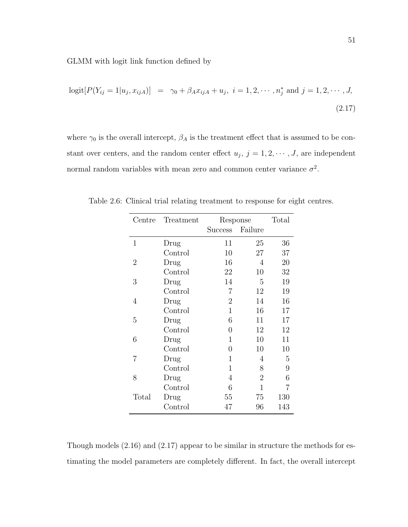GLMM with logit link function defined by

$$
logit[P(Y_{ij} = 1 | u_j, x_{ijA})] = \gamma_0 + \beta_A x_{ijA} + u_j, \ i = 1, 2, \cdots, n_j^* \text{ and } j = 1, 2, \cdots, J,
$$
\n(2.17)

where  $\gamma_0$  is the overall intercept,  $\beta_A$  is the treatment effect that is assumed to be constant over centers, and the random center effect  $u_j$ ,  $j = 1, 2, \dots, J$ , are independent normal random variables with mean zero and common center variance  $\sigma^2$ .

| Centre         | Treatment | Response       | Total          |     |
|----------------|-----------|----------------|----------------|-----|
|                |           | Success        | Failure        |     |
| 1              | Drug      | 11             | 25             | 36  |
|                | Control   | 10             | 27             | 37  |
| $\overline{2}$ | Drug      | 16             | 4              | 20  |
|                | Control   | 22             | 10             | 32  |
| 3              | Drug      | 14             | 5              | 19  |
|                | Control   | 7              | 12             | 19  |
| 4              | Drug      | $\overline{2}$ | 14             | 16  |
|                | Control   | 1              | 16             | 17  |
| 5              | Drug      | 6              | 11             | 17  |
|                | Control   | 0              | 12             | 12  |
| 6              | Drug      | 1              | 10             | 11  |
|                | Control   | 0              | 10             | 10  |
| 7              | Drug      | 1              | 4              | 5   |
|                | Control   | 1              | 8              | 9   |
| 8              | Drug      | 4              | $\overline{2}$ | 6   |
|                | Control   | 6              | 1              | 7   |
| Total          | Drug      | 55             | 75             | 130 |
|                | Control   | 47             | 96             | 143 |

Table 2.6: Clinical trial relating treatment to response for eight centres.

Though models (2.16) and (2.17) appear to be similar in structure the methods for estimating the model parameters are completely different. In fact, the overall intercept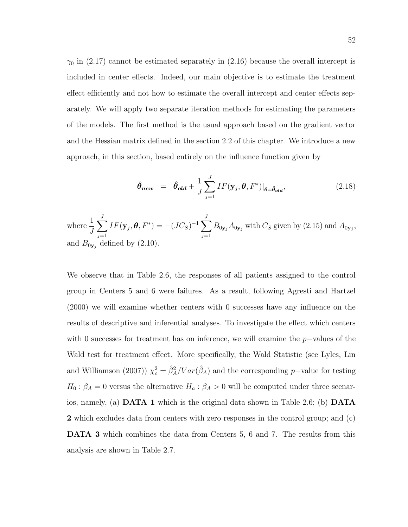$\gamma_0$  in (2.17) cannot be estimated separately in (2.16) because the overall intercept is included in center effects. Indeed, our main objective is to estimate the treatment effect efficiently and not how to estimate the overall intercept and center effects separately. We will apply two separate iteration methods for estimating the parameters of the models. The first method is the usual approach based on the gradient vector and the Hessian matrix defined in the section 2.2 of this chapter. We introduce a new approach, in this section, based entirely on the influence function given by

$$
\hat{\theta}_{new} = \hat{\theta}_{old} + \frac{1}{J} \sum_{j=1}^{J} IF(\mathbf{y}_j, \theta, F^*)|_{\theta = \hat{\theta}_{old}},
$$
\n(2.18)

where  $\frac{1}{7}$ J  $\sum$ J  $j=1$  $IF(\mathbf{y}_j, \boldsymbol{\theta}, F^*) = -(JC_S)^{-1} \sum$ J  $j=1$  $B_{0\mathbf{y}_j}A_{0\mathbf{y}_j}$  with  $C_S$  given by (2.15) and  $A_{0\mathbf{y}_j}$ , and  $B_{0y_j}$  defined by (2.10).

We observe that in Table 2.6, the responses of all patients assigned to the control group in Centers 5 and 6 were failures. As a result, following Agresti and Hartzel (2000) we will examine whether centers with 0 successes have any influence on the results of descriptive and inferential analyses. To investigate the effect which centers with 0 successes for treatment has on inference, we will examine the  $p$ -values of the Wald test for treatment effect. More specifically, the Wald Statistic (see Lyles, Lin and Williamson (2007))  $\chi_c^2 = \frac{\hat{\beta}_A^2}{Var(\hat{\beta}_A)}$  and the corresponding p–value for testing  $H_0$ :  $\beta_A = 0$  versus the alternative  $H_a$ :  $\beta_A > 0$  will be computed under three scenarios, namely, (a) DATA 1 which is the original data shown in Table 2.6; (b) DATA 2 which excludes data from centers with zero responses in the control group; and (c) DATA 3 which combines the data from Centers 5, 6 and 7. The results from this analysis are shown in Table 2.7.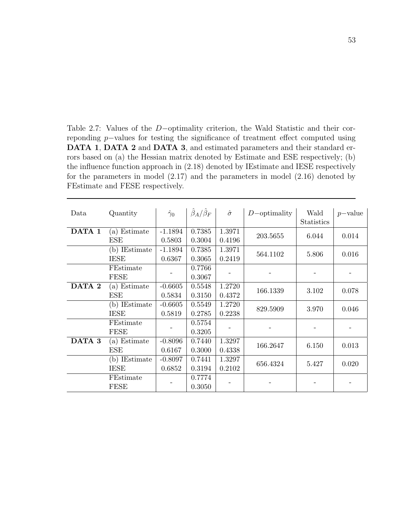Table 2.7: Values of the D−optimality criterion, the Wald Statistic and their correponding p−values for testing the significance of treatment effect computed using DATA 1, DATA 2 and DATA 3, and estimated parameters and their standard errors based on (a) the Hessian matrix denoted by Estimate and ESE respectively; (b) the influence function approach in (2.18) denoted by IEstimate and IESE respectively for the parameters in model (2.17) and the parameters in model (2.16) denoted by FEstimate and FESE respectively.

| Data   | Quantity      | $\hat{\gamma}_0$ | $\hat{\beta}_A/\hat{\beta}_F$ | $\hat{\sigma}$ | $D$ -optimality | Wald       | $p$ -value |
|--------|---------------|------------------|-------------------------------|----------------|-----------------|------------|------------|
|        |               |                  |                               |                |                 | Statistics |            |
| DATA 1 | (a) Estimate  | $-1.1894$        | 0.7385                        | 1.3971         | 203.5655        | 6.044      | 0.014      |
|        | ESE           | 0.5803           | 0.3004                        | 0.4196         |                 |            |            |
|        | (b) IEstimate | $-1.1894$        | 0.7385                        | 1.3971         |                 |            |            |
|        | <b>IESE</b>   | 0.6367           | 0.3065                        | 0.2419         | 564.1102        | 5.806      | 0.016      |
|        | FEstimate     |                  | 0.7766                        |                |                 |            |            |
|        | FESE          |                  | 0.3067                        |                |                 |            |            |
| DATA 2 | (a) Estimate  | $-0.6605$        | 0.5548                        | 1.2720         |                 |            |            |
|        | ESE           | 0.5834           | 0.3150                        | 0.4372         | 166.1339        | 3.102      | 0.078      |
|        | (b) IEstimate | $-0.6605$        | 0.5549                        | 1.2720         |                 |            |            |
|        | <b>IESE</b>   | 0.5819           | 0.2785                        | 0.2238         | 829.5909        | 3.970      | 0.046      |
|        | FEstimate     |                  | 0.5754                        |                |                 |            |            |
|        | FESE          |                  | 0.3205                        |                |                 |            |            |
| DATA 3 | (a) Estimate  | $-0.8096$        | 0.7440                        | 1.3297         |                 |            |            |
|        | ESE           | 0.6167           | 0.3000                        | 0.4338         | 166.2647        | 6.150      | 0.013      |
|        | (b) IEstimate | $-0.8097$        | 0.7441                        | 1.3297         |                 |            |            |
|        | <b>IESE</b>   | 0.6852           | 0.3194                        | 0.2102         | 656.4324        | 5.427      | 0.020      |
|        | FEstimate     |                  | 0.7774                        |                |                 |            |            |
|        | <b>FESE</b>   |                  | 0.3050                        |                |                 |            |            |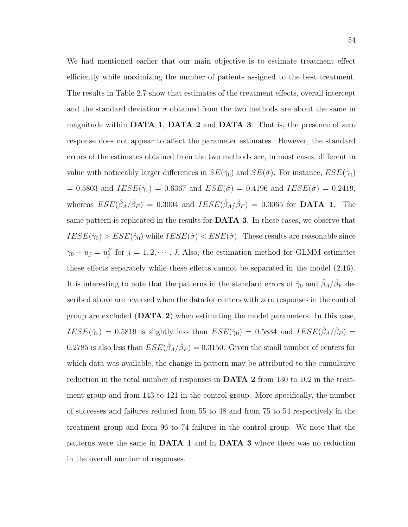We had mentioned earlier that our main objective is to estimate treatment effect efficiently while maximizing the number of patients assigned to the best treatment. The results in Table 2.7 show that estimates of the treatment effects, overall intercept and the standard deviation  $\sigma$  obtained from the two methods are about the same in magnitude within DATA 1, DATA 2 and DATA 3. That is, the presence of zero response does not appear to affect the parameter estimates. However, the standard errors of the estimates obtained from the two methods are, in most cases, different in value with noticeably larger differences in  $SE(\hat{\gamma}_0)$  and  $SE(\hat{\sigma})$ . For instance,  $ESE(\hat{\gamma}_0)$  $= 0.5803$  and  $IESE(\hat{\gamma}_0) = 0.6367$  and  $ESE(\hat{\sigma}) = 0.4196$  and  $IESE(\hat{\sigma}) = 0.2419$ , whereas  $ESE(\hat{\beta}_A/\hat{\beta}_F) = 0.3004$  and  $IESE(\hat{\beta}_A/\hat{\beta}_F) = 0.3065$  for **DATA 1**. The same pattern is replicated in the results for DATA 3. In these cases, we observe that  $IESE(\hat{\gamma}_0) > ESE(\hat{\gamma}_0)$  while  $IESE(\hat{\sigma}) < ESE(\hat{\sigma})$ . These results are reasonable since  $\gamma_0 + u_j = u_j^F$  for  $j = 1, 2, \dots, J$ . Also, the estimation method for GLMM estimates these effects separately while these effects cannot be separated in the model (2.16). It is interesting to note that the patterns in the standard errors of  $\hat{\gamma}_0$  and  $\hat{\beta}_A/\hat{\beta}_F$  described above are reversed when the data for centers with zero responses in the control group are excluded (DATA 2) when estimating the model parameters. In this case,  $IESE(\hat{\gamma}_0) = 0.5819$  is slightly less than  $ESE(\hat{\gamma}_0) = 0.5834$  and  $IESE(\hat{\beta}_A/\hat{\beta}_F) =$ 0.2785 is also less than  $ESE(\hat{\beta}_A/\hat{\beta}_F) = 0.3150$ . Given the small number of centers for

which data was available, the change in pattern may be attributed to the cumulative reduction in the total number of responses in DATA 2 from 130 to 102 in the treatment group and from 143 to 121 in the control group. More specifically, the number of successes and failures reduced from 55 to 48 and from 75 to 54 respectively in the treatment group and from 96 to 74 failures in the control group. We note that the patterns were the same in DATA 1 and in DATA 3 where there was no reduction in the overall number of responses.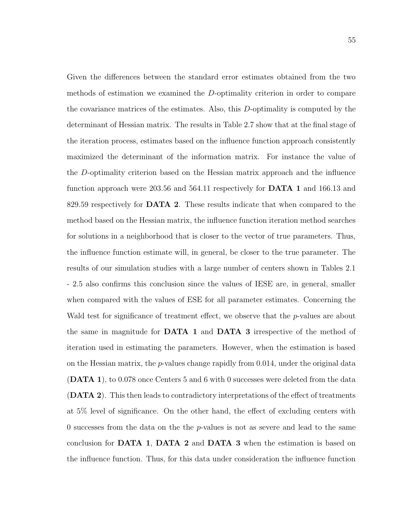Given the differences between the standard error estimates obtained from the two methods of estimation we examined the D-optimality criterion in order to compare the covariance matrices of the estimates. Also, this D-optimality is computed by the determinant of Hessian matrix. The results in Table 2.7 show that at the final stage of the iteration process, estimates based on the influence function approach consistently maximized the determinant of the information matrix. For instance the value of the D-optimality criterion based on the Hessian matrix approach and the influence function approach were 203.56 and 564.11 respectively for DATA 1 and 166.13 and 829.59 respectively for **DATA 2**. These results indicate that when compared to the method based on the Hessian matrix, the influence function iteration method searches for solutions in a neighborhood that is closer to the vector of true parameters. Thus, the influence function estimate will, in general, be closer to the true parameter. The results of our simulation studies with a large number of centers shown in Tables 2.1 - 2.5 also confirms this conclusion since the values of IESE are, in general, smaller when compared with the values of ESE for all parameter estimates. Concerning the Wald test for significance of treatment effect, we observe that the *p*-values are about the same in magnitude for DATA 1 and DATA 3 irrespective of the method of iteration used in estimating the parameters. However, when the estimation is based on the Hessian matrix, the  $p$ -values change rapidly from 0.014, under the original data (DATA 1), to 0.078 once Centers 5 and 6 with 0 successes were deleted from the data (DATA 2). This then leads to contradictory interpretations of the effect of treatments at 5% level of significance. On the other hand, the effect of excluding centers with 0 successes from the data on the the p-values is not as severe and lead to the same conclusion for DATA 1, DATA 2 and DATA 3 when the estimation is based on the influence function. Thus, for this data under consideration the influence function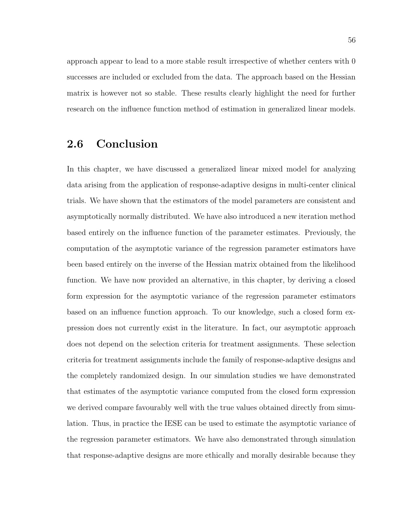approach appear to lead to a more stable result irrespective of whether centers with 0 successes are included or excluded from the data. The approach based on the Hessian matrix is however not so stable. These results clearly highlight the need for further research on the influence function method of estimation in generalized linear models.

#### 2.6 Conclusion

In this chapter, we have discussed a generalized linear mixed model for analyzing data arising from the application of response-adaptive designs in multi-center clinical trials. We have shown that the estimators of the model parameters are consistent and asymptotically normally distributed. We have also introduced a new iteration method based entirely on the influence function of the parameter estimates. Previously, the computation of the asymptotic variance of the regression parameter estimators have been based entirely on the inverse of the Hessian matrix obtained from the likelihood function. We have now provided an alternative, in this chapter, by deriving a closed form expression for the asymptotic variance of the regression parameter estimators based on an influence function approach. To our knowledge, such a closed form expression does not currently exist in the literature. In fact, our asymptotic approach does not depend on the selection criteria for treatment assignments. These selection criteria for treatment assignments include the family of response-adaptive designs and the completely randomized design. In our simulation studies we have demonstrated that estimates of the asymptotic variance computed from the closed form expression we derived compare favourably well with the true values obtained directly from simulation. Thus, in practice the IESE can be used to estimate the asymptotic variance of the regression parameter estimators. We have also demonstrated through simulation that response-adaptive designs are more ethically and morally desirable because they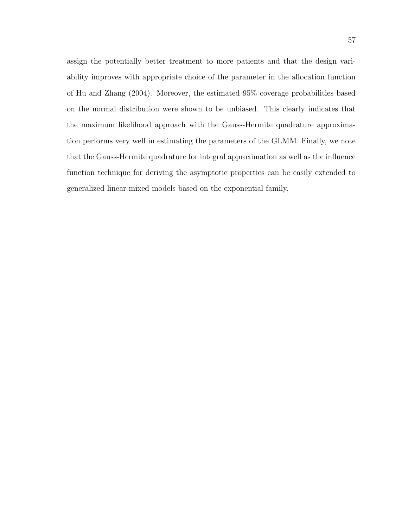assign the potentially better treatment to more patients and that the design variability improves with appropriate choice of the parameter in the allocation function of Hu and Zhang (2004). Moreover, the estimated 95% coverage probabilities based on the normal distribution were shown to be unbiased. This clearly indicates that the maximum likelihood approach with the Gauss-Hermite quadrature approximation performs very well in estimating the parameters of the GLMM. Finally, we note that the Gauss-Hermite quadrature for integral approximation as well as the influence function technique for deriving the asymptotic properties can be easily extended to generalized linear mixed models based on the exponential family.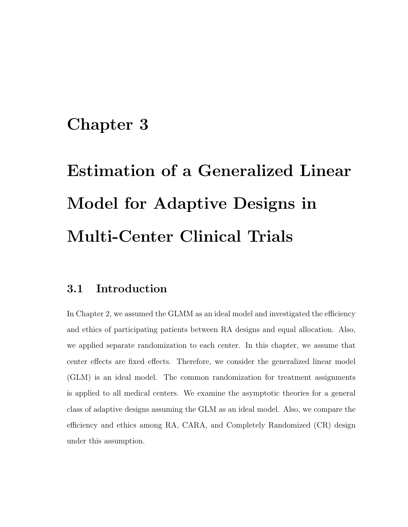### Chapter 3

# Estimation of a Generalized Linear Model for Adaptive Designs in Multi-Center Clinical Trials

#### 3.1 Introduction

In Chapter 2, we assumed the GLMM as an ideal model and investigated the efficiency and ethics of participating patients between RA designs and equal allocation. Also, we applied separate randomization to each center. In this chapter, we assume that center effects are fixed effects. Therefore, we consider the generalized linear model (GLM) is an ideal model. The common randomization for treatment assignments is applied to all medical centers. We examine the asymptotic theories for a general class of adaptive designs assuming the GLM as an ideal model. Also, we compare the efficiency and ethics among RA, CARA, and Completely Randomized (CR) design under this assumption.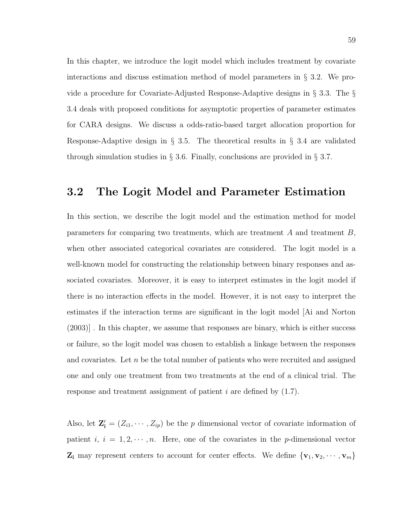In this chapter, we introduce the logit model which includes treatment by covariate interactions and discuss estimation method of model parameters in § 3.2. We provide a procedure for Covariate-Adjusted Response-Adaptive designs in § 3.3. The § 3.4 deals with proposed conditions for asymptotic properties of parameter estimates for CARA designs. We discuss a odds-ratio-based target allocation proportion for Response-Adaptive design in § 3.5. The theoretical results in § 3.4 are validated through simulation studies in § 3.6. Finally, conclusions are provided in § 3.7.

#### 3.2 The Logit Model and Parameter Estimation

In this section, we describe the logit model and the estimation method for model parameters for comparing two treatments, which are treatment  $A$  and treatment  $B$ , when other associated categorical covariates are considered. The logit model is a well-known model for constructing the relationship between binary responses and associated covariates. Moreover, it is easy to interpret estimates in the logit model if there is no interaction effects in the model. However, it is not easy to interpret the estimates if the interaction terms are significant in the logit model [Ai and Norton (2003)] . In this chapter, we assume that responses are binary, which is either success or failure, so the logit model was chosen to establish a linkage between the responses and covariates. Let  $n$  be the total number of patients who were recruited and assigned one and only one treatment from two treatments at the end of a clinical trial. The response and treatment assignment of patient  $i$  are defined by  $(1.7)$ .

Also, let  $\mathbf{Z}'_i = (Z_{i1}, \dots, Z_{ip})$  be the p dimensional vector of covariate information of patient i,  $i = 1, 2, \dots, n$ . Here, one of the covariates in the p-dimensional vector  $\mathbf{Z}_i$  may represent centers to account for center effects. We define  $\{v_1, v_2, \cdots, v_m\}$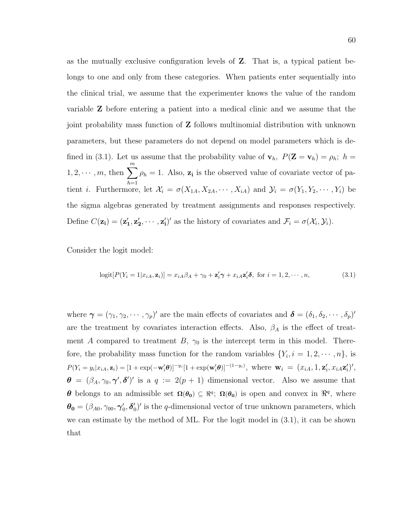as the mutually exclusive configuration levels of Z. That is, a typical patient belongs to one and only from these categories. When patients enter sequentially into the clinical trial, we assume that the experimenter knows the value of the random variable Z before entering a patient into a medical clinic and we assume that the joint probability mass function of Z follows multinomial distribution with unknown parameters, but these parameters do not depend on model parameters which is defined in (3.1). Let us assume that the probability value of  $\mathbf{v}_h$ ,  $P(\mathbf{Z} = \mathbf{v}_h) = \rho_h$ ;  $h =$  $1, 2, \cdots, m$ , then  $\sum_{m=1}^{m}$  $h=1$  $\rho_h = 1$ . Also,  $z_i$  is the observed value of covariate vector of patient *i*. Furthermore, let  $\mathcal{X}_i = \sigma(X_{1A}, X_{2A}, \cdots, X_{iA})$  and  $\mathcal{Y}_i = \sigma(Y_1, Y_2, \cdots, Y_i)$  be the sigma algebras generated by treatment assignments and responses respectively. Define  $C(\mathbf{z_i}) = (\mathbf{z'_1}, \mathbf{z'_2}, \cdots, \mathbf{z'_i})'$  as the history of covariates and  $\mathcal{F}_i = \sigma(\mathcal{X}_i, \mathcal{Y}_i)$ .

Consider the logit model:

$$
logit[P(Y_i = 1|x_{iA}, \mathbf{z}_i)] = x_{iA}\beta_A + \gamma_0 + \mathbf{z}_i'\boldsymbol{\gamma} + x_{iA}\mathbf{z}_i'\boldsymbol{\delta}, \text{ for } i = 1, 2, \cdots, n,
$$
\n(3.1)

where  $\boldsymbol{\gamma} = (\gamma_1, \gamma_2, \cdots, \gamma_p)'$  are the main effects of covariates and  $\boldsymbol{\delta} = (\delta_1, \delta_2, \cdots, \delta_p)'$ are the treatment by covariates interaction effects. Also,  $\beta_A$  is the effect of treatment A compared to treatment B,  $\gamma_0$  is the intercept term in this model. Therefore, the probability mass function for the random variables  $\{Y_i, i = 1, 2, \dots, n\}$ , is  $P(Y_i = y_i | x_{iA}, \mathbf{z}_i) = [1 + \exp(-\mathbf{w}_i' \boldsymbol{\theta})]^{-y_i} [1 + \exp(\mathbf{w}_i' \boldsymbol{\theta})]^{-(1-y_i)},$  where  $\mathbf{w}_i = (x_{iA}, 1, \mathbf{z}_i', x_{iA} \mathbf{z}_i')',$  $\theta = (\beta_A, \gamma_0, \gamma', \delta')'$  is a  $q := 2(p + 1)$  dimensional vector. Also we assume that **θ** belongs to an admissible set  $\Omega(\theta_0) \subseteq \mathbb{R}^q$ ;  $\Omega(\theta_0)$  is open and convex in  $\mathbb{R}^q$ , where  $\boldsymbol{\theta_0} = (\beta_{A0}, \gamma_{00}, \boldsymbol{\gamma}_0', \boldsymbol{\delta}_0'$  $\eta_0$ <sup>'</sup> is the q-dimensional vector of true unknown parameters, which we can estimate by the method of ML. For the logit model in (3.1), it can be shown that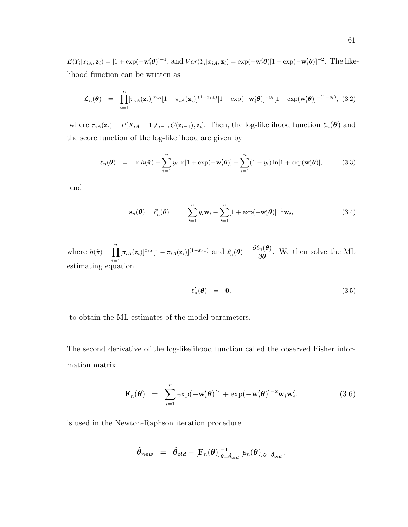$E(Y_i|x_{iA}, \mathbf{z}_i) = [1 + \exp(-\mathbf{w}_i'\boldsymbol{\theta})]^{-1}$ , and  $Var(Y_i|x_{iA}, \mathbf{z}_i) = \exp(-\mathbf{w}_i'\boldsymbol{\theta})[1 + \exp(-\mathbf{w}_i'\boldsymbol{\theta})]^{-2}$ . The likelihood function can be written as

$$
\mathcal{L}_n(\theta) = \prod_{i=1}^n [\pi_{iA}(\mathbf{z}_i)]^{x_{iA}} [1 - \pi_{iA}(\mathbf{z}_i)]^{(1 - x_{iA})} [1 + \exp(-\mathbf{w}'_i \theta)]^{-y_i} [1 + \exp(\mathbf{w}'_i \theta)]^{-(1 - y_i)},
$$
(3.2)

where  $\pi_{iA}(\mathbf{z}_i) = P[X_{iA} = 1 | \mathcal{F}_{i-1}, C(\mathbf{z_{i-1}}), \mathbf{z}_i].$  Then, the log-likelihood function  $\ell_n(\boldsymbol{\theta})$  and the score function of the log-likelihood are given by

$$
\ell_n(\boldsymbol{\theta}) = \ln h(\tilde{\pi}) - \sum_{i=1}^n y_i \ln[1 + \exp(-\mathbf{w}_i'\boldsymbol{\theta})] - \sum_{i=1}^n (1 - y_i) \ln[1 + \exp(\mathbf{w}_i'\boldsymbol{\theta})], \tag{3.3}
$$

and

$$
\mathbf{s}_n(\boldsymbol{\theta}) = \ell'_n(\boldsymbol{\theta}) = \sum_{i=1}^n y_i \mathbf{w}_i - \sum_{i=1}^n [1 + \exp(-\mathbf{w}'_i \boldsymbol{\theta})]^{-1} \mathbf{w}_i,
$$
(3.4)

where  $h(\tilde{\pi}) = \prod_{n=1}^{\infty}$  $i=1$  $[\pi_{iA}(\mathbf{z}_i)]^{x_{iA}}[1-\pi_{iA}(\mathbf{z}_i)]^{(1-x_{iA})}$  and  $\ell'_n(\boldsymbol{\theta}) = \frac{\partial \ell_n(\boldsymbol{\theta})}{\partial \boldsymbol{\theta}}$ . We then solve the ML estimating equation

$$
\ell_n'(\boldsymbol{\theta}) = \mathbf{0},\tag{3.5}
$$

to obtain the ML estimates of the model parameters.

The second derivative of the log-likelihood function called the observed Fisher information matrix

$$
\mathbf{F}_n(\boldsymbol{\theta}) = \sum_{i=1}^n \exp(-\mathbf{w}_i' \boldsymbol{\theta}) [1 + \exp(-\mathbf{w}_i' \boldsymbol{\theta})]^{-2} \mathbf{w}_i \mathbf{w}_i'.
$$
 (3.6)

is used in the Newton-Raphson iteration procedure

$$
\hat{\boldsymbol{\theta}}_{\boldsymbol{new}}\;\;=\;\;\hat{\boldsymbol{\theta}}_{\boldsymbol{old}}+[\mathbf{F}_{n}(\boldsymbol{\theta})]_{\boldsymbol{\theta}=\hat{\boldsymbol{\theta}}_{\boldsymbol{old}}}^{-1}\left[\mathbf{s}_{n}(\boldsymbol{\theta})\right]_{\boldsymbol{\theta}=\hat{\boldsymbol{\theta}}_{\boldsymbol{old}}},
$$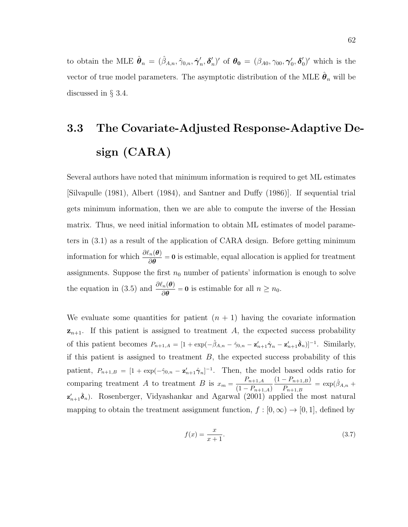to obtain the MLE  $\hat{\boldsymbol{\theta}}_n = (\hat{\beta}_{A,n}, \hat{\gamma}_{0,n}, \hat{\boldsymbol{\gamma}}_n)$  $_n',\boldsymbol{\delta}_n'$ <sup>'</sup><sub>n</sub>)' of **θ**<sub>0</sub> = (β<sub>A0</sub>, γ<sub>00</sub>, γ'<sub>0</sub>, δ'<sub>(</sub>  $_{0}^{\prime})^{\prime}$  which is the vector of true model parameters. The asymptotic distribution of the MLE  $\hat{\theta}_n$  will be discussed in § 3.4.

## 3.3 The Covariate-Adjusted Response-Adaptive Design (CARA)

Several authors have noted that minimum information is required to get ML estimates [Silvapulle (1981), Albert (1984), and Santner and Duffy (1986)]. If sequential trial gets minimum information, then we are able to compute the inverse of the Hessian matrix. Thus, we need initial information to obtain ML estimates of model parameters in (3.1) as a result of the application of CARA design. Before getting minimum information for which  $\frac{\partial \ell_n(\theta)}{\partial \theta} = 0$  is estimable, equal allocation is applied for treatment assignments. Suppose the first  $n_0$  number of patients' information is enough to solve the equation in (3.5) and  $\frac{\partial \ell_n(\boldsymbol{\theta})}{\partial \boldsymbol{\theta}} = \mathbf{0}$  is estimable for all  $n \ge n_0$ .

We evaluate some quantities for patient  $(n + 1)$  having the covariate information  $z_{n+1}$ . If this patient is assigned to treatment A, the expected success probability of this patient becomes  $P_{n+1,A} = [1 + \exp(-\hat{\beta}_{A,n} - \hat{\gamma}_{0,n} - \mathbf{z}_{n+1}'\hat{\boldsymbol{\gamma}}_n - \mathbf{z}_{n+1}'\hat{\boldsymbol{\delta}}_n)]^{-1}$ . Similarly, if this patient is assigned to treatment  $B$ , the expected success probability of this patient,  $P_{n+1,B} = [1 + \exp(-\hat{\gamma}_{0,n} - \mathbf{z}_{n+1}'\hat{\gamma}_n]^{-1}$ . Then, the model based odds ratio for comparing treatment A to treatment B is  $x_m = \frac{P_{n+1,A}}{P_{n+1,A}}$  $(1 - P_{n+1,A})$  $(1 - P_{n+1,B})$  $\frac{(n-1)(n+1,B)}{P_{n+1,B}} = \exp(\hat{\beta}_{A,n} + \hat{\beta}_{A,n})$  $\mathbf{z}_{n+1}'\hat{\boldsymbol{\delta}}_n$ ). Rosenberger, Vidyashankar and Agarwal (2001) applied the most natural mapping to obtain the treatment assignment function,  $f : [0, \infty) \to [0, 1]$ , defined by

$$
f(x) = \frac{x}{x+1}.\tag{3.7}
$$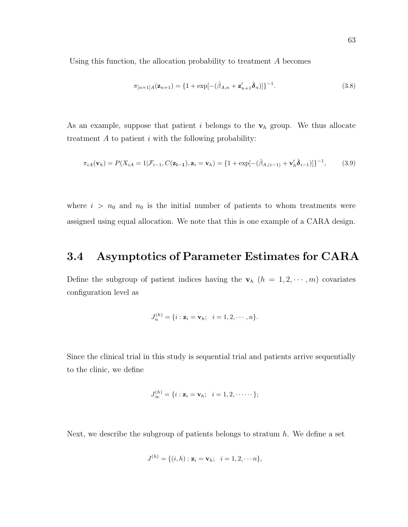Using this function, the allocation probability to treatment A becomes

$$
\pi_{[n+1]A}(\mathbf{z}_{n+1}) = \{1 + \exp[-(\hat{\beta}_{A,n} + \mathbf{z}_{n+1}'\hat{\boldsymbol{\delta}}_n)]\}^{-1}.
$$
\n(3.8)

As an example, suppose that patient i belongs to the  $v_h$  group. We thus allocate treatment  $A$  to patient  $i$  with the following probability:

$$
\pi_{iA}(\mathbf{v}_h) = P(X_{iA} = 1 | \mathcal{F}_{i-1}, C(\mathbf{z}_{i-1}), \mathbf{z}_i = \mathbf{v}_h) = \{1 + \exp[-(\hat{\beta}_{A,(i-1)} + \mathbf{v}_h' \hat{\boldsymbol{\delta}}_{i-1})]\}^{-1},
$$
(3.9)

where  $i > n_0$  and  $n_0$  is the initial number of patients to whom treatments were assigned using equal allocation. We note that this is one example of a CARA design.

#### 3.4 Asymptotics of Parameter Estimates for CARA

Define the subgroup of patient indices having the  $\mathbf{v}_h$   $(h = 1, 2, \dots, m)$  covariates configuration level as

$$
J_n^{(h)} = \{i : \mathbf{z}_i = \mathbf{v}_h; \ \ i = 1, 2, \cdots, n\}.
$$

Since the clinical trial in this study is sequential trial and patients arrive sequentially to the clinic, we define

$$
J_{\infty}^{(h)} = \{i : \mathbf{z}_i = \mathbf{v}_h; \ \ i = 1, 2, \cdots \}
$$

Next, we describe the subgroup of patients belongs to stratum  $h$ . We define a set

$$
J^{(h)} = \{(i, h) : \mathbf{z}_i = \mathbf{v}_h; \ \ i = 1, 2, \cdots n\},\
$$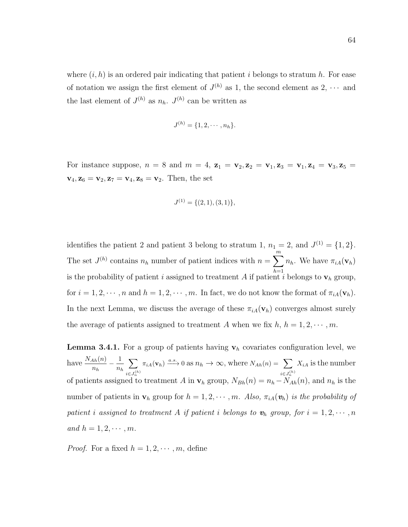where  $(i, h)$  is an ordered pair indicating that patient i belongs to stratum h. For ease of notation we assign the first element of  $J^{(h)}$  as 1, the second element as 2,  $\cdots$  and the last element of  $J^{(h)}$  as  $n_h$ .  $J^{(h)}$  can be written as

$$
J^{(h)} = \{1, 2, \cdots, n_h\}.
$$

For instance suppose,  $n = 8$  and  $m = 4$ ,  $z_1 = v_2$ ,  $z_2 = v_1$ ,  $z_3 = v_1$ ,  $z_4 = v_3$ ,  $z_5 = v_2$  $v_4, z_6 = v_2, z_7 = v_4, z_8 = v_2$ . Then, the set

$$
J^{(1)} = \{(2,1), (3,1)\},\
$$

identifies the patient 2 and patient 3 belong to stratum 1,  $n_1 = 2$ , and  $J^{(1)} = \{1, 2\}$ . The set  $J^{(h)}$  contains  $n_h$  number of patient indices with  $n = \sum_{h=1}^{m}$  $h=1$  $n_h$ . We have  $\pi_{iA}(\mathbf{v}_h)$ is the probability of patient i assigned to treatment A if patient i belongs to  $\mathbf{v}_h$  group, for  $i = 1, 2, \dots, n$  and  $h = 1, 2, \dots, m$ . In fact, we do not know the format of  $\pi_{iA}(\mathbf{v}_h)$ . In the next Lemma, we discuss the average of these  $\pi_{iA}(\mathbf{v}_h)$  converges almost surely the average of patients assigned to treatment A when we fix  $h, h = 1, 2, \cdots, m$ .

**Lemma 3.4.1.** For a group of patients having  $v_h$  covariates configuration level, we have  $\frac{N_{Ah}(n)}{n_h} - \frac{1}{n_h}$  $n_h$  $\sum$  $i \in J_n^{(h)}$  $\pi_{iA}(\mathbf{v}_h) \xrightarrow{a.s.} 0 \text{ as } n_h \to \infty, \text{ where } N_{Ah}(n) = \sum$  $i \in J_n^{(h)}$  $X_{iA}$  is the number of patients assigned to treatment A in  $\mathbf{v}_h$  group,  $N_{Bh}(n) = n_h - \tilde{N}_{Ah}(n)$ , and  $n_h$  is the number of patients in  $\mathbf{v}_h$  group for  $h = 1, 2, \cdots, m$ . Also,  $\pi_{iA}(\mathbf{v}_h)$  is the probability of patient i assigned to treatment A if patient i belongs to  $\mathbf{v}_h$  group, for  $i = 1, 2, \cdots, n$ and  $h = 1, 2, \cdots, m$ .

*Proof.* For a fixed  $h = 1, 2, \dots, m$ , define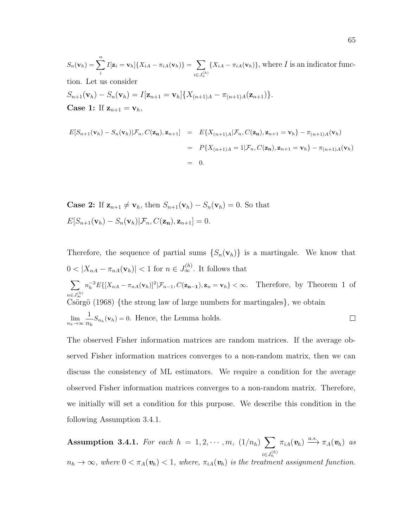$S_n(\mathbf{v}_h) = \sum_{n=1}^{n}$ i  $I[\mathbf{z}_i = \mathbf{v}_h] \{ X_{iA} - \pi_{iA}(\mathbf{v}_h) \} = \sum_{i=1}^{n}$  $i \in J_n^{(h)}$  ${X_{iA} - \pi_{iA}(\mathbf{v}_h)}$ , where *I* is an indicator function. Let us consider  $S_{n+1}(\mathbf{v}_h) - S_n(\mathbf{v}_h) = I[\mathbf{z}_{n+1} = \mathbf{v}_h] \{ X_{(n+1)A} - \pi_{(n+1)A}(\mathbf{z}_{n+1}) \}.$ **Case 1:** If  $z_{n+1} = v_h$ ,

$$
E[S_{n+1}(\mathbf{v}_h) - S_n(\mathbf{v}_h)|\mathcal{F}_n, C(\mathbf{z_n}), \mathbf{z}_{n+1}] = E\{X_{(n+1)A}|\mathcal{F}_n, C(\mathbf{z_n}), \mathbf{z}_{n+1} = \mathbf{v}_h\} - \pi_{(n+1)A}(\mathbf{v}_h)
$$
  
=  $P\{X_{(n+1)A} = 1|\mathcal{F}_n, C(\mathbf{z_n}), \mathbf{z}_{n+1} = \mathbf{v}_h\} - \pi_{(n+1)A}(\mathbf{v}_h)$   
= 0.

**Case 2:** If  $z_{n+1} \neq v_h$ , then  $S_{n+1}(v_h) - S_n(v_h) = 0$ . So that  $E[S_{n+1}(\mathbf{v}_h) - S_n(\mathbf{v}_h)|\mathcal{F}_n, C(\mathbf{z_n}), \mathbf{z}_{n+1}] = 0.$ 

Therefore, the sequence of partial sums  $\{S_n(\mathbf{v}_h)\}\$ is a martingale. We know that  $0 < |X_{nA} - \pi_{nA}(\mathbf{v}_h)| < 1$  for  $n \in J_\infty^{(h)}$ . It follows that  $\sum$  $n_h^{-2} E\{[X_{nA} - \pi_{nA}(\mathbf{v}_h)]^2 | \mathcal{F}_{n-1}, C(\mathbf{z_{n-1}}), \mathbf{z}_n = \mathbf{v}_h\} < \infty$ . Therefore, by Theorem 1 of  $n \in J_\infty^{(h)}$ Csörgö (1968) {the strong law of large numbers for martingales}, we obtain  $\lim_{n_h\to\infty}\frac{1}{n_l}$  $\frac{1}{n_h}S_{n_h}(\mathbf{v}_h)=0.$  Hence, the Lemma holds.  $\Box$ 

The observed Fisher information matrices are random matrices. If the average observed Fisher information matrices converges to a non-random matrix, then we can discuss the consistency of ML estimators. We require a condition for the average observed Fisher information matrices converges to a non-random matrix. Therefore, we initially will set a condition for this purpose. We describe this condition in the following Assumption 3.4.1.

Assumption 3.4.1. For each  $h = 1, 2, \cdots, m, (1/n_h)$  $i \in J_n^{(h)}$  $n_h \to \infty$ , where  $0 < \pi_A(\mathbf{v}_h) < 1$ , where,  $\pi_{iA}(\mathbf{v}_h)$  is the treatment assignment function.  $\pi_{iA}(\mathbf{v}_h) \stackrel{a.s.}{\longrightarrow} \pi_A(\mathbf{v}_h)$  as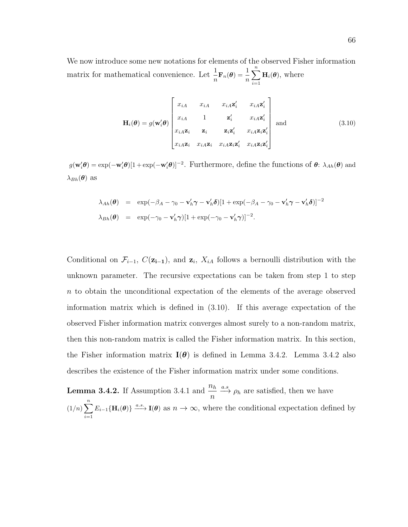We now introduce some new notations for elements of the observed Fisher information matrix for mathematical convenience. Let  $\frac{1}{n} \mathbf{F}_n(\theta) = \frac{1}{n}$  $\sum_{n=1}^{\infty}$  $i=1$  $H_i(\theta)$ , where

$$
\mathbf{H}_{i}(\boldsymbol{\theta}) = g(\mathbf{w}_{i}^{\prime}\boldsymbol{\theta}) \begin{bmatrix} x_{iA} & x_{iA} & x_{iA}\mathbf{z}_{i}^{\prime} & x_{iA}\mathbf{z}_{i}^{\prime} \\ x_{iA} & 1 & \mathbf{z}_{i}^{\prime} & x_{iA}\mathbf{z}_{i}^{\prime} \\ x_{iA}\mathbf{z}_{i} & \mathbf{z}_{i} & \mathbf{z}_{i}\mathbf{z}_{i}^{\prime} & x_{iA}\mathbf{z}_{i}\mathbf{z}_{i}^{\prime} \\ x_{iA}\mathbf{z}_{i} & x_{iA}\mathbf{z}_{i} & x_{iA}\mathbf{z}_{i}\mathbf{z}_{i}^{\prime} & x_{iA}\mathbf{z}_{i}\mathbf{z}_{i}^{\prime} \end{bmatrix} \text{ and } (3.10)
$$

 $g(\mathbf{w}_i'\boldsymbol{\theta}) = \exp(-\mathbf{w}_i'\boldsymbol{\theta})[1 + \exp(-\mathbf{w}_i'\boldsymbol{\theta})]^{-2}$ . Furthermore, define the functions of  $\boldsymbol{\theta}$ :  $\lambda_{Ah}(\boldsymbol{\theta})$  and  $\lambda_{Bh}(\boldsymbol{\theta})$  as

$$
\lambda_{Ah}(\boldsymbol{\theta}) = \exp(-\beta_A - \gamma_0 - \mathbf{v}'_h \boldsymbol{\gamma} - \mathbf{v}'_h \boldsymbol{\delta})[1 + \exp(-\beta_A - \gamma_0 - \mathbf{v}'_h \boldsymbol{\gamma} - \mathbf{v}'_h \boldsymbol{\delta})]^{-2}
$$
  

$$
\lambda_{Bh}(\boldsymbol{\theta}) = \exp(-\gamma_0 - \mathbf{v}'_h \boldsymbol{\gamma})[1 + \exp(-\gamma_0 - \mathbf{v}'_h \boldsymbol{\gamma})]^{-2}.
$$

Conditional on  $\mathcal{F}_{i-1}$ ,  $C(\mathbf{z}_{i-1})$ , and  $\mathbf{z}_i$ ,  $X_{iA}$  follows a bernoulli distribution with the unknown parameter. The recursive expectations can be taken from step 1 to step n to obtain the unconditional expectation of the elements of the average observed information matrix which is defined in (3.10). If this average expectation of the observed Fisher information matrix converges almost surely to a non-random matrix, then this non-random matrix is called the Fisher information matrix. In this section, the Fisher information matrix  $I(\theta)$  is defined in Lemma 3.4.2. Lemma 3.4.2 also describes the existence of the Fisher information matrix under some conditions.

**Lemma 3.4.2.** If Assumption 3.4.1 and  $\frac{n_h}{n_h}$  $\frac{\partial h}{\partial n} \xrightarrow{a.s} \rho_h$  are satisfied, then we have  $\frac{n}{\sum_{n=1}^{n}}$  $i=1$  $E_{i-1}\{\mathbf{H}_i(\theta)\}\stackrel{a.s.}{\longrightarrow}\mathbf{I}(\theta)$  as  $n\to\infty$ , where the conditional expectation defined by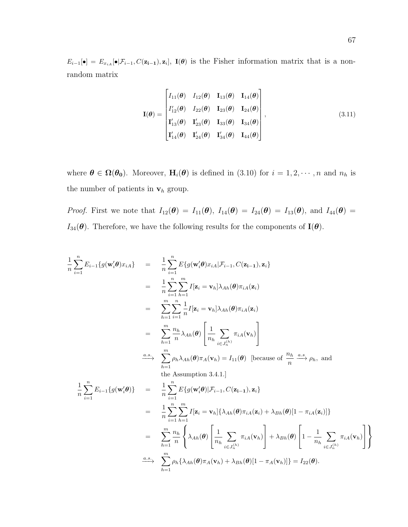$E_{i-1}[\bullet] = E_{x_{iA}}[\bullet] \mathcal{F}_{i-1}, C(\mathbf{z_{i-1}}), \mathbf{z}_i], \mathbf{I}(\theta)$  is the Fisher information matrix that is a nonrandom matrix

$$
\mathbf{I}(\theta) = \begin{bmatrix} I_{11}(\theta) & I_{12}(\theta) & \mathbf{I}_{13}(\theta) & \mathbf{I}_{14}(\theta) \\ I'_{12}(\theta) & I_{22}(\theta) & \mathbf{I}_{23}(\theta) & \mathbf{I}_{24}(\theta) \\ \mathbf{I'_{13}}(\theta) & \mathbf{I'_{23}}(\theta) & \mathbf{I}_{33}(\theta) & \mathbf{I}_{34}(\theta) \\ \mathbf{I'_{14}}(\theta) & \mathbf{I'_{24}}(\theta) & \mathbf{I'_{34}}(\theta) & \mathbf{I}_{44}(\theta) \end{bmatrix},
$$
\n(3.11)

where  $\boldsymbol{\theta} \in \Omega(\boldsymbol{\theta_0})$ . Moreover,  $\mathbf{H}_i(\boldsymbol{\theta})$  is defined in (3.10) for  $i = 1, 2, \dots, n$  and  $n_h$  is the number of patients in  $v_h$  group.

*Proof.* First we note that  $I_{12}(\boldsymbol{\theta}) = I_{11}(\boldsymbol{\theta})$ ,  $I_{14}(\boldsymbol{\theta}) = I_{24}(\boldsymbol{\theta}) = I_{13}(\boldsymbol{\theta})$ , and  $I_{44}(\boldsymbol{\theta}) =$  $I_{34}(\theta)$ . Therefore, we have the following results for the components of  $I(\theta)$ .

$$
\frac{1}{n}\sum_{i=1}^{n} E_{i-1}\{g(\mathbf{w}'_{i}\boldsymbol{\theta})x_{iA}\} = \frac{1}{n}\sum_{i=1}^{n} E\{g(\mathbf{w}'_{i}\boldsymbol{\theta})x_{iA}|\mathcal{F}_{i-1}, C(\mathbf{z}_{i-1}), \mathbf{z}_{i}\}
$$
\n
$$
= \frac{1}{n}\sum_{i=1}^{n}\sum_{h=1}^{m} I[\mathbf{z}_{i} = \mathbf{v}_{h}] \lambda_{Ah}(\boldsymbol{\theta})\pi_{iA}(\mathbf{z}_{i})
$$
\n
$$
= \sum_{h=1}^{m}\sum_{i=1}^{n} \frac{1}{n} I[\mathbf{z}_{i} = \mathbf{v}_{h}] \lambda_{Ah}(\boldsymbol{\theta})\pi_{iA}(\mathbf{z}_{i})
$$
\n
$$
= \sum_{h=1}^{m}\sum_{n} \frac{1}{n} I[\mathbf{z}_{i} = \mathbf{v}_{h}] \lambda_{Ah}(\boldsymbol{\theta})\pi_{iA}(\mathbf{z}_{i})
$$
\n
$$
= \sum_{h=1}^{m} \frac{n_{h}}{n} \lambda_{Ah}(\boldsymbol{\theta}) \left[\frac{1}{n_{h}} \sum_{i \in J_{n}^{(h)}} \pi_{iA}(\mathbf{v}_{h})\right]
$$
\n
$$
\xrightarrow{\text{dis.}} \sum_{h=1}^{m} \rho_{h} \lambda_{Ah}(\boldsymbol{\theta})\pi_{A}(\mathbf{v}_{h}) = I_{11}(\boldsymbol{\theta}) \text{ [because of } \frac{n_{h}}{n} \xrightarrow{a.s.} \rho_{h}, \text{ and the assumption 3.4.1.]}
$$
\n
$$
\frac{1}{n} \sum_{i=1}^{n} E_{i-1}\{g(\mathbf{w}'_{i}\boldsymbol{\theta})\} = \frac{1}{n} \sum_{i=1}^{n} E\{g(\mathbf{w}'_{i}\boldsymbol{\theta})|\mathcal{F}_{i-1}, C(\mathbf{z}_{i-1}), \mathbf{z}_{i}\}
$$
\n
$$
= \frac{1}{n} \sum_{i=1}^{n} \sum_{h=1}^{m} I[\mathbf{z}_{i} = \mathbf{v}_{h}]\{\lambda_{Ah}(\boldsymbol{\theta})\pi_{iA}(\mathbf{z}_{i}) + \lambda_{Bh}(\boldsymbol{\theta})[1 - \pi_{iA}(\
$$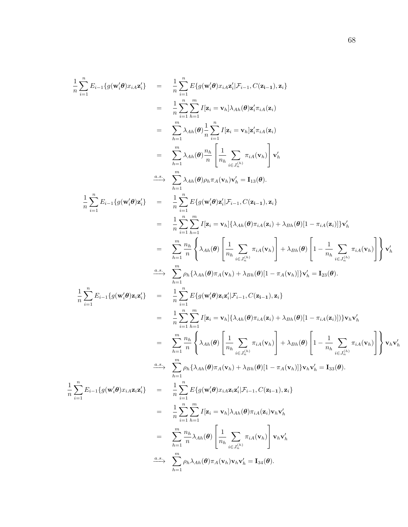$$
\frac{1}{n}\sum_{i=1}^{n}E_{i-1}\{g(\mathbf{w}_{i}^{\prime}\theta)x_{i}x_{i}^{\prime}\} = \frac{1}{n}\sum_{i=1}^{n}E\{g(\mathbf{w}_{i}^{\prime}\theta)x_{i}x_{i}^{\prime}| \mathcal{F}_{i-1},C(\mathbf{z}_{i-1}),\mathbf{z}_{i}\}\n= \frac{1}{n}\sum_{i=1}^{n}E\{g(\mathbf{w}_{i}^{\prime}\theta)x_{i}x_{i}^{\prime}| \mathcal{F}_{i-1},C(\mathbf{z}_{i-1}),\mathbf{z}_{i}\}\n= \sum_{h=1}^{m}\lambda_{Ah}(\theta)\frac{1}{n}\sum_{i=1}^{n}I[\mathbf{z}_{i}=\mathbf{v}_{h}]\lambda_{Ah}(\theta)\mathbf{z}_{i}^{\prime}\pi_{iA}(\mathbf{z}_{i})\n= \sum_{h=1}^{m}\lambda_{Ah}(\theta)\frac{n_{h}}{n}\left[\frac{1}{n_{h}}\sum_{i=1}^{n}\pi_{iA}(\mathbf{v}_{h})\right]\mathbf{v}_{h}^{\prime}\n\leq \frac{a.s}{n}\sum_{i=1}^{m}\lambda_{Ah}(\theta)n_{h}\pi_{A}(\mathbf{v}_{h})\mathbf{v}_{h}^{\prime} = \mathbf{I}_{13}(\theta).
$$
\n
$$
\frac{1}{n}\sum_{i=1}^{n}E_{i-1}\{g(\mathbf{w}_{i}^{\prime}\theta)\mathbf{z}_{i}^{\prime}\} = \frac{1}{n}\sum_{i=1}^{n}E\{g(\mathbf{w}^{\prime}\theta)\mathbf{z}_{i}^{\prime}|\mathcal{F}_{i-1},C(\mathbf{z}_{i-1}),\mathbf{z}_{i}\}\n= \frac{1}{n}\sum_{i=1}^{n}\sum_{h=1}^{n}I[\mathbf{z}_{i}=\mathbf{v}_{h}|\{\lambda_{Ah}(\theta)\pi_{iA}(\mathbf{z}_{i})+\lambda_{Bh}(\theta)[1-\pi_{iA}(\mathbf{z}_{i})]\}\mathbf{v}_{h}^{\prime}\n= \sum_{h=1}^{m}\sum_{i=1}^{m}p_{h}\{\lambda_{Ah}(\theta)\pi_{h}(\mathbf{v}_{h})+\lambda_{Bh}(\theta)[1-\pi_{A}(\mathbf{z}_{i})]\}\mathbf{v}_{h}^{\prime} = \mathbf{I}_{23}(\theta).
$$
\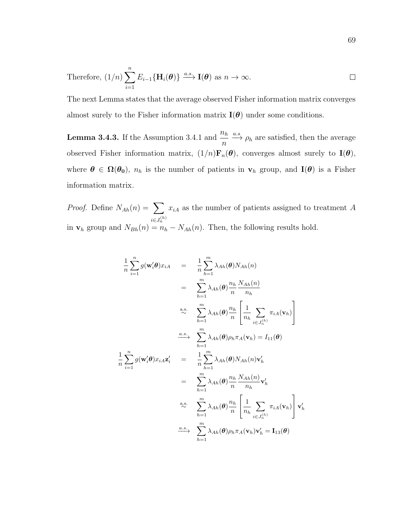Therefore, 
$$
(1/n) \sum_{i=1}^{n} E_{i-1} \{ \mathbf{H}_i(\boldsymbol{\theta}) \} \xrightarrow{a.s.} \mathbf{I}(\boldsymbol{\theta}) \text{ as } n \to \infty.
$$

The next Lemma states that the average observed Fisher information matrix converges almost surely to the Fisher information matrix  $\mathbf{I}(\boldsymbol{\theta})$  under some conditions.

**Lemma 3.4.3.** If the Assumption 3.4.1 and  $\frac{n_h}{n}$  $\frac{\partial h}{\partial n} \xrightarrow{a.s} \rho_h$  are satisfied, then the average observed Fisher information matrix,  $(1/n)\mathbf{F}_n(\boldsymbol{\theta})$ , converges almost surely to  $\mathbf{I}(\boldsymbol{\theta})$ , where  $\theta \in \Omega(\theta_0)$ ,  $n_h$  is the number of patients in  $v_h$  group, and  $I(\theta)$  is a Fisher information matrix.

*Proof.* Define  $N_{Ah}(n) = \sum$  $i \in J_n^{(h)}$  $x_{iA}$  as the number of patients assigned to treatment A in  $\mathbf{v}_h$  group and  $N_{Bh}(n) = n_h - N_{Ah}(n)$ . Then, the following results hold.

$$
\frac{1}{n} \sum_{i=1}^{n} g(\mathbf{w}'_{i} \theta) x_{iA} = \frac{1}{n} \sum_{h=1}^{m} \lambda_{Ah}(\theta) N_{Ah}(n)
$$
\n
$$
= \sum_{h=1}^{m} \lambda_{Ah}(\theta) \frac{n_{h}}{n} \frac{N_{Ah}(n)}{n_{h}}
$$
\n
$$
\stackrel{a.s.}{\sim} \sum_{h=1}^{m} \lambda_{Ah}(\theta) \frac{n_{h}}{n} \left[ \frac{1}{n_{h}} \sum_{i \in J_{n}^{(h)}} \pi_{iA}(\mathbf{v}_{h}) \right]
$$
\n
$$
\stackrel{a.s.}{\longrightarrow} \sum_{h=1}^{m} \lambda_{Ah}(\theta) \rho_{h} \pi_{A}(\mathbf{v}_{h}) = I_{11}(\theta)
$$
\n
$$
\frac{1}{n} \sum_{i=1}^{n} g(\mathbf{w}'_{i} \theta) x_{iA} \mathbf{z}'_{i} = \frac{1}{n} \sum_{h=1}^{m} \lambda_{Ah}(\theta) N_{Ah}(n) \mathbf{v}'_{h}
$$
\n
$$
= \sum_{h=1}^{m} \lambda_{Ah}(\theta) \frac{n_{h}}{n} \frac{N_{Ah}(n)}{n_{h}} \mathbf{v}'_{h}
$$
\n
$$
\stackrel{a.s.}{\sim} \sum_{h=1}^{m} \lambda_{Ah}(\theta) \frac{n_{h}}{n} \left[ \frac{1}{n_{h}} \sum_{i \in J_{n}^{(h)}} \pi_{iA}(\mathbf{v}_{h}) \right] \mathbf{v}'_{h}
$$
\n
$$
\stackrel{a.s.}{\longrightarrow} \sum_{h=1}^{m} \lambda_{Ah}(\theta) \rho_{h} \pi_{A}(\mathbf{v}_{h}) \mathbf{v}'_{h} = \mathbf{I}_{13}(\theta)
$$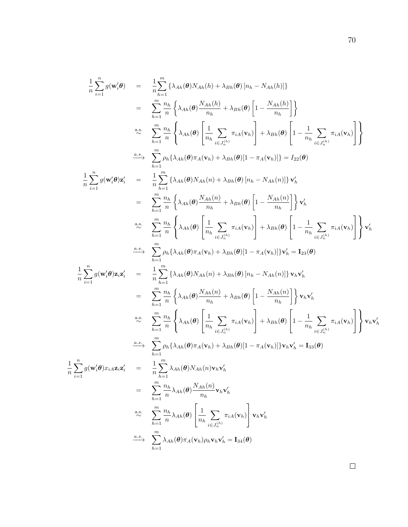$$
\frac{1}{n}\sum_{i=1}^{n}g(\mathbf{w}_{i}^{\prime}\boldsymbol{\theta}) = \frac{1}{n}\sum_{h=1}^{m}\{\lambda_{Ah}(\boldsymbol{\theta})N_{Ah}(h) + \lambda_{Bh}(\boldsymbol{\theta})[n_{h} - N_{Ah}(h)]\}
$$
\n
$$
= \sum_{h=1}^{m}\frac{n_{h}}{n}\left\{\lambda_{Ah}(\boldsymbol{\theta})\frac{N_{Ah}(h)}{n_{h}} + \lambda_{Bh}(\boldsymbol{\theta})\left[1 - \frac{N_{Ah}(h)}{n_{h}}\right]\right\}
$$
\n
$$
\sum_{h=1}^{n_{h}}\left\{\lambda_{Ah}(\boldsymbol{\theta})\left[\frac{1}{n_{h}}\sum_{i\in J_{h}^{(h)}}\pi_{i\mathbf{A}}(\mathbf{v}_{h})\right] + \lambda_{Bh}(\boldsymbol{\theta})\left[1 - \frac{1}{n_{h}}\sum_{i\in J_{h}^{(h)}}\pi_{i\mathbf{A}}(\mathbf{v}_{h})\right]\right\}
$$
\n
$$
\sum_{h=1}^{n_{h}}\sum_{h=1}^{n}h\{\lambda_{Ah}(\boldsymbol{\theta})\pi_{A}(\mathbf{v}_{h}) + \lambda_{Bh}(\boldsymbol{\theta})[1 - \pi_{A}(\mathbf{v}_{h})]\} = I_{22}(\boldsymbol{\theta})
$$
\n
$$
\frac{1}{n}\sum_{i=1}^{n}g(\mathbf{w}_{i}^{\prime}\boldsymbol{\theta})\mathbf{z}_{i}^{\prime} = \frac{1}{n}\sum_{h=1}^{m}\{\lambda_{Ah}(\boldsymbol{\theta})N_{Ah}(n) + \lambda_{Bh}(\boldsymbol{\theta})[n_{h} - N_{Ah}(n)]\}\mathbf{v}_{h}^{\prime}
$$
\n
$$
= \sum_{h=1}^{m}\frac{n_{h}}{n}\left\{\lambda_{Ah}(\boldsymbol{\theta})\frac{N_{Ah}(n)}{n_{h}} + \lambda_{Bh}(\boldsymbol{\theta})\left[1 - \frac{N_{Ah}(n)}{n_{h}}\right]\right\}\mathbf{v}_{h}^{\prime}
$$
\n
$$
\sum_{h=1}^{n_{h}}\sum_{h} \lambda_{Ah}(\boldsymbol{\theta})\mathbf{z}_{ih}^{\prime} + \lambda_{Bh}(\boldsymbol{\theta})[1 - \pi_{Ah}(\mathbf{v}_{h})]\mathbf{v}_{h}^{\prime} = I_{33}(\bold
$$

1 n

 $\Box$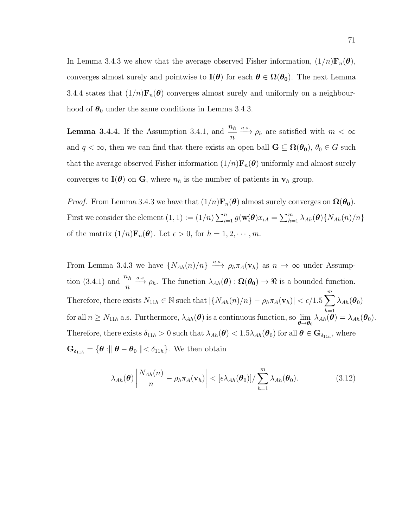In Lemma 3.4.3 we show that the average observed Fisher information,  $(1/n)\mathbf{F}_n(\theta)$ , converges almost surely and pointwise to  $I(\theta)$  for each  $\theta \in \Omega(\theta_0)$ . The next Lemma 3.4.4 states that  $(1/n)\mathbf{F}_n(\theta)$  converges almost surely and uniformly on a neighbourhood of  $\theta_0$  under the same conditions in Lemma 3.4.3.

**Lemma 3.4.4.** If the Assumption 3.4.1, and  $\frac{n_h}{n_h}$  $\frac{\partial h}{\partial n} \xrightarrow{a.s.} \rho_h$  are satisfied with  $m < \infty$ and  $q < \infty$ , then we can find that there exists an open ball  $G \subseteq \Omega(\theta_0)$ ,  $\theta_0 \in G$  such that the average observed Fisher information  $(1/n)\mathbf{F}_n(\boldsymbol{\theta})$  uniformly and almost surely converges to  $I(\theta)$  on G, where  $n_h$  is the number of patients in  $v_h$  group.

*Proof.* From Lemma 3.4.3 we have that  $(1/n)\mathbf{F}_n(\boldsymbol{\theta})$  almost surely converges on  $\Omega(\boldsymbol{\theta}_0)$ . First we consider the element  $(1,1) := (1/n) \sum_{i=1}^n g(\mathbf{w}_i' \boldsymbol{\theta}) x_{iA} = \sum_{h=1}^m \lambda_{Ah}(\boldsymbol{\theta}) \{ N_{Ah}(n)/n \}$ of the matrix  $(1/n)\mathbf{F}_n(\boldsymbol{\theta})$ . Let  $\epsilon > 0$ , for  $h = 1, 2, \cdots, m$ .

From Lemma 3.4.3 we have  $\{N_{Ah}(n)/n\} \stackrel{a.s.}{\longrightarrow} \rho_h \pi_A(\mathbf{v}_h)$  as  $n \to \infty$  under Assumption (3.4.1) and  $\frac{n_h}{n_h}$  $\frac{n_h}{n} \xrightarrow{a.s} \rho_h$ . The function  $\lambda_{Ah}(\theta) : \Omega(\theta_0) \to \Re$  is a bounded function. Therefore, there exists  $N_{11h} \in \mathbb{N}$  such that  $|\{N_{Ah}(n)/n\} - \rho_h \pi_A(\mathbf{v}_h)| < \epsilon/1.5 \sum_{h=1}^m$  $h=1$  $\lambda_{Ah}(\boldsymbol{\theta}_0)$ for all  $n \geq N_{11h}$  a.s. Furthermore,  $\lambda_{Ah}(\theta)$  is a continuous function, so  $\lim_{\theta \to \theta_0} \lambda_{Ah}(\theta) = \lambda_{Ah}(\theta_0)$ . Therefore, there exists  $\delta_{11h} > 0$  such that  $\lambda_{Ah}(\theta) < 1.5\lambda_{Ah}(\theta_0)$  for all  $\theta \in \mathbf{G}_{\delta_{11h}}$ , where  $\mathbf{G}_{\delta_{11h}} = \{\boldsymbol{\theta} : \parallel \boldsymbol{\theta} - \boldsymbol{\theta}_0 \parallel < \delta_{11h}\}.$  We then obtain

$$
\lambda_{Ah}(\boldsymbol{\theta}) \left| \frac{N_{Ah}(n)}{n} - \rho_h \pi_A(\mathbf{v}_h) \right| < \left[ \epsilon \lambda_{Ah}(\boldsymbol{\theta}_0) \right] / \sum_{h=1}^m \lambda_{Ah}(\boldsymbol{\theta}_0). \tag{3.12}
$$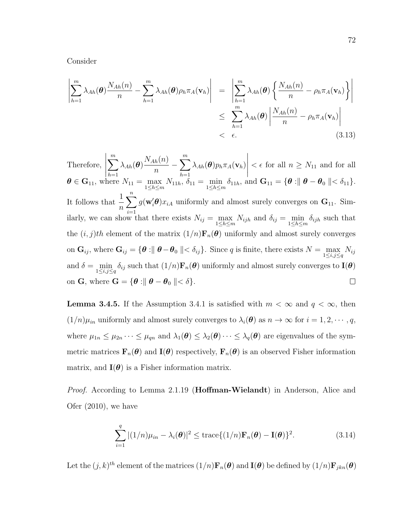Consider

$$
\left| \sum_{h=1}^{m} \lambda_{Ah}(\boldsymbol{\theta}) \frac{N_{Ah}(n)}{n} - \sum_{h=1}^{m} \lambda_{Ah}(\boldsymbol{\theta}) \rho_h \pi_A(\mathbf{v}_h) \right| = \left| \sum_{h=1}^{m} \lambda_{Ah}(\boldsymbol{\theta}) \left\{ \frac{N_{Ah}(n)}{n} - \rho_h \pi_A(\mathbf{v}_h) \right\} \right|
$$
  

$$
\leq \sum_{h=1}^{m} \lambda_{Ah}(\boldsymbol{\theta}) \left| \frac{N_{Ah}(n)}{n} - \rho_h \pi_A(\mathbf{v}_h) \right|
$$
  

$$
< \epsilon.
$$
 (3.13)

 $\begin{array}{c} \hline \end{array}$  $\sum_{m}$  $-\sum_{m=1}^{m}$  $\begin{array}{c} \hline \end{array}$  $N_{Ah}(n)$ Therefore,  $\lambda_{Ah}(\bm{\theta})$  $\lambda_{Ah}(\bm{\theta})p_h\pi_A(\mathbf{v}_h)$  $\lt \epsilon$  for all  $n \geq N_{11}$  and for all n  $h=1$  $h=1$  $\boldsymbol{\theta} \in \mathbf{G}_{11}$ , where  $N_{11} = \max_{1 \leq h \leq m} N_{11h}$ ,  $\delta_{11} = \min_{1 \leq h \leq m} \delta_{11h}$ , and  $\mathbf{G}_{11} = \{\boldsymbol{\theta} : ||\boldsymbol{\theta} - \boldsymbol{\theta}_0|| < \delta_{11}\}.$  $\sum_{i=1}^{n} g(\mathbf{w}'_i \boldsymbol{\theta}) x_{iA}$  uniformly and almost surely converges on  $\mathbf{G}_{11}$ . Sim-It follows that  $\frac{1}{1}$ n ilarly, we can show that there exists  $N_{ij} = \max_{1 \leq h \leq m} N_{ijh}$  and  $\delta_{ij} = \min_{1 \leq h \leq m} \delta_{ijh}$  such that the  $(i, j)th$  element of the matrix  $(1/n)F_n(\theta)$  uniformly and almost surely converges on  $\mathbf{G}_{ij}$ , where  $\mathbf{G}_{ij} = \{ \boldsymbol{\theta} : \parallel \boldsymbol{\theta} - \boldsymbol{\theta}_0 \parallel < \delta_{ij} \}$ . Since q is finite, there exists  $N = \max_{1 \le i, j \le q} N_{ij}$ and  $\delta = \min_{1 \leq i,j \leq q} \delta_{ij}$  such that  $(1/n) \mathbf{F}_n(\boldsymbol{\theta})$  uniformly and almost surely converges to  $\mathbf{I}(\boldsymbol{\theta})$ on G, where  $G = \{ \theta : || \theta - \theta_0 || < \delta \}.$  $\Box$ 

**Lemma 3.4.5.** If the Assumption 3.4.1 is satisfied with  $m < \infty$  and  $q < \infty$ , then  $(1/n)\mu_{in}$  uniformly and almost surely converges to  $\lambda_i(\boldsymbol{\theta})$  as  $n \to \infty$  for  $i = 1, 2, \cdots, q$ , where  $\mu_{1n} \leq \mu_{2n} \cdots \leq \mu_{qn}$  and  $\lambda_1(\boldsymbol{\theta}) \leq \lambda_2(\boldsymbol{\theta}) \cdots \leq \lambda_q(\boldsymbol{\theta})$  are eigenvalues of the symmetric matrices  $\mathbf{F}_n(\theta)$  and  $\mathbf{I}(\theta)$  respectively,  $\mathbf{F}_n(\theta)$  is an observed Fisher information matrix, and  $I(\theta)$  is a Fisher information matrix.

*Proof.* According to Lemma 2.1.19 (**Hoffman-Wielandt**) in Anderson, Alice and Ofer (2010), we have

$$
\sum_{i=1}^{q} |(1/n)\mu_{in} - \lambda_i(\boldsymbol{\theta})|^2 \le \text{trace}\{(1/n)\mathbf{F}_n(\boldsymbol{\theta}) - \mathbf{I}(\boldsymbol{\theta})\}^2.
$$
 (3.14)

Let the  $(j,k)^{th}$  element of the matrices  $(1/n)\mathbf{F}_n(\theta)$  and  $\mathbf{I}(\theta)$  be defined by  $(1/n)\mathbf{F}_{jkn}(\theta)$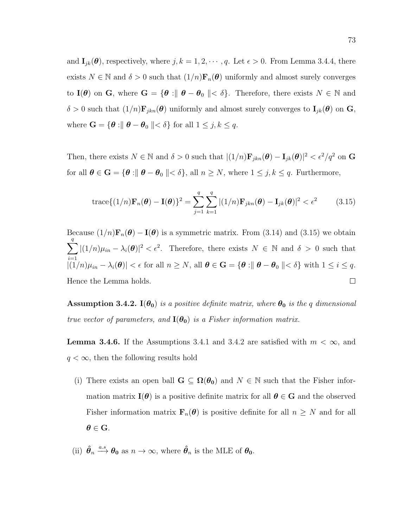and  $\mathbf{I}_{jk}(\boldsymbol{\theta})$ , respectively, where  $j, k = 1, 2, \cdots, q$ . Let  $\epsilon > 0$ . From Lemma 3.4.4, there exists  $N \in \mathbb{N}$  and  $\delta > 0$  such that  $(1/n)\mathbf{F}_n(\boldsymbol{\theta})$  uniformly and almost surely converges to I( $\theta$ ) on G, where G = { $\theta$  :||  $\theta - \theta_0$  ||<  $\delta$ }. Therefore, there exists  $N \in \mathbb{N}$  and  $\delta > 0$  such that  $(1/n) \mathbf{F}_{jkn}(\boldsymbol{\theta})$  uniformly and almost surely converges to  $\mathbf{I}_{jk}(\boldsymbol{\theta})$  on  $\mathbf{G}_{jk}$ , where  $\mathbf{G} = \{ \boldsymbol{\theta} : \parallel \boldsymbol{\theta} - \boldsymbol{\theta}_0 \parallel < \delta \}$  for all  $1 \leq j, k \leq q$ .

Then, there exists  $N \in \mathbb{N}$  and  $\delta > 0$  such that  $|(1/n)\mathbf{F}_{jkn}(\boldsymbol{\theta}) - \mathbf{I}_{jk}(\boldsymbol{\theta})|^2 < \epsilon^2/q^2$  on G for all  $\boldsymbol{\theta} \in \mathbf{G} = \{\boldsymbol{\theta} : \parallel \boldsymbol{\theta} - \boldsymbol{\theta}_0 \parallel < \delta\},\$ all  $n \geq N$ , where  $1 \leq j, k \leq q$ . Furthermore,

$$
\text{trace}\{(1/n)\mathbf{F}_n(\boldsymbol{\theta}) - \mathbf{I}(\boldsymbol{\theta})\}^2 = \sum_{j=1}^q \sum_{k=1}^q |(1/n)\mathbf{F}_{jkn}(\boldsymbol{\theta}) - \mathbf{I}_{jk}(\boldsymbol{\theta})|^2 < \epsilon^2 \quad (3.15)
$$

Because  $(1/n)\mathbf{F}_n(\boldsymbol{\theta}) - \mathbf{I}(\boldsymbol{\theta})$  is a symmetric matrix. From (3.14) and (3.15) we obtain q  $\sum$  $|(1/n)\mu_{in} - \lambda_i(\boldsymbol{\theta})|^2 < \epsilon^2$ . Therefore, there exists  $N \in \mathbb{N}$  and  $\delta > 0$  such that  $i=1$  $|((1/n)\mu_{in} - \lambda_i(\boldsymbol{\theta}))| < \epsilon$  for all  $n \ge N$ , all  $\boldsymbol{\theta} \in \mathbf{G} = {\boldsymbol{\theta} : || \boldsymbol{\theta} - \boldsymbol{\theta}_0 || < \delta}$  with  $1 \le i \le q$ . Hence the Lemma holds.  $\Box$ 

Assumption 3.4.2.  $I(\theta_0)$  is a positive definite matrix, where  $\theta_0$  is the q dimensional true vector of parameters, and  $I(\theta_0)$  is a Fisher information matrix.

**Lemma 3.4.6.** If the Assumptions 3.4.1 and 3.4.2 are satisfied with  $m < \infty$ , and  $q < \infty$ , then the following results hold

- (i) There exists an open ball  $G \subseteq \Omega(\theta_0)$  and  $N \in \mathbb{N}$  such that the Fisher information matrix  $I(\theta)$  is a positive definite matrix for all  $\theta \in G$  and the observed Fisher information matrix  $\mathbf{F}_n(\theta)$  is positive definite for all  $n \geq N$  and for all  $\theta \in G$ .
- (ii)  $\hat{\theta}_n \stackrel{a.s}{\longrightarrow} \theta_0$  as  $n \to \infty$ , where  $\hat{\theta}_n$  is the MLE of  $\theta_0$ .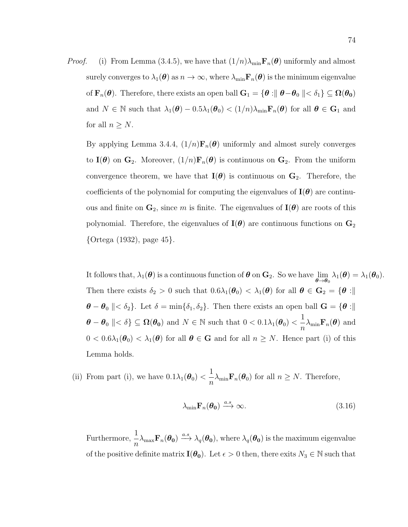*Proof.* (i) From Lemma (3.4.5), we have that  $(1/n)\lambda_{\min}F_n(\theta)$  uniformly and almost surely converges to  $\lambda_1(\theta)$  as  $n \to \infty$ , where  $\lambda_{\min} \mathbf{F}_n(\theta)$  is the minimum eigenvalue of  $\mathbf{F}_n(\boldsymbol{\theta})$ . Therefore, there exists an open ball  $\mathbf{G}_1 = \{\boldsymbol{\theta} : \parallel \boldsymbol{\theta} - \boldsymbol{\theta}_0 \parallel < \delta_1\} \subseteq \Omega(\boldsymbol{\theta_0})$ and  $N \in \mathbb{N}$  such that  $\lambda_1(\boldsymbol{\theta}) - 0.5\lambda_1(\boldsymbol{\theta}_0) < (1/n)\lambda_{\min} \mathbf{F}_n(\boldsymbol{\theta})$  for all  $\boldsymbol{\theta} \in \mathbf{G}_1$  and for all  $n \geq N$ .

By applying Lemma 3.4.4,  $(1/n)\mathbf{F}_n(\theta)$  uniformly and almost surely converges to  $I(\theta)$  on  $G_2$ . Moreover,  $(1/n)F_n(\theta)$  is continuous on  $G_2$ . From the uniform convergence theorem, we have that  $I(\theta)$  is continuous on  $G_2$ . Therefore, the coefficients of the polynomial for computing the eigenvalues of  $I(\theta)$  are continuous and finite on  $\mathbf{G}_2$ , since m is finite. The eigenvalues of  $\mathbf{I}(\boldsymbol{\theta})$  are roots of this polynomial. Therefore, the eigenvalues of  $I(\theta)$  are continuous functions on  $G_2$ {Ortega (1932), page 45}.

It follows that,  $\lambda_1(\boldsymbol{\theta})$  is a continuous function of  $\boldsymbol{\theta}$  on  $\mathbf{G}_2$ . So we have  $\lim_{\boldsymbol{\theta}\to\boldsymbol{\theta}_0} \lambda_1(\boldsymbol{\theta}) = \lambda_1(\boldsymbol{\theta}_0)$ . Then there exists  $\delta_2 > 0$  such that  $0.6\lambda_1(\theta_0) < \lambda_1(\theta)$  for all  $\theta \in \mathbf{G}_2 = \{\theta : \parallel$  $\boldsymbol{\theta} - \boldsymbol{\theta}_0$   $\ll \delta_2$ . Let  $\delta = \min\{\delta_1, \delta_2\}$ . Then there exists an open ball  $\mathbf{G} = \{\boldsymbol{\theta} : \parallel$  $\boldsymbol{\theta} - \boldsymbol{\theta}_0 \parallel < \delta$  }  $\subseteq \boldsymbol{\Omega}(\boldsymbol{\theta_0})$  and  $N \in \mathbb{N}$  such that  $0 < 0.1 \lambda_1(\boldsymbol{\theta}_0) < \frac{1}{n}$  $\frac{1}{n}\lambda_{\min} \mathbf{F}_n(\boldsymbol{\theta})$  and  $0 < 0.6\lambda_1(\theta_0) < \lambda_1(\theta)$  for all  $\theta \in \mathbf{G}$  and for all  $n \geq N$ . Hence part (i) of this Lemma holds.

(ii) From part (i), we have  $0.1\lambda_1(\boldsymbol{\theta}_0)$  < 1  $\frac{1}{n}\lambda_{\min} \mathbf{F}_n(\boldsymbol{\theta}_0)$  for all  $n \geq N$ . Therefore,

$$
\lambda_{\min} \mathbf{F}_n(\boldsymbol{\theta_0}) \xrightarrow{a.s} \infty. \tag{3.16}
$$

Furthermore,  $\frac{1}{1}$  $\frac{1}{n}\lambda_{\max} \mathbf{F}_n(\boldsymbol{\theta_0}) \stackrel{a.s.}{\longrightarrow} \lambda_q(\boldsymbol{\theta_0}), \text{ where } \lambda_q(\boldsymbol{\theta_0}) \text{ is the maximum eigenvalue}$ of the positive definite matrix  $\mathbf{I}(\theta_0)$ . Let  $\epsilon > 0$  then, there exits  $N_3 \in \mathbb{N}$  such that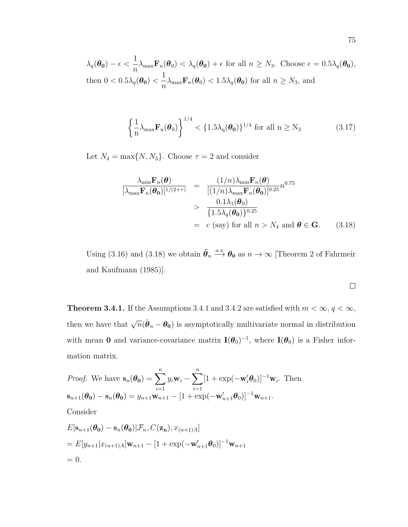$\lambda_q(\boldsymbol{\theta_0})-\epsilon<\frac{1}{\epsilon}$  $\frac{1}{n}\lambda_{\max} \mathbf{F}_n(\theta_0) < \lambda_q(\theta_0) + \epsilon$  for all  $n \geq N_3$ . Choose  $\epsilon = 0.5\lambda_q(\theta_0)$ , then  $0 < 0.5\lambda_q(\boldsymbol{\theta_0}) <$ 1  $\frac{1}{n}\lambda_{\max} \mathbf{F}_n(\boldsymbol{\theta}_0) < 1.5\lambda_q(\boldsymbol{\theta_0})$  for all  $n \geq N_3$ , and

$$
\left\{\frac{1}{n}\lambda_{\max}\mathbf{F}_n(\boldsymbol{\theta}_0)\right\}^{1/4} < \{1.5\lambda_q(\boldsymbol{\theta}_0)\}^{1/4} \text{ for all } n \ge N_3 \tag{3.17}
$$

Let  $N_4 = \max\{N, N_3\}$ . Choose  $\tau = 2$  and consider

$$
\frac{\lambda_{\min} \mathbf{F}_n(\boldsymbol{\theta})}{[\lambda_{\max} \mathbf{F}_n(\boldsymbol{\theta}_0)]^{1/(2+\tau)}} = \frac{(1/n)\lambda_{\min} \mathbf{F}_n(\boldsymbol{\theta})}{[(1/n)\lambda_{\max} \mathbf{F}_n(\boldsymbol{\theta}_0)]^{0.25}} n^{0.75}
$$
\n
$$
> \frac{0.1\lambda_1(\boldsymbol{\theta}_0)}{\{1.5\lambda_q(\boldsymbol{\theta}_0)\}^{0.25}}
$$
\n
$$
= c \text{ (say) for all } n > N_4 \text{ and } \boldsymbol{\theta} \in \mathbf{G}. \tag{3.18}
$$

Using (3.16) and (3.18) we obtain  $\hat{\theta}_n \stackrel{a.s}{\longrightarrow} \theta_0$  as  $n \to \infty$  [Theorem 2 of Fahrmeir and Kaufmann (1985)].

$$
\Box
$$

**Theorem 3.4.1.** If the Assumptions 3.4.1 and 3.4.2 are satisfied with  $m < \infty$ ,  $q < \infty$ , then we have that  $\sqrt{n}(\hat{\theta}_n - \theta_0)$  is asymptotically multivariate normal in distribution with mean 0 and variance-covariance matrix  $I(\theta_0)^{-1}$ , where  $I(\theta_0)$  is a Fisher information matrix.

*Proof.* We have 
$$
\mathbf{s}_n(\theta_0) = \sum_{i=1}^n y_i \mathbf{w}_i - \sum_{i=1}^n [1 + \exp(-\mathbf{w}_i'\theta_0)]^{-1} \mathbf{w}_i
$$
. Then  
\n $\mathbf{s}_{n+1}(\theta_0) - \mathbf{s}_n(\theta_0) = y_{n+1}\mathbf{w}_{n+1} - [1 + \exp(-\mathbf{w}_{n+1}'\theta_0)]^{-1} \mathbf{w}_{n+1}$ .  
\nConsider  
\n $E[\mathbf{s}_{n+1}(\theta_0) - \mathbf{s}_n(\theta_0)|\mathcal{F}_n, C(\mathbf{z}_n), x_{(n+1)A}]$   
\n $= E[y_{n+1}|x_{(n+1)A}]\mathbf{w}_{n+1} - [1 + \exp(-\mathbf{w}_{n+1}'\theta_0)]^{-1}\mathbf{w}_{n+1}$ 

 $= 0.$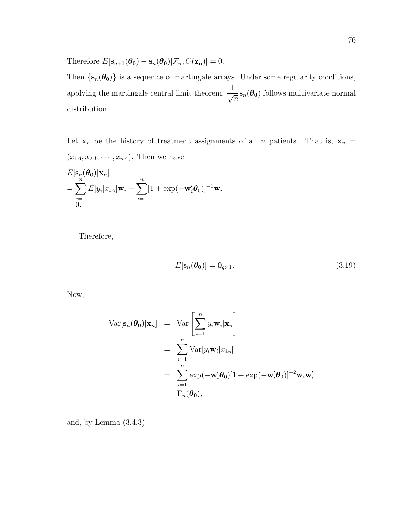Therefore  $E[\mathbf{s}_{n+1}(\theta_0) - \mathbf{s}_n(\theta_0)|\mathcal{F}_n, C(\mathbf{z_n})] = 0.$ 

Then  $\{s_n(\theta_0)\}$  is a sequence of martingale arrays. Under some regularity conditions, applying the martingale central limit theorem,  $\frac{1}{\sqrt{2}}$  $=$ **s**<sub>n</sub>( $\theta$ <sub>0</sub>) follows multivariate normal distribution.

Let  $\mathbf{x}_n$  be the history of treatment assignments of all n patients. That is,  $\mathbf{x}_n =$  $(x_{1A}, x_{2A}, \cdots, x_{nA})$ . Then we have

$$
E[\mathbf{s}_n(\boldsymbol{\theta_0})|\mathbf{x}_n]
$$
  
= 
$$
\sum_{i=1}^n E[y_i|x_{iA}]\mathbf{w}_i - \sum_{i=1}^n [1 + \exp(-\mathbf{w}'_i\boldsymbol{\theta}_0)]^{-1}\mathbf{w}_i
$$
  
= 0.

Therefore,

$$
E[\mathbf{s}_n(\boldsymbol{\theta_0})] = \mathbf{0}_{q \times 1}.
$$
\n(3.19)

Now,

$$
\operatorname{Var}[\mathbf{s}_n(\boldsymbol{\theta}_0)|\mathbf{x}_n] = \operatorname{Var}\left[\sum_{i=1}^n y_i \mathbf{w}_i|\mathbf{x}_n\right]
$$
  
\n
$$
= \sum_{i=1}^n \operatorname{Var}[y_i \mathbf{w}_i|x_{iA}]
$$
  
\n
$$
= \sum_{i=1}^n \exp(-\mathbf{w}'_i \boldsymbol{\theta}_0)[1 + \exp(-\mathbf{w}'_i \boldsymbol{\theta}_0)]^{-2} \mathbf{w}_i \mathbf{w}'_i
$$
  
\n
$$
= \mathbf{F}_n(\boldsymbol{\theta}_0),
$$

and, by Lemma (3.4.3)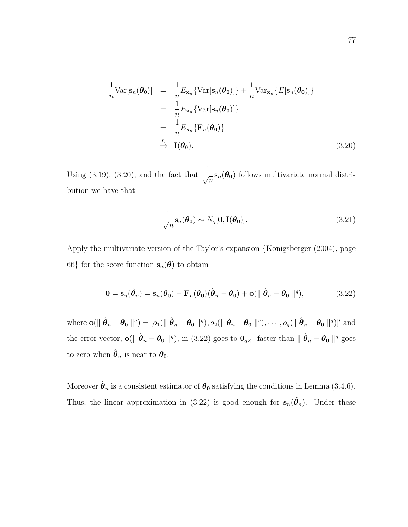$$
\frac{1}{n} \text{Var}[\mathbf{s}_n(\boldsymbol{\theta_0})] = \frac{1}{n} E_{\mathbf{x}_n} \{ \text{Var}[\mathbf{s}_n(\boldsymbol{\theta_0})] \} + \frac{1}{n} \text{Var}_{\mathbf{x}_n} \{ E[\mathbf{s}_n(\boldsymbol{\theta_0})] \}
$$
\n
$$
= \frac{1}{n} E_{\mathbf{x}_n} \{ \text{Var}[\mathbf{s}_n(\boldsymbol{\theta_0})] \}
$$
\n
$$
= \frac{1}{n} E_{\mathbf{x}_n} \{ \mathbf{F}_n(\boldsymbol{\theta_0}) \}
$$
\n
$$
\xrightarrow{L} \mathbf{I}(\boldsymbol{\theta_0}). \tag{3.20}
$$

Using (3.19), (3.20), and the fact that  $\frac{1}{\sqrt{2}}$  $\frac{1}{n}$ **s**<sub>n</sub>( $\theta$ <sub>0</sub>) follows multivariate normal distribution we have that

$$
\frac{1}{\sqrt{n}} \mathbf{s}_n(\boldsymbol{\theta_0}) \sim N_q[\mathbf{0}, \mathbf{I}(\boldsymbol{\theta_0})]. \tag{3.21}
$$

Apply the multivariate version of the Taylor's expansion  $\{\text{Königsberger } (2004), \text{page}\}$ 66} for the score function  $s_n(\theta)$  to obtain

$$
\mathbf{0} = \mathbf{s}_n(\hat{\boldsymbol{\theta}}_n) = \mathbf{s}_n(\boldsymbol{\theta}_0) - \mathbf{F}_n(\boldsymbol{\theta}_0)(\hat{\boldsymbol{\theta}}_n - \boldsymbol{\theta}_0) + \mathbf{o}(\|\hat{\boldsymbol{\theta}}_n - \boldsymbol{\theta}_0\|^q),
$$
(3.22)

where  $\mathbf{o}(\parallel \hat{\boldsymbol{\theta}}_n - \boldsymbol{\theta_0} \parallel^q) = [o_1(\parallel \hat{\boldsymbol{\theta}}_n - \boldsymbol{\theta_0} \parallel^q), o_2(\parallel \hat{\boldsymbol{\theta}}_n - \boldsymbol{\theta_0} \parallel^q), \cdots, o_q(\parallel \hat{\boldsymbol{\theta}}_n - \boldsymbol{\theta_0} \parallel^q)]'$  and the error vector,  $o(\|\hat{\theta}_n - \theta_0\|^q)$ , in (3.22) goes to  $0_{q\times 1}$  faster than  $\|\hat{\theta}_n - \theta_0\|^q$  goes to zero when  $\hat{\boldsymbol{\theta}}_n$  is near to  $\boldsymbol{\theta}_0$ .

Moreover  $\hat{\boldsymbol{\theta}}_n$  is a consistent estimator of  $\boldsymbol{\theta_0}$  satisfying the conditions in Lemma (3.4.6). Thus, the linear approximation in (3.22) is good enough for  $s_n(\hat{\theta}_n)$ . Under these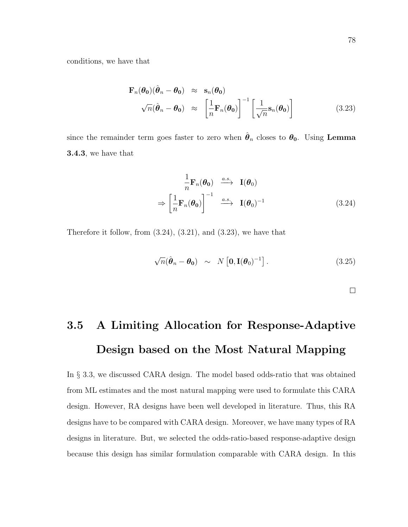conditions, we have that

$$
\mathbf{F}_n(\boldsymbol{\theta}_0)(\hat{\boldsymbol{\theta}}_n - \boldsymbol{\theta}_0) \approx \mathbf{s}_n(\boldsymbol{\theta}_0)
$$
  

$$
\sqrt{n}(\hat{\boldsymbol{\theta}}_n - \boldsymbol{\theta}_0) \approx \left[\frac{1}{n}\mathbf{F}_n(\boldsymbol{\theta}_0)\right]^{-1} \left[\frac{1}{\sqrt{n}}\mathbf{s}_n(\boldsymbol{\theta}_0)\right]
$$
(3.23)

since the remainder term goes faster to zero when  $\hat{\theta}_n$  closes to  $\theta_0$ . Using Lemma 3.4.3, we have that

$$
\frac{1}{n}\mathbf{F}_n(\boldsymbol{\theta}_0) \stackrel{a.s.}{\longrightarrow} \mathbf{I}(\boldsymbol{\theta}_0)
$$
\n
$$
\Rightarrow \left[\frac{1}{n}\mathbf{F}_n(\boldsymbol{\theta}_0)\right]^{-1} \stackrel{a.s.}{\longrightarrow} \mathbf{I}(\boldsymbol{\theta}_0)^{-1} \tag{3.24}
$$

Therefore it follow, from (3.24), (3.21), and (3.23), we have that

$$
\sqrt{n}(\hat{\boldsymbol{\theta}}_n - \boldsymbol{\theta}_0) \sim N\left[0, \mathbf{I}(\boldsymbol{\theta}_0)^{-1}\right]. \tag{3.25}
$$

 $\Box$ 

## 3.5 A Limiting Allocation for Response-Adaptive Design based on the Most Natural Mapping

In § 3.3, we discussed CARA design. The model based odds-ratio that was obtained from ML estimates and the most natural mapping were used to formulate this CARA design. However, RA designs have been well developed in literature. Thus, this RA designs have to be compared with CARA design. Moreover, we have many types of RA designs in literature. But, we selected the odds-ratio-based response-adaptive design because this design has similar formulation comparable with CARA design. In this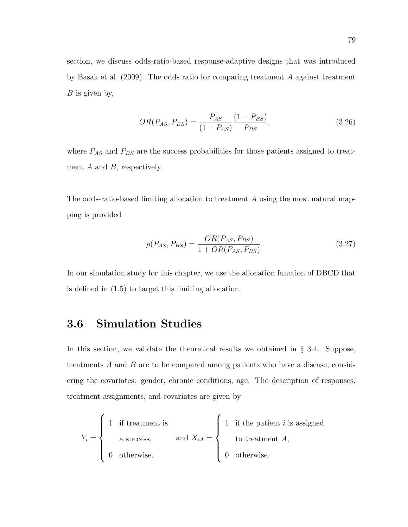section, we discuss odds-ratio-based response-adaptive designs that was introduced by Basak et al. (2009). The odds ratio for comparing treatment A against treatment  $B$  is given by,

$$
OR(P_{AS}, P_{BS}) = \frac{P_{AS}}{(1 - P_{AS})} \frac{(1 - P_{BS})}{P_{BS}},
$$
\n(3.26)

where  $P_{AS}$  and  $P_{BS}$  are the success probabilities for those patients assigned to treatment  $A$  and  $B$ , respectively.

The odds-ratio-based limiting allocation to treatment A using the most natural mapping is provided

$$
\rho(P_{AS}, P_{BS}) = \frac{OR(P_{AS}, P_{BS})}{1 + OR(P_{AS}, P_{BS})}.
$$
\n(3.27)

In our simulation study for this chapter, we use the allocation function of DBCD that is defined in (1.5) to target this limiting allocation.

#### 3.6 Simulation Studies

In this section, we validate the theoretical results we obtained in  $\S$  3.4. Suppose, treatments A and B are to be compared among patients who have a disease, considering the covariates: gender, chronic conditions, age. The description of responses, treatment assignments, and covariates are given by

$$
Y_i = \begin{cases} 1 & \text{if treatment is} \\ & \text{a success,} \\ & 0 & \text{otherwise.} \end{cases} \quad \text{and } X_{iA} = \begin{cases} 1 & \text{if the patient } i \text{ is assigned} \\ & \text{to treatment } A, \\ & 0 & \text{otherwise.} \end{cases}
$$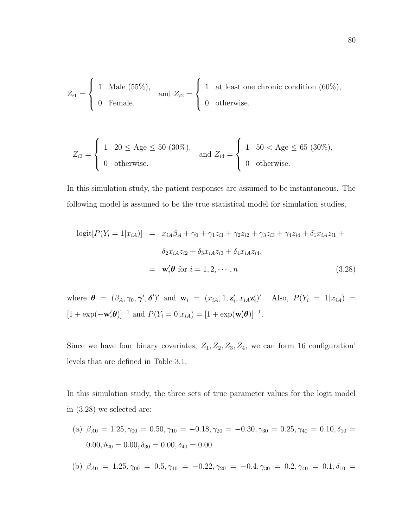$$
Z_{i1} = \begin{cases} 1 & \text{Male } (55\%), \\ 0 & \text{Female.} \end{cases} \text{ and } Z_{i2} = \begin{cases} 1 & \text{at least one chronic condition } (60\%), \\ 0 & \text{otherwise.} \end{cases}
$$

$$
Z_{i3} = \begin{cases} 1 & 20 \le \text{Age} \le 50 (30\%), \\ 0 & \text{otherwise.} \end{cases} \text{ and } Z_{i4} = \begin{cases} 1 & 50 < \text{Age} \le 65 (30\%), \\ 0 & \text{otherwise.} \end{cases}
$$

In this simulation study, the patient responses are assumed to be instantaneous. The following model is assumed to be the true statistical model for simulation studies,

$$
logit[P(Y_i = 1|x_{iA})] = x_{iA}\beta_A + \gamma_0 + \gamma_1 z_{i1} + \gamma_2 z_{i2} + \gamma_3 z_{i3} + \gamma_4 z_{i4} + \delta_1 x_{iA} z_{i1} + \delta_2 x_{iA} z_{i2} + \delta_3 x_{iA} z_{i3} + \delta_4 x_{iA} z_{i4},
$$
  

$$
= \mathbf{w}_i' \boldsymbol{\theta} \text{ for } i = 1, 2, \cdots, n \qquad (3.28)
$$

where  $\boldsymbol{\theta} = (\beta_A, \gamma_0, \boldsymbol{\gamma}', \boldsymbol{\delta}')'$  and  $\mathbf{w}_i = (x_{iA}, 1, \mathbf{z}'_i, x_{iA} \mathbf{z}'_i)'$ . Also,  $P(Y_i = 1 | x_{iA}) =$  $[1 + \exp(-\mathbf{w}'_i \boldsymbol{\theta})]^{-1}$  and  $P(Y_i = 0 | x_{iA}) = [1 + \exp(\mathbf{w}'_i \boldsymbol{\theta})]^{-1}$ .

Since we have four binary covariates,  $Z_1, Z_2, Z_3, Z_4$ , we can form 16 configuration' levels that are defined in Table 3.1.

In this simulation study, the three sets of true parameter values for the logit model in (3.28) we selected are:

- (a)  $\beta_{A0} = 1.25, \gamma_{00} = 0.50, \gamma_{10} = -0.18, \gamma_{20} = -0.30, \gamma_{30} = 0.25, \gamma_{40} = 0.10, \delta_{10} =$  $0.00, \delta_{20} = 0.00, \delta_{30} = 0.00, \delta_{40} = 0.00$
- (b)  $\beta_{A0} = 1.25, \gamma_{00} = 0.5, \gamma_{10} = -0.22, \gamma_{20} = -0.4, \gamma_{30} = 0.2, \gamma_{40} = 0.1, \delta_{10} =$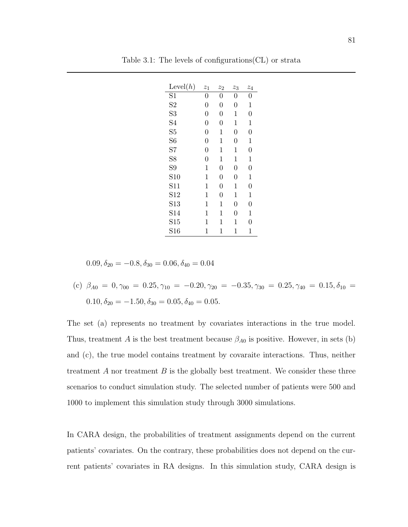| Level(h)        | $z_1$          | $z_2$          | $z_3$          | $\mathcal{Z}_4$ |
|-----------------|----------------|----------------|----------------|-----------------|
| $\overline{S1}$ | $\overline{0}$ | $\overline{0}$ | 0              | 0               |
| S <sub>2</sub>  | $\overline{0}$ | $\overline{0}$ | 0              | 1               |
| S <sub>3</sub>  | $\overline{0}$ | $\overline{0}$ | 1              | $\Omega$        |
| S4              | $\overline{0}$ | $\overline{0}$ | 1              | 1               |
| S <sub>5</sub>  | $\overline{0}$ | 1              | 0              | $\overline{0}$  |
| S <sub>6</sub>  | $\overline{0}$ | 1              | 0              | 1               |
| S7              | $\overline{0}$ | 1              | 1              | $\overline{0}$  |
| S <sub>8</sub>  | $\overline{0}$ | 1              | 1              | 1               |
| S <sub>9</sub>  | 1              | $\overline{0}$ | 0              | $\Omega$        |
| S <sub>10</sub> | 1              | $\overline{0}$ | $\overline{0}$ | 1               |
| S <sub>11</sub> | 1              | $\overline{0}$ | 1              | $\Omega$        |
| S <sub>12</sub> | 1              | $\overline{0}$ | 1              | 1               |
| S <sub>13</sub> | 1              | 1              | 0              | $\overline{0}$  |
| S <sub>14</sub> | 1              | 1              | 0              | 1               |
| S <sub>15</sub> | 1              | 1              | 1              | 0               |
| S16             | 1              | 1              | 1              | 1               |

Table 3.1: The levels of configurations(CL) or strata

 $0.09, \delta_{20} = -0.8, \delta_{30} = 0.06, \delta_{40} = 0.04$ 

(c)  $\beta_{A0} = 0, \gamma_{00} = 0.25, \gamma_{10} = -0.20, \gamma_{20} = -0.35, \gamma_{30} = 0.25, \gamma_{40} = 0.15, \delta_{10} =$  $0.10, \delta_{20} = -1.50, \delta_{30} = 0.05, \delta_{40} = 0.05.$ 

The set (a) represents no treatment by covariates interactions in the true model. Thus, treatment A is the best treatment because  $\beta_{A0}$  is positive. However, in sets (b) and (c), the true model contains treatment by covaraite interactions. Thus, neither treatment  $A$  nor treatment  $B$  is the globally best treatment. We consider these three scenarios to conduct simulation study. The selected number of patients were 500 and 1000 to implement this simulation study through 3000 simulations.

In CARA design, the probabilities of treatment assignments depend on the current patients' covariates. On the contrary, these probabilities does not depend on the current patients' covariates in RA designs. In this simulation study, CARA design is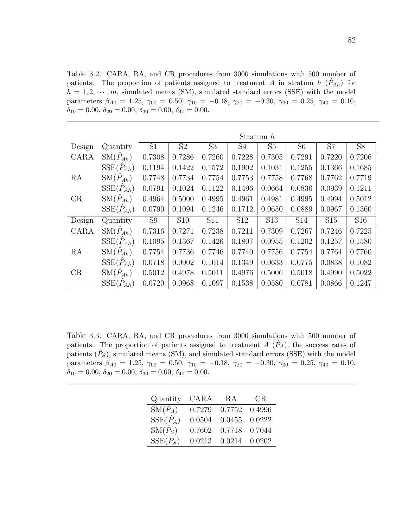Table 3.2: CARA, RA, and CR procedures from 3000 simulations with 500 number of patients. The proportion of patients assigned to treatment A in stratum  $h\left(\hat{P}_{Ah}\right)$  for  $h = 1, 2, \dots, m$ , simulated means (SM), simulated standard errors (SSE) with the model parameters  $\beta_{A0} = 1.25$ ,  $\gamma_{00} = 0.50$ ,  $\gamma_{10} = -0.18$ ,  $\gamma_{20} = -0.30$ ,  $\gamma_{30} = 0.25$ ,  $\gamma_{40} = 0.10$ ,  $\delta_{10} = 0.00, \, \delta_{20} = 0.00, \, \delta_{30} = 0.00, \, \delta_{40} = 0.00.$ 

|        |                             | Stratum $h$    |                |                |                 |                 |                |            |                 |
|--------|-----------------------------|----------------|----------------|----------------|-----------------|-----------------|----------------|------------|-----------------|
| Design | Quantity                    | S <sub>1</sub> | S <sub>2</sub> | S <sub>3</sub> | S4              | S <sub>5</sub>  | S <sub>6</sub> | S7         | <b>S8</b>       |
| CARA   | $\mathrm{SM}(\hat{P}_{Ah})$ | 0.7308         | 0.7286         | 0.7260         | 0.7228          | 0.7305          | 0.7291         | 0.7220     | 0.7206          |
|        | $SSE(\hat{P}_{Ah})$         | 0.1194         | 0.1422         | 0.1572         | 0.1902          | 0.1031          | 0.1255         | 0.1366     | 0.1685          |
| RA     | $\mathrm{SM}(P_{Ah})$       | 0.7748         | 0.7734         | 0.7754         | 0.7753          | 0.7758          | 0.7768         | 0.7762     | 0.7719          |
|        | $SSE(\hat{P}_{Ah})$         | 0.0791         | 0.1024         | 0.1122         | 0.1496          | 0.0664          | 0.0836         | 0.0939     | 0.1211          |
| CR     | $\mathrm{SM}(\hat{P}_{Ah})$ | 0.4964         | 0.5000         | 0.4995         | 0.4961          | 0.4981          | 0.4995         | 0.4994     | 0.5012          |
|        | $SSE(\tilde{P}_{Ah})$       | 0.0790         | 0.1094         | 0.1246         | 0.1712          | 0.0650          | 0.0889         | 0.0967     | 0.1360          |
| Design | Quantity                    | S <sub>9</sub> | <b>S10</b>     | <b>S11</b>     | S <sub>12</sub> | S <sub>13</sub> | <b>S14</b>     | <b>S15</b> | S <sub>16</sub> |
| CARA   | $\mathrm{SM}(\hat{P}_{Ah})$ | 0.7316         | 0.7271         | 0.7238         | 0.7211          | 0.7309          | 0.7267         | 0.7246     | 0.7225          |
|        | $SSE(\hat{P}_{Ah})$         | 0.1095         | 0.1367         | 0.1426         | 0.1807          | 0.0955          | 0.1202         | 0.1257     | 0.1580          |
| RA     | $\mathrm{SM}(\hat{P}_{Ah})$ | 0.7754         | 0.7736         | 0.7746         | 0.7740          | 0.7756          | 0.7754         | 0.7764     | 0.7760          |
|        | $SSE(\hat{P}_{Ah})$         | 0.0718         | 0.0902         | 0.1014         | 0.1349          | 0.0633          | 0.0775         | 0.0838     | 0.1082          |
| CR     | $\mathrm{SM}(\hat{P}_{Ah})$ | 0.5012         | 0.4978         | 0.5011         | 0.4976          | 0.5006          | 0.5018         | 0.4990     | 0.5022          |
|        | $SSE(\hat{P}_{Ah})$         | 0.0720         | 0.0968         | 0.1097         | 0.1538          | 0.0580          | 0.0781         | 0.0866     | 0.1247          |

Table 3.3: CARA, RA, and CR procedures from 3000 simulations with 500 number of patients. The proportion of patients assigned to treatment  $A(P_A)$ , the success rates of patients  $(\hat{P}_S)$ , simulated means (SM), and simulated standard errors (SSE) with the model parameters  $\beta_{A0} = 1.25$ ,  $\gamma_{00} = 0.50$ ,  $\gamma_{10} = -0.18$ ,  $\gamma_{20} = -0.30$ ,  $\gamma_{30} = 0.25$ ,  $\gamma_{40} = 0.10$ ,  $\delta_{10} = 0.00, \delta_{20} = 0.00, \delta_{30} = 0.00, \delta_{40} = 0.00.$ 

| Quantity                            | CARA   | RA     | CR.    |
|-------------------------------------|--------|--------|--------|
| $\overline{\mathrm{SM}(\hat{P}_A)}$ | 0.7279 | 0.7752 | 0.4996 |
| $\text{SSE}(\hat{P}_A)$             | 0.0504 | 0.0455 | 0.0222 |
| $\mathrm{SM}(\hat{P}_S)$            | 0.7602 | 0.7718 | 0.7044 |
| $SSE(\hat{P}_S)$                    | 0.0213 | 0.0214 | 0.0202 |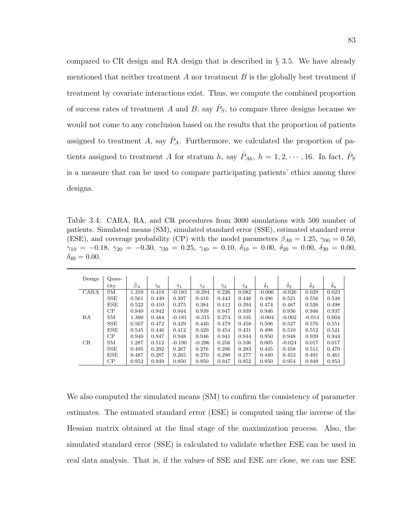compared to CR design and RA design that is described in § 3.5. We have already mentioned that neither treatment  $A$  nor treatment  $B$  is the globally best treatment if treatment by covariate interactions exist. Thus, we compute the combined proportion of success rates of treatment A and B, say  $\hat{P}_S$ , to compare three designs because we would not come to any conclusion based on the results that the proportion of patients assigned to treatment A, say  $\hat{P}_A$ . Furthermore, we calculated the proportion of patients assigned to treatment A for stratum h, say  $\hat{P}_{Ah}$ ,  $h = 1, 2, \cdots, 16$ . In fact,  $\hat{P}_{S}$ is a measure that can be used to compare participating patients' ethics among three designs.

Table 3.4: CARA, RA, and CR procedures from 3000 simulations with 500 number of patients. Simulated means (SM), simulated standard error (SSE), estimated standard error (ESE), and coverage probability (CP) with the model parameters  $\beta_{A0} = 1.25$ ,  $\gamma_{00} = 0.50$ ,  $\gamma_{10} = -0.18, \ \gamma_{20} = -0.30, \ \gamma_{30} = 0.25, \ \gamma_{40} = 0.10, \ \delta_{10} = 0.00, \ \delta_{20} = 0.00, \ \delta_{30} = 0.00,$  $\delta_{40} = 0.00$ .

| Design | Quan-        |           |                  |                  |                  |                  |                  |                  |            |            |                  |  |
|--------|--------------|-----------|------------------|------------------|------------------|------------------|------------------|------------------|------------|------------|------------------|--|
|        | tity         | $\beta_A$ | $\hat{\gamma}_0$ | $\hat{\gamma}_1$ | $\hat{\gamma}_2$ | $\hat{\gamma}_3$ | $\hat{\gamma}_4$ | $\hat{\delta}_1$ | $\delta_2$ | $\delta_3$ | $\hat{\delta}_4$ |  |
| CARA   | <b>SM</b>    | 1.359     | 0.418            | $-0.183$         | $-0.294$         | 0.226            | 0.082            | $-0.006$         | $-0.026$   | 0.029      | 0.023            |  |
|        | <b>SSE</b>   | 0.561     | 0.449            | 0.397            | 0.416            | 0.443            | 0.446            | 0.496            | 0.521      | 0.556      | 0.548            |  |
|        | ESE          | 0.522     | 0.410            | 0.375            | 0.384            | 0.412            | 0.394            | 0.474            | 0.487      | 0.526      | 0.498            |  |
|        | СP           | 0.940     | 0.942            | 0.944            | 0.939            | 0.947            | 0.939            | 0.946            | 0.936      | 0.946      | 0.937            |  |
| RA     | SM           | 1.300     | 0.484            | $-0.181$         | $-0.315$         | 0.274            | 0.105            | $-0.004$         | $-0.002$   | $-0.014$   | 0.004            |  |
|        | <b>SSE</b>   | 0.567     | 0.472            | 0.429            | 0.440            | 0.479            | 0.458            | 0.506            | 0.527      | 0.576      | 0.551            |  |
|        | ESE          | 0.545     | 0.446            | 0.412            | 0.420            | 0.454            | 0.431            | 0.498            | 0.510      | 0.552      | 0.521            |  |
|        | СP           | 0.940     | 0.947            | 0.948            | 0.946            | 0.941            | 0.944            | 0.950            | 0.948      | 0.939      | 0.944            |  |
| CR     | SМ           | 1.287     | 0.512            | $-0.190$         | $-0.296$         | 0.256            | 0.106            | 0.005            | $-0.024$   | 0.017      | 0.017            |  |
|        | $_{\rm SSE}$ | 0.495     | 0.292            | 0.267            | 0.276            | 0.296            | 0.283            | 0.445            | 0.458      | 0.511      | 0.470            |  |
|        | ESE          | 0.487     | 0.287            | 0.265            | 0.270            | 0.290            | 0.277            | 0.440            | 0.453      | 0.491      | 0.461            |  |
|        | $\rm CP$     | 0.952     | 0.949            | 0.950            | 0.950            | 0.947            | 0.952            | 0.950            | 0.954      | 0.949      | 0.953            |  |

We also computed the simulated means (SM) to confirm the consistency of parameter estimates. The estimated standard error (ESE) is computed using the inverse of the Hessian matrix obtained at the final stage of the maximization process. Also, the simulated standard error (SSE) is calculated to validate whether ESE can be used in real data analysis. That is, if the values of SSE and ESE are close, we can use ESE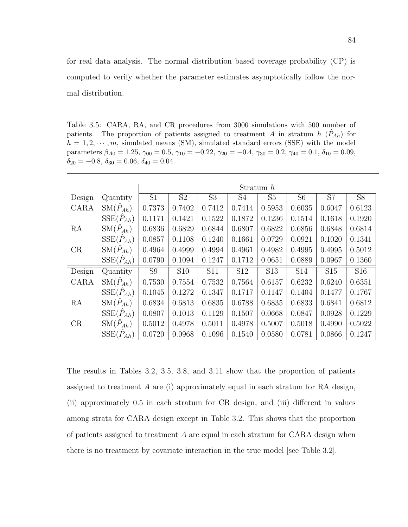for real data analysis. The normal distribution based coverage probability (CP) is computed to verify whether the parameter estimates asymptotically follow the normal distribution.

Table 3.5: CARA, RA, and CR procedures from 3000 simulations with 500 number of patients. The proportion of patients assigned to treatment A in stratum  $h\left(\hat{P}_{Ah}\right)$  for  $h = 1, 2, \dots, m$ , simulated means (SM), simulated standard errors (SSE) with the model parameters  $\beta_{A0} = 1.25$ ,  $\gamma_{00} = 0.5$ ,  $\gamma_{10} = -0.22$ ,  $\gamma_{20} = -0.4$ ,  $\gamma_{30} = 0.2$ ,  $\gamma_{40} = 0.1$ ,  $\delta_{10} = 0.09$ ,  $\delta_{20} = -0.8, \delta_{30} = 0.06, \delta_{40} = 0.04.$ 

|        |                             |                |                |                |                 | Stratum $h$     |                |                 |                 |
|--------|-----------------------------|----------------|----------------|----------------|-----------------|-----------------|----------------|-----------------|-----------------|
| Design | Quantity                    | S <sub>1</sub> | S <sub>2</sub> | S <sub>3</sub> | S4              | S5              | S <sub>6</sub> | S7              | S <sub>8</sub>  |
| CARA   | $\mathrm{SM}(\hat{P}_{Ah})$ | 0.7373         | 0.7402         | 0.7412         | 0.7414          | 0.5953          | 0.6035         | 0.6047          | 0.6123          |
|        | $SSE(\hat{P}_{Ah})$         | 0.1171         | 0.1421         | 0.1522         | 0.1872          | 0.1236          | 0.1514         | 0.1618          | 0.1920          |
| RA     | $\mathrm{SM}(\hat{P}_{Ah})$ | 0.6836         | 0.6829         | 0.6844         | 0.6807          | 0.6822          | 0.6856         | 0.6848          | 0.6814          |
|        | $SSE(\hat{P}_{Ah})$         | 0.0857         | 0.1108         | 0.1240         | 0.1661          | 0.0729          | 0.0921         | 0.1020          | 0.1341          |
| CR     | $\mathrm{SM}(\hat{P}_{Ah})$ | 0.4964         | 0.4999         | 0.4994         | 0.4961          | 0.4982          | 0.4995         | 0.4995          | 0.5012          |
|        | $SSE(\hat{P}_{Ah})$         | 0.0790         | 0.1094         | 0.1247         | 0.1712          | 0.0651          | 0.0889         | 0.0967          | 0.1360          |
| Design | Quantity                    | S <sub>9</sub> | <b>S10</b>     | <b>S11</b>     | S <sub>12</sub> | S <sub>13</sub> | <b>S14</b>     | S <sub>15</sub> | S <sub>16</sub> |
| CARA   | $\mathrm{SM}(\hat{P}_{Ah})$ | 0.7530         | 0.7554         | 0.7532         | 0.7564          | 0.6157          | 0.6232         | 0.6240          | 0.6351          |
|        | $SSE(\hat{P}_{Ah})$         | 0.1045         | 0.1272         | 0.1347         | 0.1717          | 0.1147          | 0.1404         | 0.1477          | 0.1767          |
| RA     | $\mathrm{SM}(\hat{P}_{Ah})$ | 0.6834         | 0.6813         | 0.6835         | 0.6788          | 0.6835          | 0.6833         | 0.6841          | 0.6812          |
|        | $SSE(\hat{P}_{Ah})$         | 0.0807         | 0.1013         | 0.1129         | 0.1507          | 0.0668          | 0.0847         | 0.0928          | 0.1229          |
| CR     | $\mathrm{SM}(\hat{P}_{Ah})$ | 0.5012         | 0.4978         | 0.5011         | 0.4978          | 0.5007          | 0.5018         | 0.4990          | 0.5022          |
|        | $SSE(P_{Ah})$               | 0.0720         | 0.0968         | 0.1096         | 0.1540          | 0.0580          | 0.0781         | 0.0866          | 0.1247          |

The results in Tables 3.2, 3.5, 3.8, and 3.11 show that the proportion of patients assigned to treatment A are (i) approximately equal in each stratum for RA design, (ii) approximately 0.5 in each stratum for CR design, and (iii) different in values among strata for CARA design except in Table 3.2. This shows that the proportion of patients assigned to treatment A are equal in each stratum for CARA design when there is no treatment by covariate interaction in the true model [see Table 3.2].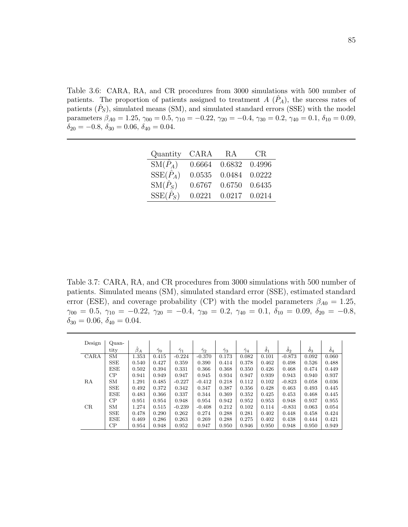Table 3.6: CARA, RA, and CR procedures from 3000 simulations with 500 number of patients. The proportion of patients assigned to treatment  $A(P_A)$ , the success rates of patients  $(\hat{P}_S)$ , simulated means (SM), and simulated standard errors (SSE) with the model parameters  $\beta_{A0} = 1.25, \gamma_{00} = 0.5, \gamma_{10} = -0.22, \gamma_{20} = -0.4, \gamma_{30} = 0.2, \gamma_{40} = 0.1, \delta_{10} = 0.09,$  $\delta_{20} = -0.8, \delta_{30} = 0.06, \delta_{40} = 0.04.$ 

| Quantity                                 | CARA   | RA     | CR.    |
|------------------------------------------|--------|--------|--------|
| $\operatorname{SM}(\widehat{\hat{P}_A})$ | 0.6664 | 0.6832 | 0.4996 |
| $SSE(\hat{P}_A)$                         | 0.0535 | 0.0484 | 0.0222 |
| $\mathrm{SM}(\hat{P}_S)$                 | 0.6767 | 0.6750 | 0.6435 |
| $SSE(\hat{P}_S)$                         | 0.0221 | 0.0217 | 0.0214 |

Table 3.7: CARA, RA, and CR procedures from 3000 simulations with 500 number of patients. Simulated means (SM), simulated standard error (SSE), estimated standard error (ESE), and coverage probability (CP) with the model parameters  $\beta_{A0} = 1.25$ ,  $\gamma_{00} = 0.5, \ \gamma_{10} = -0.22, \ \gamma_{20} = -0.4, \ \gamma_{30} = 0.2, \ \gamma_{40} = 0.1, \ \delta_{10} = 0.09, \ \delta_{20} = -0.8,$  $\delta_{30} = 0.06, \delta_{40} = 0.04.$ 

| Design | $Quan-$    |           |                  |                  |                  |                  |                  |                  |                  |                  |                  |  |
|--------|------------|-----------|------------------|------------------|------------------|------------------|------------------|------------------|------------------|------------------|------------------|--|
|        | tity       | $\beta_A$ | $\hat{\gamma}_0$ | $\hat{\gamma}_1$ | $\hat{\gamma}_2$ | $\hat{\gamma}_3$ | $\hat{\gamma}_4$ | $\hat{\delta}_1$ | $\hat{\delta}_2$ | $\hat{\delta}_3$ | $\hat{\delta}_4$ |  |
| CARA   | <b>SM</b>  | 1.353     | 0.415            | $-0.224$         | $-0.370$         | 0.173            | 0.082            | 0.101            | $-0.873$         | 0.092            | 0.060            |  |
|        | <b>SSE</b> | 0.540     | 0.427            | 0.359            | 0.390            | 0.414            | 0.378            | 0.462            | 0.498            | 0.526            | 0.488            |  |
|        | ESE        | 0.502     | 0.394            | 0.331            | 0.366            | 0.368            | 0.350            | 0.426            | 0.468            | 0.474            | 0.449            |  |
|        | CP         | 0.941     | 0.949            | 0.947            | 0.945            | 0.934            | 0.947            | 0.939            | 0.943            | 0.940            | 0.937            |  |
| RA     | <b>SM</b>  | 1.291     | 0.485            | $-0.227$         | $-0.412$         | 0.218            | 0.112            | 0.102            | $-0.823$         | 0.058            | 0.036            |  |
|        | <b>SSE</b> | 0.492     | 0.372            | 0.342            | 0.347            | 0.387            | 0.356            | 0.428            | 0.463            | 0.493            | 0.445            |  |
|        | ESE        | 0.483     | 0.366            | 0.337            | 0.344            | 0.369            | 0.352            | 0.425            | 0.453            | 0.468            | 0.445            |  |
|        | CP         | 0.951     | 0.954            | 0.948            | 0.954            | 0.942            | 0.952            | 0.953            | 0.948            | 0.937            | 0.955            |  |
| CR     | <b>SM</b>  | 1.274     | 0.515            | $-0.239$         | $-0.408$         | 0.212            | 0.102            | 0.114            | $-0.831$         | 0.063            | 0.054            |  |
|        | <b>SSE</b> | 0.478     | 0.290            | 0.262            | 0.274            | 0.288            | 0.281            | 0.402            | 0.448            | 0.458            | 0.424            |  |
|        | ESE        | 0.469     | 0.286            | 0.263            | 0.269            | 0.288            | 0.275            | 0.402            | 0.438            | 0.444            | 0.421            |  |
|        | CP         | 0.954     | 0.948            | 0.952            | 0.947            | 0.950            | 0.946            | 0.950            | 0.948            | 0.950            | 0.949            |  |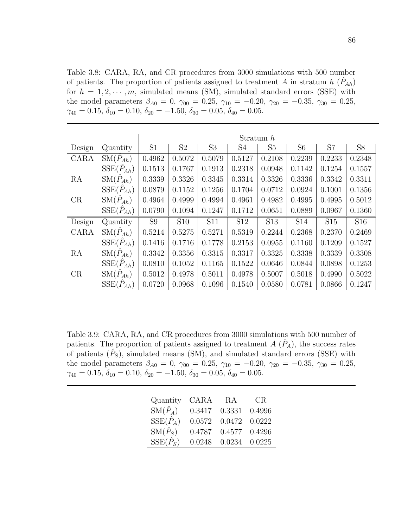Table 3.8: CARA, RA, and CR procedures from 3000 simulations with 500 number of patients. The proportion of patients assigned to treatment A in stratum  $h\ (\hat{P}_{Ah})$ for  $h = 1, 2, \dots, m$ , simulated means (SM), simulated standard errors (SSE) with the model parameters  $\beta_{A0} = 0$ ,  $\gamma_{00} = 0.25$ ,  $\gamma_{10} = -0.20$ ,  $\gamma_{20} = -0.35$ ,  $\gamma_{30} = 0.25$ ,  $\gamma_{40} = 0.15, \delta_{10} = 0.10, \delta_{20} = -1.50, \delta_{30} = 0.05, \delta_{40} = 0.05.$ 

|        |                             |                |                |                |                 | Stratum $h$     |                |                 |                 |
|--------|-----------------------------|----------------|----------------|----------------|-----------------|-----------------|----------------|-----------------|-----------------|
| Design | Quantity                    | S <sub>1</sub> | S <sub>2</sub> | S <sub>3</sub> | S4              | S <sub>5</sub>  | S <sub>6</sub> | S7              | $\overline{S8}$ |
| CARA   | $\mathrm{SM}(\hat{P}_{Ah})$ | 0.4962         | 0.5072         | 0.5079         | 0.5127          | 0.2108          | 0.2239         | 0.2233          | 0.2348          |
|        | $SSE(\hat{P}_{Ah})$         | 0.1513         | 0.1767         | 0.1913         | 0.2318          | 0.0948          | 0.1142         | 0.1254          | 0.1557          |
| RA     | $SM(P_{Ah})$                | 0.3339         | 0.3326         | 0.3345         | 0.3314          | 0.3326          | 0.3336         | 0.3342          | 0.3311          |
|        | $SSE(\hat{P}_{Ah})$         | 0.0879         | 0.1152         | 0.1256         | 0.1704          | 0.0712          | 0.0924         | 0.1001          | 0.1356          |
| CR     | $\mathrm{SM}(P_{Ah})$       | 0.4964         | 0.4999         | 0.4994         | 0.4961          | 0.4982          | 0.4995         | 0.4995          | 0.5012          |
|        | $SSE(\hat{P}_{Ah})$         | 0.0790         | 0.1094         | 0.1247         | 0.1712          | 0.0651          | 0.0889         | 0.0967          | 0.1360          |
| Design | Quantity                    | S <sub>9</sub> | <b>S10</b>     | S11            | S <sub>12</sub> | S <sub>13</sub> | <b>S14</b>     | S <sub>15</sub> | S16             |
| CARA   | $\mathrm{SM}(P_{Ah})$       | 0.5214         | 0.5275         | 0.5271         | 0.5319          | 0.2244          | 0.2368         | 0.2370          | 0.2469          |
|        | $SSE(\hat{P}_{Ah})$         | 0.1416         | 0.1716         | 0.1778         | 0.2153          | 0.0955          | 0.1160         | 0.1209          | 0.1527          |
| RA     | $\mathrm{SM}(P_{Ah})$       | 0.3342         | 0.3356         | 0.3315         | 0.3317          | 0.3325          | 0.3338         | 0.3339          | 0.3308          |
|        | $SSE(\hat{P}_{Ah})$         | 0.0810         | 0.1052         | 0.1165         | 0.1522          | 0.0646          | 0.0844         | 0.0898          | 0.1253          |
| CR     | $SM(P_{Ah})$                | 0.5012         | 0.4978         | 0.5011         | 0.4978          | 0.5007          | 0.5018         | 0.4990          | 0.5022          |
|        | $SSE(P_{Ah})$               | 0.0720         | 0.0968         | 0.1096         | 0.1540          | 0.0580          | 0.0781         | 0.0866          | 0.1247          |

Table 3.9: CARA, RA, and CR procedures from 3000 simulations with 500 number of patients. The proportion of patients assigned to treatment  $A(\hat{P}_A)$ , the success rates of patients  $(\hat{P}_S)$ , simulated means (SM), and simulated standard errors (SSE) with the model parameters  $\beta_{A0} = 0$ ,  $\gamma_{00} = 0.25$ ,  $\gamma_{10} = -0.20$ ,  $\gamma_{20} = -0.35$ ,  $\gamma_{30} = 0.25$ ,  $\gamma_{40} = 0.15, \delta_{10} = 0.10, \delta_{20} = -1.50, \delta_{30} = 0.05, \delta_{40} = 0.05.$ 

| Quantity                            | CARA   | RA     | CR.    |
|-------------------------------------|--------|--------|--------|
| $\overline{\mathrm{SM}(\hat{P}_A)}$ | 0.3417 | 0.3331 | 0.4996 |
| $\text{SSE}(\hat{P}_A)$             | 0.0572 | 0.0472 | 0.0222 |
| $\mathrm{SM}(\hat{P}_S)$            | 0.4787 | 0.4577 | 0.4296 |
| $SSE(\hat{P}_S)$                    | 0.0248 | 0.0234 | 0.0225 |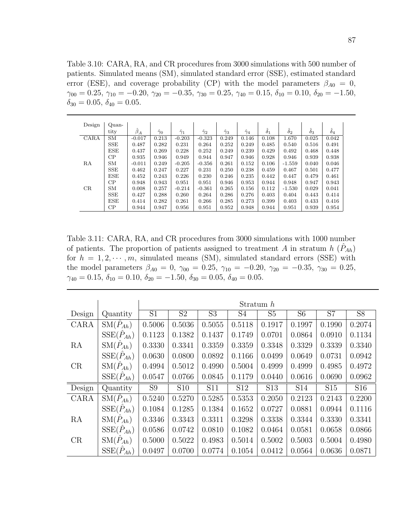Table 3.10: CARA, RA, and CR procedures from 3000 simulations with 500 number of patients. Simulated means (SM), simulated standard error (SSE), estimated standard error (ESE), and coverage probability (CP) with the model parameters  $\beta_{A0} = 0$ ,  $\gamma_{00} = 0.25, \, \gamma_{10} = -0.20, \, \gamma_{20} = -0.35, \, \gamma_{30} = 0.25, \, \gamma_{40} = 0.15, \, \delta_{10} = 0.10, \, \delta_{20} = -1.50,$  $\delta_{30} = 0.05, \, \delta_{40} = 0.05.$ 

| Design | Quan-      |           |                  |                  |                  |                  |                  |                  |                  |                  |                  |
|--------|------------|-----------|------------------|------------------|------------------|------------------|------------------|------------------|------------------|------------------|------------------|
|        | tity       | $\beta_A$ | $\hat{\gamma}_0$ | $\hat{\gamma}_1$ | $\hat{\gamma}_2$ | $\hat{\gamma}_3$ | $\hat{\gamma}_4$ | $\hat{\delta}_1$ | $\hat{\delta}_2$ | $\hat{\delta}_3$ | $\hat{\delta}_4$ |
| CARA   | <b>SM</b>  | $-0.017$  | 0.213            | $-0.203$         | $-0.323$         | 0.249            | 0.146            | 0.108            | 1.670            | 0.025            | 0.042            |
|        | <b>SSE</b> | 0.487     | 0.282            | 0.231            | 0.264            | 0.252            | 0.249            | 0.485            | 0.540            | 0.516            | 0.491            |
|        | <b>ESE</b> | 0.437     | 0.269            | 0.228            | 0.252            | 0.249            | 0.239            | 0.429            | 0.492            | 0.468            | 0.448            |
|        | CP         | 0.935     | 0.946            | 0.949            | 0.944            | 0.947            | 0.946            | 0.928            | 0.946            | 0.939            | 0.938            |
| RA     | <b>SM</b>  | $-0.011$  | 0.249            | $-0.205$         | $-0.356$         | 0.261            | 0.152            | 0.106            | $-1.559$         | 0.040            | 0.046            |
|        | <b>SSE</b> | 0.462     | 0.247            | 0.227            | 0.231            | 0.250            | 0.238            | 0.459            | 0.467            | 0.501            | 0.477            |
|        | <b>ESE</b> | 0.452     | 0.243            | 0.226            | 0.230            | 0.246            | 0.235            | 0.442            | 0.447            | 0.479            | 0.461            |
|        | CP         | 0.948     | 0.943            | 0.951            | 0.951            | 0.946            | 0.953            | 0.944            | 0.948            | 0.947            | 0.943            |
| CR     | <b>SM</b>  | 0.008     | 0.257            | $-0.214$         | $-0.361$         | 0.265            | 0.156            | 0.112            | $-1.530$         | 0.029            | 0.041            |
|        | <b>SSE</b> | 0.427     | 0.288            | 0.260            | 0.264            | 0.286            | 0.276            | 0.403            | 0.404            | 0.443            | 0.414            |
|        | <b>ESE</b> | 0.414     | 0.282            | 0.261            | 0.266            | 0.285            | 0.273            | 0.399            | 0.403            | 0.433            | 0.416            |
|        | CP         | 0.944     | 0.947            | 0.956            | 0.951            | 0.952            | 0.948            | 0.944            | 0.951            | 0.939            | 0.954            |

Table 3.11: CARA, RA, and CR procedures from 3000 simulations with 1000 number of patients. The proportion of patients assigned to treatment A in stratum  $h\ (\hat{P}_{Ah})$ for  $h = 1, 2, \dots, m$ , simulated means (SM), simulated standard errors (SSE) with the model parameters  $\beta_{A0} = 0$ ,  $\gamma_{00} = 0.25$ ,  $\gamma_{10} = -0.20$ ,  $\gamma_{20} = -0.35$ ,  $\gamma_{30} = 0.25$ ,  $\gamma_{40} = 0.15, \delta_{10} = 0.10, \delta_{20} = -1.50, \delta_{30} = 0.05, \delta_{40} = 0.05.$ 

|        |                             |                |                 |                |                 | Stratum $h$     |                |            |                 |
|--------|-----------------------------|----------------|-----------------|----------------|-----------------|-----------------|----------------|------------|-----------------|
| Design | Quantity                    | S <sub>1</sub> | S <sub>2</sub>  | S <sub>3</sub> | S <sub>4</sub>  | S <sub>5</sub>  | S <sub>6</sub> | S7         | S <sub>8</sub>  |
| CARA   | $\mathrm{SM}(\hat{P}_{Ah})$ | 0.5006         | 0.5036          | 0.5055         | 0.5118          | 0.1917          | 0.1997         | 0.1990     | 0.2074          |
|        | $SSE(\tilde{P}_{Ah})$       | 0.1123         | 0.1382          | 0.1437         | 0.1749          | 0.0701          | 0.0864         | 0.0910     | 0.1134          |
| RA     | $\mathrm{SM}(\hat{P}_{Ah})$ | 0.3330         | 0.3341          | 0.3359         | 0.3359          | 0.3348          | 0.3329         | 0.3339     | 0.3340          |
|        | $SSE(\hat{P}_{Ah})$         | 0.0630         | 0.0800          | 0.0892         | 0.1166          | 0.0499          | 0.0649         | 0.0731     | 0.0942          |
| CR     | $SM(P_{Ah})$                | 0.4994         | 0.5012          | 0.4990         | 0.5004          | 0.4999          | 0.4999         | 0.4985     | 0.4972          |
|        | $SSE(\tilde{P}_{Ah})$       | 0.0547         | 0.0766          | 0.0845         | 0.1179          | 0.0440          | 0.0616         | 0.0690     | 0.0962          |
| Design | Quantity                    | S <sub>9</sub> | S <sub>10</sub> | S11            | S <sub>12</sub> | S <sub>13</sub> | <b>S14</b>     | <b>S15</b> | S <sub>16</sub> |
| CARA   | $\mathrm{SM}(\hat{P}_{Ah})$ | 0.5240         | 0.5270          | 0.5285         | 0.5353          | 0.2050          | 0.2123         | 0.2143     | 0.2200          |
|        | $SSE(\hat{P}_{Ah})$         | 0.1084         | 0.1285          | 0.1384         | 0.1652          | 0.0727          | 0.0881         | 0.0944     | 0.1116          |
| RA     | $\mathrm{SM}(P_{Ah})$       | 0.3346         | 0.3343          | 0.3311         | 0.3298          | 0.3338          | 0.3344         | 0.3330     | 0.3341          |
|        | $SSE(\hat{P}_{Ah})$         | 0.0586         | 0.0742          | 0.0810         | 0.1082          | 0.0464          | 0.0581         | 0.0658     | 0.0866          |
| CR     | $\mathrm{SM}(P_{Ah})$       | 0.5000         | 0.5022          | 0.4983         | 0.5014          | 0.5002          | 0.5003         | 0.5004     | 0.4980          |
|        | $SSE(\hat{P}_{Ah})$         | 0.0497         | 0.0700          | 0.0774         | 0.1054          | 0.0412          | 0.0564         | 0.0636     | 0.0871          |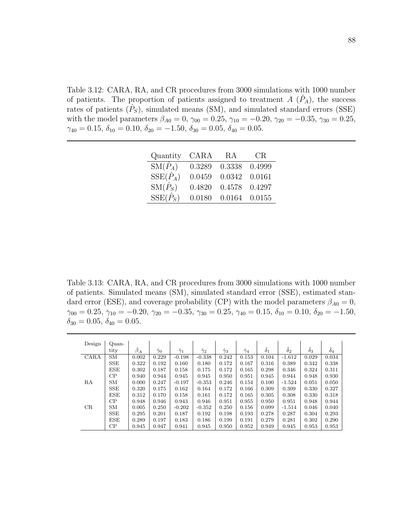Table 3.12: CARA, RA, and CR procedures from 3000 simulations with 1000 number of patients. The proportion of patients assigned to treatment  $A(\hat{P}_A)$ , the success rates of patients  $(\hat{P}_S)$ , simulated means (SM), and simulated standard errors (SSE) with the model parameters  $\beta_{A0} = 0$ ,  $\gamma_{00} = 0.25$ ,  $\gamma_{10} = -0.20$ ,  $\gamma_{20} = -0.35$ ,  $\gamma_{30} = 0.25$ ,  $\gamma_{40} = 0.15, \delta_{10} = 0.10, \delta_{20} = -1.50, \delta_{30} = 0.05, \delta_{40} = 0.05.$ 

| Quantity                            | CARA   | RA     | CR.    |
|-------------------------------------|--------|--------|--------|
| $\overline{\mathrm{SM}(\hat{P}_A)}$ | 0.3289 | 0.3338 | 0.4999 |
| $SSE(\hat{P}_A)$                    | 0.0459 | 0.0342 | 0.0161 |
| $\mathrm{SM}(\hat{P}_S)$            | 0.4820 | 0.4578 | 0.4297 |
| $SSE(\hat{P}_S)$                    | 0.0180 | 0.0164 | 0.0155 |

Table 3.13: CARA, RA, and CR procedures from 3000 simulations with 1000 number of patients. Simulated means (SM), simulated standard error (SSE), estimated standard error (ESE), and coverage probability (CP) with the model parameters  $\beta_{A0} = 0$ ,  $\gamma_{00} = 0.25, \, \gamma_{10} = -0.20, \, \gamma_{20} = -0.35, \, \gamma_{30} = 0.25, \, \gamma_{40} = 0.15, \, \delta_{10} = 0.10, \, \delta_{20} = -1.50,$  $\delta_{30} = 0.05, \, \delta_{40} = 0.05.$ 

| Design | $Quan-$    |           |                  |                  |                  |                  |                  |            |                  |                  |                  |  |
|--------|------------|-----------|------------------|------------------|------------------|------------------|------------------|------------|------------------|------------------|------------------|--|
|        | tity       | $\beta_A$ | $\hat{\gamma}_0$ | $\hat{\gamma}_1$ | $\hat{\gamma}_2$ | $\hat{\gamma}_3$ | $\hat{\gamma}_4$ | $\delta_1$ | $\hat{\delta}_2$ | $\hat{\delta}_3$ | $\hat{\delta}_4$ |  |
| CARA   | <b>SM</b>  | 0.002     | 0.229            | $-0.198$         | $-0.338$         | 0.242            | 0.153            | 0.104      | $-1.612$         | 0.029            | 0.034            |  |
|        | <b>SSE</b> | 0.322     | 0.192            | 0.160            | 0.180            | 0.172            | 0.167            | 0.316      | 0.389            | 0.342            | 0.338            |  |
|        | ESE        | 0.302     | 0.187            | 0.158            | 0.175            | 0.172            | 0.165            | 0.298      | 0.346            | 0.324            | 0.311            |  |
|        | CP         | 0.940     | 0.944            | 0.945            | 0.945            | 0.950            | 0.951            | 0.945      | 0.944            | 0.948            | 0.930            |  |
| RA     | <b>SM</b>  | 0.000     | 0.247            | $-0.197$         | $-0.353$         | 0.246            | 0.154            | 0.100      | $-1.524$         | 0.051            | 0.050            |  |
|        | <b>SSE</b> | 0.320     | 0.175            | 0.162            | 0.164            | 0.172            | 0.166            | 0.309      | 0.309            | 0.330            | 0.327            |  |
|        | ESE        | 0.312     | 0.170            | 0.158            | 0.161            | 0.172            | 0.165            | 0.305      | 0.308            | 0.330            | 0.318            |  |
|        | CP         | 0.948     | 0.946            | 0.943            | 0.946            | 0.951            | 0.955            | 0.950      | 0.951            | 0.948            | 0.944            |  |
| CR     | <b>SM</b>  | 0.005     | 0.250            | $-0.202$         | $-0.352$         | 0.250            | 0.156            | 0.099      | $-1.514$         | 0.046            | 0.040            |  |
|        | <b>SSE</b> | 0.295     | 0.201            | 0.187            | 0.192            | 0.198            | 0.193            | 0.278      | 0.287            | 0.304            | 0.293            |  |
|        | ESE        | 0.289     | 0.197            | 0.183            | 0.186            | 0.199            | 0.191            | 0.279      | 0.281            | 0.302            | 0.290            |  |
|        | CP         | 0.945     | 0.947            | 0.941            | 0.945            | 0.950            | 0.952            | 0.949      | 0.945            | 0.953            | 0.953            |  |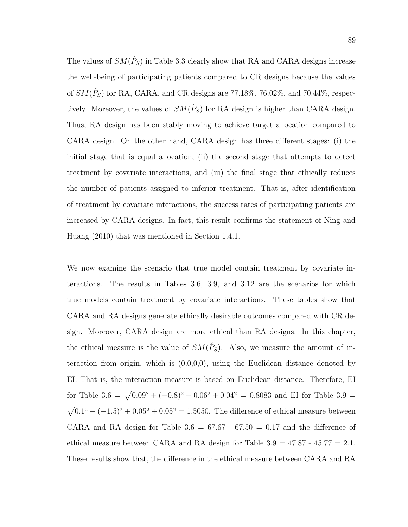The values of  $SM(\hat{P}_S)$  in Table 3.3 clearly show that RA and CARA designs increase the well-being of participating patients compared to CR designs because the values of  $SM(\hat{P}_S)$  for RA, CARA, and CR designs are 77.18%, 76.02%, and 70.44%, respectively. Moreover, the values of  $SM(\hat{P}_S)$  for RA design is higher than CARA design. Thus, RA design has been stably moving to achieve target allocation compared to CARA design. On the other hand, CARA design has three different stages: (i) the initial stage that is equal allocation, (ii) the second stage that attempts to detect treatment by covariate interactions, and (iii) the final stage that ethically reduces the number of patients assigned to inferior treatment. That is, after identification of treatment by covariate interactions, the success rates of participating patients are increased by CARA designs. In fact, this result confirms the statement of Ning and Huang (2010) that was mentioned in Section 1.4.1.

We now examine the scenario that true model contain treatment by covariate interactions. The results in Tables 3.6, 3.9, and 3.12 are the scenarios for which true models contain treatment by covariate interactions. These tables show that CARA and RA designs generate ethically desirable outcomes compared with CR design. Moreover, CARA design are more ethical than RA designs. In this chapter, the ethical measure is the value of  $SM(\hat{P}_S)$ . Also, we measure the amount of interaction from origin, which is  $(0,0,0,0)$ , using the Euclidean distance denoted by EI. That is, the interaction measure is based on Euclidean distance. Therefore, EI for Table 3.6 =  $\sqrt{0.09^2 + (-0.8)^2 + 0.06^2 + 0.04^2}$  = 0.8083 and EI for Table 3.9 =  $\sqrt{0.1^2 + (-1.5)^2 + 0.05^2 + 0.05^2} = 1.5050$ . The difference of ethical measure between CARA and RA design for Table  $3.6 = 67.67 - 67.50 = 0.17$  and the difference of ethical measure between CARA and RA design for Table  $3.9 = 47.87 - 45.77 = 2.1$ . These results show that, the difference in the ethical measure between CARA and RA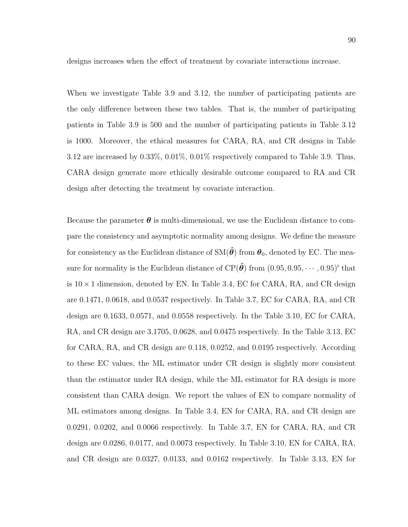designs increases when the effect of treatment by covariate interactions increase.

When we investigate Table 3.9 and 3.12, the number of participating patients are the only difference between these two tables. That is, the number of participating patients in Table 3.9 is 500 and the number of participating patients in Table 3.12 is 1000. Moreover, the ethical measures for CARA, RA, and CR designs in Table 3.12 are increased by 0.33%, 0.01%, 0.01% respectively compared to Table 3.9. Thus, CARA design generate more ethically desirable outcome compared to RA and CR design after detecting the treatment by covariate interaction.

Because the parameter  $\boldsymbol{\theta}$  is multi-dimensional, we use the Euclidean distance to compare the consistency and asymptotic normality among designs. We define the measure for consistency as the Euclidean distance of  $SM(\hat{\theta})$  from  $\theta_0$ , denoted by EC. The measure for normality is the Euclidean distance of CP( $\hat{\theta}$ ) from  $(0.95, 0.95, \cdots, 0.95)'$  that is  $10 \times 1$  dimension, denoted by EN. In Table 3.4, EC for CARA, RA, and CR design are 0.1471, 0.0618, and 0.0537 respectively. In Table 3.7, EC for CARA, RA, and CR design are 0.1633, 0.0571, and 0.0558 respectively. In the Table 3.10, EC for CARA, RA, and CR design are 3.1705, 0.0628, and 0.0475 respectively. In the Table 3.13, EC for CARA, RA, and CR design are 0.118, 0.0252, and 0.0195 respectively. According to these EC values, the ML estimator under CR design is slightly more consistent than the estimator under RA design, while the ML estimator for RA design is more consistent than CARA design. We report the values of EN to compare normality of ML estimators among designs. In Table 3.4, EN for CARA, RA, and CR design are 0.0291, 0.0202, and 0.0066 respectively. In Table 3.7, EN for CARA, RA, and CR design are 0.0286, 0.0177, and 0.0073 respectively. In Table 3.10, EN for CARA, RA, and CR design are 0.0327, 0.0133, and 0.0162 respectively. In Table 3.13, EN for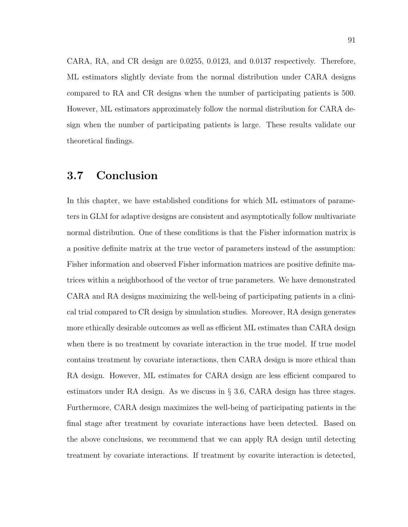CARA, RA, and CR design are 0.0255, 0.0123, and 0.0137 respectively. Therefore, ML estimators slightly deviate from the normal distribution under CARA designs compared to RA and CR designs when the number of participating patients is 500. However, ML estimators approximately follow the normal distribution for CARA design when the number of participating patients is large. These results validate our theoretical findings.

### 3.7 Conclusion

In this chapter, we have established conditions for which ML estimators of parameters in GLM for adaptive designs are consistent and asymptotically follow multivariate normal distribution. One of these conditions is that the Fisher information matrix is a positive definite matrix at the true vector of parameters instead of the assumption: Fisher information and observed Fisher information matrices are positive definite matrices within a neighborhood of the vector of true parameters. We have demonstrated CARA and RA designs maximizing the well-being of participating patients in a clinical trial compared to CR design by simulation studies. Moreover, RA design generates more ethically desirable outcomes as well as efficient ML estimates than CARA design when there is no treatment by covariate interaction in the true model. If true model contains treatment by covariate interactions, then CARA design is more ethical than RA design. However, ML estimates for CARA design are less efficient compared to estimators under RA design. As we discuss in § 3.6, CARA design has three stages. Furthermore, CARA design maximizes the well-being of participating patients in the final stage after treatment by covariate interactions have been detected. Based on the above conclusions, we recommend that we can apply RA design until detecting treatment by covariate interactions. If treatment by covarite interaction is detected,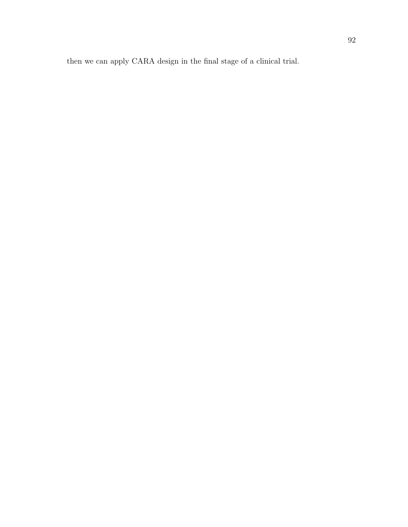then we can apply CARA design in the final stage of a clinical trial.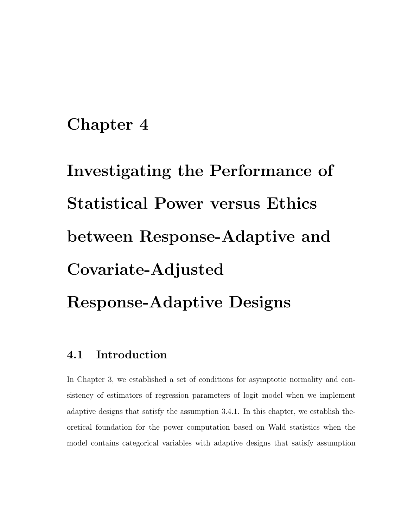# Chapter 4

# Investigating the Performance of Statistical Power versus Ethics between Response-Adaptive and Covariate-Adjusted Response-Adaptive Designs

# 4.1 Introduction

In Chapter 3, we established a set of conditions for asymptotic normality and consistency of estimators of regression parameters of logit model when we implement adaptive designs that satisfy the assumption 3.4.1. In this chapter, we establish theoretical foundation for the power computation based on Wald statistics when the model contains categorical variables with adaptive designs that satisfy assumption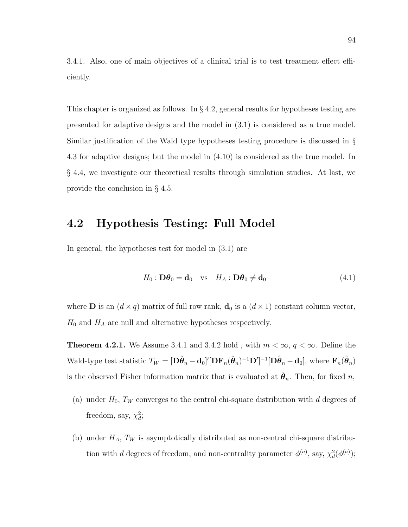3.4.1. Also, one of main objectives of a clinical trial is to test treatment effect efficiently.

This chapter is organized as follows. In § 4.2, general results for hypotheses testing are presented for adaptive designs and the model in (3.1) is considered as a true model. Similar justification of the Wald type hypotheses testing procedure is discussed in § 4.3 for adaptive designs; but the model in (4.10) is considered as the true model. In § 4.4, we investigate our theoretical results through simulation studies. At last, we provide the conclusion in § 4.5.

## 4.2 Hypothesis Testing: Full Model

In general, the hypotheses test for model in (3.1) are

$$
H_0: \mathbf{D}\boldsymbol{\theta}_0 = \mathbf{d}_0 \quad \text{vs} \quad H_A: \mathbf{D}\boldsymbol{\theta}_0 \neq \mathbf{d}_0 \tag{4.1}
$$

where **D** is an  $(d \times q)$  matrix of full row rank,  $\mathbf{d}_0$  is a  $(d \times 1)$  constant column vector,  $H_0$  and  $H_A$  are null and alternative hypotheses respectively.

**Theorem 4.2.1.** We Assume 3.4.1 and 3.4.2 hold, with  $m < \infty$ ,  $q < \infty$ . Define the Wald-type test statistic  $T_W = [\mathbf{D}\hat{\boldsymbol{\theta}}_n - \mathbf{d}_0]'[\mathbf{D}\mathbf{F}_n(\hat{\boldsymbol{\theta}}_n)^{-1}\mathbf{D}']^{-1}[\mathbf{D}\hat{\boldsymbol{\theta}}_n - \mathbf{d}_0]$ , where  $\mathbf{F}_n(\hat{\boldsymbol{\theta}}_n)$ is the observed Fisher information matrix that is evaluated at  $\hat{\theta}_n$ . Then, for fixed n,

- (a) under  $H_0$ ,  $T_W$  converges to the central chi-square distribution with d degrees of freedom, say,  $\chi_d^2$ ;
- (b) under  $H_A$ ,  $T_W$  is asymptotically distributed as non-central chi-square distribution with d degrees of freedom, and non-centrality parameter  $\phi^{(a)}$ , say,  $\chi^2_d(\phi^{(a)})$ ;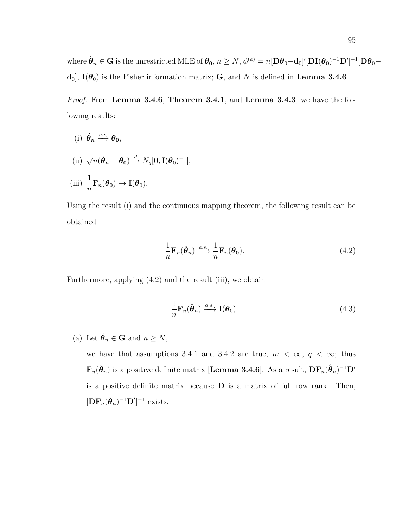where  $\hat{\boldsymbol{\theta}}_n \in \mathbf{G}$  is the unrestricted MLE of  $\boldsymbol{\theta_0}, n \geq N, \phi^{(a)} = n [\mathbf{D} \boldsymbol{\theta}_0 - \mathbf{d}_0]' [\mathbf{D} \mathbf{I} (\boldsymbol{\theta}_0)^{-1} \mathbf{D}']^{-1} [\mathbf{D} \boldsymbol{\theta}_0$ d<sub>0</sub>],  $I(\theta_0)$  is the Fisher information matrix; G, and N is defined in Lemma 3.4.6.

Proof. From Lemma 3.4.6, Theorem 3.4.1, and Lemma 3.4.3, we have the following results:

(i) 
$$
\hat{\theta}_n \xrightarrow{a.s} \theta_0
$$
,  
\n(ii)  $\sqrt{n}(\hat{\theta}_n - \theta_0) \xrightarrow{d} N_q[0, \mathbf{I}(\theta_0)^{-1}],$   
\n(iii)  $\frac{1}{n} \mathbf{F}_n(\theta_0) \rightarrow \mathbf{I}(\theta_0)$ .

Using the result (i) and the continuous mapping theorem, the following result can be obtained

$$
\frac{1}{n}\mathbf{F}_n(\hat{\boldsymbol{\theta}}_n) \xrightarrow{a.s.} \frac{1}{n}\mathbf{F}_n(\boldsymbol{\theta_0}).
$$
\n(4.2)

Furthermore, applying (4.2) and the result (iii), we obtain

$$
\frac{1}{n}\mathbf{F}_n(\hat{\boldsymbol{\theta}}_n) \xrightarrow{a.s.} \mathbf{I}(\boldsymbol{\theta}_0).
$$
\n(4.3)

(a) Let  $\hat{\theta}_n \in \mathbf{G}$  and  $n \geq N$ ,

we have that assumptions 3.4.1 and 3.4.2 are true,  $m < \infty$ ,  $q < \infty$ ; thus  ${\bf F}_n(\hat{\bm \theta}_n)$  is a positive definite matrix [Lemma 3.4.6]. As a result,  ${\bf DF}_n(\hat{\bm \theta}_n)^{-1}{\bf D}'$ is a positive definite matrix because  **is a matrix of full row rank. Then,**  $[\mathbf{DF}_n(\hat{\boldsymbol{\theta}}_n)^{-1} \mathbf{D}']^{-1}$  exists.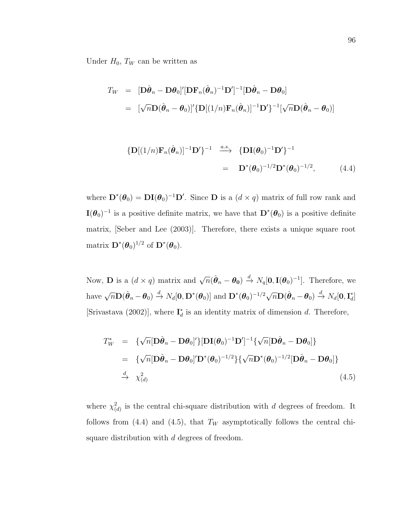Under  $H_0$ ,  $T_W$  can be written as

$$
T_W = [\mathbf{D}\hat{\boldsymbol{\theta}}_n - \mathbf{D}\boldsymbol{\theta}_0]' [\mathbf{D}\mathbf{F}_n(\hat{\boldsymbol{\theta}}_n)^{-1} \mathbf{D}']^{-1} [\mathbf{D}\hat{\boldsymbol{\theta}}_n - \mathbf{D}\boldsymbol{\theta}_0]
$$
  
= 
$$
[\sqrt{n}\mathbf{D}(\hat{\boldsymbol{\theta}}_n - \boldsymbol{\theta}_0)' {\mathbf{D}}[(1/n)\mathbf{F}_n(\hat{\boldsymbol{\theta}}_n)]^{-1} \mathbf{D}' \}^{-1} [\sqrt{n}\mathbf{D}(\hat{\boldsymbol{\theta}}_n - \boldsymbol{\theta}_0)]
$$

$$
\{ \mathbf{D}[(1/n)\mathbf{F}_n(\hat{\boldsymbol{\theta}}_n)]^{-1} \mathbf{D}' \}^{-1} \xrightarrow{a.s.} \{ \mathbf{D}\mathbf{I}(\boldsymbol{\theta}_0)^{-1} \mathbf{D}' \}^{-1}
$$

$$
= \mathbf{D}^*(\boldsymbol{\theta}_0)^{-1/2} \mathbf{D}^*(\boldsymbol{\theta}_0)^{-1/2}, \qquad (4.4)
$$

where  $\mathbf{D}^*(\theta_0) = \mathbf{DI}(\theta_0)^{-1} \mathbf{D}'$ . Since  $\mathbf{D}$  is a  $(d \times q)$  matrix of full row rank and  $\mathbf{I}(\boldsymbol{\theta}_0)^{-1}$  is a positive definite matrix, we have that  $\mathbf{D}^*(\boldsymbol{\theta}_0)$  is a positive definite matrix, [Seber and Lee (2003)]. Therefore, there exists a unique square root matrix  $\mathbf{D}^{*}(\boldsymbol{\theta}_{0})^{1/2}$  of  $\mathbf{D}^{*}(\boldsymbol{\theta}_{0})$ .

Now, **D** is a  $(d \times q)$  matrix and  $\sqrt{n}(\hat{\theta}_n - \theta_0) \stackrel{d}{\rightarrow} N_q[\mathbf{0}, \mathbf{I}(\theta_0)^{-1}]$ . Therefore, we have  $\sqrt{n}\mathbf{D}(\hat{\boldsymbol{\theta}}_n-\boldsymbol{\theta}_0) \stackrel{d}{\rightarrow} N_d[\mathbf{0},\mathbf{D}^*(\boldsymbol{\theta}_0)]$  and  $\mathbf{D}^*(\boldsymbol{\theta}_0)^{-1/2}\sqrt{n}\mathbf{D}(\hat{\boldsymbol{\theta}}_n-\boldsymbol{\theta}_0) \stackrel{d}{\rightarrow} N_d[\mathbf{0},\mathbf{I}_d^*]$  $\binom{*}{d}$ [Srivastava (2002)], where  $I_d^*$  $_d^*$  is an identity matrix of dimension d. Therefore,

$$
T_W^* = \{ \sqrt{n} [\mathbf{D}\hat{\boldsymbol{\theta}}_n - \mathbf{D}\boldsymbol{\theta}_0]' \} [\mathbf{D}\mathbf{I}(\boldsymbol{\theta}_0)^{-1} \mathbf{D}']^{-1} \{ \sqrt{n} [\mathbf{D}\hat{\boldsymbol{\theta}}_n - \mathbf{D}\boldsymbol{\theta}_0] \}
$$
  
\n
$$
= \{ \sqrt{n} [\mathbf{D}\hat{\boldsymbol{\theta}}_n - \mathbf{D}\boldsymbol{\theta}_0]' \mathbf{D}^*(\boldsymbol{\theta}_0)^{-1/2} \} \{ \sqrt{n} \mathbf{D}^*(\boldsymbol{\theta}_0)^{-1/2} [\mathbf{D}\hat{\boldsymbol{\theta}}_n - \mathbf{D}\boldsymbol{\theta}_0] \}
$$
  
\n
$$
\xrightarrow{d} \chi^2_{(d)}
$$
 (4.5)

where  $\chi^2_{(d)}$  is the central chi-square distribution with d degrees of freedom. It follows from (4.4) and (4.5), that  $T_W$  asymptotically follows the central chisquare distribution with d degrees of freedom.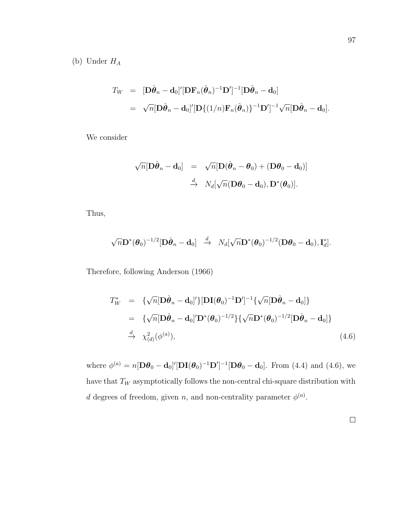(b) Under  $H_A$ 

$$
T_W = [\mathbf{D}\hat{\boldsymbol{\theta}}_n - \mathbf{d}_0]' [\mathbf{D}\mathbf{F}_n(\hat{\boldsymbol{\theta}}_n)^{-1} \mathbf{D}']^{-1} [\mathbf{D}\hat{\boldsymbol{\theta}}_n - \mathbf{d}_0]
$$
  
=  $\sqrt{n} [\mathbf{D}\hat{\boldsymbol{\theta}}_n - \mathbf{d}_0]' [\mathbf{D}\{(1/n)\mathbf{F}_n(\hat{\boldsymbol{\theta}}_n)\}^{-1} \mathbf{D}']^{-1} \sqrt{n} [\mathbf{D}\hat{\boldsymbol{\theta}}_n - \mathbf{d}_0].$ 

We consider

$$
\begin{array}{rcl}\n\sqrt{n}[\mathbf{D}\hat{\boldsymbol{\theta}}_n-\mathbf{d}_0] & = & \sqrt{n}[\mathbf{D}(\hat{\boldsymbol{\theta}}_n-\boldsymbol{\theta}_0)+(\mathbf{D}\boldsymbol{\theta}_0-\mathbf{d}_0)] \\
& \stackrel{d}{\to} & N_d[\sqrt{n}(\mathbf{D}\boldsymbol{\theta}_0-\mathbf{d}_0),\mathbf{D}^*(\boldsymbol{\theta}_0)].\n\end{array}
$$

Thus,

$$
\sqrt{n}\mathbf{D}^*(\boldsymbol{\theta}_0)^{-1/2}[\mathbf{D}\hat{\boldsymbol{\theta}}_n-\mathbf{d}_0]\ \ \, \xrightarrow{d}\ \ N_d[\sqrt{n}\mathbf{D}^*(\boldsymbol{\theta}_0)^{-1/2}(\mathbf{D}\boldsymbol{\theta}_0-\mathbf{d}_0),\mathbf{I}_d^*].
$$

Therefore, following Anderson (1966)

$$
T_W^* = \{ \sqrt{n} [\mathbf{D}\hat{\boldsymbol{\theta}}_n - \mathbf{d}_0]' \} [\mathbf{D}\mathbf{I}(\boldsymbol{\theta}_0)^{-1} \mathbf{D}']^{-1} \{ \sqrt{n} [\mathbf{D}\hat{\boldsymbol{\theta}}_n - \mathbf{d}_0] \}
$$
  
\n
$$
= \{ \sqrt{n} [\mathbf{D}\hat{\boldsymbol{\theta}}_n - \mathbf{d}_0]' \mathbf{D}^*(\boldsymbol{\theta}_0)^{-1/2} \} \{ \sqrt{n} \mathbf{D}^*(\boldsymbol{\theta}_0)^{-1/2} [\mathbf{D}\hat{\boldsymbol{\theta}}_n - \mathbf{d}_0] \}
$$
  
\n
$$
\xrightarrow{d} \chi^2_{(d)}(\phi^{(a)}), \qquad (4.6)
$$

where  $\phi^{(a)} = n[\mathbf{D}\theta_0 - \mathbf{d}_0]'[\mathbf{D}\mathbf{I}(\theta_0)^{-1}\mathbf{D}']^{-1}[\mathbf{D}\theta_0 - \mathbf{d}_0]$ . From (4.4) and (4.6), we have that  $\mathcal{T}_W$  asymptotically follows the non-central chi-square distribution with d degrees of freedom, given n, and non-centrality parameter  $\phi^{(a)}$ .

 $\Box$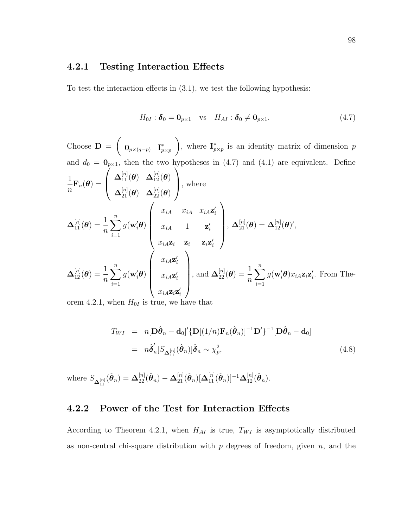#### 4.2.1 Testing Interaction Effects

To test the interaction effects in (3.1), we test the following hypothesis:

$$
H_{0I} : \delta_0 = \mathbf{0}_{p \times 1} \quad \text{vs} \quad H_{AI} : \delta_0 \neq \mathbf{0}_{p \times 1}. \tag{4.7}
$$

Choose  $\mathbf{D} =$  $\sqrt{ }$  $\mathbf{0}_{p\times (q-p)}$  I<sup>\*</sup>  $p \times p$  $\setminus$ , where  $\mathbf{I}_n^*$  $_{p\times p}^*$  is an identity matrix of dimension p and  $d_0 = \mathbf{0}_{p \times 1}$ , then the two hypotheses in (4.7) and (4.1) are equivalent. Define 1  $\frac{1}{n} \mathbf{F}_n(\boldsymbol{\theta}) =$  $\sqrt{ }$  $\left\lfloor \right\rfloor$  $\boldsymbol{\Delta}_{11}^{[n]}(\boldsymbol{\theta})\quad \boldsymbol{\Delta}_{12}^{[n]}(\boldsymbol{\theta})$  $\boldsymbol{\Delta}_{21}^{[n]}(\boldsymbol{\theta})\quad \boldsymbol{\Delta}_{22}^{[n]}(\boldsymbol{\theta})$  $\setminus$ , where  ${\bf \Delta}_{11}^{[n]}({\boldsymbol \theta}) = \frac{1}{n}$  $\sum_{n=1}^{\infty}$  $i=1$  $g(\mathbf{w}_i' \boldsymbol{\theta})$  $\sqrt{ }$  $\overline{\phantom{a}}$  $x_{iA}$   $x_{iA}$   $x_{iA}$ **z**<sup>'</sup><sub>i</sub>  $x_{iA}$  1  $\mathbf{z}'_i$  $x_{iA}\mathbf{z}_i$   $\mathbf{z}_i$   $\mathbf{z}_i$   $\mathbf{z}_i$  $\setminus$  $\begin{array}{c} \hline \end{array}$  $\mathbf{\Lambda}_{21}^{[n]}(\boldsymbol{\theta})=\mathbf{\Delta}_{12}^{[n]}(\boldsymbol{\theta})^{\prime},$  ${\bf \Delta}_{12}^{[n]}({\boldsymbol \theta}) = \frac{1}{n}$  $\sum_{n=1}^{\infty}$  $i=1$  $g(\mathbf{w}_i' \boldsymbol{\theta})$  $\sqrt{ }$  $\overline{\phantom{a}}$  $x_{iA}$ z'<sub>i</sub>  $x_{iA}$ z $_i'$  $x_{iA}\mathbf{z}_i\mathbf{z}_i'$  $\setminus$  $\begin{array}{c} \hline \end{array}$ , and  $\mathbf{\Delta}_{22}^{[n]}(\boldsymbol{\theta}) = \frac{1}{n}$  $\sum_{n=1}^{\infty}$  $i=1$  $g(\mathbf{w}_i'\boldsymbol{\theta})x_{iA}\mathbf{z}_i\mathbf{z}_i'$ . From The-

orem 4.2.1, when  $H_{0I}$  is true, we have that

$$
T_{WI} = n[\mathbf{D}\hat{\boldsymbol{\theta}}_n - \mathbf{d}_0]' \{ \mathbf{D}[(1/n)\mathbf{F}_n(\hat{\boldsymbol{\theta}}_n)]^{-1} \mathbf{D}' \}^{-1} [\mathbf{D}\hat{\boldsymbol{\theta}}_n - \mathbf{d}_0]
$$
  
=  $n\hat{\boldsymbol{\delta}}'_n [S_{\mathbf{\Delta}_{11}^{[n]}}(\hat{\boldsymbol{\theta}}_n)] \hat{\boldsymbol{\delta}}_n \sim \chi_p^2,$  (4.8)

where  $S_{\mathbf{\Delta}_{11}^{[n]}}(\hat{\boldsymbol{\theta}}_n) = \mathbf{\Delta}_{22}^{[n]}(\hat{\boldsymbol{\theta}}_n) - \mathbf{\Delta}_{21}^{[n]}(\hat{\boldsymbol{\theta}}_n)[\mathbf{\Delta}_{11}^{[n]}(\hat{\boldsymbol{\theta}}_n)]^{-1}\mathbf{\Delta}_{12}^{[n]}(\hat{\boldsymbol{\theta}}_n)$ .

#### 4.2.2 Power of the Test for Interaction Effects

According to Theorem 4.2.1, when  $H_{AI}$  is true,  $T_{WI}$  is asymptotically distributed as non-central chi-square distribution with  $p$  degrees of freedom, given  $n$ , and the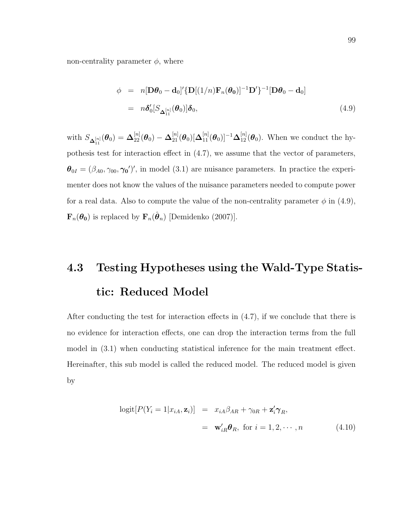non-centrality parameter  $\phi$ , where

$$
\phi = n[\mathbf{D}\boldsymbol{\theta}_0 - \mathbf{d}_0]' \{ \mathbf{D}[(1/n)\mathbf{F}_n(\boldsymbol{\theta}_0)]^{-1} \mathbf{D}' \}^{-1} [\mathbf{D}\boldsymbol{\theta}_0 - \mathbf{d}_0]
$$
  
=  $n\delta'_0[S_{\mathbf{\Delta}_{11}^{[n]}}(\boldsymbol{\theta}_0)]\delta_0,$  (4.9)

with  $S_{\mathbf{\Delta}_{11}^{[n]}}(\theta_0) = \mathbf{\Delta}_{22}^{[n]}(\theta_0) - \mathbf{\Delta}_{21}^{[n]}(\theta_0)[\mathbf{\Delta}_{11}^{[n]}(\theta_0)]^{-1}\mathbf{\Delta}_{12}^{[n]}(\theta_0)$ . When we conduct the hypothesis test for interaction effect in (4.7), we assume that the vector of parameters,  $\boldsymbol{\theta}_{0I} = (\beta_{A0}, \gamma_{00}, \gamma_{0})'$ , in model (3.1) are nuisance parameters. In practice the experimenter does not know the values of the nuisance parameters needed to compute power for a real data. Also to compute the value of the non-centrality parameter  $\phi$  in (4.9),  $\mathbf{F}_n(\theta_0)$  is replaced by  $\mathbf{F}_n(\hat{\theta}_n)$  [Demidenko (2007)].

# 4.3 Testing Hypotheses using the Wald-Type Statistic: Reduced Model

After conducting the test for interaction effects in (4.7), if we conclude that there is no evidence for interaction effects, one can drop the interaction terms from the full model in (3.1) when conducting statistical inference for the main treatment effect. Hereinafter, this sub model is called the reduced model. The reduced model is given by

$$
logit[P(Y_i = 1|x_{iA}, \mathbf{z}_i)] = x_{iA}\beta_{AR} + \gamma_{0R} + \mathbf{z}_i'\gamma_R,
$$
  

$$
= \mathbf{w}_{iR}'\boldsymbol{\theta}_R, \text{ for } i = 1, 2, \cdots, n
$$
(4.10)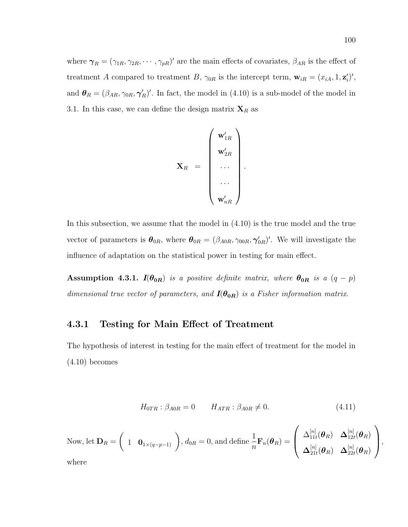where  $\gamma_R = (\gamma_{1R}, \gamma_{2R}, \cdots, \gamma_{pR})'$  are the main effects of covariates,  $\beta_{AR}$  is the effect of treatment A compared to treatment B,  $\gamma_{0R}$  is the intercept term,  $\mathbf{w}_{iR} = (x_{iA}, 1, \mathbf{z}'_i)'$ , and  $\theta_R = (\beta_{AR}, \gamma_{0R}, \gamma_R')'$ . In fact, the model in (4.10) is a sub-model of the model in 3.1. In this case, we can define the design matrix  $\mathbf{X}_R$  as

$$
\mathbf{X}_R \hspace{2mm} = \hspace{2mm} \left( \begin{array}{c} \mathbf{w}_{1R}' \\ \mathbf{w}_{2R}' \\ \cdots \\ \cdots \\ \mathbf{w}_{nR}' \end{array} \right).
$$

In this subsection, we assume that the model in (4.10) is the true model and the true vector of parameters is  $\theta_{0R}$ , where  $\theta_{0R} = (\beta_{A0R}, \gamma_{00R}, \gamma_{0R}')'$ . We will investigate the influence of adaptation on the statistical power in testing for main effect.

Assumption 4.3.1.  $I(\theta_{0R})$  is a positive definite matrix, where  $\theta_{0R}$  is a  $(q - p)$ dimensional true vector of parameters, and  $I(\theta_{0R})$  is a Fisher information matrix.

#### 4.3.1 Testing for Main Effect of Treatment

The hypothesis of interest in testing for the main effect of treatment for the model in  $(4.10)$  becomes

$$
H_{0TR}: \beta_{A0R} = 0 \qquad H_{ATR}: \beta_{A0R} \neq 0. \tag{4.11}
$$

Now, let 
$$
\mathbf{D}_R = \begin{pmatrix} 1 & \mathbf{0}_{1 \times (q-p-1)} \end{pmatrix}
$$
,  $d_{0R} = 0$ , and define  $\frac{1}{n} \mathbf{F}_n(\boldsymbol{\theta}_R) = \begin{pmatrix} \Delta_{11t}^{[n]}(\boldsymbol{\theta}_R) & \Delta_{12t}^{[n]}(\boldsymbol{\theta}_R) \\ \Delta_{21t}^{[n]}(\boldsymbol{\theta}_R) & \Delta_{22t}^{[n]}(\boldsymbol{\theta}_R) \end{pmatrix}$ , where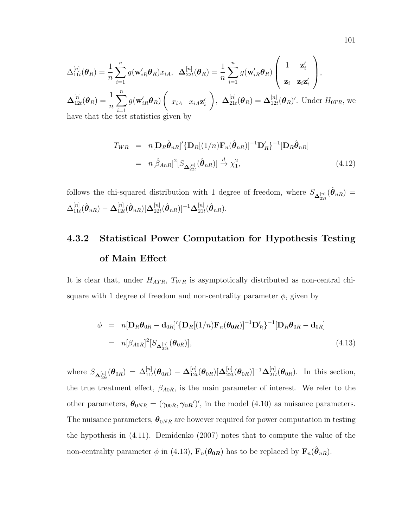$$
\Delta_{11t}^{[n]}(\boldsymbol{\theta}_R) = \frac{1}{n} \sum_{i=1}^n g(\mathbf{w}_{iR}' \boldsymbol{\theta}_R) x_{iA}, \quad \Delta_{22t}^{[n]}(\boldsymbol{\theta}_R) = \frac{1}{n} \sum_{i=1}^n g(\mathbf{w}_{iR}' \boldsymbol{\theta}_R) \left( \begin{array}{c} 1 & \mathbf{z}_i' \\ \mathbf{z}_i & \mathbf{z}_i \mathbf{z}_i' \end{array} \right),
$$

$$
\Delta_{12t}^{[n]}(\boldsymbol{\theta}_R) = \frac{1}{n} \sum_{i=1}^n g(\mathbf{w}_{iR}' \boldsymbol{\theta}_R) \left( \begin{array}{c} x_{iA} & x_{iA} \mathbf{z}_i' \\ x_{iA} & x_{iA} \mathbf{z}_i' \end{array} \right), \quad \Delta_{21t}^{[n]}(\boldsymbol{\theta}_R) = \Delta_{12t}^{[n]}(\boldsymbol{\theta}_R)'.
$$
 Under  $H_{0TR}$ , we have that the test statistics given by

$$
T_{WR} = n[\mathbf{D}_R \hat{\boldsymbol{\theta}}_{nR}]'\{\mathbf{D}_R[(1/n)\mathbf{F}_n(\hat{\boldsymbol{\theta}}_{nR})]^{-1}\mathbf{D}'_R\}^{-1}[\mathbf{D}_R \hat{\boldsymbol{\theta}}_{nR}]
$$
  

$$
= n[\hat{\beta}_{AnR}]^2[S_{\mathbf{\Delta}_{22t}^{[n]}}(\hat{\boldsymbol{\theta}}_{nR})] \xrightarrow{d} \chi_1^2,
$$
 (4.12)

follows the chi-squared distribution with 1 degree of freedom, where  $S_{\Delta_{22t}^{[n]}}(\hat{\theta}_{nR}) =$  $\Delta^{[n]}_{11}$  $\overset{[n]}{11t}(\hat{\boldsymbol{\theta}}_{nR})-\mathbf{\Delta}^{[n]}_{12t}$  $_{12t}^{[n]}(\hat{\boldsymbol{\theta}}_{nR})[\boldsymbol{\Delta}_{22t}^{[n]}% \hat{\boldsymbol{\theta}}_{\text{dR}}^{\mathbf{M}}(\boldsymbol{\mu})]$  $_{22t}^{[n]}(\hat{\bm{\theta}}_{nR})]^{-1}\mathbf{\Delta}_{21t}^{[n]}$  $_{21t}^{[n]}(\hat{\boldsymbol{\theta}}_{nR}).$ 

# 4.3.2 Statistical Power Computation for Hypothesis Testing of Main Effect

It is clear that, under  $H_{ATR}$ ,  $T_{WR}$  is asymptotically distributed as non-central chisquare with 1 degree of freedom and non-centrality parameter  $\phi$ , given by

$$
\phi = n[\mathbf{D}_R \boldsymbol{\theta}_{0R} - \mathbf{d}_{0R}]'\{\mathbf{D}_R[(1/n)\mathbf{F}_n(\boldsymbol{\theta}_{0R})]^{-1}\mathbf{D}'_R\}^{-1}[\mathbf{D}_R \boldsymbol{\theta}_{0R} - \mathbf{d}_{0R}]
$$
  
=  $n[\beta_{A0R}]^2[S_{\mathbf{\Delta}_{22t}^{[n]}}(\boldsymbol{\theta}_{0R})],$  (4.13)

where  $S_{\mathbf{\Delta}_{22t}^{[n]}}(\boldsymbol{\theta}_{0R}) \, = \, \Delta_{11t}^{[n]}(\boldsymbol{\theta}_{0R}) \, - \, \Delta_{12t}^{[n]}$  $_{12t}^{[n]}(\boldsymbol{\theta}_{0R})[\boldsymbol{\Delta}_{22t}^{[n]}% (\boldsymbol{\theta}_{0R})]^{\prime}$  $\frac{[n]}{22t}(\bm{\theta}_{0R})]^{-1}\mathbf{\Delta}^{[n]}_{21i}$  $\mathbb{E}^{[n]}_{21t}(\boldsymbol{\theta}_{0R})$ . In this section, the true treatment effect,  $\beta_{A0R}$ , is the main parameter of interest. We refer to the other parameters,  $\theta_{0NR} = (\gamma_{00R}, \gamma_{0R})'$ , in the model (4.10) as nuisance parameters. The nuisance parameters,  $\theta_{0NR}$  are however required for power computation in testing the hypothesis in (4.11). Demidenko (2007) notes that to compute the value of the non-centrality parameter  $\phi$  in (4.13),  $\mathbf{F}_n(\theta_{0R})$  has to be replaced by  $\mathbf{F}_n(\hat{\theta}_{nR})$ .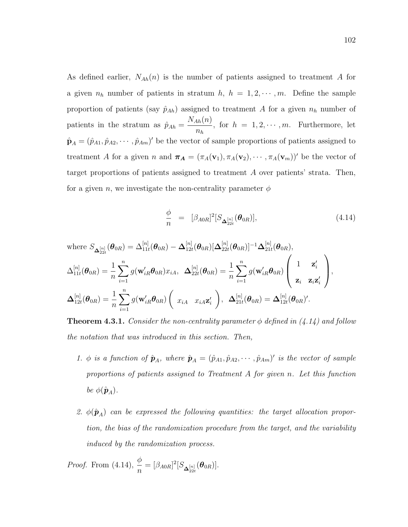As defined earlier,  $N_{Ah}(n)$  is the number of patients assigned to treatment A for a given  $n_h$  number of patients in stratum  $h$ ,  $h = 1, 2, \dots, m$ . Define the sample proportion of patients (say  $\hat{p}_{Ah}$ ) assigned to treatment A for a given  $n_h$  number of patients in the stratum as  $\hat{p}_{Ah} =$  $N_{Ah}(n)$  $n_h$ , for  $h = 1, 2, \dots, m$ . Furthermore, let  $\hat{\mathbf{p}}_A = (\hat{p}_{A1}, \hat{p}_{A2}, \cdots, \hat{p}_{Am})'$  be the vector of sample proportions of patients assigned to treatment A for a given n and  $\pi_A = (\pi_A(\mathbf{v}_1), \pi_A(\mathbf{v}_2), \cdots, \pi_A(\mathbf{v}_m))'$  be the vector of target proportions of patients assigned to treatment A over patients' strata. Then, for a given n, we investigate the non-centrality parameter  $\phi$ 

$$
\frac{\phi}{n} = [\beta_{A0R}]^{2} [S_{\Delta_{22t}}^{[n]}(\boldsymbol{\theta}_{0R})], \qquad (4.14)
$$

where 
$$
S_{\mathbf{\Delta}_{22t}^{[n]}}(\theta_{0R}) = \Delta_{11t}^{[n]}(\theta_{0R}) - \Delta_{12t}^{[n]}(\theta_{0R})[\mathbf{\Delta}_{22t}^{[n]}(\theta_{0R})]^{-1}\Delta_{21t}^{[n]}(\theta_{0R}),
$$

$$
\Delta_{11t}^{[n]}(\theta_{0R}) = \frac{1}{n} \sum_{i=1}^{n} g(\mathbf{w}_{iR}'\theta_{0R})x_{iA}, \ \Delta_{22t}^{[n]}(\theta_{0R}) = \frac{1}{n} \sum_{i=1}^{n} g(\mathbf{w}_{iR}'\theta_{0R}) \begin{pmatrix} 1 & \mathbf{z}_{i}^{\prime} \\ \mathbf{z}_{i} & \mathbf{z}_{i}\mathbf{z}_{i}^{\prime} \end{pmatrix},
$$

$$
\Delta_{12t}^{[n]}(\theta_{0R}) = \frac{1}{n} \sum_{i=1}^{n} g(\mathbf{w}_{iR}'\theta_{0R}) \begin{pmatrix} x_{iA} & x_{iA}\mathbf{z}_{i}^{\prime} \end{pmatrix}, \ \Delta_{21t}^{[n]}(\theta_{0R}) = \Delta_{12t}^{[n]}(\theta_{0R})^{\prime}.
$$

**Theorem 4.3.1.** Consider the non-centrality parameter  $\phi$  defined in (4.14) and follow the notation that was introduced in this section. Then,

- 1.  $\phi$  is a function of  $\hat{\mathbf{p}}_A$ , where  $\hat{\mathbf{p}}_A = (\hat{p}_{A1}, \hat{p}_{A2}, \cdots, \hat{p}_{Am})'$  is the vector of sample proportions of patients assigned to Treatment A for given n. Let this function be  $\phi(\hat{\mathbf{p}}_A)$ .
- 2.  $\phi(\hat{\mathbf{p}}_A)$  can be expressed the following quantities: the target allocation proportion, the bias of the randomization procedure from the target, and the variability induced by the randomization process.

*Proof.* From (4.14), 
$$
\frac{\phi}{n} = [\beta_{A0R}]^2 [S_{\Delta_{22t}}^{[n]}(\boldsymbol{\theta}_{0R})].
$$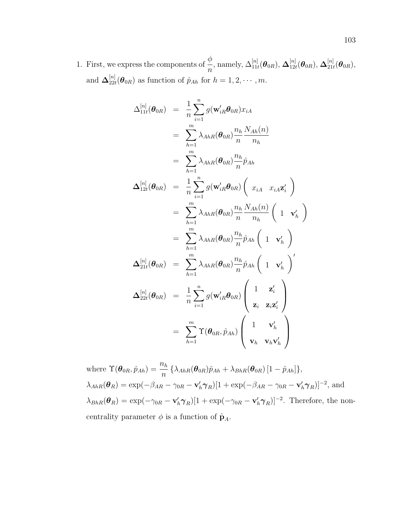1. First, we express the components of  $\frac{\phi}{ }$ n , namely,  $\Delta^{[n]}_{11t}(\boldsymbol{\theta}_{0R}), \, \boldsymbol{\Delta}^{[n]}_{12t}$  $\mathcal{L}_{12t}^{[n]}(\boldsymbol{\theta}_{0R}),\,\mathbf{\Delta}^{[n]}_{21t}$  $t_{21t}^{[n]}(\boldsymbol{\theta}_{0R}),$ and  $\mathbf{\Delta}^{[n]}_{22i}$  $\hat{p}_{22t}(\theta_{0R})$  as function of  $\hat{p}_{Ah}$  for  $h = 1, 2, \cdots, m$ .

$$
\Delta_{11t}^{[n]}(\boldsymbol{\theta}_{0R}) = \frac{1}{n} \sum_{i=1}^{n} g(\mathbf{w}_{iR}' \boldsymbol{\theta}_{0R}) x_{iA}
$$
  
\n
$$
= \sum_{h=1}^{m} \lambda_{AhR}(\boldsymbol{\theta}_{0R}) \frac{n_h}{n} \frac{N_{Ah}(n)}{n_h}
$$
  
\n
$$
= \sum_{h=1}^{m} \lambda_{AhR}(\boldsymbol{\theta}_{0R}) \frac{n_h}{n} \hat{p}_{Ah}
$$
  
\n
$$
\Delta_{12t}^{[n]}(\boldsymbol{\theta}_{0R}) = \frac{1}{n} \sum_{i=1}^{n} g(\mathbf{w}_{iR}' \boldsymbol{\theta}_{0R}) \left( x_{iA} \ x_{iA} \mathbf{z}_{i}' \right)
$$
  
\n
$$
= \sum_{h=1}^{m} \lambda_{AhR}(\boldsymbol{\theta}_{0R}) \frac{n_h}{n} \frac{N_{Ah}(n)}{n_h} \left( 1 \ \mathbf{v}_{h}' \right)
$$
  
\n
$$
= \sum_{h=1}^{m} \lambda_{AhR}(\boldsymbol{\theta}_{0R}) \frac{n_h}{n} \hat{p}_{Ah} \left( 1 \ \mathbf{v}_{h}' \right)
$$
  
\n
$$
\Delta_{21t}^{[n]}(\boldsymbol{\theta}_{0R}) = \sum_{h=1}^{m} \lambda_{AhR}(\boldsymbol{\theta}_{0R}) \frac{n_h}{n} \hat{p}_{Ah} \left( 1 \ \mathbf{v}_{h}' \right)'
$$
  
\n
$$
\Delta_{22t}^{[n]}(\boldsymbol{\theta}_{0R}) = \frac{1}{n} \sum_{i=1}^{n} g(\mathbf{w}_{iR}' \boldsymbol{\theta}_{0R}) \left( \frac{1}{\mathbf{z}_{i}} \ \mathbf{z}_{i} \mathbf{z}_{i}' \right)
$$
  
\n
$$
= \sum_{h=1}^{m} \Upsilon(\boldsymbol{\theta}_{0R}, \hat{p}_{Ah}) \left( 1 \ \mathbf{v}_{h}' \ \mathbf{v}_{h} \mathbf{v}_{h}' \right)
$$

where  $\Upsilon(\boldsymbol{\theta}_{0R}, \hat{p}_{Ah}) = \frac{n_h}{n} \left\{ \lambda_{AhR}(\boldsymbol{\theta}_{0R}) \hat{p}_{Ah} + \lambda_{BhR}(\boldsymbol{\theta}_{0R}) \left[ 1 - \hat{p}_{Ah} \right] \right\},$  $\lambda_{AhR}(\theta_R) = \exp(-\beta_{AR} - \gamma_{0R} - \mathbf{v}'_h \boldsymbol{\gamma}_R)[1 + \exp(-\beta_{AR} - \gamma_{0R} - \mathbf{v}'_h \boldsymbol{\gamma}_R)]^{-2}$ , and  $\lambda_{BhR}(\theta_R) = \exp(-\gamma_{0R} - \mathbf{v}'_h \boldsymbol{\gamma}_R)[1 + \exp(-\gamma_{0R} - \mathbf{v}'_h \boldsymbol{\gamma}_R)]^{-2}$ . Therefore, the noncentrality parameter  $\phi$  is a function of  $\hat{\mathbf{p}}_A$ .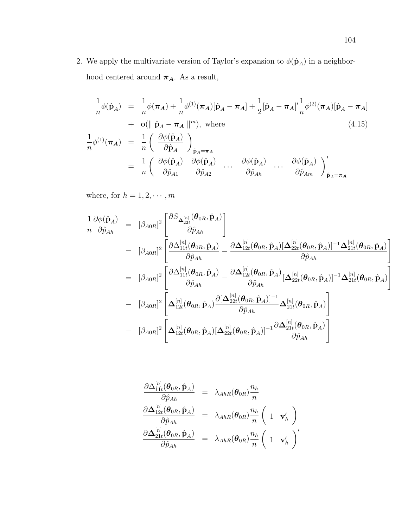2. We apply the multivariate version of Taylor's expansion to  $\phi(\hat{\mathbf{p}}_A)$  in a neighborhood centered around  $\pmb{\pi_A}.$  As a result,

$$
\frac{1}{n}\phi(\hat{\mathbf{p}}_A) = \frac{1}{n}\phi(\pi_A) + \frac{1}{n}\phi^{(1)}(\pi_A)[\hat{\mathbf{p}}_A - \pi_A] + \frac{1}{2}[\hat{\mathbf{p}}_A - \pi_A]' \frac{1}{n}\phi^{(2)}(\pi_A)[\hat{\mathbf{p}}_A - \pi_A] \n+ \mathbf{o}(\|\hat{\mathbf{p}}_A - \pi_A\|^m), \text{ where}
$$
\n
$$
\frac{1}{n}\phi^{(1)}(\pi_A) = \frac{1}{n}\left(\frac{\partial\phi(\hat{\mathbf{p}}_A)}{\partial\hat{\mathbf{p}}_A}\right)_{\hat{\mathbf{p}}_A = \pi_A} \n= \frac{1}{n}\left(\frac{\partial\phi(\hat{\mathbf{p}}_A)}{\partial\hat{\mathbf{p}}_{A1}}\right)_{\hat{\mathbf{p}}_A = \pi_A} \cdots \frac{\partial\phi(\hat{\mathbf{p}}_A)}{\partial\hat{\mathbf{p}}_{Ah}} \cdots \frac{\partial\phi(\hat{\mathbf{p}}_A)}{\partial\hat{\mathbf{p}}_{An}}\right)_{\hat{\mathbf{p}}_A = \pi_A}^{\prime}
$$
\n(4.15)

where, for  $h=1,2,\cdots,m$ 

$$
\frac{1}{n} \frac{\partial \phi(\hat{\mathbf{p}}_A)}{\partial \hat{p}_{Ah}} = [\beta_{A0R}]^2 \left[ \frac{\partial S_{\Delta_{22t}^{[n]}}(\boldsymbol{\theta}_{0R}, \hat{\mathbf{p}}_A)}{\partial \hat{p}_{Ah}} \right]
$$
\n
$$
= [\beta_{A0R}]^2 \left[ \frac{\partial \Delta_{11t}^{[n]}(\boldsymbol{\theta}_{0R}, \hat{\mathbf{p}}_A)}{\partial \hat{p}_{Ah}} - \frac{\partial \Delta_{12t}^{[n]}(\boldsymbol{\theta}_{0R}, \hat{\mathbf{p}}_A)[\Delta_{22t}^{[n]}(\boldsymbol{\theta}_{0R}, \hat{\mathbf{p}}_A)]^{-1} \Delta_{21t}^{[n]}(\boldsymbol{\theta}_{0R}, \hat{\mathbf{p}}_A)}{\partial \hat{p}_{Ah}} \right]
$$
\n
$$
= [\beta_{A0R}]^2 \left[ \frac{\partial \Delta_{11t}^{[n]}(\boldsymbol{\theta}_{0R}, \hat{\mathbf{p}}_A)}{\partial \hat{p}_{Ah}} - \frac{\partial \Delta_{12t}^{[n]}(\boldsymbol{\theta}_{0R}, \hat{\mathbf{p}}_A)}{\partial \hat{p}_{Ah}} [\Delta_{22t}^{[n]}(\boldsymbol{\theta}_{0R}, \hat{\mathbf{p}}_A)]^{-1} \Delta_{21t}^{[n]}(\boldsymbol{\theta}_{0R}, \hat{\mathbf{p}}_A) \right]
$$
\n
$$
- [\beta_{A0R}]^2 \left[ \Delta_{12t}^{[n]}(\boldsymbol{\theta}_{0R}, \hat{\mathbf{p}}_A) \frac{\partial [\Delta_{22t}^{[n]}(\boldsymbol{\theta}_{0R}, \hat{\mathbf{p}}_A)]^{-1}}{\partial \hat{p}_{Ah}} \Delta_{21t}^{[n]}(\boldsymbol{\theta}_{0R}, \hat{\mathbf{p}}_A) \right]
$$
\n
$$
- [\beta_{A0R}]^2 \left[ \Delta_{12t}^{[n]}(\boldsymbol{\theta}_{0R}, \hat{\mathbf{p}}_A) [\Delta_{22t}^{[n]}(\boldsymbol{\theta}_{0R}, \hat{\mathbf{p}}_A)]^{-1} \frac{\partial \Delta_{21t}^{[n]}(\boldsymbol{\theta}_{0R}, \hat{\mathbf{p}}_A)}{\partial \hat{p}_{Ah}} \right]
$$

$$
\begin{array}{rcl} \frac{\partial\Delta^{[n]}_{11t}(\boldsymbol{\theta}_{0R},\hat{\mathbf{p}}_A)}{\partial\hat{p}_{Ah}}&=&\lambda_{AhR}(\boldsymbol{\theta}_{0R})\frac{n_h}{n}\\ \frac{\partial\Delta^{[n]}_{12t}(\boldsymbol{\theta}_{0R},\hat{\mathbf{p}}_A)}{\partial\hat{p}_{Ah}}&=&\lambda_{AhR}(\boldsymbol{\theta}_{0R})\frac{n_h}{n}\left(\begin{array}{cc}1&\mathbf{v}'_h\end{array}\right)\\ \frac{\partial\Delta^{[n]}_{21t}(\boldsymbol{\theta}_{0R},\hat{\mathbf{p}}_A)}{\partial\hat{p}_{Ah}}&=&\lambda_{AhR}(\boldsymbol{\theta}_{0R})\frac{n_h}{n}\left(\begin{array}{cc}1&\mathbf{v}'_h\end{array}\right)' \end{array}
$$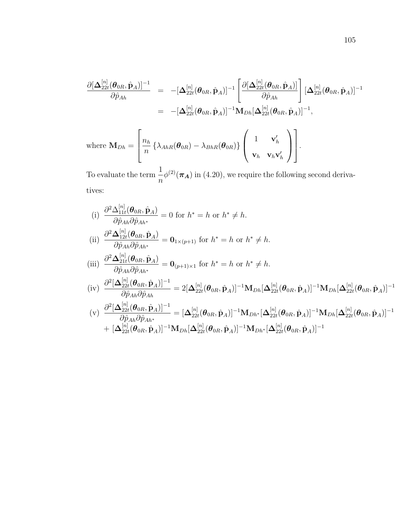$$
\frac{\partial [\Delta_{22t}^{[n]}(\boldsymbol{\theta}_{0R},\hat{\mathbf{p}}_A)]^{-1}}{\partial \hat{p}_{Ah}} = -[\Delta_{22t}^{[n]}(\boldsymbol{\theta}_{0R},\hat{\mathbf{p}}_A)]^{-1} \left[ \frac{\partial [\Delta_{22t}^{[n]}(\boldsymbol{\theta}_{0R},\hat{\mathbf{p}}_A)]}{\partial \hat{p}_{Ah}} \right] [\Delta_{22t}^{[n]}(\boldsymbol{\theta}_{0R},\hat{\mathbf{p}}_A)]^{-1}
$$
  
\n
$$
= -[\Delta_{22t}^{[n]}(\boldsymbol{\theta}_{0R},\hat{\mathbf{p}}_A)]^{-1} \mathbf{M}_{Dh} [\Delta_{22t}^{[n]}(\boldsymbol{\theta}_{0R},\hat{\mathbf{p}}_A)]^{-1},
$$

where 
$$
\mathbf{M}_{Dh} = \begin{bmatrix} n_h \\ n \end{bmatrix} \{\lambda_{AhR}(\boldsymbol{\theta}_{0R}) - \lambda_{BhR}(\boldsymbol{\theta}_{0R})\} \begin{pmatrix} 1 & \mathbf{v}'_h \\ \mathbf{v}_h & \mathbf{v}_h \mathbf{v}'_h \end{pmatrix}.
$$

To evaluate the term  $\frac{1}{1}$  $\overline{n}$  $\phi^{(2)}(\pi_A)$  in (4.20), we require the following second derivatives:

(i) 
$$
\frac{\partial^2 \Delta_{11t}^{[n]}(\boldsymbol{\theta}_{0R}, \hat{\mathbf{p}}_A)}{\partial \hat{p}_{Ah} \partial \hat{p}_{Ah^*}} = 0 \text{ for } h^* = h \text{ or } h^* \neq h.
$$
  
\n(ii) 
$$
\frac{\partial^2 \Delta_{12t}^{[n]}(\boldsymbol{\theta}_{0R}, \hat{\mathbf{p}}_A)}{\partial \hat{p}_{Ah} \partial \hat{p}_{Ah^*}} = \mathbf{0}_{1 \times (p+1)} \text{ for } h^* = h \text{ or } h^* \neq h.
$$
  
\n(iii) 
$$
\frac{\partial^2 \Delta_{21t}^{[n]}(\boldsymbol{\theta}_{0R}, \hat{\mathbf{p}}_A)}{\partial \hat{p}_{Ah} \partial \hat{p}_{Ah^*}} = \mathbf{0}_{(p+1) \times 1} \text{ for } h^* = h \text{ or } h^* \neq h.
$$
  
\n(iv) 
$$
\frac{\partial^2 [\Delta_{22t}^{[n]}(\boldsymbol{\theta}_{0R}, \hat{\mathbf{p}}_A)]^{-1}}{\partial \hat{p}_{Ah} \partial \hat{p}_{Ah}} = 2[\Delta_{22t}^{[n]}(\boldsymbol{\theta}_{0R}, \hat{\mathbf{p}}_A)]^{-1} \mathbf{M}_{Dh}[\Delta_{22t}^{[n]}(\boldsymbol{\theta}_{0R}, \hat{\mathbf{p}}_A)]^{-1} \mathbf{M}_{Dh}[\Delta_{22t}^{[n]}(\boldsymbol{\theta}_{0R}, \hat{\mathbf{p}}_A)]^{-1}
$$
  
\n(v) 
$$
\frac{\partial^2 [\Delta_{22t}^{[n]}(\boldsymbol{\theta}_{0R}, \hat{\mathbf{p}}_A)]^{-1}}{\partial \hat{p}_{Ah} \partial \hat{p}_{Ah^*}} = [\Delta_{22t}^{[n]}(\boldsymbol{\theta}_{0R}, \hat{\mathbf{p}}_A)]^{-1} \mathbf{M}_{Dh^*}[\Delta_{22t}^{[n]}(\boldsymbol{\theta}_{0R}, \hat{\mathbf{p}}_A)]^{-1} \mathbf{M}_{Dh}[\Delta_{22t}^{[n]}(\boldsymbol{\theta}_{0R}, \hat{\mathbf{p}}_A)]^{-1}
$$
  
\n
$$
+ [\Delta_{2t}^{[n]}(\boldsymbol{\theta}_{0R}, \hat{\mathbf{p}}_A)]^{-1} \mathbf{M}_{Dh}[\Delta_{2t}^{[n]}(\boldsymbol{\theta}_{
$$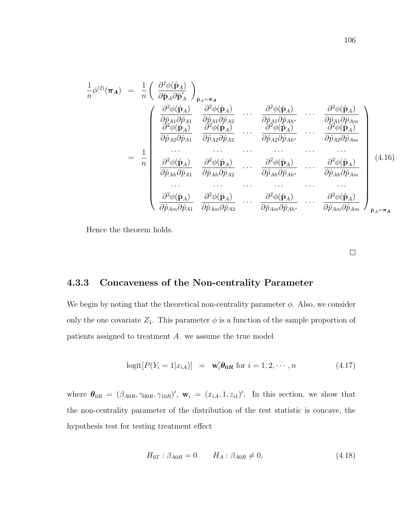1 n φ (2)(πA) = <sup>1</sup> n ∂ <sup>2</sup>φ(pˆA) ∂pˆA∂pˆ 0 A pˆA=π<sup>A</sup> = 1 n ∂ <sup>2</sup>φ(pˆA) ∂pˆA1∂pˆA<sup>1</sup> ∂ <sup>2</sup>φ(pˆA) ∂pˆA1∂pˆA<sup>2</sup> · · · ∂ <sup>2</sup>φ(pˆA) ∂pˆA1∂pˆAh<sup>∗</sup> · · · ∂ <sup>2</sup>φ(pˆA) ∂pˆA1∂pˆAm ∂ <sup>2</sup>φ(pˆA) ∂pˆA2∂pˆA<sup>1</sup> ∂ <sup>2</sup>φ(pˆA) ∂pˆA2∂pˆA<sup>2</sup> · · · ∂ <sup>2</sup>φ(pˆA) ∂pˆA2∂pˆAh<sup>∗</sup> · · · ∂ <sup>2</sup>φ(pˆA) ∂pˆA2∂pˆAm · · · · · · · · · · · · · · · · · · ∂ <sup>2</sup>φ(pˆA) ∂pˆAh∂pˆA<sup>1</sup> ∂ <sup>2</sup>φ(pˆA) ∂pˆAh∂pˆA<sup>2</sup> · · · ∂ <sup>2</sup>φ(pˆA) ∂pˆAh∂pˆAh<sup>∗</sup> · · · ∂ <sup>2</sup>φ(pˆA) ∂pˆAh∂pˆAm · · · · · · · · · · · · · · · · · · ∂ <sup>2</sup>φ(pˆA) ∂pˆAm∂pˆA<sup>1</sup> ∂ <sup>2</sup>φ(pˆA) ∂pˆAm∂pˆA<sup>2</sup> · · · ∂ <sup>2</sup>φ(pˆA) ∂pˆAm∂pˆAh<sup>∗</sup> · · · ∂ <sup>2</sup>φ(pˆA) ∂pˆAm∂pˆAm pˆA=π<sup>A</sup> (4.16).

Hence the theorem holds.

 $\Box$ 

## 4.3.3 Concaveness of the Non-centrality Parameter

We begin by noting that the theoretical non-centrality parameter  $\phi$ . Also, we consider only the one covariate  $Z_1$ . This parameter  $\phi$  is a function of the sample proportion of patients assigned to treatment A. we assume the true model

$$
logit[P(Y_i = 1|x_{iA})] = \mathbf{w}'_i \boldsymbol{\theta}_{0R} \text{ for } i = 1, 2, \cdots, n \tag{4.17}
$$

where  $\theta_{0R} = (\beta_{A0R}, \gamma_{00R}, \gamma_{10R})'$ ,  $\mathbf{w}_i = (x_{iA}, 1, z_{i1})'$ . In this section, we show that the non-centrality parameter of the distribution of the test statistic is concave, the hypothesis test for testing treatment effect

$$
H_{0T} : \beta_{A0R} = 0 \t H_A : \beta_{A0R} \neq 0,
$$
\t(4.18)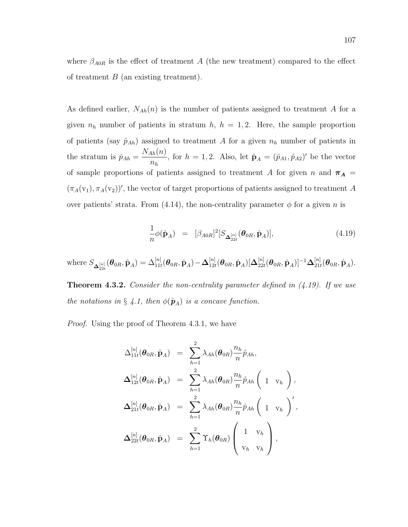where  $\beta_{A0R}$  is the effect of treatment A (the new treatment) compared to the effect of treatment  $B$  (an existing treatment).

As defined earlier,  $N_{Ah}(n)$  is the number of patients assigned to treatment A for a given  $n_h$  number of patients in stratum  $h$ ,  $h = 1, 2$ . Here, the sample proportion of patients (say  $\hat{p}_{Ah}$ ) assigned to treatment A for a given  $n_h$  number of patients in the stratum is  $\hat{p}_{Ah} =$  $N_{Ah}(n)$  $\hat{n}_h^{(h)}$ , for  $h = 1, 2$ . Also, let  $\hat{\mathbf{p}}_A = (\hat{p}_{A1}, \hat{p}_{A2})'$  be the vector of sample proportions of patients assigned to treatment A for given n and  $\pi_A$  =  $(\pi_A(v_1), \pi_A(v_2))'$ , the vector of target proportions of patients assigned to treatment A over patients' strata. From (4.14), the non-centrality parameter  $\phi$  for a given n is

$$
\frac{1}{n}\phi(\hat{\mathbf{p}}_A) = [\beta_{A0R}]^2 [S_{\Delta_{22t}^{[n]}}(\boldsymbol{\theta}_{0R}, \hat{\mathbf{p}}_A)], \qquad (4.19)
$$

where  $S_{\mathbf{\Delta}_{22t}^{[n]}}(\bm{\theta}_{0R},\hat{\mathbf{p}}_{A})=\Delta_{11t}^{[n]}(\bm{\theta}_{0R},\hat{\mathbf{p}}_{A})\!-\!\mathbf{\Delta}_{12t}^{[n]}$  $\mathcal{L}_{12t}^{[n]}(\boldsymbol{\theta}_{0R},\hat{\textbf{p}}_{A})[\boldsymbol{\Delta}_{22t}^{[n]}]$  $\frac{[n]}{22t}(\bm{\theta}_{0R}, \hat{\textbf{p}}_{A})]^{-1}\bm{\Delta}_{21i}^{[n]}$  $_{21t}^{[n]}(\boldsymbol{\theta}_{0R},\hat{\textbf{p}}_{A}).$ 

**Theorem 4.3.2.** Consider the non-centrality parameter defined in  $(4.19)$ . If we use the notations in § 4.1, then  $\phi(\hat{\mathbf{p}}_A)$  is a concave function.

Proof. Using the proof of Theorem 4.3.1, we have

$$
\begin{array}{rcl} \Delta_{11t}^{[n]}(\bm{\theta}_{0R},\hat{\mathbf{p}}_{A})&=&\sum_{h=1}^{2}\lambda_{Ah}(\bm{\theta}_{0R})\frac{n_{h}}{n}\hat{p}_{Ah},\\ \Delta_{12t}^{[n]}(\bm{\theta}_{0R},\hat{\mathbf{p}}_{A})&=&\sum_{h=1}^{2}\lambda_{Ah}(\bm{\theta}_{0R})\frac{n_{h}}{n}\hat{p}_{Ah}\left(1\quad\mathrm{v}_{h}\right),\\ \Delta_{21t}^{[n]}(\bm{\theta}_{0R},\hat{\mathbf{p}}_{A})&=&\sum_{h=1}^{2}\lambda_{Ah}(\bm{\theta}_{0R})\frac{n_{h}}{n}\hat{p}_{Ah}\left(1\quad\mathrm{v}_{h}\right)',\\ \Delta_{22t}^{[n]}(\bm{\theta}_{0R},\hat{\mathbf{p}}_{A})&=&\sum_{h=1}^{2}\Upsilon_{h}(\bm{\theta}_{0R})\left(1\quad\mathrm{v}_{h}\right),\\ \end{array}
$$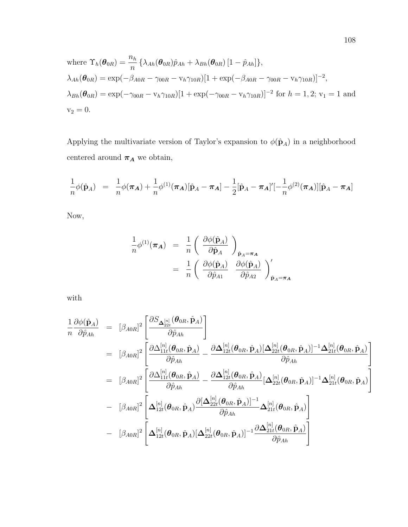where 
$$
\Upsilon_h(\theta_{0R}) = \frac{n_h}{n} \{ \lambda_{Ah}(\theta_{0R}) \hat{p}_{Ah} + \lambda_{Bh}(\theta_{0R}) [1 - \hat{p}_{Ah}] \},
$$
  
\n $\lambda_{Ah}(\theta_{0R}) = \exp(-\beta_{A0R} - \gamma_{00R} - \nu_h \gamma_{10R}) [1 + \exp(-\beta_{A0R} - \gamma_{00R} - \nu_h \gamma_{10R})]^{-2},$   
\n $\lambda_{Bh}(\theta_{0R}) = \exp(-\gamma_{00R} - \nu_h \gamma_{10R}) [1 + \exp(-\gamma_{00R} - \nu_h \gamma_{10R})]^{-2}$  for  $h = 1, 2$ ;  $\nu_1 = 1$  and  $\nu_2 = 0$ .

Applying the multivariate version of Taylor's expansion to  $\phi(\hat{\mathbf{p}}_A)$  in a neighborhood centered around  $\pmb{\pi_A}$  we obtain,

$$
\frac{1}{n}\phi(\hat{\mathbf{p}}_A) = \frac{1}{n}\phi(\pi_A) + \frac{1}{n}\phi^{(1)}(\pi_A)[\hat{\mathbf{p}}_A - \pi_A] - \frac{1}{2}[\hat{\mathbf{p}}_A - \pi_A]'][-\frac{1}{n}\phi^{(2)}(\pi_A)][\hat{\mathbf{p}}_A - \pi_A]
$$

Now,

$$
\frac{1}{n}\phi^{(1)}(\pi_A) = \frac{1}{n} \left( \frac{\partial \phi(\hat{\mathbf{p}}_A)}{\partial \hat{\mathbf{p}}_A} \right)_{\hat{\mathbf{p}}_A = \pi_A}
$$

$$
= \frac{1}{n} \left( \frac{\partial \phi(\hat{\mathbf{p}}_A)}{\partial \hat{p}_{A1}} \frac{\partial \phi(\hat{\mathbf{p}}_A)}{\partial \hat{p}_{A2}} \right)_{\hat{\mathbf{p}}_A = \pi_A}^{\prime}
$$

with

$$
\frac{1}{n} \frac{\partial \phi(\hat{\mathbf{p}}_A)}{\partial \hat{p}_{Ah}} = [\beta_{A0R}]^2 \left[ \frac{\partial S_{\Delta_{22t}}^{[n]}(\boldsymbol{\theta}_{0R}, \hat{\mathbf{p}}_A)}{\partial \hat{p}_{Ah}} \right]
$$
\n
$$
= [\beta_{A0R}]^2 \left[ \frac{\partial \Delta_{11t}^{[n]}(\boldsymbol{\theta}_{0R}, \hat{\mathbf{p}}_A)}{\partial \hat{p}_{Ah}} - \frac{\partial \Delta_{12t}^{[n]}(\boldsymbol{\theta}_{0R}, \hat{\mathbf{p}}_A)[\Delta_{22t}^{[n]}(\boldsymbol{\theta}_{0R}, \hat{\mathbf{p}}_A)]^{-1} \Delta_{21t}^{[n]}(\boldsymbol{\theta}_{0R}, \hat{\mathbf{p}}_A)}{\partial \hat{p}_{Ah}} \right]
$$
\n
$$
= [\beta_{A0R}]^2 \left[ \frac{\partial \Delta_{11t}^{[n]}(\boldsymbol{\theta}_{0R}, \hat{\mathbf{p}}_A)}{\partial \hat{p}_{Ah}} - \frac{\partial \Delta_{12t}^{[n]}(\boldsymbol{\theta}_{0R}, \hat{\mathbf{p}}_A)}{\partial \hat{p}_{Ah}} [\Delta_{22t}^{[n]}(\boldsymbol{\theta}_{0R}, \hat{\mathbf{p}}_A)]^{-1} \Delta_{21t}^{[n]}(\boldsymbol{\theta}_{0R}, \hat{\mathbf{p}}_A) \right]
$$
\n
$$
- [\beta_{A0R}]^2 \left[ \Delta_{12t}^{[n]}(\boldsymbol{\theta}_{0R}, \hat{\mathbf{p}}_A) \frac{\partial [\Delta_{22t}^{[n]}(\boldsymbol{\theta}_{0R}, \hat{\mathbf{p}}_A)]^{-1}}{\partial \hat{p}_{Ah}} \Delta_{21t}^{[n]}(\boldsymbol{\theta}_{0R}, \hat{\mathbf{p}}_A) \right]
$$
\n
$$
- [\beta_{A0R}]^2 \left[ \Delta_{12t}^{[n]}(\boldsymbol{\theta}_{0R}, \hat{\mathbf{p}}_A) [\Delta_{22t}^{[n]}(\boldsymbol{\theta}_{0R}, \hat{\mathbf{p}}_A)]^{-1} \frac{\partial \Delta_{21t}^{[n]}(\boldsymbol{\theta}_{0R}, \hat{\mathbf{p}}_A)}{\partial \hat{p}_{Ah}} \right]
$$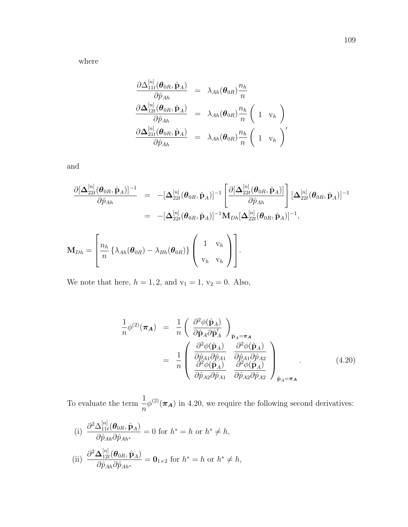$$
\begin{array}{rcl} \frac{\partial \Delta^{[n]}_{11t}(\boldsymbol{\theta}_{0R},\hat{\mathbf{p}}_A)}{\partial \hat{p}_{Ah}} &=& \lambda_{Ah}(\boldsymbol{\theta}_{0R}) \frac{n_h}{n} \\ \frac{\partial \Delta^{[n]}_{12t}(\boldsymbol{\theta}_{0R},\hat{\mathbf{p}}_A)}{\partial \hat{p}_{Ah}} &=& \lambda_{Ah}(\boldsymbol{\theta}_{0R}) \frac{n_h}{n} \left( 1 \quad \mathrm{v}_h \right) \\ \frac{\partial \Delta^{[n]}_{21t}(\boldsymbol{\theta}_{0R},\hat{\mathbf{p}}_A)}{\partial \hat{p}_{Ah}} &=& \lambda_{Ah}(\boldsymbol{\theta}_{0R}) \frac{n_h}{n} \left( 1 \quad \mathrm{v}_h \right)' \end{array}
$$

and

$$
\frac{\partial[\Delta_{22t}^{[n]}(\boldsymbol{\theta}_{0R},\hat{\mathbf{p}}_A)]^{-1}}{\partial \hat{p}_{Ah}} = -[\Delta_{22t}^{[n]}(\boldsymbol{\theta}_{0R},\hat{\mathbf{p}}_A)]^{-1} \left[ \frac{\partial[\Delta_{22t}^{[n]}(\boldsymbol{\theta}_{0R},\hat{\mathbf{p}}_A)]}{\partial \hat{p}_{Ah}} \right] [\Delta_{22t}^{[n]}(\boldsymbol{\theta}_{0R},\hat{\mathbf{p}}_A)]^{-1}
$$

$$
= -[\Delta_{22t}^{[n]}(\boldsymbol{\theta}_{0R},\hat{\mathbf{p}}_A)]^{-1} \mathbf{M}_{Dh} [\Delta_{22t}^{[n]}(\boldsymbol{\theta}_{0R},\hat{\mathbf{p}}_A)]^{-1},
$$

$$
\mathbf{M}_{Dh} = \left[ \frac{n_h}{n} \left\{ \lambda_{Ah}(\boldsymbol{\theta}_{0R}) - \lambda_{Bh}(\boldsymbol{\theta}_{0R}) \right\} \left( \begin{array}{c} 1 & v_h \\ v_h & v_h \end{array} \right) \right].
$$

We note that here,  $h = 1, 2$ , and  $v_1 = 1$ ,  $v_2 = 0$ . Also,

$$
\frac{1}{n}\phi^{(2)}(\pi_A) = \frac{1}{n} \left( \frac{\partial^2 \phi(\hat{\mathbf{p}}_A)}{\partial \hat{\mathbf{p}}_A \partial \hat{\mathbf{p}}_A'} \right)_{\hat{\mathbf{p}}_A = \pi_A}
$$
\n
$$
= \frac{1}{n} \left( \frac{\partial^2 \phi(\hat{\mathbf{p}}_A)}{\partial \hat{\mathbf{p}}_{A1} \partial \hat{\mathbf{p}}_{A1}} \frac{\partial^2 \phi(\hat{\mathbf{p}}_A)}{\partial \hat{\mathbf{p}}_{A1} \partial \hat{\mathbf{p}}_{A2}} \right)_{\hat{\mathbf{p}}_A = \pi_A} (4.20)
$$

To evaluate the term  $\frac{1}{1}$ n  $\phi^{(2)}(\pi_A)$  in 4.20, we require the following second derivatives:

(i) 
$$
\frac{\partial^2 \Delta_{11t}^{[n]}(\boldsymbol{\theta}_{0R}, \hat{\mathbf{p}}_A)}{\partial \hat{p}_{Ah} \partial \hat{p}_{Ah^*}} = 0 \text{ for } h^* = h \text{ or } h^* \neq h,
$$
  
(ii) 
$$
\frac{\partial^2 \Delta_{12t}^{[n]}(\boldsymbol{\theta}_{0R}, \hat{\mathbf{p}}_A)}{\partial \hat{p}_{Ah} \partial \hat{p}_{Ah^*}} = \mathbf{0}_{1 \times 2} \text{ for } h^* = h \text{ or } h^* \neq h,
$$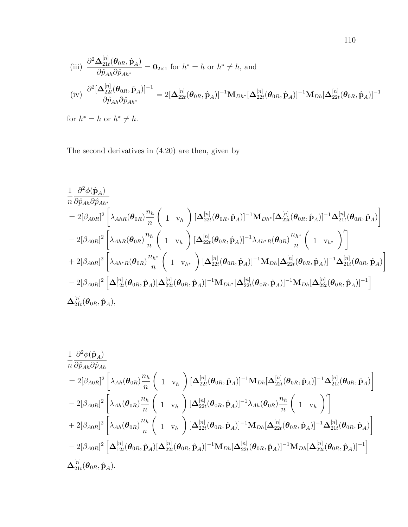(iii) 
$$
\frac{\partial^2 \mathbf{\Delta}_{21t}^{[n]}(\boldsymbol{\theta}_{0R}, \hat{\mathbf{p}}_A)}{\partial \hat{p}_{Ah} \partial \hat{p}_{Ah^*}} = \mathbf{0}_{2\times 1} \text{ for } h^* = h \text{ or } h^* \neq h, \text{ and}
$$
  
(iv) 
$$
\frac{\partial^2 [\mathbf{\Delta}_{22t}^{[n]}(\boldsymbol{\theta}_{0R}, \hat{\mathbf{p}}_A)]^{-1}}{\partial \hat{p}_{Ah} \partial \hat{p}_{Ah^*}} = 2[\mathbf{\Delta}_{22t}^{[n]}(\boldsymbol{\theta}_{0R}, \hat{\mathbf{p}}_A)]^{-1} \mathbf{M}_{Dh^*}[\mathbf{\Delta}_{22t}^{[n]}(\boldsymbol{\theta}_{0R}, \hat{\mathbf{p}}_A)]^{-1} \mathbf{M}_{Dh}[\mathbf{\Delta}_{22t}^{[n]}(\boldsymbol{\theta}_{0R}, \hat{\mathbf{p}}_A)]^{-1}
$$

for  $h^* = h$  or  $h^* \neq h$ .

The second derivatives in (4.20) are then, given by

$$
\begin{split} &\frac{1}{n}\frac{\partial^{2}\phi(\hat{\mathbf{p}}_{A})}{\partial\hat{p}_{Ah}\partial\hat{p}_{Ah^{*}}} \\ &=2[\beta_{A0R}]^{2}\left[\lambda_{AhR}(\pmb{\theta}_{0R})\frac{n_{h}}{n}\left(\begin{array}{c}1&\text{ }v_{h}\end{array}\right)\left[\Delta_{22t}^{[n]}(\pmb{\theta}_{0R},\hat{\mathbf{p}}_{A})\right]^{-1}\mathbf{M}_{Dh^{*}}[\Delta_{22t}^{[n]}(\pmb{\theta}_{0R},\hat{\mathbf{p}}_{A})]^{-1}\Delta_{21t}^{[n]}(\pmb{\theta}_{0R},\hat{\mathbf{p}}_{A})\right]\\ &-2[\beta_{A0R}]^{2}\left[\lambda_{AhR}(\pmb{\theta}_{0R})\frac{n_{h}}{n}\left(\begin{array}{c}1&\text{ }v_{h}\end{array}\right)\left[\Delta_{22t}^{[n]}(\pmb{\theta}_{0R},\hat{\mathbf{p}}_{A})\right]^{-1}\lambda_{Ah^{*}R}(\pmb{\theta}_{0R})\frac{n_{h^{*}}}{n}\left(\begin{array}{c}1&\text{ }v_{h^{*}}\end{array}\right)'\right]\\ &+2[\beta_{A0R}]^{2}\left[\lambda_{Ah^{*}R}(\pmb{\theta}_{0R})\frac{n_{h^{*}}}{n}\left(\begin{array}{c}1&\text{ }v_{h^{*}}\end{array}\right)\left[\Delta_{22t}^{[n]}(\pmb{\theta}_{0R},\hat{\mathbf{p}}_{A})\right]^{-1}\mathbf{M}_{Dh}[\Delta_{22t}^{[n]}(\pmb{\theta}_{0R},\hat{\mathbf{p}}_{A})]^{-1}\Delta_{21t}^{[n]}(\pmb{\theta}_{0R},\hat{\mathbf{p}}_{A})\right]\\ &-2[\beta_{A0R}]^{2}\left[\Delta_{12t}^{[n]}(\pmb{\theta}_{0R},\hat{\mathbf{p}}_{A})[\Delta_{22t}^{[n]}(\pmb{\theta}_{0R},\hat{\mathbf{p}}_{A})]^{-1}\mathbf{M}_{Dh^{*}}[\Delta_{22t}^{[n]}(\pmb{\theta}_{0R},\hat{\mathbf{p}}_{A})]^{-1}\mathbf{M}_{Dh}[\Delta_{22t}^{[n]}(\pmb{\theta}_{0R},\hat{\mathbf{p}}_{A})]^{-1}\right]\\ &\Delta_{21t}^{[n]}(\pmb{\theta}_{0
$$

$$
\begin{split} &\frac{1}{n}\frac{\partial^2\phi(\hat{\mathbf{p}}_A)}{\partial\hat{p}_{Ah}\partial\hat{p}_{Ah}}\\ &=2[\beta_{A0R}]^2\left[\lambda_{Ah}(\boldsymbol{\theta}_{0R})\frac{n_h}{n}\left(\begin{array}{cc}1&\text{ }v_h\end{array}\right)[\boldsymbol{\Delta}_{22t}^{[n]}(\boldsymbol{\theta}_{0R},\hat{\mathbf{p}}_A)]^{-1}\mathbf{M}_{Dh}[\boldsymbol{\Delta}_{22t}^{[n]}(\boldsymbol{\theta}_{0R},\hat{\mathbf{p}}_A)]^{-1}\boldsymbol{\Delta}_{21t}^{[n]}(\boldsymbol{\theta}_{0R},\hat{\mathbf{p}}_A)\right]\\ &-2[\beta_{A0R}]^2\left[\lambda_{Ah}(\boldsymbol{\theta}_{0R})\frac{n_h}{n}\left(\begin{array}{cc}1&\text{ }v_h\end{array}\right)[\boldsymbol{\Delta}_{22t}^{[n]}(\boldsymbol{\theta}_{0R},\hat{\mathbf{p}}_A)]^{-1}\lambda_{Ah}(\boldsymbol{\theta}_{0R})\frac{n_h}{n}\left(\begin{array}{cc}1&\text{ }v_h\end{array}\right)'\right]\\ &+2[\beta_{A0R}]^2\left[\lambda_{Ah}(\boldsymbol{\theta}_{0R})\frac{n_h}{n}\left(\begin{array}{cc}1&\text{ }v_h\end{array}\right)[\boldsymbol{\Delta}_{22t}^{[n]}(\boldsymbol{\theta}_{0R},\hat{\mathbf{p}}_A)]^{-1}\mathbf{M}_{Dh}[\boldsymbol{\Delta}_{22t}^{[n]}(\boldsymbol{\theta}_{0R},\hat{\mathbf{p}}_A)]^{-1}\boldsymbol{\Delta}_{21t}^{[n]}(\boldsymbol{\theta}_{0R},\hat{\mathbf{p}}_A)\right]\\ &-2[\beta_{A0R}]^2\left[\boldsymbol{\Delta}_{12t}^{[n]}(\boldsymbol{\theta}_{0R},\hat{\mathbf{p}}_A)[\boldsymbol{\Delta}_{22t}^{[n]}(\boldsymbol{\theta}_{0R},\hat{\mathbf{p}}_A)]^{-1}\mathbf{M}_{Dh}[\boldsymbol{\Delta}_{22t}^{[n]}(\boldsymbol{\theta}_{0R},\hat{\mathbf{p}}_A)]^{-1}\mathbf{M}_{Dh}[\boldsymbol{\Delta}_{22t}^{[n]}(\boldsymbol{\theta}_{0R},\hat{\mathbf{p}}_A)]^{-1}\right]\\ &\boldsymbol{\Delta}_{21t}^{[n]}(\boldsymbol{\theta}_{0R},\hat{\mathbf{p}}_A).\end{split}
$$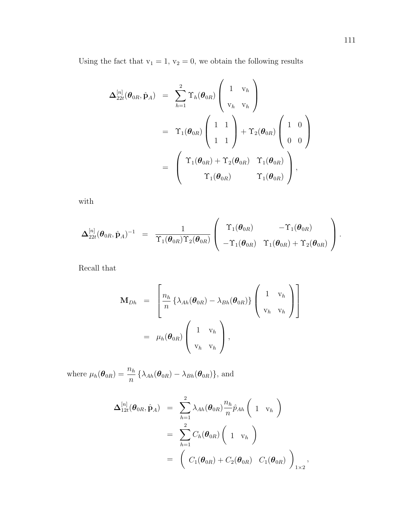Using the fact that  $v_1 = 1$ ,  $v_2 = 0$ , we obtain the following results

$$
\Delta_{22t}^{[n]}(\boldsymbol{\theta}_{0R}, \hat{\mathbf{p}}_A) = \sum_{h=1}^2 \Upsilon_h(\boldsymbol{\theta}_{0R}) \begin{pmatrix} 1 & v_h \\ v_h & v_h \end{pmatrix}
$$
  
=  $\Upsilon_1(\boldsymbol{\theta}_{0R}) \begin{pmatrix} 1 & 1 \\ 1 & 1 \end{pmatrix} + \Upsilon_2(\boldsymbol{\theta}_{0R}) \begin{pmatrix} 1 & 0 \\ 0 & 0 \end{pmatrix}$   
=  $\begin{pmatrix} \Upsilon_1(\boldsymbol{\theta}_{0R}) + \Upsilon_2(\boldsymbol{\theta}_{0R}) & \Upsilon_1(\boldsymbol{\theta}_{0R}) \\ \Upsilon_1(\boldsymbol{\theta}_{0R}) & \Upsilon_1(\boldsymbol{\theta}_{0R}) \end{pmatrix},$ 

with

$$
\boldsymbol{\Delta}_{22t}^{[n]}(\boldsymbol{\theta}_{0R},\hat{\mathbf{p}}_A)^{-1} \;\; = \;\; \frac{1}{\Upsilon_1(\boldsymbol{\theta}_{0R})\Upsilon_2(\boldsymbol{\theta}_{0R})} \left( \begin{array}{cc} \Upsilon_1(\boldsymbol{\theta}_{0R}) & -\Upsilon_1(\boldsymbol{\theta}_{0R}) \\ -\Upsilon_1(\boldsymbol{\theta}_{0R}) & \Upsilon_1(\boldsymbol{\theta}_{0R}) + \Upsilon_2(\boldsymbol{\theta}_{0R}) \end{array} \right).
$$

Recall that

$$
\mathbf{M}_{Dh} = \begin{bmatrix} n_h \\ n \end{bmatrix} \left\{ \lambda_{Ah}(\boldsymbol{\theta}_{0R}) - \lambda_{Bh}(\boldsymbol{\theta}_{0R}) \right\} \begin{pmatrix} 1 & v_h \\ v_h & v_h \end{pmatrix} = \mu_h(\boldsymbol{\theta}_{0R}) \begin{pmatrix} 1 & v_h \\ v_h & v_h \end{pmatrix},
$$

where  $\mu_h(\theta_{0R}) = \frac{n_h}{n} \left\{ \lambda_{Ah}(\theta_{0R}) - \lambda_{Bh}(\theta_{0R}) \right\}$ , and

$$
\Delta_{12t}^{[n]}(\boldsymbol{\theta}_{0R},\hat{\mathbf{p}}_A) = \sum_{h=1}^2 \lambda_{Ah}(\boldsymbol{\theta}_{0R}) \frac{n_h}{n} \hat{p}_{Ah} \left(1 \mathbf{v}_h\right)
$$
  

$$
= \sum_{h=1}^2 C_h(\boldsymbol{\theta}_{0R}) \left(1 \mathbf{v}_h\right)
$$
  

$$
= \left(C_1(\boldsymbol{\theta}_{0R}) + C_2(\boldsymbol{\theta}_{0R}) \ C_1(\boldsymbol{\theta}_{0R})\right)_{1\times 2},
$$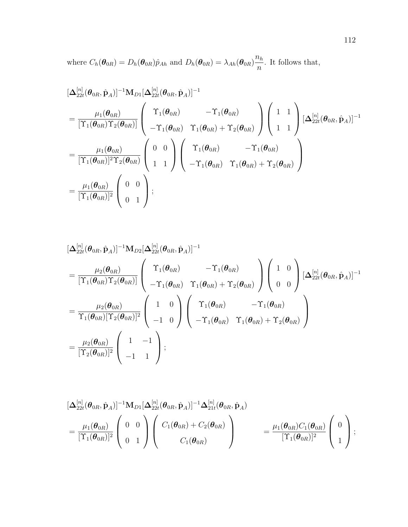where  $C_h(\boldsymbol{\theta}_{0R}) = D_h(\boldsymbol{\theta}_{0R})\hat{p}_{Ah}$  and  $D_h(\boldsymbol{\theta}_{0R}) = \lambda_{Ah}(\boldsymbol{\theta}_{0R})$  $n_h$ n . It follows that,

$$
\begin{split}\n&\left[\Delta_{22t}^{[n]}(\boldsymbol{\theta}_{0R},\hat{\mathbf{p}}_{A})\right]^{-1}\mathbf{M}_{D1}[\Delta_{22t}^{[n]}(\boldsymbol{\theta}_{0R},\hat{\mathbf{p}}_{A})]^{-1} \\
&=\frac{\mu_{1}(\boldsymbol{\theta}_{0R})}{\left[\Upsilon_{1}(\boldsymbol{\theta}_{0R})\Upsilon_{2}(\boldsymbol{\theta}_{0R})\right]} \left(\begin{array}{cc}\Upsilon_{1}(\boldsymbol{\theta}_{0R}) & -\Upsilon_{1}(\boldsymbol{\theta}_{0R}) \\
-\Upsilon_{1}(\boldsymbol{\theta}_{0R}) & \Upsilon_{1}(\boldsymbol{\theta}_{0R}) + \Upsilon_{2}(\boldsymbol{\theta}_{0R})\end{array}\right) \left(\begin{array}{cc}1 & 1 \\
1 & 1\n\end{array}\right) [\Delta_{22t}^{[n]}(\boldsymbol{\theta}_{0R},\hat{\mathbf{p}}_{A})]^{-1} \\
&=\frac{\mu_{1}(\boldsymbol{\theta}_{0R})}{\left[\Upsilon_{1}(\boldsymbol{\theta}_{0R})\right]^{2}\Upsilon_{2}(\boldsymbol{\theta}_{0R})} \left(\begin{array}{cc}0 & 0 \\
1 & 1\n\end{array}\right) \left(\begin{array}{cc}\Upsilon_{1}(\boldsymbol{\theta}_{0R}) & -\Upsilon_{1}(\boldsymbol{\theta}_{0R}) \\
-\Upsilon_{1}(\boldsymbol{\theta}_{0R}) & \Upsilon_{1}(\boldsymbol{\theta}_{0R}) + \Upsilon_{2}(\boldsymbol{\theta}_{0R})\end{array}\right) \\
&=\frac{\mu_{1}(\boldsymbol{\theta}_{0R})}{\left[\Upsilon_{1}(\boldsymbol{\theta}_{0R})\right]^{2}} \left(\begin{array}{cc}0 & 0 \\
0 & 1\n\end{array}\right); \n\end{split}
$$

$$
\begin{split} &\left[\Delta_{22t}^{[n]}(\boldsymbol{\theta}_{0R},\hat{\mathbf{p}}_A)\right]^{-1}\mathbf{M}_{D2}[\Delta_{22t}^{[n]}(\boldsymbol{\theta}_{0R},\hat{\mathbf{p}}_A)]^{-1} \\ &=\frac{\mu_2(\boldsymbol{\theta}_{0R})}{[\Upsilon_1(\boldsymbol{\theta}_{0R})\Upsilon_2(\boldsymbol{\theta}_{0R})]} \left( \begin{array}{cc} \Upsilon_1(\boldsymbol{\theta}_{0R}) & -\Upsilon_1(\boldsymbol{\theta}_{0R}) \\ -\Upsilon_1(\boldsymbol{\theta}_{0R}) & \Upsilon_1(\boldsymbol{\theta}_{0R}) + \Upsilon_2(\boldsymbol{\theta}_{0R}) \end{array} \right) \left( \begin{array}{cc} 1 & 0 \\ 0 & 0 \end{array} \right) [\Delta_{22t}^{[n]}(\boldsymbol{\theta}_{0R},\hat{\mathbf{p}}_A)]^{-1} \\ &=\frac{\mu_2(\boldsymbol{\theta}_{0R})}{\Upsilon_1(\boldsymbol{\theta}_{0R})[\Upsilon_2(\boldsymbol{\theta}_{0R})]^2} \left( \begin{array}{cc} 1 & 0 \\ -1 & 0 \end{array} \right) \left( \begin{array}{cc} \Upsilon_1(\boldsymbol{\theta}_{0R}) & -\Upsilon_1(\boldsymbol{\theta}_{0R}) \\ -\Upsilon_1(\boldsymbol{\theta}_{0R}) & \Upsilon_1(\boldsymbol{\theta}_{0R}) + \Upsilon_2(\boldsymbol{\theta}_{0R}) \end{array} \right) \\ &=\frac{\mu_2(\boldsymbol{\theta}_{0R})}{[\Upsilon_2(\boldsymbol{\theta}_{0R})]^2} \left( \begin{array}{cc} 1 & -1 \\ -1 & 1 \end{array} \right); \end{split}
$$

$$
\begin{split}\n&\left[\Delta_{22t}^{[n]}(\boldsymbol{\theta}_{0R},\hat{\mathbf{p}}_A)\right]^{-1}\mathbf{M}_{D1}\left[\Delta_{22t}^{[n]}(\boldsymbol{\theta}_{0R},\hat{\mathbf{p}}_A)\right]^{-1}\Delta_{21t}^{[n]}(\boldsymbol{\theta}_{0R},\hat{\mathbf{p}}_A) \\
&=\frac{\mu_1(\boldsymbol{\theta}_{0R})}{[\Upsilon_1(\boldsymbol{\theta}_{0R})]^2}\left(\begin{array}{cc}0&0\\0&1\end{array}\right)\left(\begin{array}{c}C_1(\boldsymbol{\theta}_{0R})+C_2(\boldsymbol{\theta}_{0R})\\C_1(\boldsymbol{\theta}_{0R})\end{array}\right) \\
&=\frac{\mu_1(\boldsymbol{\theta}_{0R})C_1(\boldsymbol{\theta}_{0R})}{[\Upsilon_1(\boldsymbol{\theta}_{0R})]^2}\left(\begin{array}{c}0\\1\end{array}\right); \\
&\end{split}
$$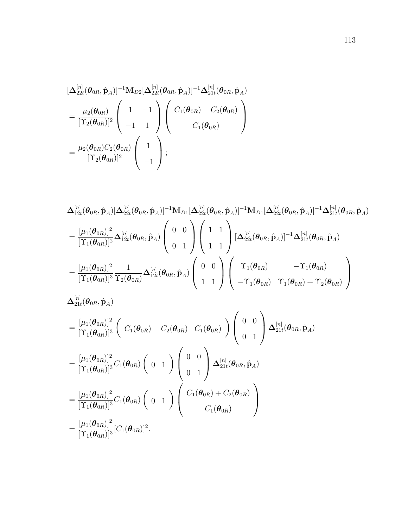$$
\begin{split}\n&\left[\Delta_{22t}^{[n]}(\boldsymbol{\theta}_{0R},\hat{\mathbf{p}}_{A})\right]^{-1}\mathbf{M}_{D2}\left[\Delta_{22t}^{[n]}(\boldsymbol{\theta}_{0R},\hat{\mathbf{p}}_{A})\right]^{-1}\Delta_{21t}^{[n]}(\boldsymbol{\theta}_{0R},\hat{\mathbf{p}}_{A}) \\
&=\frac{\mu_{2}(\boldsymbol{\theta}_{0R})}{[\Upsilon_{2}(\boldsymbol{\theta}_{0R})]^{2}}\left(\begin{array}{cc}1 & -1\\-1 & 1\end{array}\right)\left(\begin{array}{c}C_{1}(\boldsymbol{\theta}_{0R})+C_{2}(\boldsymbol{\theta}_{0R})\\C_{1}(\boldsymbol{\theta}_{0R})\end{array}\right) \\
&=\frac{\mu_{2}(\boldsymbol{\theta}_{0R})C_{2}(\boldsymbol{\theta}_{0R})}{[\Upsilon_{2}(\boldsymbol{\theta}_{0R})]^{2}}\left(\begin{array}{c}1\\-1\end{array}\right); \end{split}
$$

$$
\begin{split} &\Delta^{[n]}_{12t}(\pmb\theta_{0R},\hat{\mathbf{p}}_{A})[\Delta^{[n]}_{22t}(\pmb\theta_{0R},\hat{\mathbf{p}}_{A})]^{-1}\mathbf{M}_{D1}[\Delta^{[n]}_{22t}(\pmb\theta_{0R},\hat{\mathbf{p}}_{A})]^{-1}\mathbf{M}_{D1}[\Delta^{[n]}_{22t}(\pmb\theta_{0R},\hat{\mathbf{p}}_{A})]^{-1}\Delta^{[n]}_{21t}(\pmb\theta_{0R},\hat{\mathbf{p}}_{A})\\ &=\frac{[\mu_1(\pmb\theta_{0R})]^2}{[\Upsilon_1(\pmb\theta_{0R})]^2}\Delta^{[n]}_{12t}(\pmb\theta_{0R},\hat{\mathbf{p}}_{A})\left(\begin{array}{c} 0 & 0 \\ 0 & 1 \end{array}\right)\left(\begin{array}{c} 1 & 1 \\ 1 & 1 \end{array}\right)[\Delta^{[n]}_{22t}(\pmb\theta_{0R},\hat{\mathbf{p}}_{A})]^{-1}\Delta^{[n]}_{21t}(\pmb\theta_{0R},\hat{\mathbf{p}}_{A})\\ &=\frac{[\mu_1(\pmb\theta_{0R})]^2}{[\Upsilon_1(\pmb\theta_{0R})]^3}\frac{1}{\Upsilon_2(\pmb\theta_{0R})}\Delta^{[n]}_{12t}(\pmb\theta_{0R},\hat{\mathbf{p}}_{A})\left(\begin{array}{c} 0 & 0 \\ 1 & 1 \end{array}\right)\left(\begin{array}{cc} \Upsilon_1(\pmb\theta_{0R}) & -\Upsilon_1(\pmb\theta_{0R}) \\ -\Upsilon_1(\pmb\theta_{0R}) & \Upsilon_1(\pmb\theta_{0R})+\Upsilon_2(\pmb\theta_{0R}) \end{array}\right) \end{split}
$$

$$
\begin{split}\n&\Delta_{21t}^{[n]}(\boldsymbol{\theta}_{0R},\hat{\mathbf{p}}_{A}) \\
&= \frac{[\mu_1(\boldsymbol{\theta}_{0R})]^2}{[\Upsilon_1(\boldsymbol{\theta}_{0R})]^3} \left( C_1(\boldsymbol{\theta}_{0R}) + C_2(\boldsymbol{\theta}_{0R}) \ C_1(\boldsymbol{\theta}_{0R}) \right) \left( \begin{array}{c} 0 & 0 \\ 0 & 1 \end{array} \right) \Delta_{21t}^{[n]}(\boldsymbol{\theta}_{0R},\hat{\mathbf{p}}_{A}) \\
&= \frac{[\mu_1(\boldsymbol{\theta}_{0R})]^2}{[\Upsilon_1(\boldsymbol{\theta}_{0R})]^3} C_1(\boldsymbol{\theta}_{0R}) \left( 0 & 1 \end{array} \right) \left( \begin{array}{c} 0 & 0 \\ 0 & 1 \end{array} \right) \Delta_{21t}^{[n]}(\boldsymbol{\theta}_{0R},\hat{\mathbf{p}}_{A}) \\
&= \frac{[\mu_1(\boldsymbol{\theta}_{0R})]^2}{[\Upsilon_1(\boldsymbol{\theta}_{0R})]^3} C_1(\boldsymbol{\theta}_{0R}) \left( 0 & 1 \end{array} \right) \left( \begin{array}{c} C_1(\boldsymbol{\theta}_{0R}) + C_2(\boldsymbol{\theta}_{0R}) \\ C_1(\boldsymbol{\theta}_{0R}) \end{array} \right) \\
&= \frac{[\mu_1(\boldsymbol{\theta}_{0R})]^2}{[\Upsilon_1(\boldsymbol{\theta}_{0R})]^3} [C_1(\boldsymbol{\theta}_{0R})]^2.\n\end{split}
$$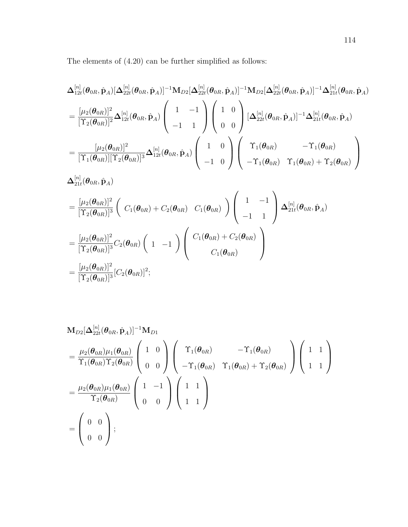The elements of (4.20) can be further simplified as follows:

$$
\begin{split} &\Delta^{[n]}_{12t}(\pmb\theta_{0R},\hat{\mathbf{p}}_{A})[\Delta^{[n]}_{22t}(\pmb\theta_{0R},\hat{\mathbf{p}}_{A})]^{-1}\mathbf{M}_{D2}[\Delta^{[n]}_{22t}(\pmb\theta_{0R},\hat{\mathbf{p}}_{A})]^{-1}\mathbf{M}_{D2}[\Delta^{[n]}_{22t}(\pmb\theta_{0R},\hat{\mathbf{p}}_{A})]^{-1}\Delta^{[n]}_{21t}(\pmb\theta_{0R},\hat{\mathbf{p}}_{A})\\ &=\frac{[\mu_{2}(\pmb\theta_{0R})]^{2}}{[\Upsilon_{2}(\pmb\theta_{0R})]^{2}}\Delta^{[n]}_{12t}(\pmb\theta_{0R},\hat{\mathbf{p}}_{A})\left(\begin{array}{c}1&-1\\-1&1\end{array}\right)\left(\begin{array}{c}1&0\\0&0\end{array}\right)[\Delta^{[n]}_{22t}(\pmb\theta_{0R},\hat{\mathbf{p}}_{A})]^{-1}\Delta^{[n]}_{21t}(\pmb\theta_{0R},\hat{\mathbf{p}}_{A})\\ &=\frac{[\mu_{2}(\pmb\theta_{0R})]^{2}}{[\Upsilon_{1}(\pmb\theta_{0R})][\Upsilon_{2}(\pmb\theta_{0R})]^{3}}\Delta^{[n]}_{12t}(\pmb\theta_{0R},\hat{\mathbf{p}}_{A})\left(\begin{array}{cc}1&0\\-1&0\end{array}\right)\left(\begin{array}{cc}\Upsilon_{1}(\pmb\theta_{0R})&-\Upsilon_{1}(\pmb\theta_{0R})\\-\Upsilon_{1}(\pmb\theta_{0R})&\Upsilon_{1}(\pmb\theta_{0R})+\Upsilon_{2}(\pmb\theta_{0R})\\\end{array}\right)\\ &\Delta^{[n]}_{21t}(\pmb\theta_{0R},\hat{\mathbf{p}}_{A}) \end{split}
$$

$$
= \frac{[\mu_2(\boldsymbol{\theta}_{0R})]^2}{[\Upsilon_2(\boldsymbol{\theta}_{0R})]^3} \left( C_1(\boldsymbol{\theta}_{0R}) + C_2(\boldsymbol{\theta}_{0R}) C_1(\boldsymbol{\theta}_{0R}) \right) \left( \begin{array}{cc} 1 & -1 \\ -1 & 1 \end{array} \right) \Delta_{21t}^{[n]}(\boldsymbol{\theta}_{0R}, \hat{\mathbf{p}}_A)
$$
  

$$
= \frac{[\mu_2(\boldsymbol{\theta}_{0R})]^2}{[\Upsilon_2(\boldsymbol{\theta}_{0R})]^3} C_2(\boldsymbol{\theta}_{0R}) \left( 1 - 1 \right) \left( \begin{array}{c} C_1(\boldsymbol{\theta}_{0R}) + C_2(\boldsymbol{\theta}_{0R}) \\ C_1(\boldsymbol{\theta}_{0R}) \end{array} \right)
$$
  

$$
= \frac{[\mu_2(\boldsymbol{\theta}_{0R})]^2}{[\Upsilon_2(\boldsymbol{\theta}_{0R})]^3} [C_2(\boldsymbol{\theta}_{0R})]^2;
$$

$$
\mathbf{M}_{D2}[\Delta_{22t}^{[n]}(\boldsymbol{\theta}_{0R},\hat{\mathbf{p}}_A)]^{-1}\mathbf{M}_{D1}
$$
\n
$$
= \frac{\mu_2(\boldsymbol{\theta}_{0R})\mu_1(\boldsymbol{\theta}_{0R})}{\Upsilon_1(\boldsymbol{\theta}_{0R})\Upsilon_2(\boldsymbol{\theta}_{0R})} \begin{pmatrix} 1 & 0 \\ 0 & 0 \end{pmatrix} \begin{pmatrix} \Upsilon_1(\boldsymbol{\theta}_{0R}) & -\Upsilon_1(\boldsymbol{\theta}_{0R}) \\ -\Upsilon_1(\boldsymbol{\theta}_{0R}) & \Upsilon_1(\boldsymbol{\theta}_{0R}) + \Upsilon_2(\boldsymbol{\theta}_{0R}) \end{pmatrix} \begin{pmatrix} 1 & 1 \\ 1 & 1 \end{pmatrix}
$$
\n
$$
= \frac{\mu_2(\boldsymbol{\theta}_{0R})\mu_1(\boldsymbol{\theta}_{0R})}{\Upsilon_2(\boldsymbol{\theta}_{0R})} \begin{pmatrix} 1 & -1 \\ 0 & 0 \end{pmatrix} \begin{pmatrix} 1 & 1 \\ 1 & 1 \end{pmatrix}
$$
\n
$$
= \begin{pmatrix} 0 & 0 \\ 0 & 0 \end{pmatrix};
$$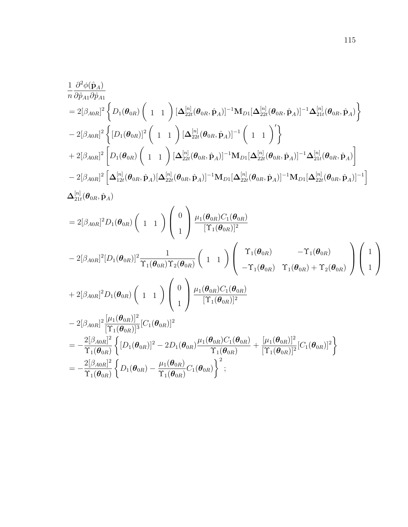$$
\begin{split} &\frac{1}{n}\frac{\partial^{2}\phi(\hat{\mathbf{p}}_{A})}{\partial\hat{p}_{A1}\partial\hat{p}_{A1}} \\ &=2[\beta_{A0R}]^{2}\left\{D_{1}(\theta_{0R})\left(1\ 1\ \right)[\Delta_{22t}^{[n]}(\theta_{0R},\hat{\mathbf{p}}_{A})]^{-1}\mathbf{M}_{D1}[\Delta_{22t}^{[n]}(\theta_{0R},\hat{\mathbf{p}}_{A})]^{-1}\Delta_{21t}^{[n]}(\theta_{0R},\hat{\mathbf{p}}_{A})\right\} \\ &-2[\beta_{A0R}]^{2}\left\{[D_{1}(\theta_{0R})]^{2}\left(1\ 1\ \right)[\Delta_{22t}^{[n]}(\theta_{0R},\hat{\mathbf{p}}_{A})]^{-1}\left(1\ 1\ \right)^{'}\right\} \\ &+2[\beta_{A0R}]^{2}\left[D_{1}(\theta_{0R})\left(1\ 1\ \right)[\Delta_{22t}^{[n]}(\theta_{0R},\hat{\mathbf{p}}_{A})]^{-1}\mathbf{M}_{D1}[\Delta_{22t}^{[n]}(\theta_{0R},\hat{\mathbf{p}}_{A})]^{-1}\Delta_{21t}^{[n]}(\theta_{0R},\hat{\mathbf{p}}_{A})\right] \\ &-2[\beta_{A0R}]^{2}\left[\Delta_{12t}^{[n]}(\theta_{0R},\hat{\mathbf{p}}_{A})[\Delta_{22t}^{[n]}(\theta_{0R},\hat{\mathbf{p}}_{A})]^{-1}\mathbf{M}_{D1}[\Delta_{22t}^{[n]}(\theta_{0R},\hat{\mathbf{p}}_{A})]^{-1}\mathbf{M}_{D1}[\Delta_{22t}^{[n]}(\theta_{0R},\hat{\mathbf{p}}_{A})]^{-1}\right] \\ &\Delta_{21t}^{[n]}(\theta_{0R},\hat{\mathbf{p}}_{A}) \\ &=2[\beta_{A0R}]^{2}D_{1}(\theta_{0R})\left(1\ 1\ \right)\left(\begin{array}{c} 0\\ 1 \end{array}\right)\frac{\mu_{1}(\theta_{0R})C_{1}(\theta_{0R})}{[\Upsilon_{1}(\theta_{0R})]^{2}} \\ &-2[\beta_{A0R}]^{2}[D_{1}(\theta_{0R})]^{2}\frac{1}{\Upsilon_{1}(\theta_{0R})\Upsilon_{2}(\theta_{0R})}\left(1\
$$

 $\Upsilon_1(\bm{\theta}_{0R})$ 

 $\Upsilon_1(\bm{\theta}_{0R})$ 

 $\setminus$ 

 $\Big\}$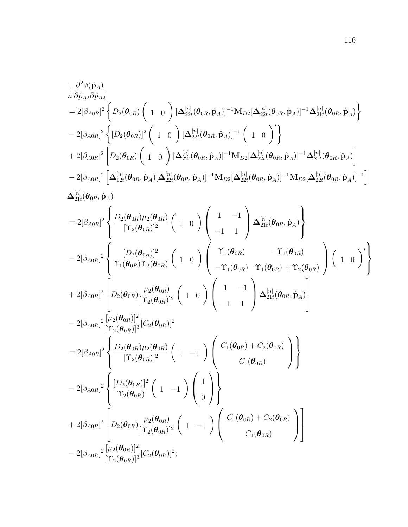$$
\begin{split} &\frac{1}{n}\frac{\partial^{2}\phi(\hat{\mathbf{p}}_{A})}{\partial\hat{p}_{A2}\partial\hat{p}_{A2}}\\ &=2[\beta_{A0R}]^{2}\left\{D_{2}(\boldsymbol{\theta}_{0R})\left(\begin{array}{cc}1&0\end{array}\right)[\boldsymbol{\Delta}_{22t}^{[n]}(\boldsymbol{\theta}_{0R},\hat{\mathbf{p}}_{A})]^{-1}\mathbf{M}_{D2}[\boldsymbol{\Delta}_{22t}^{[n]}(\boldsymbol{\theta}_{0R},\hat{\mathbf{p}}_{A})]^{-1}\boldsymbol{\Delta}_{21t}^{[n]}(\boldsymbol{\theta}_{0R},\hat{\mathbf{p}}_{A})\right\}\\ &-2[\beta_{A0R}]^{2}\left\{[D_{2}(\boldsymbol{\theta}_{0R})]^{2}\left(\begin{array}{cc}1&0\end{array}\right)[\boldsymbol{\Delta}_{22t}^{[n]}(\boldsymbol{\theta}_{0R},\hat{\mathbf{p}}_{A})]^{-1}\left(\begin{array}{cc}1&0\end{array}\right)^{\prime}\right\}\\ &+2[\beta_{A0R}]^{2}\left[D_{2}(\boldsymbol{\theta}_{0R})\left(\begin{array}{cc}1&0\end{array}\right)[\boldsymbol{\Delta}_{22t}^{[n]}(\boldsymbol{\theta}_{0R},\hat{\mathbf{p}}_{A})]^{-1}\mathbf{M}_{D2}[\boldsymbol{\Delta}_{22t}^{[n]}(\boldsymbol{\theta}_{0R},\hat{\mathbf{p}}_{A})]^{-1}\boldsymbol{\Delta}_{21t}^{[n]}(\boldsymbol{\theta}_{0R},\hat{\mathbf{p}}_{A})\right]\\ &-2[\beta_{A0R}]^{2}\left[\boldsymbol{\Delta}_{12t}^{[n]}(\boldsymbol{\theta}_{0R},\hat{\mathbf{p}}_{A})[\boldsymbol{\Delta}_{22t}^{[n]}(\boldsymbol{\theta}_{0R},\hat{\mathbf{p}}_{A})]^{-1}\mathbf{M}_{D2}[\boldsymbol{\Delta}_{22t}^{[n]}(\boldsymbol{\theta}_{0R},\hat{\mathbf{p}}_{A})]^{-1}\mathbf{M}_{D2}[\boldsymbol{\Delta}_{22t}^{[n]}(\boldsymbol{\theta}_{0R},\hat{\mathbf{p}}_{A})]^{-1}\right]\\ &\boldsymbol{\Delta}_{21t}^{[n]}(\boldsymbol{\theta}_{0R},\hat{\mathbf{p}}_{A})\end{split}
$$

$$
=2\left[\beta_{A0R}\right]^{2}\left\{\frac{D_{2}(\theta_{0R})\mu_{2}(\theta_{0R})}{\left[\Upsilon_{2}(\theta_{0R})\right]^{2}}\left(1\ 0\right)\left(\begin{array}{cc}1&-1\\-1&1\end{array}\right)\Delta_{21t}^{[n]}(\theta_{0R},\hat{p}_{A})\right\}-2\left[\beta_{A0R}\right]^{2}\left\{\frac{\left[D_{2}(\theta_{0R})\right]^{2}}{\Upsilon_{1}(\theta_{0R})\Upsilon_{2}(\theta_{0R})}\left(1\ 0\right)\left(\begin{array}{cc} \Upsilon_{1}(\theta_{0R})&-\Upsilon_{1}(\theta_{0R})\\-\Upsilon_{1}(\theta_{0R})&\Upsilon_{1}(\theta_{0R})+\Upsilon_{2}(\theta_{0R})\end{array}\right)\left(1\ 0\right)^{'}\right\}+2\left[\beta_{A0R}\right]^{2}\left[D_{2}(\theta_{0R})\frac{\mu_{2}(\theta_{0R})}{\left[\Upsilon_{2}(\theta_{0R})\right]^{2}}\left(1\ 0\right)\left(\begin{array}{cc}1&-1\\-1&1\end{array}\right)\Delta_{21t}^{[n]}(\theta_{0R},\hat{p}_{A})\right]-2\left[\beta_{A0R}\right]^{2}\left\{\frac{\mu_{2}(\theta_{0R})\mu_{2}(\theta_{0R})}{\left[\Upsilon_{2}(\theta_{0R})\right]^{3}}\left[C_{2}(\theta_{0R})\right]^{2}\right]=2\left[\beta_{A0R}\right]^{2}\left\{\frac{D_{2}(\theta_{0R})\mu_{2}(\theta_{0R})}{\Upsilon_{2}(\theta_{0R})}\left(1\ -1\right)\left(\begin{array}{c}C_{1}(\theta_{0R})+C_{2}(\theta_{0R})\\C_{1}(\theta_{0R})\end{array}\right)\right\}-2\left[\beta_{A0R}\right]^{2}\left\{\frac{\left[D_{2}(\theta_{0R})\mu_{2}(\theta_{0R})\right]}{\Upsilon_{2}(\theta_{0R})}\left(1\ -1\right)\left(\begin{array}{c}1\\0\end{array}\right)\right\}+2\left[\beta_{A0R}\right]^{2}\left[D_{2}(\theta_{0R})\frac{\mu_{2}(\theta_{0R})}{\left[\Upsilon_{2}(\theta_{0R})\
$$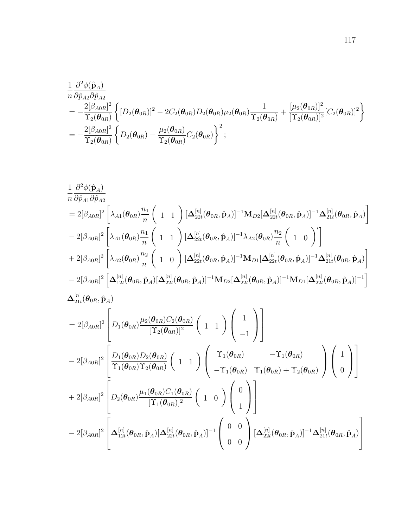$$
\begin{split}\n&\frac{1}{n}\frac{\partial^2\phi(\hat{\mathbf{p}}_A)}{\partial\hat{p}_{A2}\partial\hat{p}_{A2}} \\
&= -\frac{2[\beta_{A0R}]^2}{\Upsilon_2(\boldsymbol{\theta}_{0R})}\left\{ [D_2(\boldsymbol{\theta}_{0R})]^2 - 2C_2(\boldsymbol{\theta}_{0R})D_2(\boldsymbol{\theta}_{0R})\mu_2(\boldsymbol{\theta}_{0R})\frac{1}{\Upsilon_2(\boldsymbol{\theta}_{0R})} + \frac{[\mu_2(\boldsymbol{\theta}_{0R})]^2}{[\Upsilon_2(\boldsymbol{\theta}_{0R})]^2}[C_2(\boldsymbol{\theta}_{0R})]^2 \right\} \\
&= -\frac{2[\beta_{A0R}]^2}{\Upsilon_2(\boldsymbol{\theta}_{0R})}\left\{ D_2(\boldsymbol{\theta}_{0R}) - \frac{\mu_2(\boldsymbol{\theta}_{0R})}{\Upsilon_2(\boldsymbol{\theta}_{0R})}C_2(\boldsymbol{\theta}_{0R}) \right\}^2; \n\end{split}
$$

$$
\begin{split} &\frac{1}{n}\frac{\partial^{2}\phi(\hat{\mathbf{p}}_{A})}{\partial\hat{\rho}_{A1}\partial\hat{\rho}_{A2}}\\ &=2[\beta_{A0R}]^{2}\left[\lambda_{A1}(\theta_{0R})\frac{n_{1}}{n}\left(1\ 1\ \right)[\Delta_{22t}^{[n]}(\theta_{0R},\hat{\mathbf{p}}_{A})]^{-1}\mathbf{M}_{D2}[\Delta_{22t}^{[n]}(\theta_{0R},\hat{\mathbf{p}}_{A})]^{-1}\Delta_{21t}^{[n]}(\theta_{0R},\hat{\mathbf{p}}_{A})\right]\\ &-2[\beta_{A0R}]^{2}\left[\lambda_{A1}(\theta_{0R})\frac{n_{1}}{n}\left(1\ 1\ \right)[\Delta_{22t}^{[n]}(\theta_{0R},\hat{\mathbf{p}}_{A})]^{-1}\lambda_{A2}(\theta_{0R})\frac{n_{2}}{n}\left(1\ 0\ \right)'\right]\\ &+2[\beta_{A0R}]^{2}\left[\lambda_{A2}(\theta_{0R})\frac{n_{2}}{n}\left(1\ 0\ \right)[\Delta_{22t}^{[n]}(\theta_{0R},\hat{\mathbf{p}}_{A})]^{-1}\mathbf{M}_{D1}[\Delta_{22t}^{[n]}(\theta_{0R},\hat{\mathbf{p}}_{A})]^{-1}\Delta_{21t}^{[n]}(\theta_{0R},\hat{\mathbf{p}}_{A})\right]\\ &-2[\beta_{A0R}]^{2}\left[\Delta_{12t}^{[n]}(\theta_{0R},\hat{\mathbf{p}}_{A})[\Delta_{22t}^{[n]}(\theta_{0R},\hat{\mathbf{p}}_{A})]^{-1}\mathbf{M}_{D2}[\Delta_{22t}^{[n]}(\theta_{0R},\hat{\mathbf{p}}_{A})]^{-1}\mathbf{M}_{D1}[\Delta_{22t}^{[n]}(\theta_{0R},\hat{\mathbf{p}}_{A})]^{-1}\right]\\ &\Delta_{21t}^{[n]}(\theta_{0R},\hat{\mathbf{p}}_{A})\\ &=2[\beta_{A0R}]^{2}\left[D_{1}(\theta_{0R})\frac{\mu_{2}(\theta_{0R})C_{2}(\theta_{0R})}{[{\Upsilon_{2}}(\theta_{0R})]^{2}}\left(1\ 1\ \right)\left(\begin{array}{c}1\\-1\\-1\end{array}\right)\right]\\ &-2[\beta_{A0R}]^{2}\left[\frac{D_{1
$$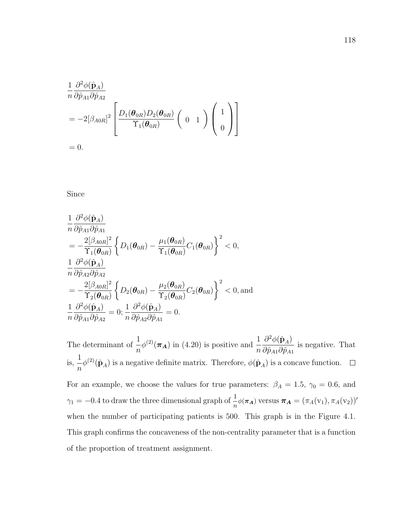$$
\frac{1}{n} \frac{\partial^2 \phi(\hat{\mathbf{p}}_A)}{\partial \hat{p}_{A1} \partial \hat{p}_{A2}}
$$
\n
$$
= -2[\beta_{A0R}]^2 \left[ \frac{D_1(\boldsymbol{\theta}_{0R}) D_2(\boldsymbol{\theta}_{0R})}{\Upsilon_1(\boldsymbol{\theta}_{0R})} \left( 0 \quad 1 \right) \left( \begin{array}{c} 1 \\ 0 \end{array} \right) \right]
$$
\n
$$
= 0
$$

 $= 0.$ 

Since

$$
\frac{1}{n} \frac{\partial^2 \phi(\hat{\mathbf{p}}_A)}{\partial \hat{p}_{A1} \partial \hat{p}_{A1}} \n= -\frac{2[\beta_{A0R}]^2}{\Upsilon_1(\boldsymbol{\theta}_{0R})} \left\{ D_1(\boldsymbol{\theta}_{0R}) - \frac{\mu_1(\boldsymbol{\theta}_{0R})}{\Upsilon_1(\boldsymbol{\theta}_{0R})} C_1(\boldsymbol{\theta}_{0R}) \right\}^2 < 0, \n\frac{1}{n} \frac{\partial^2 \phi(\hat{\mathbf{p}}_A)}{\partial \hat{p}_{A2} \partial \hat{p}_{A2}} \n= -\frac{2[\beta_{A0R}]^2}{\Upsilon_2(\boldsymbol{\theta}_{0R})} \left\{ D_2(\boldsymbol{\theta}_{0R}) - \frac{\mu_2(\boldsymbol{\theta}_{0R})}{\Upsilon_2(\boldsymbol{\theta}_{0R})} C_2(\boldsymbol{\theta}_{0R}) \right\}^2 < 0, \text{and} \n\frac{1}{n} \frac{\partial^2 \phi(\hat{\mathbf{p}}_A)}{\partial \hat{p}_{A1} \partial \hat{p}_{A2}} = 0; \frac{1}{n} \frac{\partial^2 \phi(\hat{\mathbf{p}}_A)}{\partial \hat{p}_{A2} \partial \hat{p}_{A1}} = 0.
$$

The determinant of  $\frac{1}{1}$ n  $\phi^{(2)}(\pi_A)$  in (4.20) is positive and  $\frac{1}{n}$  $\partial^2\phi(\hat{\bf p}_A)$  $\partial \hat p_{A1}\partial \hat p_{A1}$ is negative. That is, 1 n  $\phi^{(2)}(\hat{\mathbf{p}}_A)$  is a negative definite matrix. Therefore,  $\phi(\hat{\mathbf{p}}_A)$  is a concave function. For an example, we choose the values for true parameters:  $\beta_A = 1.5$ ,  $\gamma_0 = 0.6$ , and  $\gamma_1 = -0.4$  to draw the three dimensional graph of  $\frac{1}{n}\phi(\pi_A)$  versus  $\pi_A = (\pi_A(v_1), \pi_A(v_2))'$ when the number of participating patients is 500. This graph is in the Figure 4.1. This graph confirms the concaveness of the non-centrality parameter that is a function of the proportion of treatment assignment.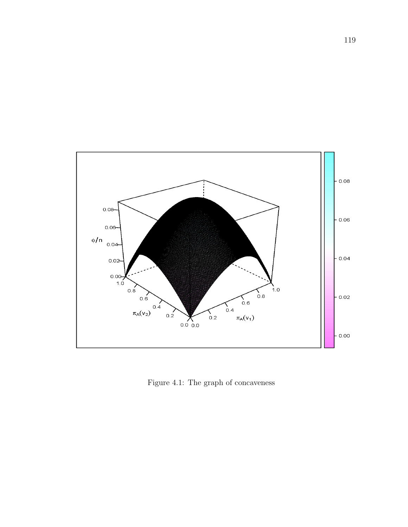

Figure 4.1: The graph of concaveness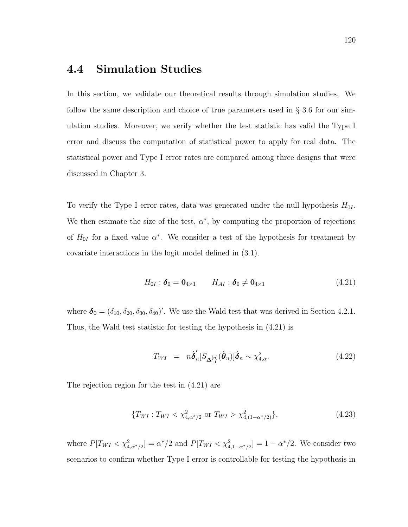## 4.4 Simulation Studies

In this section, we validate our theoretical results through simulation studies. We follow the same description and choice of true parameters used in  $\S 3.6$  for our simulation studies. Moreover, we verify whether the test statistic has valid the Type I error and discuss the computation of statistical power to apply for real data. The statistical power and Type I error rates are compared among three designs that were discussed in Chapter 3.

To verify the Type I error rates, data was generated under the null hypothesis  $H_{0I}$ . We then estimate the size of the test,  $\alpha^*$ , by computing the proportion of rejections of  $H_{0I}$  for a fixed value  $\alpha^*$ . We consider a test of the hypothesis for treatment by covariate interactions in the logit model defined in (3.1).

$$
H_{0I}: \delta_0 = \mathbf{0}_{4 \times 1} \qquad H_{AI}: \delta_0 \neq \mathbf{0}_{4 \times 1} \tag{4.21}
$$

where  $\boldsymbol{\delta}_0 = (\delta_{10}, \delta_{20}, \delta_{30}, \delta_{40})'$ . We use the Wald test that was derived in Section 4.2.1. Thus, the Wald test statistic for testing the hypothesis in (4.21) is

$$
T_{WI} = n\hat{\boldsymbol{\delta}}'_{n} [S_{\boldsymbol{\Delta}_{11}^{[n]}}(\hat{\boldsymbol{\theta}}_{n})] \hat{\boldsymbol{\delta}}_{n} \sim \chi^{2}_{4,\alpha}.
$$
\n(4.22)

The rejection region for the test in (4.21) are

$$
\{T_{WI}: T_{WI} < \chi^2_{4,\alpha^*/2} \text{ or } T_{WI} > \chi^2_{4,(1-\alpha^*/2)}\},\tag{4.23}
$$

where  $P[T_{WI} < \chi^2_{4,\alpha^*/2}] = \alpha^*/2$  and  $P[T_{WI} < \chi^2_{4,1-\alpha^*/2}] = 1 - \alpha^*/2$ . We consider two scenarios to confirm whether Type I error is controllable for testing the hypothesis in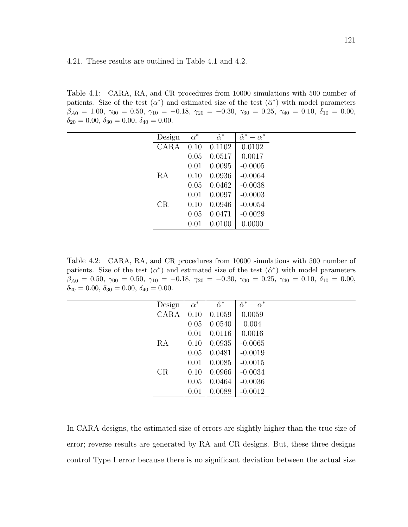Table 4.1: CARA, RA, and CR procedures from 10000 simulations with 500 number of patients. Size of the test  $(\alpha^*)$  and estimated size of the test  $(\hat{\alpha}^*)$  with model parameters  $\beta_{A0} = 1.00, \ \gamma_{00} = 0.50, \ \gamma_{10} = -0.18, \ \gamma_{20} = -0.30, \ \gamma_{30} = 0.25, \ \gamma_{40} = 0.10, \ \delta_{10} = 0.00,$  $\delta_{20} = 0.00, \delta_{30} = 0.00, \delta_{40} = 0.00.$ 

| Design | $\alpha^*$ | $\hat{\alpha}^*$ | $\hat{\alpha}^*$<br>$-\alpha^*$ |
|--------|------------|------------------|---------------------------------|
| CARA   | 0.10       | 0.1102           | 0.0102                          |
|        | 0.05       | 0.0517           | 0.0017                          |
|        | 0.01       | 0.0095           | $-0.0005$                       |
| RA     | 0.10       | 0.0936           | $-0.0064$                       |
|        | 0.05       | 0.0462           | $-0.0038$                       |
|        | 0.01       | 0.0097           | $-0.0003$                       |
| CR     | 0.10       | 0.0946           | $-0.0054$                       |
|        | 0.05       | 0.0471           | $-0.0029$                       |
|        | 0.01       | 0.0100           | 0.0000                          |

Table 4.2: CARA, RA, and CR procedures from 10000 simulations with 500 number of patients. Size of the test  $(\alpha^*)$  and estimated size of the test  $(\hat{\alpha}^*)$  with model parameters  $\beta_{A0} = 0.50, \ \gamma_{00} = 0.50, \ \gamma_{10} = -0.18, \ \gamma_{20} = -0.30, \ \gamma_{30} = 0.25, \ \gamma_{40} = 0.10, \ \delta_{10} = 0.00,$  $\delta_{20} = 0.00, \delta_{30} = 0.00, \delta_{40} = 0.00.$ 

| Design | $\alpha^*$ | $\hat{\alpha}^*$ | $\hat{\alpha}^*$<br>$-\alpha^*$ |  |
|--------|------------|------------------|---------------------------------|--|
| CARA   | 0.10       | 0.1059           | 0.0059                          |  |
|        | 0.05       | 0.0540           | 0.004                           |  |
|        | 0.01       | 0.0116           | 0.0016                          |  |
| RA     | 0.10       | 0.0935           | $-0.0065$                       |  |
|        | 0.05       | 0.0481           | $-0.0019$                       |  |
|        | 0.01       | 0.0085           | $-0.0015$                       |  |
| CR     | 0.10       | 0.0966           | $-0.0034$                       |  |
|        | 0.05       | 0.0464           | $-0.0036$                       |  |
|        | 0.01       | 0.0088           | $-0.0012$                       |  |

In CARA designs, the estimated size of errors are slightly higher than the true size of error; reverse results are generated by RA and CR designs. But, these three designs control Type I error because there is no significant deviation between the actual size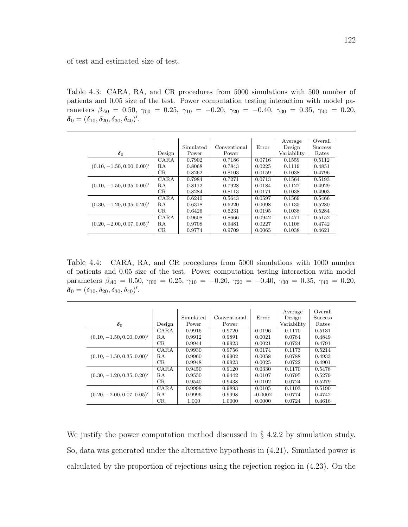of test and estimated size of test.

Table 4.3: CARA, RA, and CR procedures from 5000 simulations with 500 number of patients and 0.05 size of the test. Power computation testing interaction with model parameters  $\beta_{A0} = 0.50, \gamma_{00} = 0.25, \gamma_{10} = -0.20, \gamma_{20} = -0.40, \gamma_{30} = 0.35, \gamma_{40} = 0.20,$  $\delta_0 = (\delta_{10}, \delta_{20}, \delta_{30}, \delta_{40})'.$ 

|                              |             |           |              |        | Average     | Overall        |
|------------------------------|-------------|-----------|--------------|--------|-------------|----------------|
|                              |             | Simulated | Conventional | Error  | Design      | <b>Success</b> |
| $\delta_0$                   | Design      | Power     | Power        |        | Variability | Rates          |
| $(0.10, -1.50, 0.00, 0.00)'$ | CARA        | 0.7902    | 0.7186       | 0.0716 | 0.1559      | 0.5112         |
|                              | RA          | 0.8068    | 0.7843       | 0.0225 | 0.1119      | 0.4851         |
|                              | CR          | 0.8262    | 0.8103       | 0.0159 | 0.1038      | 0.4796         |
| $(0.10, -1.50, 0.35, 0.00)'$ | <b>CARA</b> | 0.7984    | 0.7271       | 0.0713 | 0.1564      | 0.5193         |
|                              | RA          | 0.8112    | 0.7928       | 0.0184 | 0.1127      | 0.4929         |
|                              | CR          | 0.8284    | 0.8113       | 0.0171 | 0.1038      | 0.4903         |
| $(0.30, -1.20, 0.35, 0.20)'$ | <b>CARA</b> | 0.6240    | 0.5643       | 0.0597 | 0.1569      | 0.5466         |
|                              | RA          | 0.6318    | 0.6220       | 0.0098 | 0.1135      | 0.5280         |
|                              | CR          | 0.6426    | 0.6231       | 0.0195 | 0.1038      | 0.5284         |
| $(0.20, -2.00, 0.07, 0.05)'$ | <b>CARA</b> | 0.9608    | 0.8666       | 0.0942 | 0.1471      | 0.5152         |
|                              | RA          | 0.9708    | 0.9481       | 0.0227 | 0.1108      | 0.4742         |
|                              | CR          | 0.9774    | 0.9709       | 0.0065 | 0.1038      | 0.4621         |

Table 4.4: CARA, RA, and CR procedures from 5000 simulations with 1000 number of patients and 0.05 size of the test. Power computation testing interaction with model parameters  $\beta_{A0} = 0.50, \gamma_{00} = 0.25, \gamma_{10} = -0.20, \gamma_{20} = -0.40, \gamma_{30} = 0.35, \gamma_{40} = 0.20,$  $\delta_0 = (\delta_{10}, \delta_{20}, \delta_{30}, \delta_{40})'.$ 

|                              |        |           |              |           |             | Overall        |
|------------------------------|--------|-----------|--------------|-----------|-------------|----------------|
|                              |        |           |              |           | Average     |                |
|                              |        | Simulated | Conventional | Error     | Design      | <b>Success</b> |
| $\delta_0$                   | Design | Power     | Power        |           | Variability | Rates          |
|                              | CARA   | 0.9916    | 0.9720       | 0.0196    | 0.1170      | 0.5131         |
| $(0.10, -1.50, 0.00, 0.00)'$ | RA     | 0.9912    | 0.9891       | 0.0021    | 0.0784      | 0.4849         |
|                              | CR     | 0.9944    | 0.9923       | 0.0021    | 0.0724      | 0.4791         |
|                              | CARA   | 0.9930    | 0.9756       | 0.0174    | 0.1173      | 0.5214         |
| $(0.10, -1.50, 0.35, 0.00)'$ | R.A    | 0.9960    | 0.9902       | 0.0058    | 0.0788      | 0.4933         |
|                              | CR     | 0.9948    | 0.9923       | 0.0025    | 0.0722      | 0.4901         |
|                              | CARA   | 0.9450    | 0.9120       | 0.0330    | 0.1170      | 0.5478         |
| $(0.30, -1.20, 0.35, 0.20)'$ | RA     | 0.9550    | 0.9442       | 0.0107    | 0.0795      | 0.5279         |
|                              | CR     | 0.9540    | 0.9438       | 0.0102    | 0.0724      | 0.5279         |
| $(0.20, -2.00, 0.07, 0.05)'$ | CARA   | 0.9998    | 0.9893       | 0.0105    | 0.1103      | 0.5190         |
|                              | RA     | 0.9996    | 0.9998       | $-0.0002$ | 0.0774      | 0.4742         |
|                              | CR     | 1.000     | 1.0000       | 0.0000    | 0.0724      | 0.4616         |

We justify the power computation method discussed in § 4.2.2 by simulation study. So, data was generated under the alternative hypothesis in (4.21). Simulated power is calculated by the proportion of rejections using the rejection region in (4.23). On the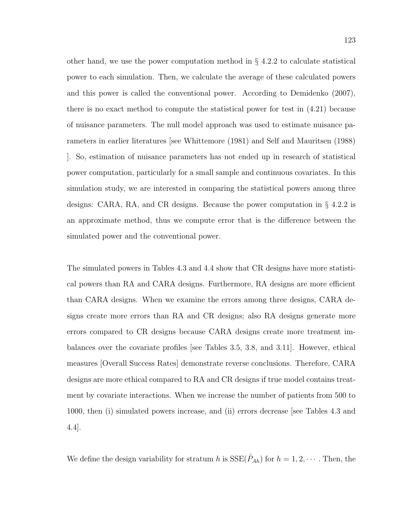other hand, we use the power computation method in  $\S$  4.2.2 to calculate statistical power to each simulation. Then, we calculate the average of these calculated powers and this power is called the conventional power. According to Demidenko (2007), there is no exact method to compute the statistical power for test in (4.21) because of nuisance parameters. The null model approach was used to estimate nuisance parameters in earlier literatures [see Whittemore (1981) and Self and Mauritsen (1988) ]. So, estimation of nuisance parameters has not ended up in research of statistical power computation, particularly for a small sample and continuous covariates. In this simulation study, we are interested in comparing the statistical powers among three designs: CARA, RA, and CR designs. Because the power computation in § 4.2.2 is an approximate method, thus we compute error that is the difference between the simulated power and the conventional power.

The simulated powers in Tables 4.3 and 4.4 show that CR designs have more statistical powers than RA and CARA designs. Furthermore, RA designs are more efficient than CARA designs. When we examine the errors among three designs, CARA designs create more errors than RA and CR designs; also RA designs generate more errors compared to CR designs because CARA designs create more treatment imbalances over the covariate profiles [see Tables 3.5, 3.8, and 3.11]. However, ethical measures [Overall Success Rates] demonstrate reverse conclusions. Therefore, CARA designs are more ethical compared to RA and CR designs if true model contains treatment by covariate interactions. When we increase the number of patients from 500 to 1000, then (i) simulated powers increase, and (ii) errors decrease [see Tables 4.3 and 4.4].

We define the design variability for stratum h is  $SSE(\hat{P}_{Ah})$  for  $h = 1, 2, \cdots$ . Then, the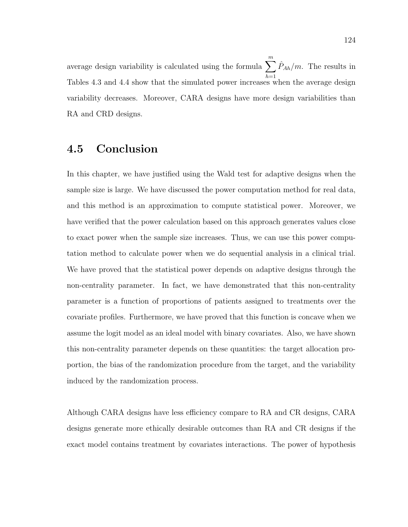average design variability is calculated using the formula  $\sum_{n=1}^{m}$  $_{h=1}$  $\hat{P}_{Ah}/m$ . The results in Tables 4.3 and 4.4 show that the simulated power increases when the average design variability decreases. Moreover, CARA designs have more design variabilities than RA and CRD designs.

## 4.5 Conclusion

In this chapter, we have justified using the Wald test for adaptive designs when the sample size is large. We have discussed the power computation method for real data, and this method is an approximation to compute statistical power. Moreover, we have verified that the power calculation based on this approach generates values close to exact power when the sample size increases. Thus, we can use this power computation method to calculate power when we do sequential analysis in a clinical trial. We have proved that the statistical power depends on adaptive designs through the non-centrality parameter. In fact, we have demonstrated that this non-centrality parameter is a function of proportions of patients assigned to treatments over the covariate profiles. Furthermore, we have proved that this function is concave when we assume the logit model as an ideal model with binary covariates. Also, we have shown this non-centrality parameter depends on these quantities: the target allocation proportion, the bias of the randomization procedure from the target, and the variability induced by the randomization process.

Although CARA designs have less efficiency compare to RA and CR designs, CARA designs generate more ethically desirable outcomes than RA and CR designs if the exact model contains treatment by covariates interactions. The power of hypothesis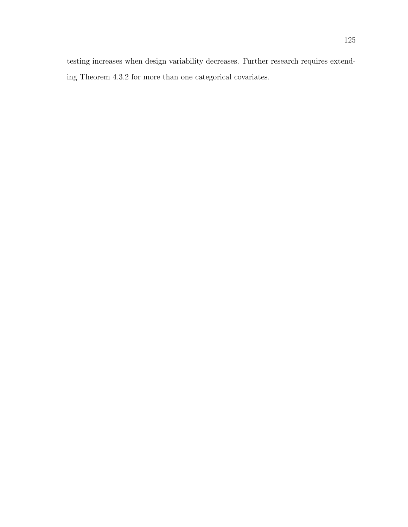testing increases when design variability decreases. Further research requires extending Theorem 4.3.2 for more than one categorical covariates.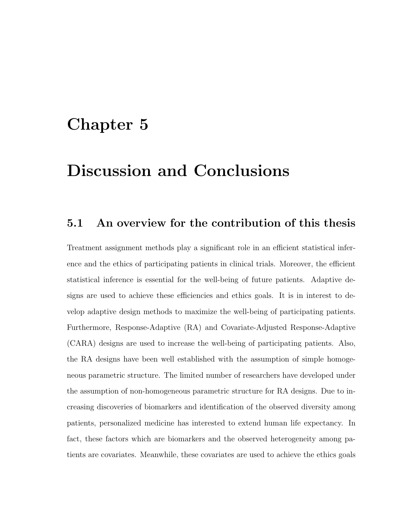# Chapter 5

# Discussion and Conclusions

## 5.1 An overview for the contribution of this thesis

Treatment assignment methods play a significant role in an efficient statistical inference and the ethics of participating patients in clinical trials. Moreover, the efficient statistical inference is essential for the well-being of future patients. Adaptive designs are used to achieve these efficiencies and ethics goals. It is in interest to develop adaptive design methods to maximize the well-being of participating patients. Furthermore, Response-Adaptive (RA) and Covariate-Adjusted Response-Adaptive (CARA) designs are used to increase the well-being of participating patients. Also, the RA designs have been well established with the assumption of simple homogeneous parametric structure. The limited number of researchers have developed under the assumption of non-homogeneous parametric structure for RA designs. Due to increasing discoveries of biomarkers and identification of the observed diversity among patients, personalized medicine has interested to extend human life expectancy. In fact, these factors which are biomarkers and the observed heterogeneity among patients are covariates. Meanwhile, these covariates are used to achieve the ethics goals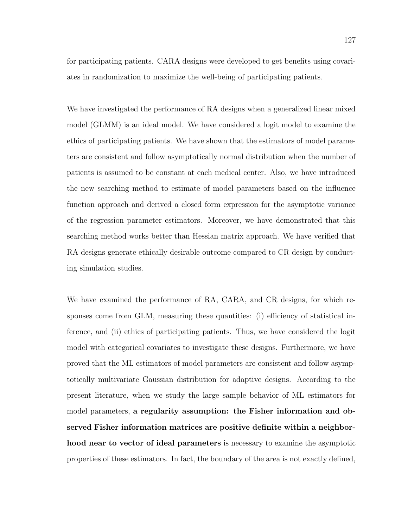for participating patients. CARA designs were developed to get benefits using covariates in randomization to maximize the well-being of participating patients.

We have investigated the performance of RA designs when a generalized linear mixed model (GLMM) is an ideal model. We have considered a logit model to examine the ethics of participating patients. We have shown that the estimators of model parameters are consistent and follow asymptotically normal distribution when the number of patients is assumed to be constant at each medical center. Also, we have introduced the new searching method to estimate of model parameters based on the influence function approach and derived a closed form expression for the asymptotic variance of the regression parameter estimators. Moreover, we have demonstrated that this searching method works better than Hessian matrix approach. We have verified that RA designs generate ethically desirable outcome compared to CR design by conducting simulation studies.

We have examined the performance of RA, CARA, and CR designs, for which responses come from GLM, measuring these quantities: (i) efficiency of statistical inference, and (ii) ethics of participating patients. Thus, we have considered the logit model with categorical covariates to investigate these designs. Furthermore, we have proved that the ML estimators of model parameters are consistent and follow asymptotically multivariate Gaussian distribution for adaptive designs. According to the present literature, when we study the large sample behavior of ML estimators for model parameters, a regularity assumption: the Fisher information and observed Fisher information matrices are positive definite within a neighborhood near to vector of ideal parameters is necessary to examine the asymptotic properties of these estimators. In fact, the boundary of the area is not exactly defined,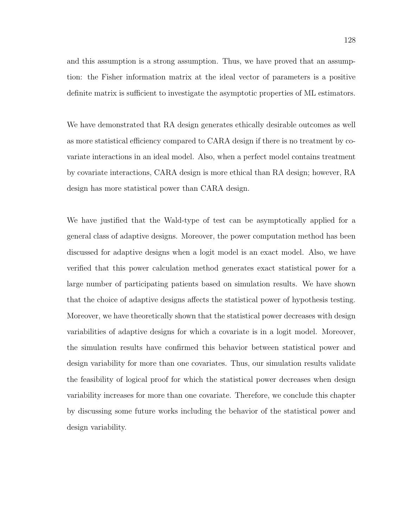and this assumption is a strong assumption. Thus, we have proved that an assumption: the Fisher information matrix at the ideal vector of parameters is a positive definite matrix is sufficient to investigate the asymptotic properties of ML estimators.

We have demonstrated that RA design generates ethically desirable outcomes as well as more statistical efficiency compared to CARA design if there is no treatment by covariate interactions in an ideal model. Also, when a perfect model contains treatment by covariate interactions, CARA design is more ethical than RA design; however, RA design has more statistical power than CARA design.

We have justified that the Wald-type of test can be asymptotically applied for a general class of adaptive designs. Moreover, the power computation method has been discussed for adaptive designs when a logit model is an exact model. Also, we have verified that this power calculation method generates exact statistical power for a large number of participating patients based on simulation results. We have shown that the choice of adaptive designs affects the statistical power of hypothesis testing. Moreover, we have theoretically shown that the statistical power decreases with design variabilities of adaptive designs for which a covariate is in a logit model. Moreover, the simulation results have confirmed this behavior between statistical power and design variability for more than one covariates. Thus, our simulation results validate the feasibility of logical proof for which the statistical power decreases when design variability increases for more than one covariate. Therefore, we conclude this chapter by discussing some future works including the behavior of the statistical power and design variability.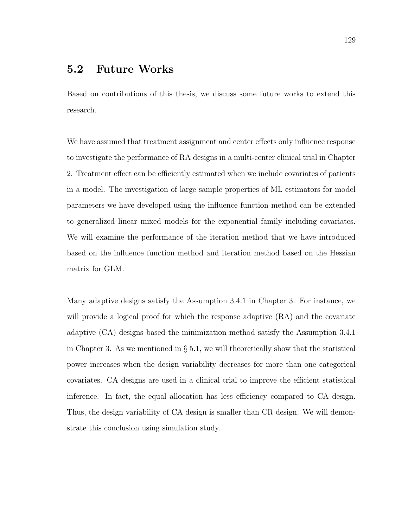## 5.2 Future Works

Based on contributions of this thesis, we discuss some future works to extend this research.

We have assumed that treatment assignment and center effects only influence response to investigate the performance of RA designs in a multi-center clinical trial in Chapter 2. Treatment effect can be efficiently estimated when we include covariates of patients in a model. The investigation of large sample properties of ML estimators for model parameters we have developed using the influence function method can be extended to generalized linear mixed models for the exponential family including covariates. We will examine the performance of the iteration method that we have introduced based on the influence function method and iteration method based on the Hessian matrix for GLM.

Many adaptive designs satisfy the Assumption 3.4.1 in Chapter 3. For instance, we will provide a logical proof for which the response adaptive  $(RA)$  and the covariate adaptive (CA) designs based the minimization method satisfy the Assumption 3.4.1 in Chapter 3. As we mentioned in  $\S 5.1$ , we will theoretically show that the statistical power increases when the design variability decreases for more than one categorical covariates. CA designs are used in a clinical trial to improve the efficient statistical inference. In fact, the equal allocation has less efficiency compared to CA design. Thus, the design variability of CA design is smaller than CR design. We will demonstrate this conclusion using simulation study.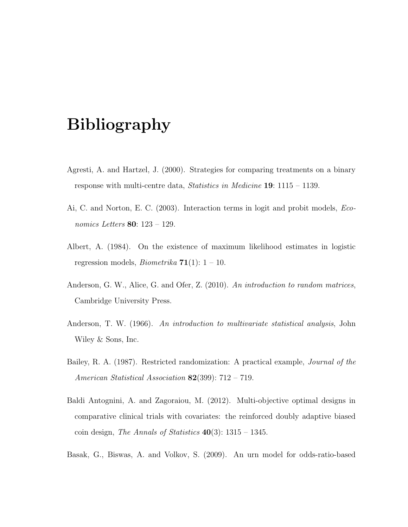## Bibliography

- Agresti, A. and Hartzel, J. (2000). Strategies for comparing treatments on a binary response with multi-centre data, Statistics in Medicine 19: 1115 – 1139.
- Ai, C. and Norton, E. C. (2003). Interaction terms in logit and probit models, Economics Letters 80: 123 – 129.
- Albert, A. (1984). On the existence of maximum likelihood estimates in logistic regression models, *Biometrika*  $71(1): 1 - 10$ .
- Anderson, G. W., Alice, G. and Ofer, Z. (2010). An introduction to random matrices, Cambridge University Press.
- Anderson, T. W. (1966). An introduction to multivariate statistical analysis, John Wiley & Sons, Inc.
- Bailey, R. A. (1987). Restricted randomization: A practical example, Journal of the American Statistical Association 82(399): 712 – 719.
- Baldi Antognini, A. and Zagoraiou, M. (2012). Multi-objective optimal designs in comparative clinical trials with covariates: the reinforced doubly adaptive biased coin design, The Annals of Statistics  $40(3)$ : 1315 – 1345.
- Basak, G., Biswas, A. and Volkov, S. (2009). An urn model for odds-ratio-based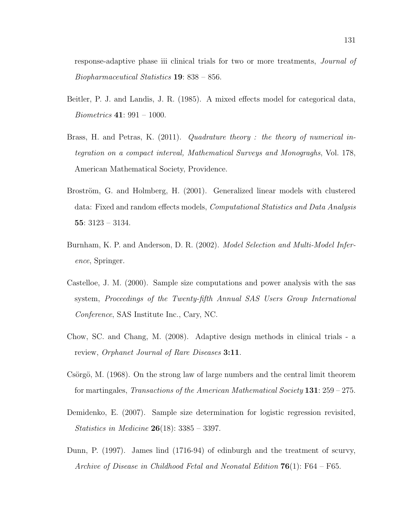response-adaptive phase iii clinical trials for two or more treatments, Journal of Biopharmaceutical Statistics 19: 838 – 856.

- Beitler, P. J. and Landis, J. R. (1985). A mixed effects model for categorical data, Biometrics 41: 991 – 1000.
- Brass, H. and Petras, K. (2011). Quadrature theory : the theory of numerical integration on a compact interval, Mathematical Surveys and Monograghs, Vol. 178, American Mathematical Society, Providence.
- Broström, G. and Holmberg, H. (2001). Generalized linear models with clustered data: Fixed and random effects models, Computational Statistics and Data Analysis 55: 3123 – 3134.
- Burnham, K. P. and Anderson, D. R. (2002). *Model Selection and Multi-Model Infer*ence, Springer.
- Castelloe, J. M. (2000). Sample size computations and power analysis with the sas system, Proceedings of the Twenty-fifth Annual SAS Users Group International Conference, SAS Institute Inc., Cary, NC.
- Chow, SC. and Chang, M. (2008). Adaptive design methods in clinical trials a review, Orphanet Journal of Rare Diseases 3:11.
- Csörgö, M. (1968). On the strong law of large numbers and the central limit theorem for martingales, Transactions of the American Mathematical Society  $131: 259 - 275$ .
- Demidenko, E. (2007). Sample size determination for logistic regression revisited, *Statistics in Medicine* **26**(18):  $3385 - 3397$ .
- Dunn, P. (1997). James lind (1716-94) of edinburgh and the treatment of scurvy, Archive of Disease in Childhood Fetal and Neonatal Edition  $76(1)$ : F64 – F65.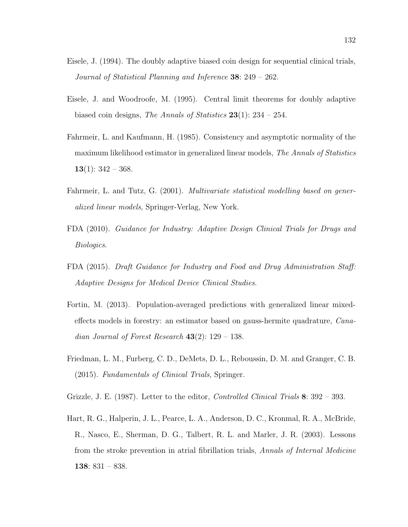- Eisele, J. (1994). The doubly adaptive biased coin design for sequential clinical trials, Journal of Statistical Planning and Inference 38: 249 – 262.
- Eisele, J. and Woodroofe, M. (1995). Central limit theorems for doubly adaptive biased coin designs, The Annals of Statistics  $23(1)$ : 234 – 254.
- Fahrmeir, L. and Kaufmann, H. (1985). Consistency and asymptotic normality of the maximum likelihood estimator in generalized linear models, *The Annals of Statistics* 13(1):  $342 - 368$ .
- Fahrmeir, L. and Tutz, G. (2001). Multivariate statistical modelling based on generalized linear models, Springer-Verlag, New York.
- FDA (2010). Guidance for Industry: Adaptive Design Clinical Trials for Drugs and Biologics.
- FDA (2015). Draft Guidance for Industry and Food and Drug Administration Staff: Adaptive Designs for Medical Device Clinical Studies.
- Fortin, M. (2013). Population-averaged predictions with generalized linear mixedeffects models in forestry: an estimator based on gauss-hermite quadrature, Canadian Journal of Forest Research  $43(2)$ : 129 – 138.
- Friedman, L. M., Furberg, C. D., DeMets, D. L., Reboussin, D. M. and Granger, C. B. (2015). Fundamentals of Clinical Trials, Springer.
- Grizzle, J. E. (1987). Letter to the editor, *Controlled Clinical Trials* 8: 392 393.
- Hart, R. G., Halperin, J. L., Pearce, L. A., Anderson, D. C., Kronmal, R. A., McBride, R., Nasco, E., Sherman, D. G., Talbert, R. L. and Marler, J. R. (2003). Lessons from the stroke prevention in atrial fibrillation trials, Annals of Internal Medicine 138: 831 – 838.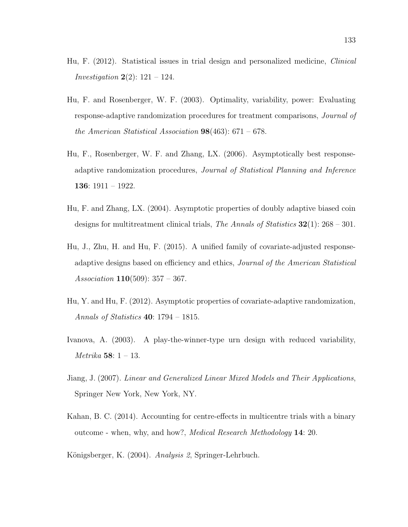- Hu, F. (2012). Statistical issues in trial design and personalized medicine, Clinical *Investigation*  $2(2)$ :  $121 - 124$ .
- Hu, F. and Rosenberger, W. F. (2003). Optimality, variability, power: Evaluating response-adaptive randomization procedures for treatment comparisons, Journal of the American Statistical Association  $98(463)$ : 671 – 678.
- Hu, F., Rosenberger, W. F. and Zhang, LX. (2006). Asymptotically best responseadaptive randomization procedures, Journal of Statistical Planning and Inference 136: 1911 – 1922.
- Hu, F. and Zhang, LX. (2004). Asymptotic properties of doubly adaptive biased coin designs for multitreatment clinical trials, The Annals of Statistics  $32(1)$ : 268 – 301.
- Hu, J., Zhu, H. and Hu, F. (2015). A unified family of covariate-adjusted responseadaptive designs based on efficiency and ethics, Journal of the American Statistical Association  $110(509)$ :  $357 - 367$ .
- Hu, Y. and Hu, F. (2012). Asymptotic properties of covariate-adaptive randomization, Annals of Statistics 40: 1794 – 1815.
- Ivanova, A. (2003). A play-the-winner-type urn design with reduced variability, Metrika 58: 1 – 13.
- Jiang, J. (2007). Linear and Generalized Linear Mixed Models and Their Applications, Springer New York, New York, NY.
- Kahan, B. C. (2014). Accounting for centre-effects in multicentre trials with a binary outcome - when, why, and how?, Medical Research Methodology 14: 20.
- Königsberger, K. (2004). Analysis 2, Springer-Lehrbuch.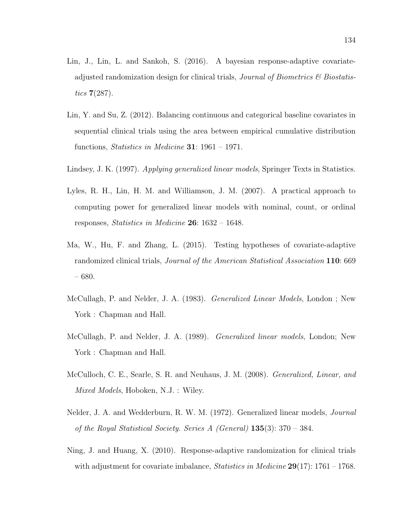- Lin, J., Lin, L. and Sankoh, S. (2016). A bayesian response-adaptive covariateadjusted randomization design for clinical trials, *Journal of Biometrics*  $\mathscr{C}$  Biostatistics 7(287).
- Lin, Y. and Su, Z. (2012). Balancing continuous and categorical baseline covariates in sequential clinical trials using the area between empirical cumulative distribution functions, *Statistics in Medicine* **31**:  $1961 - 1971$ .
- Lindsey, J. K. (1997). Applying generalized linear models, Springer Texts in Statistics.
- Lyles, R. H., Lin, H. M. and Williamson, J. M. (2007). A practical approach to computing power for generalized linear models with nominal, count, or ordinal responses, *Statistics in Medicine* **26**:  $1632 - 1648$ .
- Ma, W., Hu, F. and Zhang, L. (2015). Testing hypotheses of covariate-adaptive randomized clinical trials, Journal of the American Statistical Association 110: 669 – 680.
- McCullagh, P. and Nelder, J. A. (1983). Generalized Linear Models, London ; New York : Chapman and Hall.
- McCullagh, P. and Nelder, J. A. (1989). Generalized linear models, London; New York : Chapman and Hall.
- McCulloch, C. E., Searle, S. R. and Neuhaus, J. M. (2008). Generalized, Linear, and Mixed Models, Hoboken, N.J. : Wiley.
- Nelder, J. A. and Wedderburn, R. W. M. (1972). Generalized linear models, Journal of the Royal Statistical Society. Series A (General)  $135(3)$ : 370 – 384.
- Ning, J. and Huang, X. (2010). Response-adaptive randomization for clinical trials with adjustment for covariate imbalance, *Statistics in Medicine*  $29(17)$ : 1761 – 1768.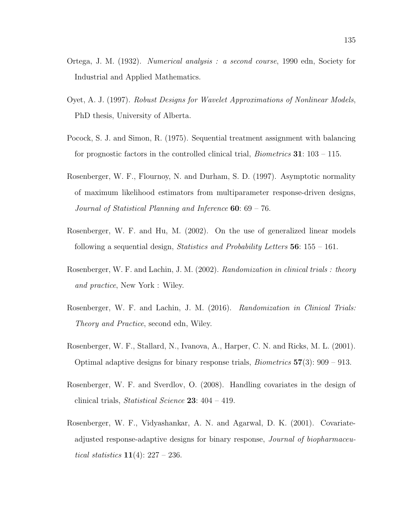- Ortega, J. M. (1932). Numerical analysis : a second course, 1990 edn, Society for Industrial and Applied Mathematics.
- Oyet, A. J. (1997). Robust Designs for Wavelet Approximations of Nonlinear Models, PhD thesis, University of Alberta.
- Pocock, S. J. and Simon, R. (1975). Sequential treatment assignment with balancing for prognostic factors in the controlled clinical trial, *Biometrics* **31**:  $103 - 115$ .
- Rosenberger, W. F., Flournoy, N. and Durham, S. D. (1997). Asymptotic normality of maximum likelihood estimators from multiparameter response-driven designs, Journal of Statistical Planning and Inference  $60: 69 - 76$ .
- Rosenberger, W. F. and Hu, M. (2002). On the use of generalized linear models following a sequential design, *Statistics and Probability Letters* 56:  $155 - 161$ .
- Rosenberger, W. F. and Lachin, J. M. (2002). Randomization in clinical trials : theory and practice, New York : Wiley.
- Rosenberger, W. F. and Lachin, J. M. (2016). Randomization in Clinical Trials: Theory and Practice, second edn, Wiley.
- Rosenberger, W. F., Stallard, N., Ivanova, A., Harper, C. N. and Ricks, M. L. (2001). Optimal adaptive designs for binary response trials, *Biometrics*  $57(3)$ :  $909 - 913$ .
- Rosenberger, W. F. and Sverdlov, O. (2008). Handling covariates in the design of clinical trials, Statistical Science  $23: 404 - 419$ .
- Rosenberger, W. F., Vidyashankar, A. N. and Agarwal, D. K. (2001). Covariateadjusted response-adaptive designs for binary response, Journal of biopharmaceutical statistics  $11(4)$ : 227 – 236.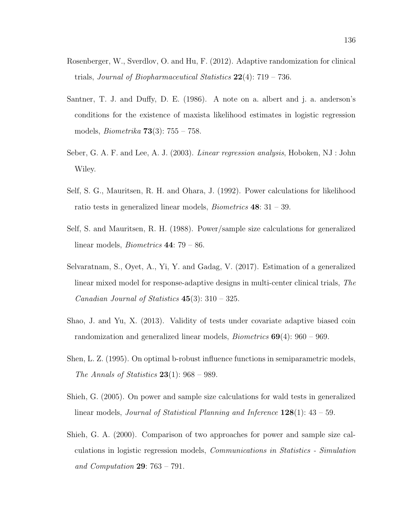- Rosenberger, W., Sverdlov, O. and Hu, F. (2012). Adaptive randomization for clinical trials, *Journal of Biopharmaceutical Statistics*  $22(4)$ :  $719 - 736$ .
- Santner, T. J. and Duffy, D. E. (1986). A note on a. albert and j. a. anderson's conditions for the existence of maxista likelihood estimates in logistic regression models, *Biometrika* **73** $(3)$ : 755 – 758.
- Seber, G. A. F. and Lee, A. J. (2003). Linear regression analysis, Hoboken, NJ : John Wiley.
- Self, S. G., Mauritsen, R. H. and Ohara, J. (1992). Power calculations for likelihood ratio tests in generalized linear models, *Biometrics*  $48: 31 - 39$ .
- Self, S. and Mauritsen, R. H. (1988). Power/sample size calculations for generalized linear models, Biometrics 44: 79 – 86.
- Selvaratnam, S., Oyet, A., Yi, Y. and Gadag, V. (2017). Estimation of a generalized linear mixed model for response-adaptive designs in multi-center clinical trials, The Canadian Journal of Statistics 45(3): 310 – 325.
- Shao, J. and Yu, X. (2013). Validity of tests under covariate adaptive biased coin randomization and generalized linear models, *Biometrics*  $69(4)$ :  $960 - 969$ .
- Shen, L. Z. (1995). On optimal b-robust influence functions in semiparametric models, The Annals of Statistics  $23(1)$ : 968 – 989.
- Shieh, G. (2005). On power and sample size calculations for wald tests in generalized linear models, *Journal of Statistical Planning and Inference*  $128(1)$ :  $43 - 59$ .
- Shieh, G. A. (2000). Comparison of two approaches for power and sample size calculations in logistic regression models, Communications in Statistics - Simulation and Computation  $29: 763 - 791$ .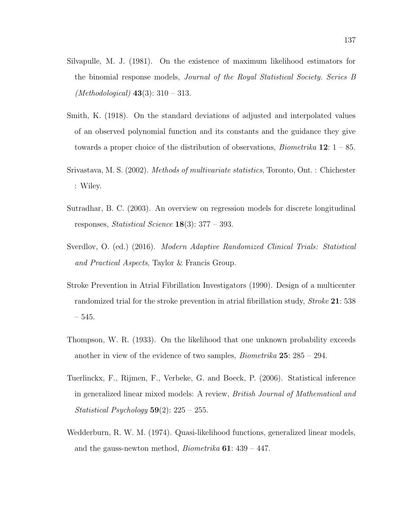- Silvapulle, M. J. (1981). On the existence of maximum likelihood estimators for the binomial response models, Journal of the Royal Statistical Society. Series B (*Methodological*)  $43(3): 310 - 313$ .
- Smith, K. (1918). On the standard deviations of adjusted and interpolated values of an observed polynomial function and its constants and the guidance they give towards a proper choice of the distribution of observations, *Biometrika* 12:  $1 - 85$ .
- Srivastava, M. S. (2002). Methods of multivariate statistics, Toronto, Ont. : Chichester : Wiley.
- Sutradhar, B. C. (2003). An overview on regression models for discrete longitudinal responses, *Statistical Science* **18**(3):  $377 - 393$ .
- Sverdlov, O. (ed.) (2016). Modern Adaptive Randomized Clinical Trials: Statistical and Practical Aspects, Taylor & Francis Group.
- Stroke Prevention in Atrial Fibrillation Investigators (1990). Design of a multicenter randomized trial for the stroke prevention in atrial fibrillation study, *Stroke* 21: 538 – 545.
- Thompson, W. R. (1933). On the likelihood that one unknown probability exceeds another in view of the evidence of two samples, *Biometrika*  $25: 285 - 294$ .
- Tuerlinckx, F., Rijmen, F., Verbeke, G. and Boeck, P. (2006). Statistical inference in generalized linear mixed models: A review, British Journal of Mathematical and Statistical Psychology  $59(2)$ :  $225 - 255$ .
- Wedderburn, R. W. M. (1974). Quasi-likelihood functions, generalized linear models, and the gauss-newton method, *Biometrika*  $61: 439 - 447$ .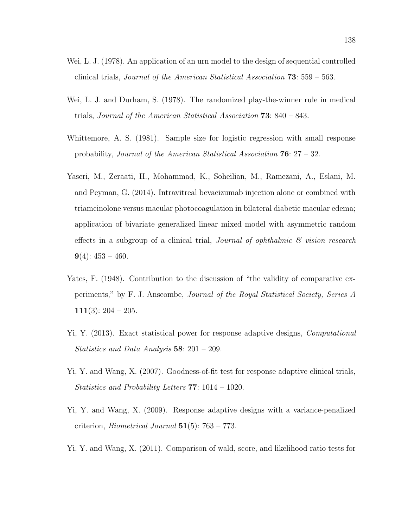- Wei, L. J. (1978). An application of an urn model to the design of sequential controlled clinical trials, Journal of the American Statistical Association 73: 559 – 563.
- Wei, L. J. and Durham, S. (1978). The randomized play-the-winner rule in medical trials, Journal of the American Statistical Association 73: 840 – 843.
- Whittemore, A. S. (1981). Sample size for logistic regression with small response probability, Journal of the American Statistical Association 76: 27 – 32.
- Yaseri, M., Zeraati, H., Mohammad, K., Soheilian, M., Ramezani, A., Eslani, M. and Peyman, G. (2014). Intravitreal bevacizumab injection alone or combined with triamcinolone versus macular photocoagulation in bilateral diabetic macular edema; application of bivariate generalized linear mixed model with asymmetric random effects in a subgroup of a clinical trial, *Journal of ophthalmic*  $\mathscr G$  vision research  $9(4): 453 - 460.$
- Yates, F. (1948). Contribution to the discussion of "the validity of comparative experiments," by F. J. Anscombe, Journal of the Royal Statistical Society, Series A 111(3):  $204 - 205$ .
- Yi, Y. (2013). Exact statistical power for response adaptive designs, Computational Statistics and Data Analysis 58: 201 – 209.
- Yi, Y. and Wang, X. (2007). Goodness-of-fit test for response adaptive clinical trials, Statistics and Probability Letters 77: 1014 – 1020.
- Yi, Y. and Wang, X. (2009). Response adaptive designs with a variance-penalized criterion, *Biometrical Journal*  $51(5)$ : 763 – 773.
- Yi, Y. and Wang, X. (2011). Comparison of wald, score, and likelihood ratio tests for